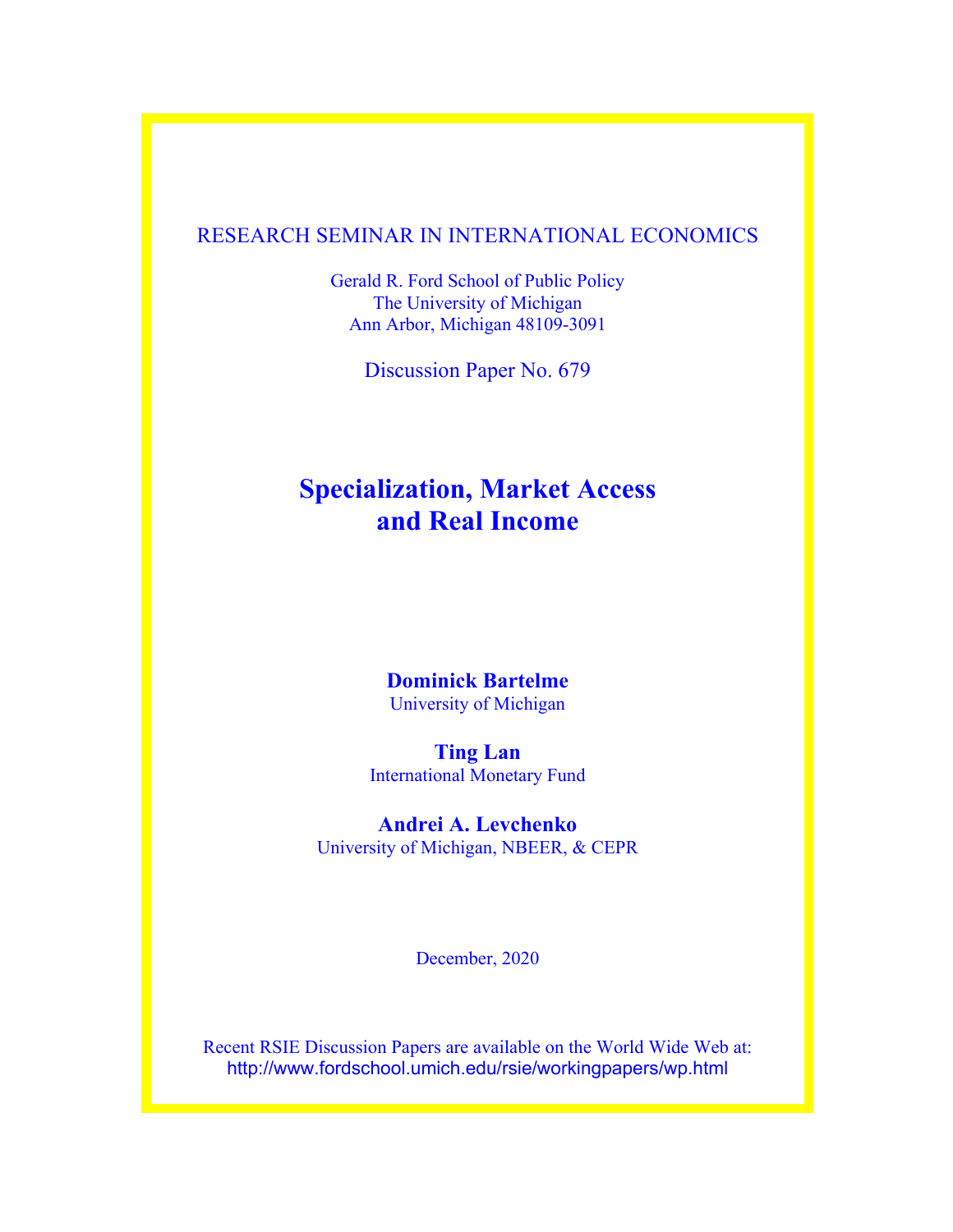# RESEARCH SEMINAR IN INTERNATIONAL ECONOMICS

Gerald R. Ford School of Public Policy The University of Michigan Ann Arbor, Michigan 48109-3091

Discussion Paper No. 679

# **Specialization, Market Access and Real Income**

# **Dominick Bartelme**  University of Michigan

**Ting Lan** International Monetary Fund

# **Andrei A. Levchenko**

University of Michigan, NBEER, & CEPR

December, 2020

Recent RSIE Discussion Papers are available on the World Wide Web at: http://www.fordschool.umich.edu/rsie/workingpapers/wp.html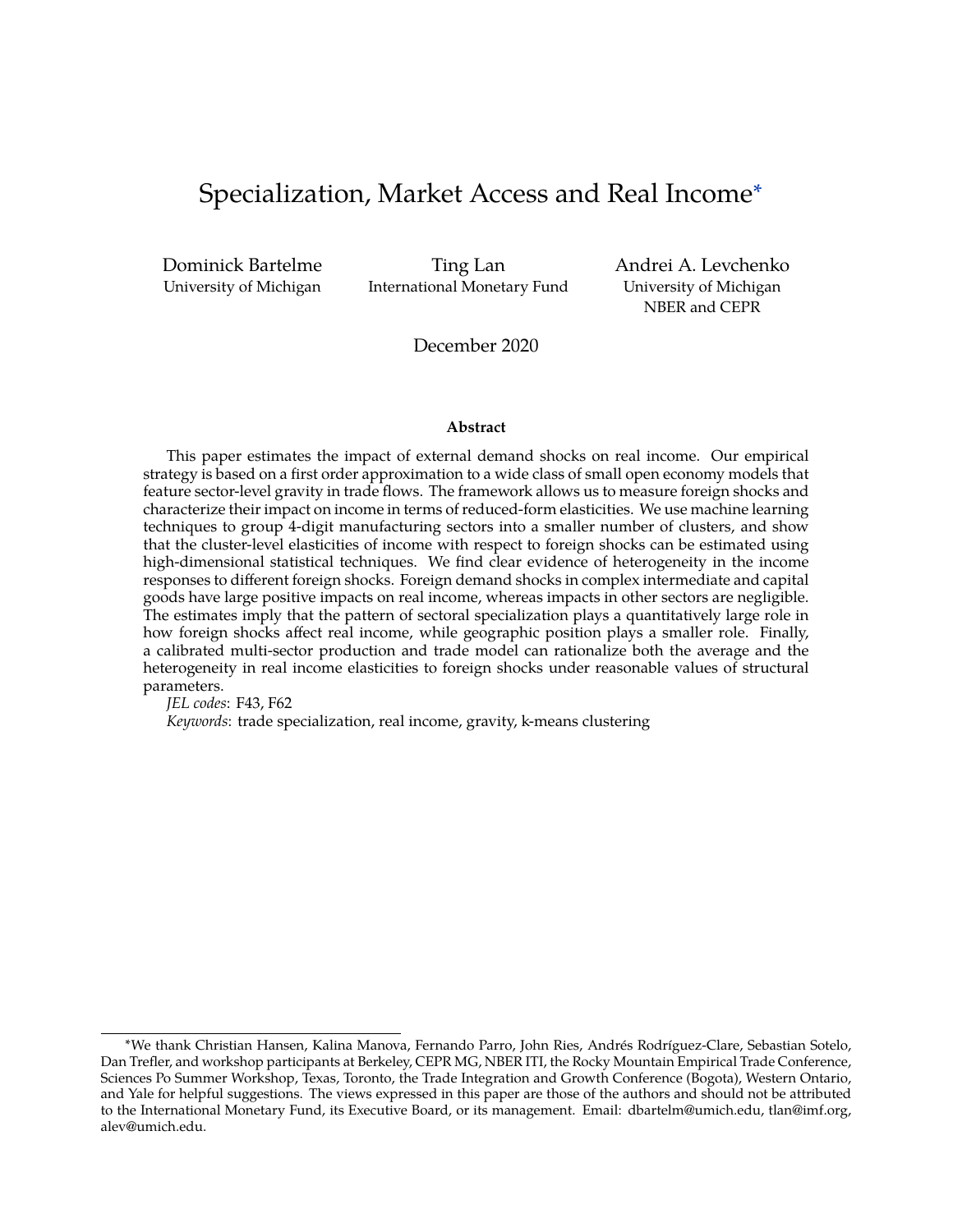# <span id="page-1-0"></span>Specialization, Market Access and Real Income<sup>∗</sup>

Dominick Bartelme University of Michigan

Ting Lan International Monetary Fund Andrei A. Levchenko University of Michigan NBER and CEPR

December 2020

#### **Abstract**

This paper estimates the impact of external demand shocks on real income. Our empirical strategy is based on a first order approximation to a wide class of small open economy models that feature sector-level gravity in trade flows. The framework allows us to measure foreign shocks and characterize their impact on income in terms of reduced-form elasticities. We use machine learning techniques to group 4-digit manufacturing sectors into a smaller number of clusters, and show that the cluster-level elasticities of income with respect to foreign shocks can be estimated using high-dimensional statistical techniques. We find clear evidence of heterogeneity in the income responses to different foreign shocks. Foreign demand shocks in complex intermediate and capital goods have large positive impacts on real income, whereas impacts in other sectors are negligible. The estimates imply that the pattern of sectoral specialization plays a quantitatively large role in how foreign shocks affect real income, while geographic position plays a smaller role. Finally, a calibrated multi-sector production and trade model can rationalize both the average and the heterogeneity in real income elasticities to foreign shocks under reasonable values of structural parameters.

*JEL codes*: F43, F62

*Keywords*: trade specialization, real income, gravity, k-means clustering

<sup>∗</sup>We thank Christian Hansen, Kalina Manova, Fernando Parro, John Ries, Andrés Rodríguez-Clare, Sebastian Sotelo, Dan Trefler, and workshop participants at Berkeley, CEPR MG, NBER ITI, the Rocky Mountain Empirical Trade Conference, Sciences Po Summer Workshop, Texas, Toronto, the Trade Integration and Growth Conference (Bogota), Western Ontario, and Yale for helpful suggestions. The views expressed in this paper are those of the authors and should not be attributed to the International Monetary Fund, its Executive Board, or its management. Email: dbartelm@umich.edu, tlan@imf.org, alev@umich.edu.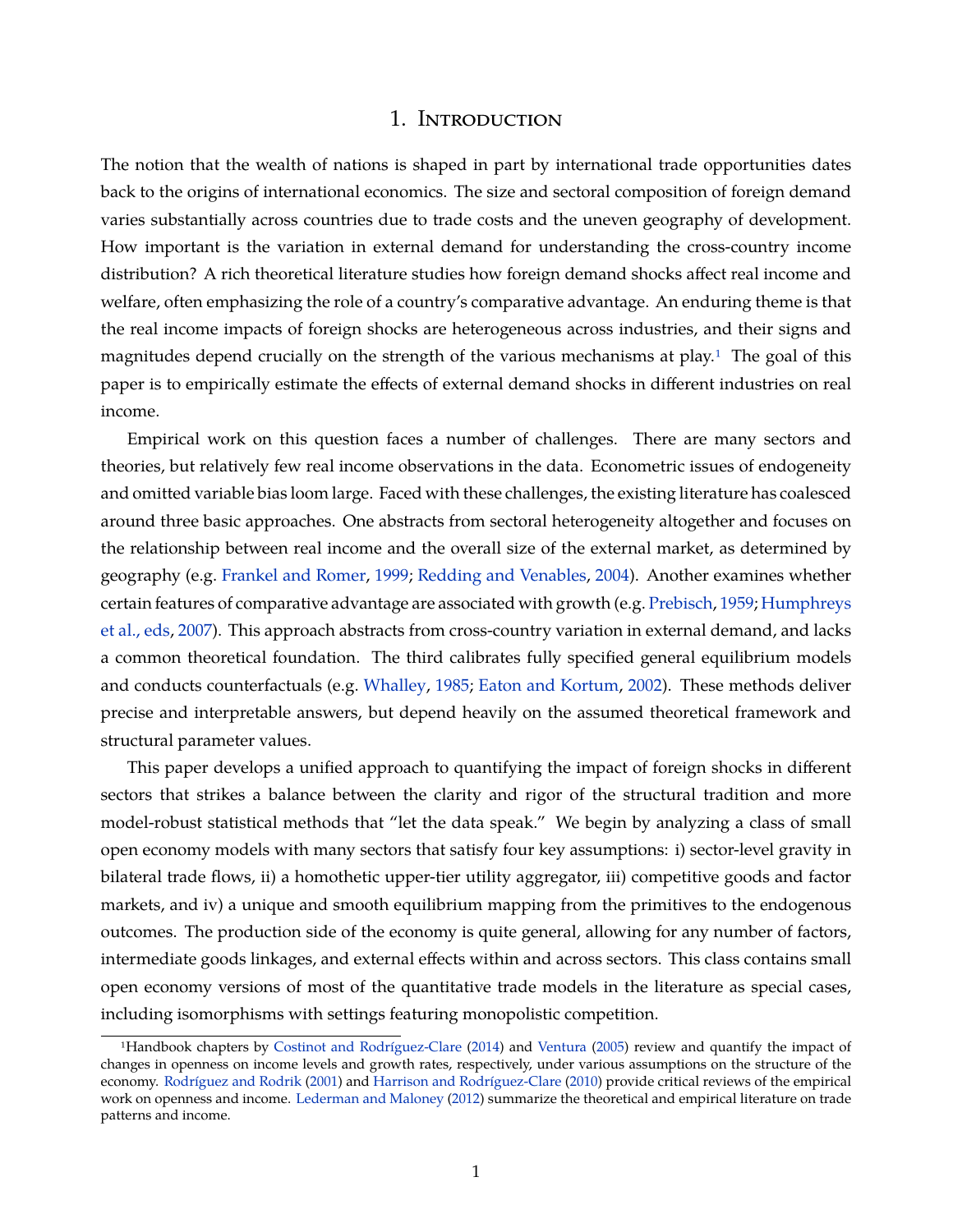### 1. Introduction

The notion that the wealth of nations is shaped in part by international trade opportunities dates back to the origins of international economics. The size and sectoral composition of foreign demand varies substantially across countries due to trade costs and the uneven geography of development. How important is the variation in external demand for understanding the cross-country income distribution? A rich theoretical literature studies how foreign demand shocks affect real income and welfare, often emphasizing the role of a country's comparative advantage. An enduring theme is that the real income impacts of foreign shocks are heterogeneous across industries, and their signs and magnitudes depend crucially on the strength of the various mechanisms at play.<sup>1</sup> The goal of this paper is to empirically estimate the effects of external demand shocks in different industries on real income.

Empirical work on this question faces a number of challenges. There are many sectors and theories, but relatively few real income observations in the data. Econometric issues of endogeneity and omitted variable bias loom large. Faced with these challenges, the existing literature has coalesced around three basic approaches. One abstracts from sectoral heterogeneity altogether and focuses on the relationship between real income and the overall size of the external market, as determined by geography (e.g. [Frankel and Romer,](#page-37-0) [1999;](#page-37-0) [Redding and Venables,](#page-39-0) [2004\)](#page-39-0). Another examines whether certain features of comparative advantage are associated with growth (e.g. [Prebisch,](#page-39-1) [1959;](#page-39-1) [Humphreys](#page-38-0) [et al., eds,](#page-38-0) [2007\)](#page-38-0). This approach abstracts from cross-country variation in external demand, and lacks a common theoretical foundation. The third calibrates fully specified general equilibrium models and conducts counterfactuals (e.g. [Whalley,](#page-40-0) [1985;](#page-40-0) [Eaton and Kortum,](#page-37-1) [2002\)](#page-37-1). These methods deliver precise and interpretable answers, but depend heavily on the assumed theoretical framework and structural parameter values.

This paper develops a unified approach to quantifying the impact of foreign shocks in different sectors that strikes a balance between the clarity and rigor of the structural tradition and more model-robust statistical methods that "let the data speak." We begin by analyzing a class of small open economy models with many sectors that satisfy four key assumptions: i) sector-level gravity in bilateral trade flows, ii) a homothetic upper-tier utility aggregator, iii) competitive goods and factor markets, and iv) a unique and smooth equilibrium mapping from the primitives to the endogenous outcomes. The production side of the economy is quite general, allowing for any number of factors, intermediate goods linkages, and external effects within and across sectors. This class contains small open economy versions of most of the quantitative trade models in the literature as special cases, including isomorphisms with settings featuring monopolistic competition.

<sup>1</sup>Handbook chapters by [Costinot and Rodríguez-Clare](#page-37-2) [\(2014\)](#page-37-2) and [Ventura](#page-40-1) [\(2005\)](#page-40-1) review and quantify the impact of changes in openness on income levels and growth rates, respectively, under various assumptions on the structure of the economy. [Rodríguez and Rodrik](#page-39-2) [\(2001\)](#page-39-2) and [Harrison and Rodríguez-Clare](#page-38-1) [\(2010\)](#page-38-1) provide critical reviews of the empirical work on openness and income. [Lederman and Maloney](#page-39-3) [\(2012\)](#page-39-3) summarize the theoretical and empirical literature on trade patterns and income.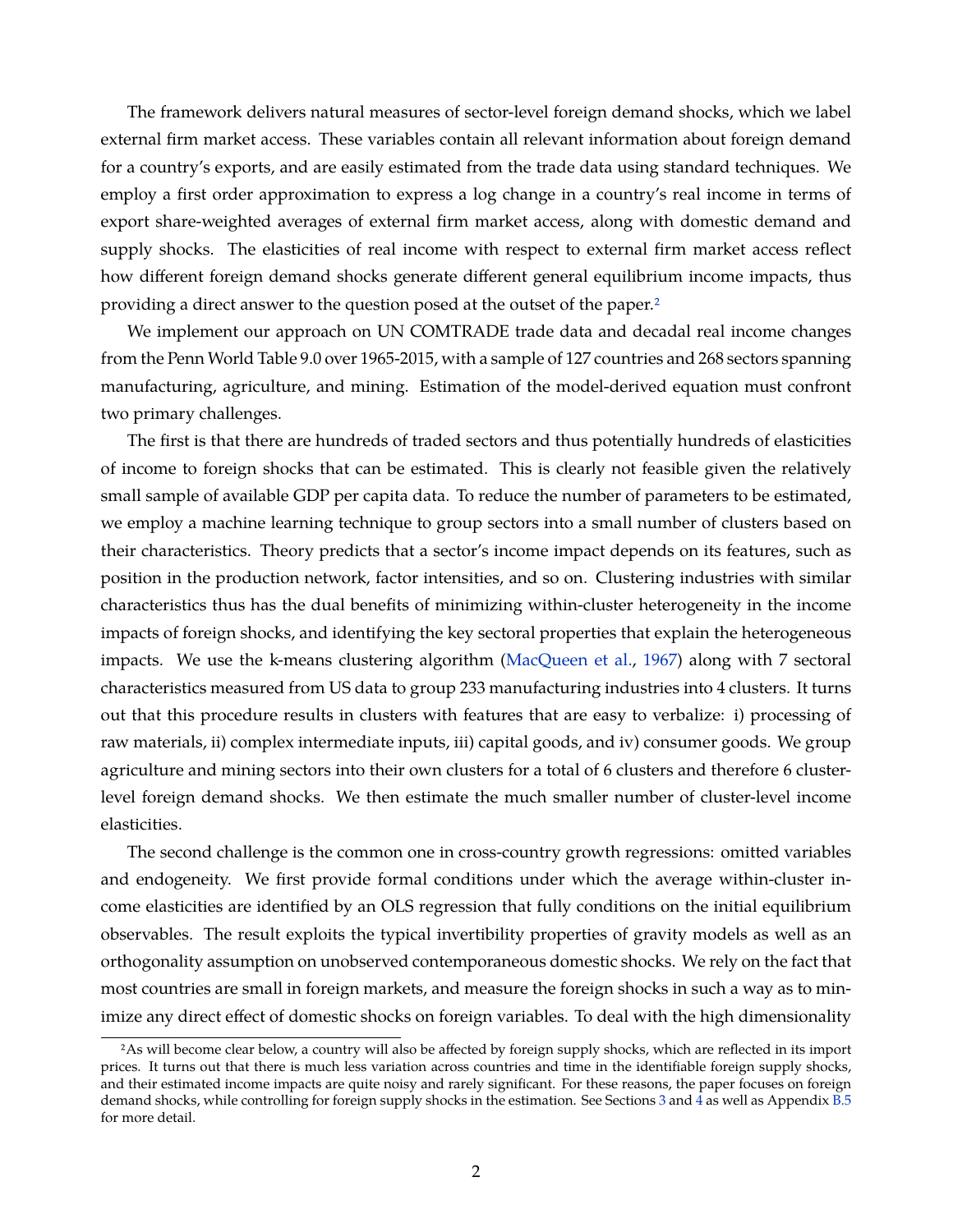The framework delivers natural measures of sector-level foreign demand shocks, which we label external firm market access. These variables contain all relevant information about foreign demand for a country's exports, and are easily estimated from the trade data using standard techniques. We employ a first order approximation to express a log change in a country's real income in terms of export share-weighted averages of external firm market access, along with domestic demand and supply shocks. The elasticities of real income with respect to external firm market access reflect how different foreign demand shocks generate different general equilibrium income impacts, thus providing a direct answer to the question posed at the outset of the paper[.2](#page-1-0)

We implement our approach on UN COMTRADE trade data and decadal real income changes from the Penn World Table 9.0 over 1965-2015, with a sample of 127 countries and 268 sectors spanning manufacturing, agriculture, and mining. Estimation of the model-derived equation must confront two primary challenges.

The first is that there are hundreds of traded sectors and thus potentially hundreds of elasticities of income to foreign shocks that can be estimated. This is clearly not feasible given the relatively small sample of available GDP per capita data. To reduce the number of parameters to be estimated, we employ a machine learning technique to group sectors into a small number of clusters based on their characteristics. Theory predicts that a sector's income impact depends on its features, such as position in the production network, factor intensities, and so on. Clustering industries with similar characteristics thus has the dual benefits of minimizing within-cluster heterogeneity in the income impacts of foreign shocks, and identifying the key sectoral properties that explain the heterogeneous impacts. We use the k-means clustering algorithm [\(MacQueen et al.,](#page-39-4) [1967\)](#page-39-4) along with 7 sectoral characteristics measured from US data to group 233 manufacturing industries into 4 clusters. It turns out that this procedure results in clusters with features that are easy to verbalize: i) processing of raw materials, ii) complex intermediate inputs, iii) capital goods, and iv) consumer goods. We group agriculture and mining sectors into their own clusters for a total of 6 clusters and therefore 6 clusterlevel foreign demand shocks. We then estimate the much smaller number of cluster-level income elasticities.

The second challenge is the common one in cross-country growth regressions: omitted variables and endogeneity. We first provide formal conditions under which the average within-cluster income elasticities are identified by an OLS regression that fully conditions on the initial equilibrium observables. The result exploits the typical invertibility properties of gravity models as well as an orthogonality assumption on unobserved contemporaneous domestic shocks. We rely on the fact that most countries are small in foreign markets, and measure the foreign shocks in such a way as to minimize any direct effect of domestic shocks on foreign variables. To deal with the high dimensionality

<sup>2</sup>As will become clear below, a country will also be affected by foreign supply shocks, which are reflected in its import prices. It turns out that there is much less variation across countries and time in the identifiable foreign supply shocks, and their estimated income impacts are quite noisy and rarely significant. For these reasons, the paper focuses on foreign demand shocks, while controlling for foreign supply shocks in the estimation. See Sections [3](#page-11-0) and  $\frac{1}{4}$  $\frac{1}{4}$  $\frac{1}{4}$  as well as Appendix [B.5](#page-62-0) for more detail.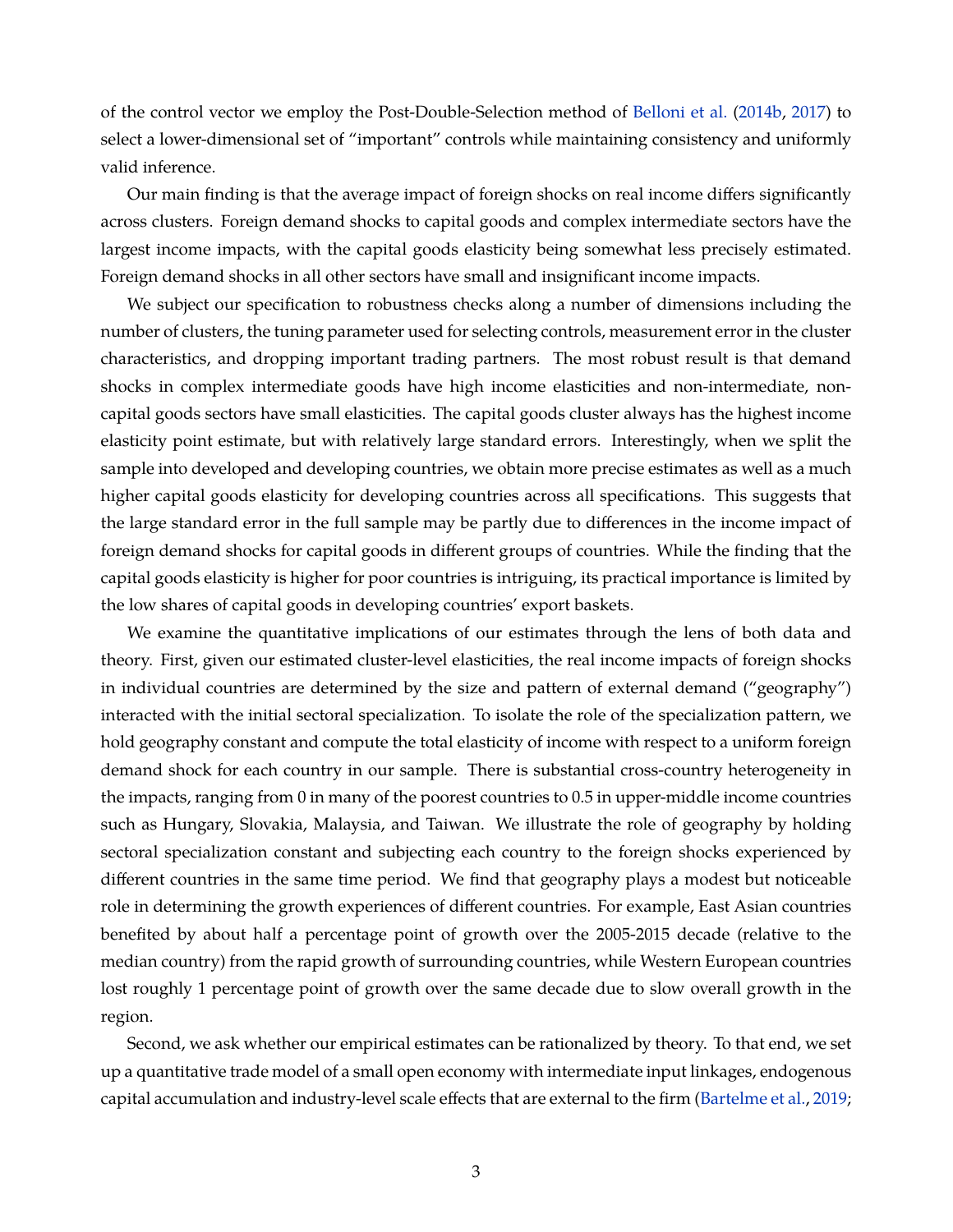of the control vector we employ the Post-Double-Selection method of [Belloni et al.](#page-36-0) [\(2014b,](#page-36-0) [2017\)](#page-36-1) to select a lower-dimensional set of "important" controls while maintaining consistency and uniformly valid inference.

Our main finding is that the average impact of foreign shocks on real income differs significantly across clusters. Foreign demand shocks to capital goods and complex intermediate sectors have the largest income impacts, with the capital goods elasticity being somewhat less precisely estimated. Foreign demand shocks in all other sectors have small and insignificant income impacts.

We subject our specification to robustness checks along a number of dimensions including the number of clusters, the tuning parameter used for selecting controls, measurement error in the cluster characteristics, and dropping important trading partners. The most robust result is that demand shocks in complex intermediate goods have high income elasticities and non-intermediate, noncapital goods sectors have small elasticities. The capital goods cluster always has the highest income elasticity point estimate, but with relatively large standard errors. Interestingly, when we split the sample into developed and developing countries, we obtain more precise estimates as well as a much higher capital goods elasticity for developing countries across all specifications. This suggests that the large standard error in the full sample may be partly due to differences in the income impact of foreign demand shocks for capital goods in different groups of countries. While the finding that the capital goods elasticity is higher for poor countries is intriguing, its practical importance is limited by the low shares of capital goods in developing countries' export baskets.

We examine the quantitative implications of our estimates through the lens of both data and theory. First, given our estimated cluster-level elasticities, the real income impacts of foreign shocks in individual countries are determined by the size and pattern of external demand ("geography") interacted with the initial sectoral specialization. To isolate the role of the specialization pattern, we hold geography constant and compute the total elasticity of income with respect to a uniform foreign demand shock for each country in our sample. There is substantial cross-country heterogeneity in the impacts, ranging from 0 in many of the poorest countries to 0.5 in upper-middle income countries such as Hungary, Slovakia, Malaysia, and Taiwan. We illustrate the role of geography by holding sectoral specialization constant and subjecting each country to the foreign shocks experienced by different countries in the same time period. We find that geography plays a modest but noticeable role in determining the growth experiences of different countries. For example, East Asian countries benefited by about half a percentage point of growth over the 2005-2015 decade (relative to the median country) from the rapid growth of surrounding countries, while Western European countries lost roughly 1 percentage point of growth over the same decade due to slow overall growth in the region.

Second, we ask whether our empirical estimates can be rationalized by theory. To that end, we set up a quantitative trade model of a small open economy with intermediate input linkages, endogenous capital accumulation and industry-level scale effects that are external to the firm [\(Bartelme et al.,](#page-36-2) [2019;](#page-36-2)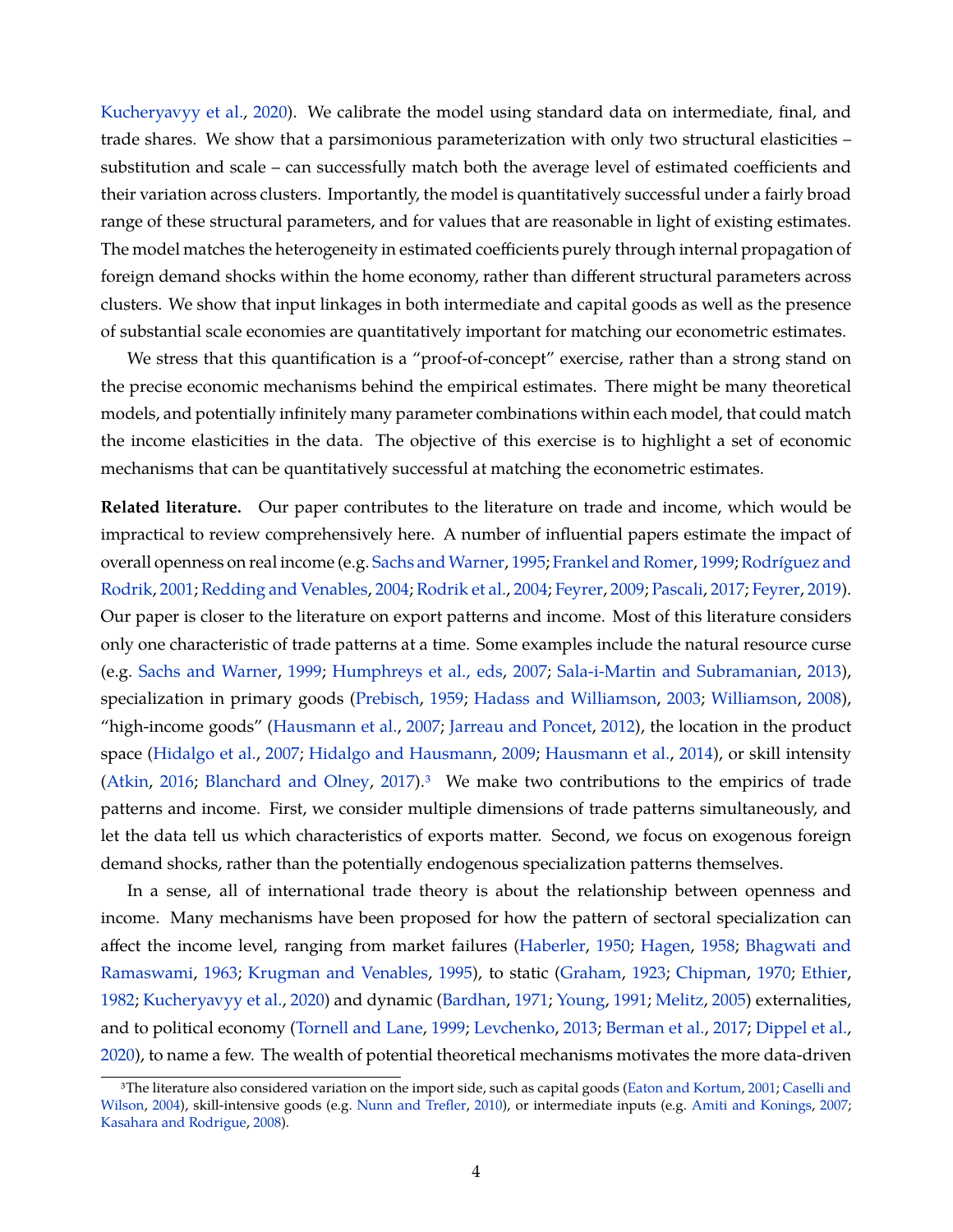[Kucheryavyy et al.,](#page-39-5) [2020\)](#page-39-5). We calibrate the model using standard data on intermediate, final, and trade shares. We show that a parsimonious parameterization with only two structural elasticities – substitution and scale – can successfully match both the average level of estimated coefficients and their variation across clusters. Importantly, the model is quantitatively successful under a fairly broad range of these structural parameters, and for values that are reasonable in light of existing estimates. The model matches the heterogeneity in estimated coefficients purely through internal propagation of foreign demand shocks within the home economy, rather than different structural parameters across clusters. We show that input linkages in both intermediate and capital goods as well as the presence of substantial scale economies are quantitatively important for matching our econometric estimates.

We stress that this quantification is a "proof-of-concept" exercise, rather than a strong stand on the precise economic mechanisms behind the empirical estimates. There might be many theoretical models, and potentially infinitely many parameter combinations within each model, that could match the income elasticities in the data. The objective of this exercise is to highlight a set of economic mechanisms that can be quantitatively successful at matching the econometric estimates.

**Related literature.** Our paper contributes to the literature on trade and income, which would be impractical to review comprehensively here. A number of influential papers estimate the impact of overall openness on real income (e.g. [Sachs and Warner,](#page-40-2) [1995;](#page-40-2) [Frankel and Romer,](#page-37-0) [1999;](#page-37-0) [Rodríguez and](#page-39-2) [Rodrik,](#page-39-2) [2001;](#page-39-2) [Redding and Venables,](#page-39-0) [2004;](#page-39-0) [Rodrik et al.,](#page-40-3) [2004;](#page-40-3) [Feyrer,](#page-37-3) [2009;](#page-37-3) [Pascali,](#page-39-6) [2017;](#page-39-6) [Feyrer,](#page-37-4) [2019\)](#page-37-4). Our paper is closer to the literature on export patterns and income. Most of this literature considers only one characteristic of trade patterns at a time. Some examples include the natural resource curse (e.g. [Sachs and Warner,](#page-40-4) [1999;](#page-40-4) [Humphreys et al., eds,](#page-38-0) [2007;](#page-38-0) [Sala-i-Martin and Subramanian,](#page-40-5) [2013\)](#page-40-5), specialization in primary goods [\(Prebisch,](#page-39-1) [1959;](#page-39-1) [Hadass and Williamson,](#page-38-2) [2003;](#page-38-2) [Williamson,](#page-40-6) [2008\)](#page-40-6), "high-income goods" [\(Hausmann et al.,](#page-38-3) [2007;](#page-38-3) [Jarreau and Poncet,](#page-38-4) [2012\)](#page-38-4), the location in the product space [\(Hidalgo et al.,](#page-38-5) [2007;](#page-38-5) [Hidalgo and Hausmann,](#page-38-6) [2009;](#page-38-6) [Hausmann et al.,](#page-38-7) [2014\)](#page-38-7), or skill intensity [\(Atkin,](#page-35-0) [2016;](#page-35-0) [Blanchard and Olney,](#page-36-3) [2017\)](#page-36-3). $3\text{ }\,$  We make two contributions to the empirics of trade patterns and income. First, we consider multiple dimensions of trade patterns simultaneously, and let the data tell us which characteristics of exports matter. Second, we focus on exogenous foreign demand shocks, rather than the potentially endogenous specialization patterns themselves.

In a sense, all of international trade theory is about the relationship between openness and income. Many mechanisms have been proposed for how the pattern of sectoral specialization can affect the income level, ranging from market failures [\(Haberler,](#page-38-8) [1950;](#page-38-8) [Hagen,](#page-38-9) [1958;](#page-38-9) [Bhagwati and](#page-36-4) [Ramaswami,](#page-36-4) [1963;](#page-36-4) [Krugman and Venables,](#page-39-7) [1995\)](#page-39-7), to static [\(Graham,](#page-37-5) [1923;](#page-37-5) [Chipman,](#page-36-5) [1970;](#page-36-5) [Ethier,](#page-37-6) [1982;](#page-37-6) [Kucheryavyy et al.,](#page-39-5) [2020\)](#page-39-5) and dynamic [\(Bardhan,](#page-35-1) [1971;](#page-35-1) [Young,](#page-41-0) [1991;](#page-41-0) [Melitz,](#page-39-8) [2005\)](#page-39-8) externalities, and to political economy [\(Tornell and Lane,](#page-40-7) [1999;](#page-40-7) [Levchenko,](#page-39-9) [2013;](#page-39-9) [Berman et al.,](#page-36-6) [2017;](#page-36-6) [Dippel et al.,](#page-37-7) [2020\)](#page-37-7), to name a few. The wealth of potential theoretical mechanisms motivates the more data-driven

<sup>3</sup>The literature also considered variation on the import side, such as capital goods [\(Eaton and Kortum,](#page-37-8) [2001;](#page-37-8) [Caselli and](#page-36-7) [Wilson,](#page-36-7) [2004\)](#page-36-7), skill-intensive goods (e.g. [Nunn and Trefler,](#page-39-10) [2010\)](#page-39-10), or intermediate inputs (e.g. [Amiti and Konings,](#page-35-2) [2007;](#page-35-2) [Kasahara and Rodrigue,](#page-38-10) [2008\)](#page-38-10).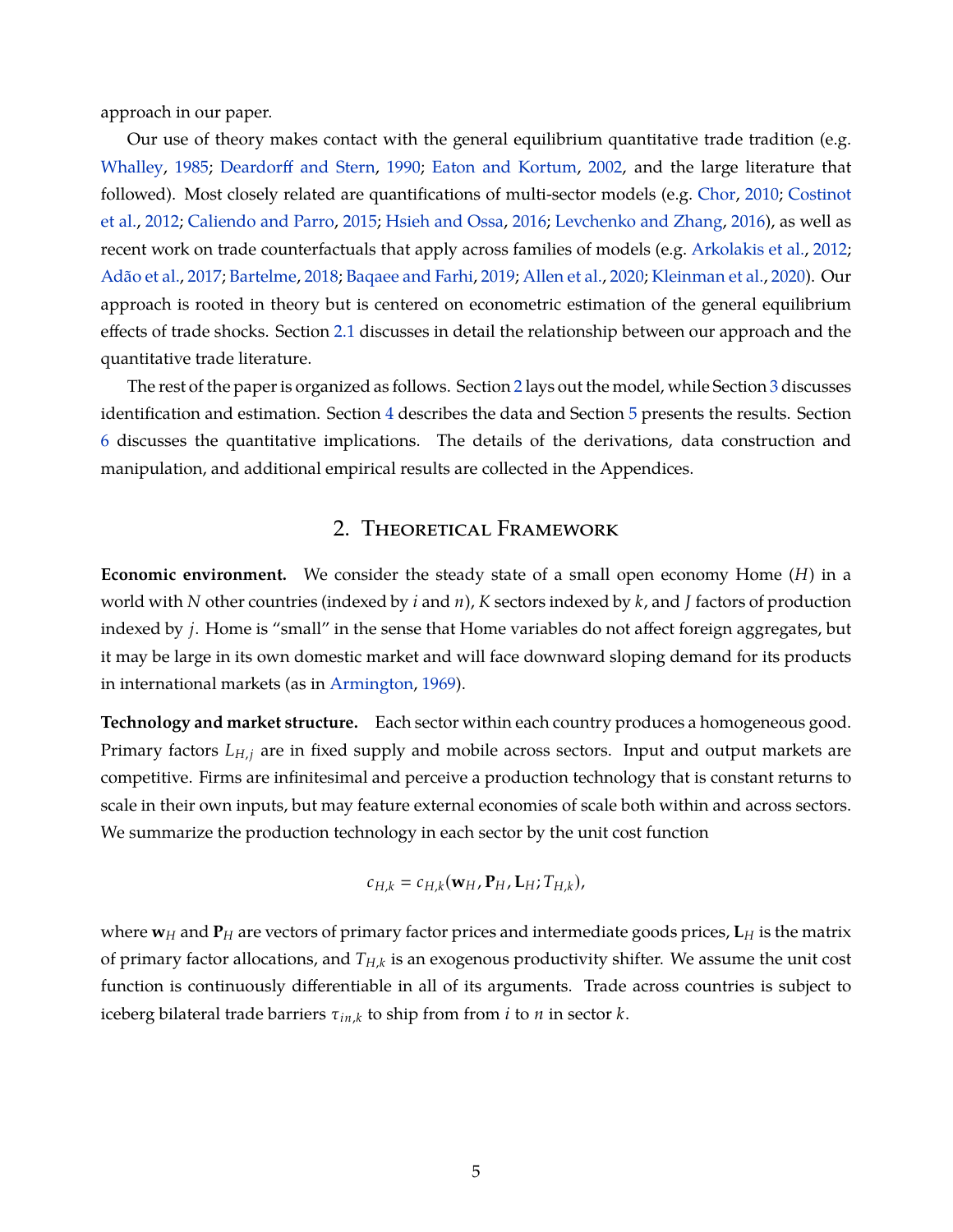approach in our paper.

Our use of theory makes contact with the general equilibrium quantitative trade tradition (e.g. [Whalley,](#page-40-0) [1985;](#page-40-0) [Deardorff and Stern,](#page-37-9) [1990;](#page-37-9) [Eaton and Kortum,](#page-37-1) [2002,](#page-37-1) and the large literature that followed). Most closely related are quantifications of multi-sector models (e.g. [Chor,](#page-37-10) [2010;](#page-37-10) [Costinot](#page-37-11) [et al.,](#page-37-11) [2012;](#page-37-11) [Caliendo and Parro,](#page-36-8) [2015;](#page-36-8) [Hsieh and Ossa,](#page-38-11) [2016;](#page-38-11) [Levchenko and Zhang,](#page-39-11) [2016\)](#page-39-11), as well as recent work on trade counterfactuals that apply across families of models (e.g. [Arkolakis et al.,](#page-35-3) [2012;](#page-35-3) [Adão et al.,](#page-35-4) [2017;](#page-35-4) [Bartelme,](#page-36-9) [2018;](#page-36-9) [Baqaee and Farhi,](#page-35-5) [2019;](#page-35-5) [Allen et al.,](#page-35-6) [2020;](#page-35-6) [Kleinman et al.,](#page-38-12) [2020\)](#page-38-12). Our approach is rooted in theory but is centered on econometric estimation of the general equilibrium effects of trade shocks. Section [2.1](#page-8-0) discusses in detail the relationship between our approach and the quantitative trade literature.

The rest of the paper is organized as follows. Section [2](#page-6-0) lays out the model, while Section [3](#page-11-0) discusses identification and estimation. Section [4](#page-14-0) describes the data and Section [5](#page-19-0) presents the results. Section [6](#page-23-0) discusses the quantitative implications. The details of the derivations, data construction and manipulation, and additional empirical results are collected in the Appendices.

## 2. Theoretical Framework

<span id="page-6-0"></span>**Economic environment.** We consider the steady state of a small open economy Home (*H*) in a world with *N* other countries (indexed by *i* and *n*), *K* sectors indexed by *k*, and *J* factors of production indexed by *j*. Home is "small" in the sense that Home variables do not affect foreign aggregates, but it may be large in its own domestic market and will face downward sloping demand for its products in international markets (as in [Armington,](#page-35-7) [1969\)](#page-35-7).

**Technology and market structure.** Each sector within each country produces a homogeneous good. Primary factors *LH*,*<sup>j</sup>* are in fixed supply and mobile across sectors. Input and output markets are competitive. Firms are infinitesimal and perceive a production technology that is constant returns to scale in their own inputs, but may feature external economies of scale both within and across sectors. We summarize the production technology in each sector by the unit cost function

$$
c_{H,k}=c_{H,k}(\mathbf{w}_H,\mathbf{P}_H,\mathbf{L}_H;T_{H,k}),
$$

where  $w_H$  and  $P_H$  are vectors of primary factor prices and intermediate goods prices,  $L_H$  is the matrix of primary factor allocations, and *TH*,*<sup>k</sup>* is an exogenous productivity shifter. We assume the unit cost function is continuously differentiable in all of its arguments. Trade across countries is subject to iceberg bilateral trade barriers τ*in*,*<sup>k</sup>* to ship from from *i* to *n* in sector *k*.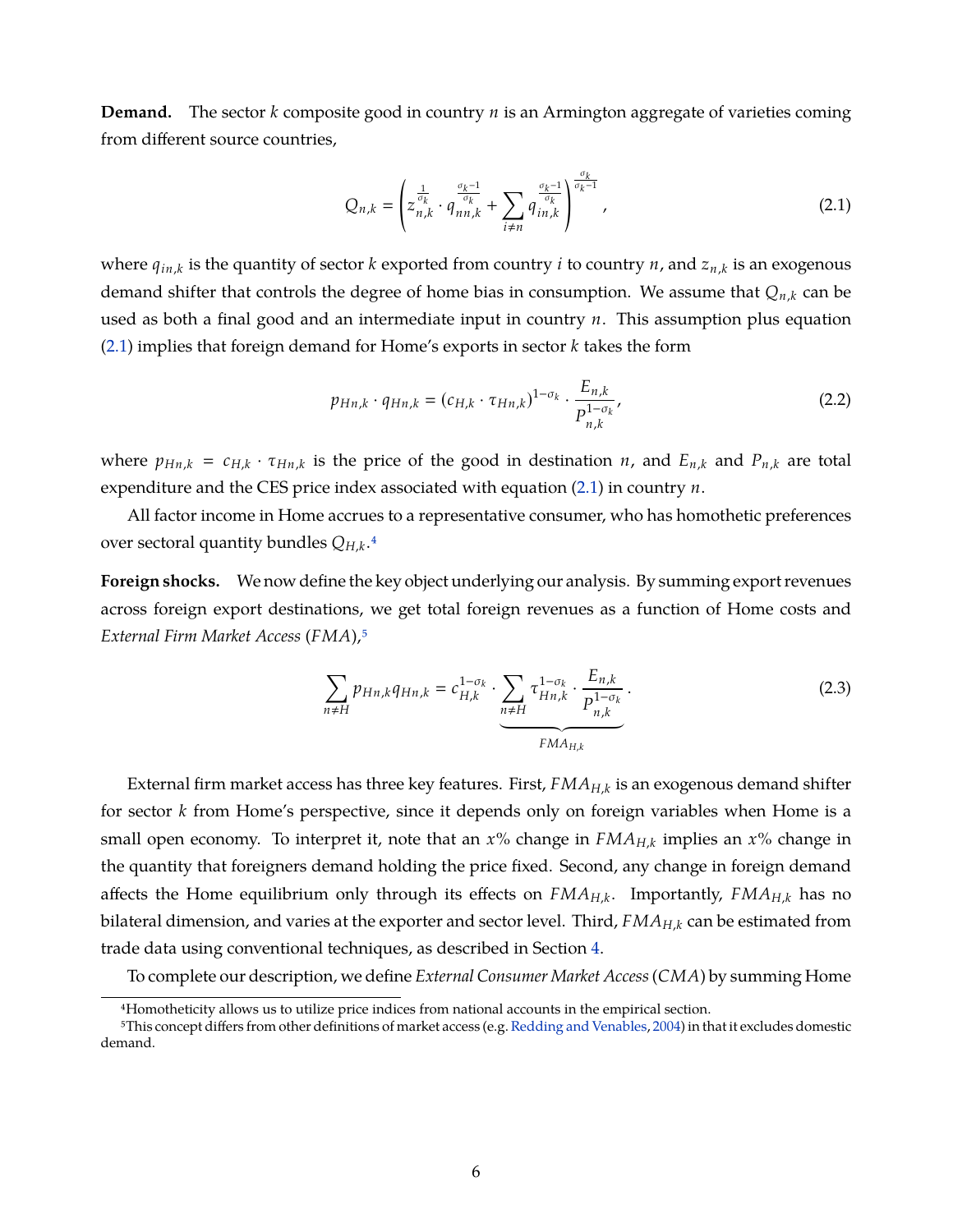**Demand.** The sector *k* composite good in country *n* is an Armington aggregate of varieties coming from different source countries,

<span id="page-7-0"></span>
$$
Q_{n,k} = \left(z_{n,k}^{\frac{1}{\sigma_k}} \cdot q_{nn,k}^{\frac{\sigma_k - 1}{\sigma_k}} + \sum_{i \neq n} q_{in,k}^{\frac{\sigma_k - 1}{\sigma_k}}\right)^{\frac{\sigma_k}{\sigma_k - 1}},
$$
(2.1)

where *qin*,*<sup>k</sup>* is the quantity of sector *k* exported from country *i* to country *n*, and *zn*,*<sup>k</sup>* is an exogenous demand shifter that controls the degree of home bias in consumption. We assume that *Qn*,*<sup>k</sup>* can be used as both a final good and an intermediate input in country *n*. This assumption plus equation [\(2.1\)](#page-7-0) implies that foreign demand for Home's exports in sector *k* takes the form

<span id="page-7-2"></span>
$$
p_{Hn,k} \cdot q_{Hn,k} = (c_{H,k} \cdot \tau_{Hn,k})^{1-\sigma_k} \cdot \frac{E_{n,k}}{P_{n,k}^{1-\sigma_k}},
$$
\n(2.2)

where  $p_{Hn,k} = c_{H,k} \cdot \tau_{Hn,k}$  is the price of the good in destination *n*, and  $E_{n,k}$  and  $P_{n,k}$  are total expenditure and the CES price index associated with equation  $(2.1)$  in country  $n$ .

All factor income in Home accrues to a representative consumer, who has homothetic preferences over sectoral quantity bundles *QH*,*<sup>k</sup>* [.4](#page-1-0)

**Foreign shocks.** We now define the key object underlying our analysis. By summing export revenues across foreign export destinations, we get total foreign revenues as a function of Home costs and *External Firm Market Access* (*FMA*)[,5](#page-1-0)

<span id="page-7-1"></span>
$$
\sum_{n\neq H} p_{Hn,k} q_{Hn,k} = c_{H,k}^{1-\sigma_k} \cdot \underbrace{\sum_{n\neq H} \tau_{Hn,k}^{1-\sigma_k} \cdot \frac{E_{n,k}}{P_{n,k}^{1-\sigma_k}}}_{FMA_{H,k}}.
$$
(2.3)

External firm market access has three key features. First, *FMAH*,*<sup>k</sup>* is an exogenous demand shifter for sector *k* from Home's perspective, since it depends only on foreign variables when Home is a small open economy. To interpret it, note that an *x*% change in *FMAH*,*<sup>k</sup>* implies an *x*% change in the quantity that foreigners demand holding the price fixed. Second, any change in foreign demand affects the Home equilibrium only through its effects on *FMAH*,*<sup>k</sup>* . Importantly, *FMAH*,*<sup>k</sup>* has no bilateral dimension, and varies at the exporter and sector level. Third, *FMAH*,*<sup>k</sup>* can be estimated from trade data using conventional techniques, as described in Section [4.](#page-14-0)

To complete our description, we define *External Consumer Market Access*(*CMA*) by summing Home

<sup>4</sup>Homotheticity allows us to utilize price indices from national accounts in the empirical section.

<sup>5</sup>This concept differs from other definitions of market access (e.g. [Redding and Venables,](#page-39-0) [2004\)](#page-39-0) in that it excludes domestic demand.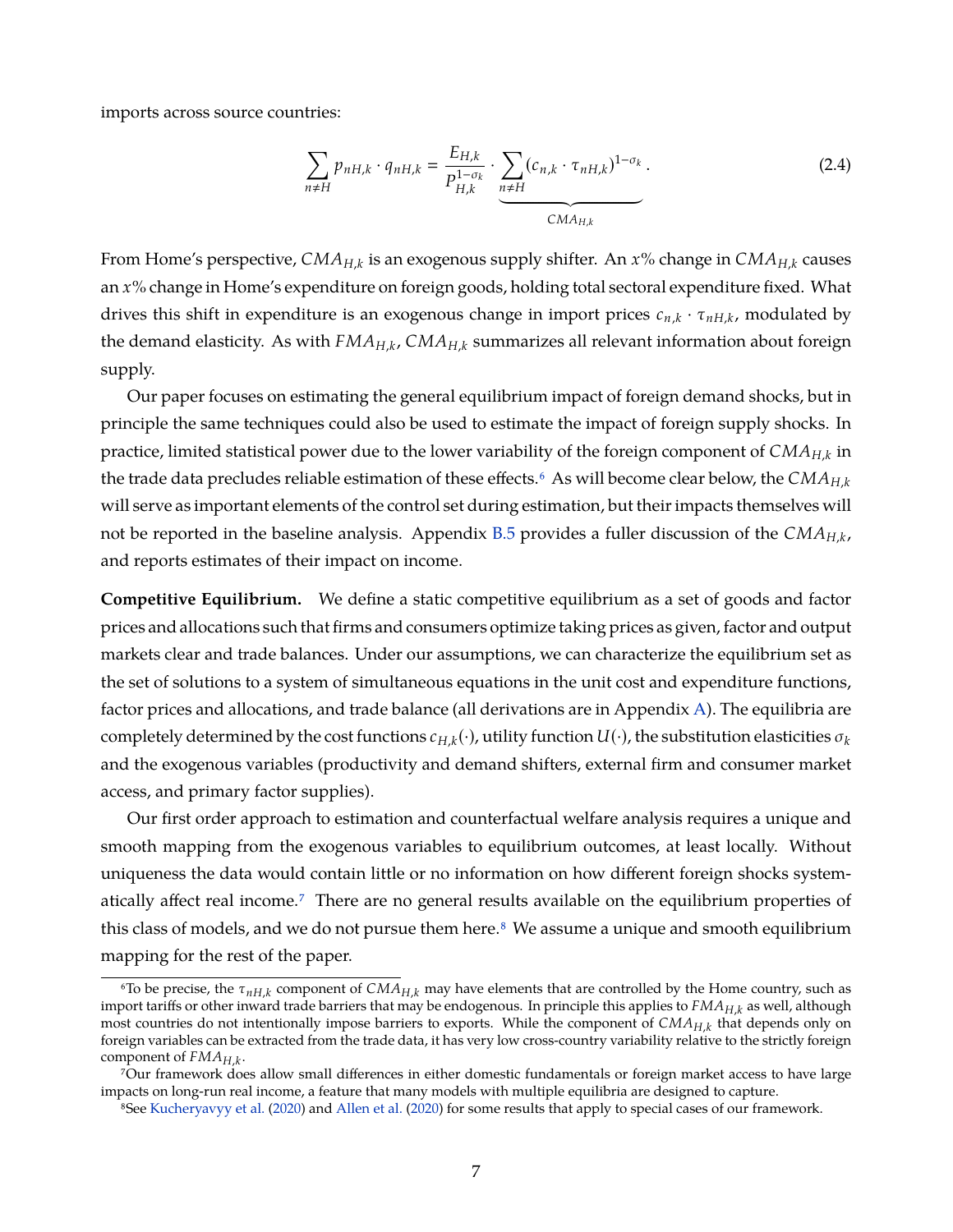imports across source countries:

$$
\sum_{n \neq H} p_{nH,k} \cdot q_{nH,k} = \frac{E_{H,k}}{P_{H,k}^{1-\sigma_k}} \cdot \underbrace{\sum_{n \neq H} (c_{n,k} \cdot \tau_{nH,k})^{1-\sigma_k}}_{\text{CMA}_{H,k}}.
$$
 (2.4)

From Home's perspective, *CMAH*,*<sup>k</sup>* is an exogenous supply shifter. An *x*% change in *CMAH*,*<sup>k</sup>* causes an *x*% change in Home's expenditure on foreign goods, holding total sectoral expenditure fixed. What drives this shift in expenditure is an exogenous change in import prices *cn*,*<sup>k</sup>* · τ*nH*,*<sup>k</sup>* , modulated by the demand elasticity. As with *FMAH*,*<sup>k</sup>* , *CMAH*,*<sup>k</sup>* summarizes all relevant information about foreign supply.

Our paper focuses on estimating the general equilibrium impact of foreign demand shocks, but in principle the same techniques could also be used to estimate the impact of foreign supply shocks. In practice, limited statistical power due to the lower variability of the foreign component of *CMAH*,*<sup>k</sup>* in the trade data precludes reliable estimation of these effects[.6](#page-1-0) As will become clear below, the *CMAH*,*<sup>k</sup>* will serve as important elements of the control set during estimation, but their impacts themselves will not be reported in the baseline analysis. Appendix [B.5](#page-62-0) provides a fuller discussion of the *CMAH*,*<sup>k</sup>* , and reports estimates of their impact on income.

**Competitive Equilibrium.** We define a static competitive equilibrium as a set of goods and factor prices and allocations such that firms and consumers optimize taking prices as given, factor and output markets clear and trade balances. Under our assumptions, we can characterize the equilibrium set as the set of solutions to a system of simultaneous equations in the unit cost and expenditure functions, factor prices and allocations, and trade balance (all derivations are in Appendix [A\)](#page-42-0). The equilibria are completely determined by the cost functions  $c_{H,k}(\cdot)$ , utility function  $U(\cdot)$ , the substitution elasticities  $\sigma_k$ and the exogenous variables (productivity and demand shifters, external firm and consumer market access, and primary factor supplies).

Our first order approach to estimation and counterfactual welfare analysis requires a unique and smooth mapping from the exogenous variables to equilibrium outcomes, at least locally. Without uniqueness the data would contain little or no information on how different foreign shocks systematically affect real income[.7](#page-1-0) There are no general results available on the equilibrium properties of this class of models, and we do not pursue them here. $8\,$  We assume a unique and smooth equilibrium mapping for the rest of the paper.

<span id="page-8-0"></span> $^6$ To be precise, the  $\tau_{nH,k}$  component of  $CMA_{H,k}$  may have elements that are controlled by the Home country, such as import tariffs or other inward trade barriers that may be endogenous. In principle this applies to *FMAH*,*<sup>k</sup>* as well, although most countries do not intentionally impose barriers to exports. While the component of *CMAH*,*<sup>k</sup>* that depends only on foreign variables can be extracted from the trade data, it has very low cross-country variability relative to the strictly foreign component of *FMAH*,*<sup>k</sup>* .

<sup>7</sup>Our framework does allow small differences in either domestic fundamentals or foreign market access to have large impacts on long-run real income, a feature that many models with multiple equilibria are designed to capture.

<sup>8</sup>See [Kucheryavyy et al.](#page-39-5) [\(2020\)](#page-39-5) and [Allen et al.](#page-35-6) [\(2020\)](#page-35-6) for some results that apply to special cases of our framework.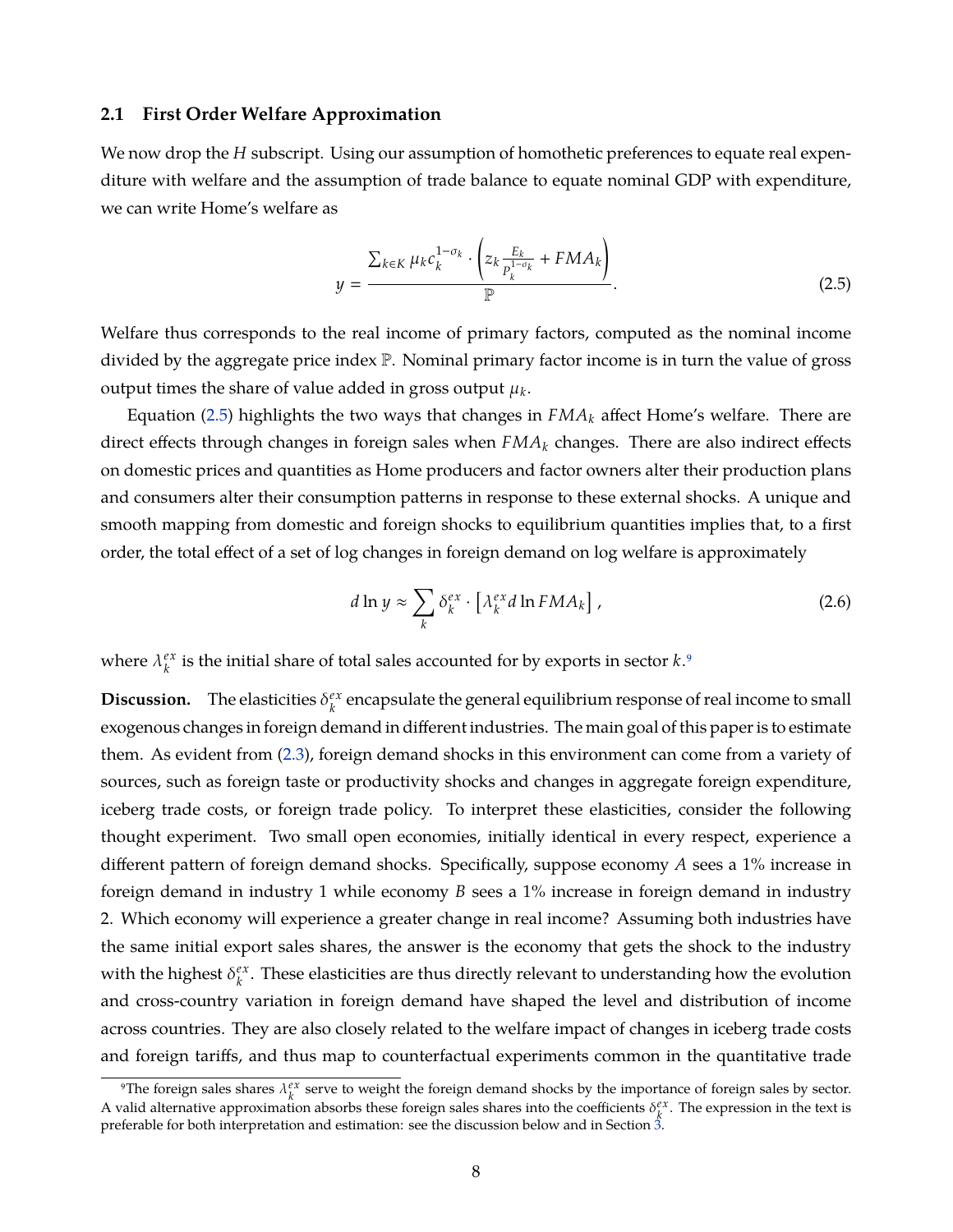#### **2.1 First Order Welfare Approximation**

We now drop the *H* subscript. Using our assumption of homothetic preferences to equate real expenditure with welfare and the assumption of trade balance to equate nominal GDP with expenditure, we can write Home's welfare as

<span id="page-9-0"></span>
$$
y = \frac{\sum_{k \in K} \mu_k c_k^{1 - \sigma_k} \cdot \left( z_k \frac{E_k}{P_k^{1 - \sigma_k}} + FMA_k \right)}{\mathbb{P}}.
$$
 (2.5)

Welfare thus corresponds to the real income of primary factors, computed as the nominal income divided by the aggregate price index P. Nominal primary factor income is in turn the value of gross output times the share of value added in gross output  $\mu_k.$ 

Equation [\(2.5\)](#page-9-0) highlights the two ways that changes in *FMA<sup>k</sup>* affect Home's welfare. There are direct effects through changes in foreign sales when *FMA<sup>k</sup>* changes. There are also indirect effects on domestic prices and quantities as Home producers and factor owners alter their production plans and consumers alter their consumption patterns in response to these external shocks. A unique and smooth mapping from domestic and foreign shocks to equilibrium quantities implies that, to a first order, the total effect of a set of log changes in foreign demand on log welfare is approximately

<span id="page-9-1"></span>
$$
d \ln y \approx \sum_{k} \delta_{k}^{ex} \cdot \left[ \lambda_{k}^{ex} d \ln F M A_{k} \right], \qquad (2.6)
$$

where  $\lambda_k^{ex}$ *k* is the initial share of total sales accounted for by exports in sector *k*[.9](#page-1-0)

**Discussion.** The elasticities  $\delta_k^{ex}$  $\mathcal{E}_k^{\text{ex}}$  encapsulate the general equilibrium response of real income to small exogenous changes in foreign demand in different industries. The main goal of this paper is to estimate them. As evident from [\(2.3\)](#page-7-1), foreign demand shocks in this environment can come from a variety of sources, such as foreign taste or productivity shocks and changes in aggregate foreign expenditure, iceberg trade costs, or foreign trade policy. To interpret these elasticities, consider the following thought experiment. Two small open economies, initially identical in every respect, experience a different pattern of foreign demand shocks. Specifically, suppose economy *A* sees a 1% increase in foreign demand in industry 1 while economy *B* sees a 1% increase in foreign demand in industry 2. Which economy will experience a greater change in real income? Assuming both industries have the same initial export sales shares, the answer is the economy that gets the shock to the industry with the highest  $\delta_k^{ex}$ *k* . These elasticities are thus directly relevant to understanding how the evolution and cross-country variation in foreign demand have shaped the level and distribution of income across countries. They are also closely related to the welfare impact of changes in iceberg trade costs and foreign tariffs, and thus map to counterfactual experiments common in the quantitative trade

<sup>&</sup>lt;sup>9</sup>The foreign sales shares  $\lambda_k^{ex}$  serve to weight the foreign demand shocks by the importance of foreign sales by sector. A valid alternative approximation absorbs these foreign sales shares into the coefficients  $\delta_k^{\ell x}$ . The expression in the text is preferable for both interpretation and estimation: see the discussion below and in Section [3.](#page-11-0)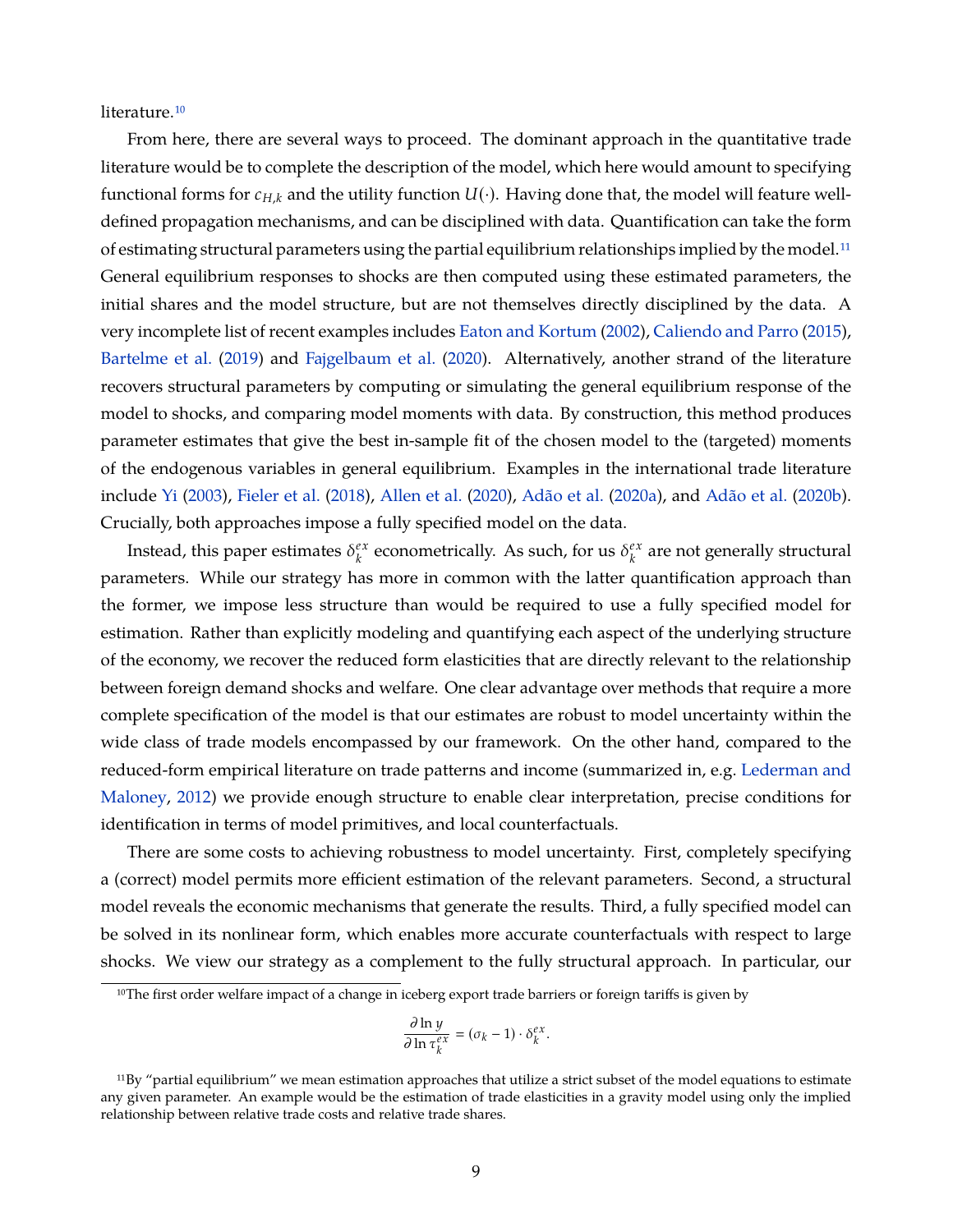literature.<sup>10</sup>

From here, there are several ways to proceed. The dominant approach in the quantitative trade literature would be to complete the description of the model, which here would amount to specifying functional forms for  $c_{H,k}$  and the utility function  $U(\cdot)$ . Having done that, the model will feature welldefined propagation mechanisms, and can be disciplined with data. Quantification can take the form of estimating structural parameters using the partial equilibrium relationships implied by the model.<sup>11</sup> General equilibrium responses to shocks are then computed using these estimated parameters, the initial shares and the model structure, but are not themselves directly disciplined by the data. A very incomplete list of recent examples includes [Eaton and Kortum](#page-37-1) [\(2002\)](#page-37-1), [Caliendo and Parro](#page-36-8) [\(2015\)](#page-36-8), [Bartelme et al.](#page-36-2) [\(2019\)](#page-36-2) and [Fajgelbaum et al.](#page-37-12) [\(2020\)](#page-37-12). Alternatively, another strand of the literature recovers structural parameters by computing or simulating the general equilibrium response of the model to shocks, and comparing model moments with data. By construction, this method produces parameter estimates that give the best in-sample fit of the chosen model to the (targeted) moments of the endogenous variables in general equilibrium. Examples in the international trade literature include [Yi](#page-41-1) [\(2003\)](#page-41-1), [Fieler et al.](#page-37-13) [\(2018\)](#page-37-13), [Allen et al.](#page-35-6) [\(2020\)](#page-35-6), [Adão et al.](#page-35-8) [\(2020a\)](#page-35-8), and [Adão et al.](#page-35-9) [\(2020b\)](#page-35-9). Crucially, both approaches impose a fully specified model on the data.

Instead, this paper estimates  $\delta_k^{ex}$  $k_k^{ex}$  econometrically. As such, for us  $\delta_k^{ex}$  $\frac{ex}{k}$  are not generally structural parameters. While our strategy has more in common with the latter quantification approach than the former, we impose less structure than would be required to use a fully specified model for estimation. Rather than explicitly modeling and quantifying each aspect of the underlying structure of the economy, we recover the reduced form elasticities that are directly relevant to the relationship between foreign demand shocks and welfare. One clear advantage over methods that require a more complete specification of the model is that our estimates are robust to model uncertainty within the wide class of trade models encompassed by our framework. On the other hand, compared to the reduced-form empirical literature on trade patterns and income (summarized in, e.g. [Lederman and](#page-39-3) [Maloney,](#page-39-3) [2012\)](#page-39-3) we provide enough structure to enable clear interpretation, precise conditions for identification in terms of model primitives, and local counterfactuals.

There are some costs to achieving robustness to model uncertainty. First, completely specifying a (correct) model permits more efficient estimation of the relevant parameters. Second, a structural model reveals the economic mechanisms that generate the results. Third, a fully specified model can be solved in its nonlinear form, which enables more accurate counterfactuals with respect to large shocks. We view our strategy as a complement to the fully structural approach. In particular, our

$$
\frac{\partial \ln y}{\partial \ln \tau_k^{ex}} = (\sigma_k - 1) \cdot \delta_k^{ex}.
$$

<sup>&</sup>lt;sup>10</sup>The first order welfare impact of a change in iceberg export trade barriers or foreign tariffs is given by

 $11$ By "partial equilibrium" we mean estimation approaches that utilize a strict subset of the model equations to estimate any given parameter. An example would be the estimation of trade elasticities in a gravity model using only the implied relationship between relative trade costs and relative trade shares.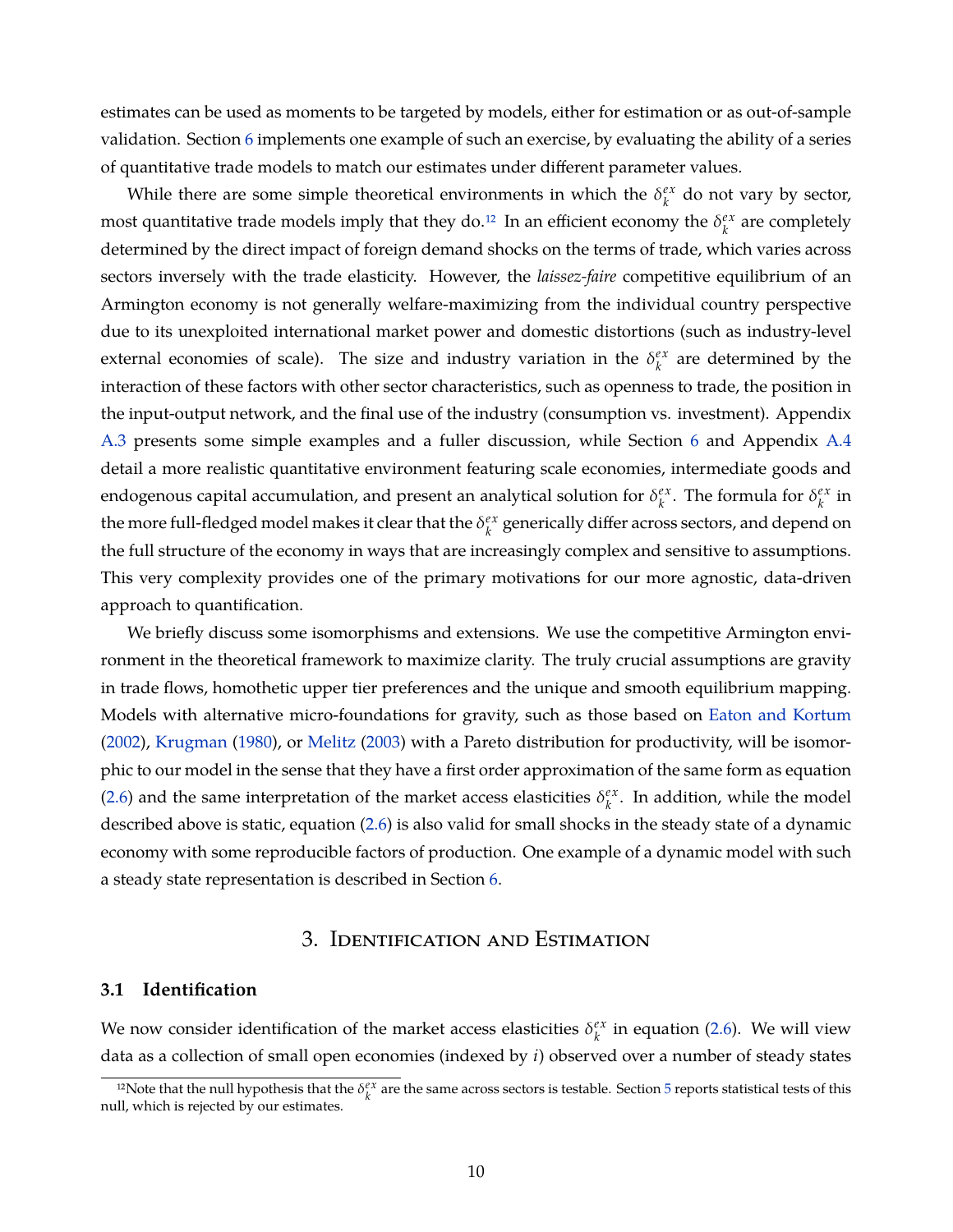estimates can be used as moments to be targeted by models, either for estimation or as out-of-sample validation. Section [6](#page-23-0) implements one example of such an exercise, by evaluating the ability of a series of quantitative trade models to match our estimates under different parameter values.

While there are some simple theoretical environments in which the  $\delta_k^{ex}$  $\int_{k}^{ex}$  do not vary by sector, most quantitative trade models imply that they do.<sup>12</sup> In an efficient economy the  $\delta_k^{ex}$  $k \atop k$  are completely determined by the direct impact of foreign demand shocks on the terms of trade, which varies across sectors inversely with the trade elasticity. However, the *laissez-faire* competitive equilibrium of an Armington economy is not generally welfare-maximizing from the individual country perspective due to its unexploited international market power and domestic distortions (such as industry-level external economies of scale). The size and industry variation in the  $\delta_k^{ex}$  $k \atop k$  are determined by the interaction of these factors with other sector characteristics, such as openness to trade, the position in the input-output network, and the final use of the industry (consumption vs. investment). Appendix [A.3](#page-43-0) presents some simple examples and a fuller discussion, while Section [6](#page-23-0) and Appendix [A.4](#page-48-0) detail a more realistic quantitative environment featuring scale economies, intermediate goods and endogenous capital accumulation, and present an analytical solution for  $\delta_k^{ex}$  $\int_k^{ex}$ . The formula for  $\delta_k^{ex}$  $_k^{ex}$  in the more full-fledged model makes it clear that the  $\delta_k^{ex}$  $\frac{e^{x}}{k}$  generically differ across sectors, and depend on the full structure of the economy in ways that are increasingly complex and sensitive to assumptions. This very complexity provides one of the primary motivations for our more agnostic, data-driven approach to quantification.

We briefly discuss some isomorphisms and extensions. We use the competitive Armington environment in the theoretical framework to maximize clarity. The truly crucial assumptions are gravity in trade flows, homothetic upper tier preferences and the unique and smooth equilibrium mapping. Models with alternative micro-foundations for gravity, such as those based on [Eaton and Kortum](#page-37-1) [\(2002\)](#page-37-1), [Krugman](#page-39-12) [\(1980\)](#page-39-12), or [Melitz](#page-39-13) [\(2003\)](#page-39-13) with a Pareto distribution for productivity, will be isomorphic to our model in the sense that they have a first order approximation of the same form as equation [\(2.6\)](#page-9-1) and the same interpretation of the market access elasticities  $\delta_k^{ex}$  $\frac{ex}{k}$ . In addition, while the model described above is static, equation [\(2.6\)](#page-9-1) is also valid for small shocks in the steady state of a dynamic economy with some reproducible factors of production. One example of a dynamic model with such a steady state representation is described in Section [6.](#page-23-0)

# 3. Identification and Estimation

#### <span id="page-11-0"></span>**3.1 Identification**

We now consider identification of the market access elasticities  $\delta_k^{ex}$  $\frac{ex}{k}$  in equation [\(2.6\)](#page-9-1). We will view data as a collection of small open economies (indexed by *i*) observed over a number of steady states

<sup>&</sup>lt;sup>12</sup>Note that the null hypothesis that the  $\delta_k^{ex}$  are the same across sectors is testable. Section [5](#page-19-0) reports statistical tests of this null, which is rejected by our estimates.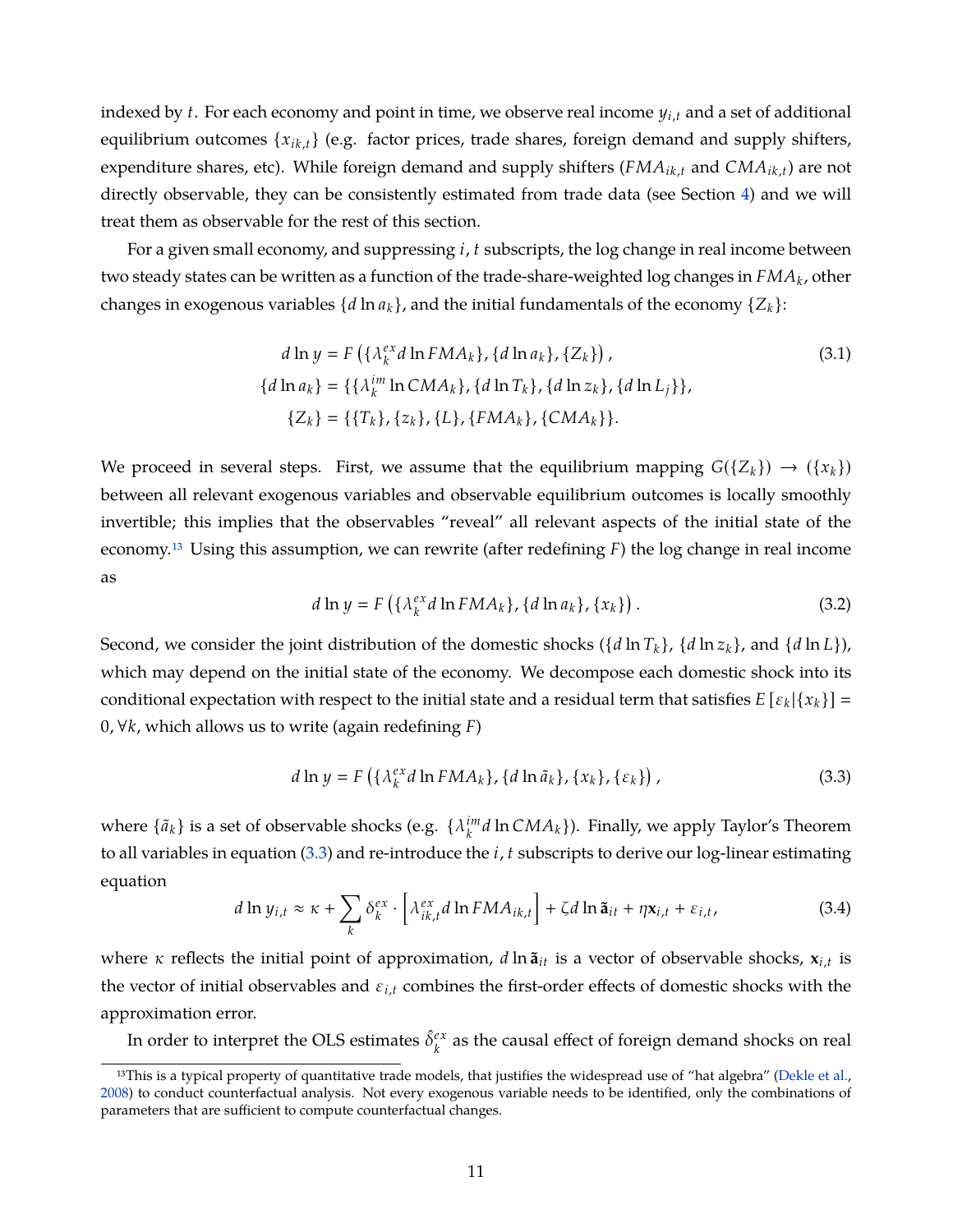indexed by *t*. For each economy and point in time, we observe real income *yi*,*<sup>t</sup>* and a set of additional equilibrium outcomes {*xik*,*<sup>t</sup>* } (e.g. factor prices, trade shares, foreign demand and supply shifters, expenditure shares, etc). While foreign demand and supply shifters (*FMAik*,*<sup>t</sup>* and *CMAik*,*t*) are not directly observable, they can be consistently estimated from trade data (see Section [4\)](#page-14-0) and we will treat them as observable for the rest of this section.

For a given small economy, and suppressing *i*, *t* subscripts, the log change in real income between two steady states can be written as a function of the trade-share-weighted log changes in *FMA<sup>k</sup>* , other changes in exogenous variables  $\{d \ln a_k\}$ , and the initial fundamentals of the economy  $\{Z_k\}$ :

$$
d \ln y = F\left(\{\lambda_k^{ex} d \ln FMA_k\}, \{d \ln a_k\}, \{Z_k\}\right),
$$
  
\n
$$
\{d \ln a_k\} = \{\{\lambda_k^{im} \ln CMA_k\}, \{d \ln T_k\}, \{d \ln z_k\}, \{d \ln L_j\}\},
$$
  
\n
$$
\{Z_k\} = \{\{T_k\}, \{z_k\}, \{L\}, \{FMA_k\}, \{CMA_k\}\}.
$$
\n(3.1)

We proceed in several steps. First, we assume that the equilibrium mapping  $G({Z_k}) \rightarrow ({x_k})$ between all relevant exogenous variables and observable equilibrium outcomes is locally smoothly invertible; this implies that the observables "reveal" all relevant aspects of the initial state of the economy[.13](#page-1-0) Using this assumption, we can rewrite (after redefining *F*) the log change in real income as

$$
d\ln y = F\left(\left\{\lambda_k^{ex}d\ln FMA_k\right\}, \left\{d\ln a_k\right\}, \left\{x_k\right\}\right). \tag{3.2}
$$

Second, we consider the joint distribution of the domestic shocks ( $\{d \ln T_k\}$ ,  $\{d \ln Z_k\}$ , and  $\{d \ln L\}$ ), which may depend on the initial state of the economy. We decompose each domestic shock into its conditional expectation with respect to the initial state and a residual term that satisfies  $E\left[\varepsilon_k|\{x_k\}\right]=$ 0, ∀*k*, which allows us to write (again redefining *F*)

<span id="page-12-0"></span>
$$
d\ln y = F\left(\left\{\lambda_k^{ex}d\ln FMA_k\right\}, \left\{d\ln \tilde{a}_k\right\}, \left\{x_k\right\}, \left\{\varepsilon_k\right\}\right),\tag{3.3}
$$

where  $\{\tilde{a}_k\}$  is a set of observable shocks (e.g.  $\{\lambda_k^{im}\}$ *k d* ln *CMA<sup>k</sup>* }). Finally, we apply Taylor's Theorem to all variables in equation [\(3.3\)](#page-12-0) and re-introduce the *i*, *t* subscripts to derive our log-linear estimating equation

<span id="page-12-1"></span>
$$
d \ln y_{i,t} \approx \kappa + \sum_{k} \delta_{k}^{ex} \cdot \left[ \lambda_{ik,t}^{ex} d \ln FMA_{ik,t} \right] + \zeta d \ln \tilde{\mathbf{a}}_{it} + \eta \mathbf{x}_{i,t} + \varepsilon_{i,t}, \qquad (3.4)
$$

where  $\kappa$  reflects the initial point of approximation,  $d \ln \tilde{a}_{it}$  is a vector of observable shocks,  $\mathbf{x}_{i,t}$  is the vector of initial observables and ε*i*,*<sup>t</sup>* combines the first-order effects of domestic shocks with the approximation error.

In order to interpret the OLS estimates  $\hat{\delta}^{ex}_{k}$  $\frac{ex}{k}$  as the causal effect of foreign demand shocks on real

<sup>&</sup>lt;sup>13</sup>This is a typical property of quantitative trade models, that justifies the widespread use of "hat algebra" [\(Dekle et al.,](#page-37-14) [2008\)](#page-37-14) to conduct counterfactual analysis. Not every exogenous variable needs to be identified, only the combinations of parameters that are sufficient to compute counterfactual changes.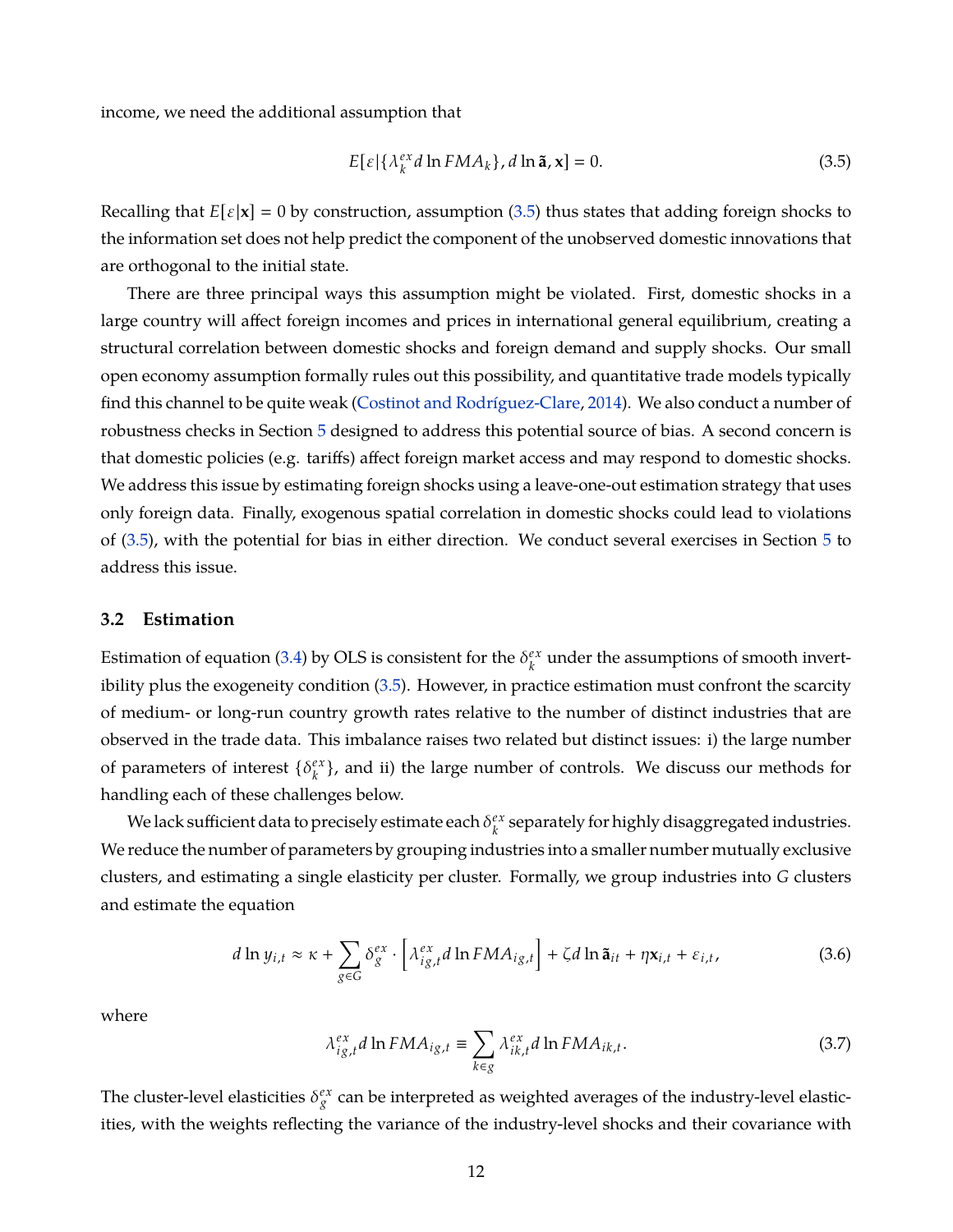income, we need the additional assumption that

<span id="page-13-0"></span>
$$
E[\varepsilon|\{\lambda_k^{ex}d\ln FMA_k\},d\ln \tilde{\mathbf{a}},\mathbf{x}]=0.
$$
 (3.5)

Recalling that  $E[\varepsilon|\mathbf{x}] = 0$  by construction, assumption [\(3.5\)](#page-13-0) thus states that adding foreign shocks to the information set does not help predict the component of the unobserved domestic innovations that are orthogonal to the initial state.

There are three principal ways this assumption might be violated. First, domestic shocks in a large country will affect foreign incomes and prices in international general equilibrium, creating a structural correlation between domestic shocks and foreign demand and supply shocks. Our small open economy assumption formally rules out this possibility, and quantitative trade models typically find this channel to be quite weak [\(Costinot and Rodríguez-Clare,](#page-37-2) [2014\)](#page-37-2). We also conduct a number of robustness checks in Section [5](#page-19-0) designed to address this potential source of bias. A second concern is that domestic policies (e.g. tariffs) affect foreign market access and may respond to domestic shocks. We address this issue by estimating foreign shocks using a leave-one-out estimation strategy that uses only foreign data. Finally, exogenous spatial correlation in domestic shocks could lead to violations of [\(3.5\)](#page-13-0), with the potential for bias in either direction. We conduct several exercises in Section [5](#page-19-0) to address this issue.

#### **3.2 Estimation**

Estimation of equation [\(3.4\)](#page-12-1) by OLS is consistent for the  $\delta_k^{ex}$  $\mathcal{C}^{\mathcal{X}}_k$  under the assumptions of smooth invertibility plus the exogeneity condition [\(3.5\)](#page-13-0). However, in practice estimation must confront the scarcity of medium- or long-run country growth rates relative to the number of distinct industries that are observed in the trade data. This imbalance raises two related but distinct issues: i) the large number of parameters of interest  $\{\delta_k^{ex}$  $\binom{ex}{k}$ , and ii) the large number of controls. We discuss our methods for handling each of these challenges below.

We lack sufficient data to precisely estimate each  $\delta_k^{ex}$ *k* separately for highly disaggregated industries. We reduce the number of parameters by grouping industries into a smaller number mutually exclusive clusters, and estimating a single elasticity per cluster. Formally, we group industries into *G* clusters and estimate the equation

<span id="page-13-1"></span>
$$
d\ln y_{i,t} \approx \kappa + \sum_{g \in G} \delta_g^{ex} \cdot \left[ \lambda_{ig,t}^{ex} d\ln FMA_{ig,t} \right] + \zeta d\ln \tilde{\mathbf{a}}_{it} + \eta \mathbf{x}_{i,t} + \varepsilon_{i,t}, \tag{3.6}
$$

where

$$
\lambda_{ig,t}^{ex} d \ln F M A_{ig,t} \equiv \sum_{k \in g} \lambda_{ik,t}^{ex} d \ln F M A_{ik,t}.
$$
 (3.7)

The cluster-level elasticities  $\delta_g^{ex}$  can be interpreted as weighted averages of the industry-level elasticities, with the weights reflecting the variance of the industry-level shocks and their covariance with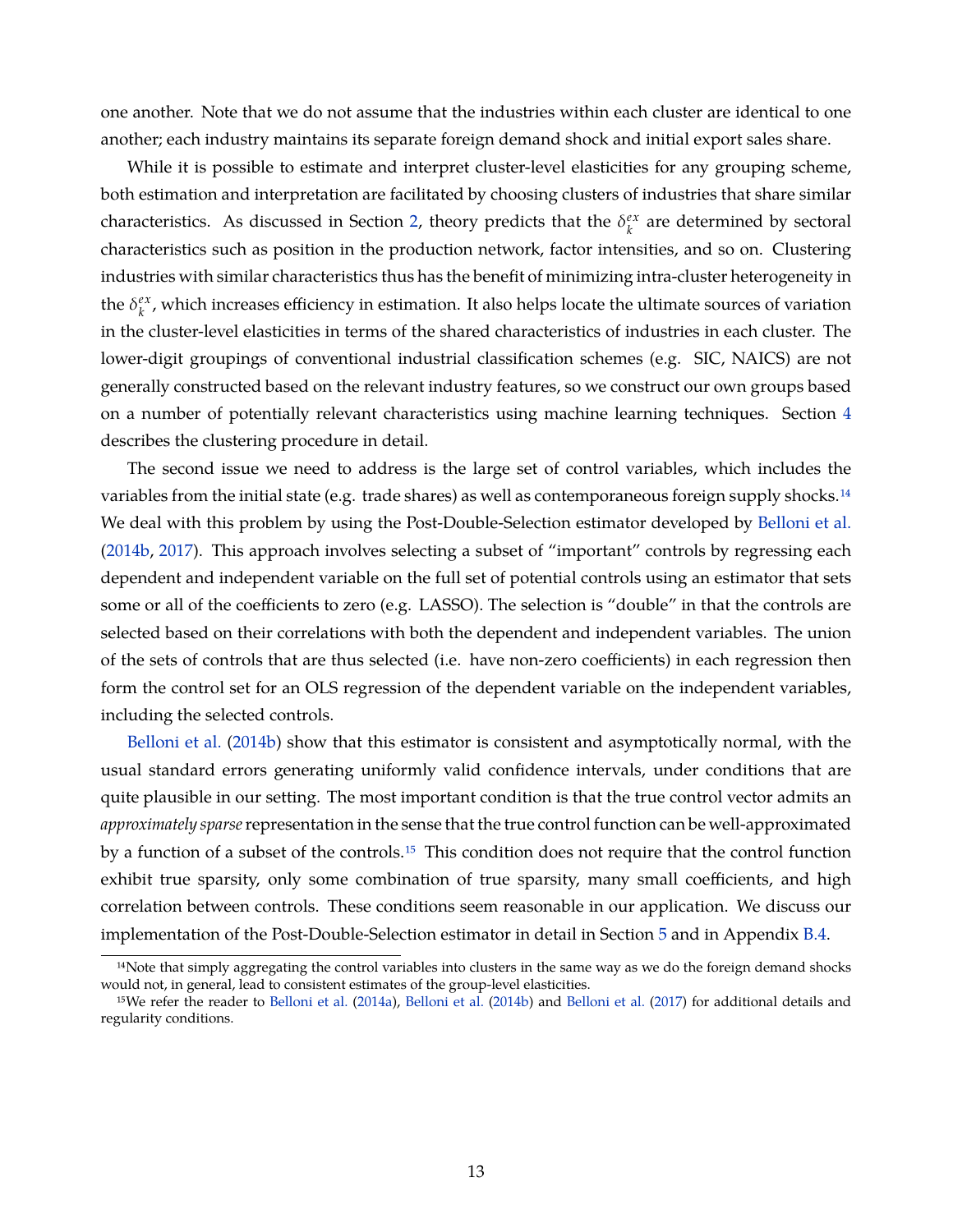one another. Note that we do not assume that the industries within each cluster are identical to one another; each industry maintains its separate foreign demand shock and initial export sales share.

While it is possible to estimate and interpret cluster-level elasticities for any grouping scheme, both estimation and interpretation are facilitated by choosing clusters of industries that share similar characteristics. As discussed in Section [2,](#page-6-0) theory predicts that the  $\delta_k^{ex}$  $k \choose k$  are determined by sectoral characteristics such as position in the production network, factor intensities, and so on. Clustering industries with similar characteristics thus has the benefit of minimizing intra-cluster heterogeneity in the  $\delta_k^{ex}$  $\alpha_k^{ex}$ , which increases efficiency in estimation. It also helps locate the ultimate sources of variation in the cluster-level elasticities in terms of the shared characteristics of industries in each cluster. The lower-digit groupings of conventional industrial classification schemes (e.g. SIC, NAICS) are not generally constructed based on the relevant industry features, so we construct our own groups based on a number of potentially relevant characteristics using machine learning techniques. Section [4](#page-14-0) describes the clustering procedure in detail.

The second issue we need to address is the large set of control variables, which includes the variables from the initial state (e.g. trade shares) as well as contemporaneous foreign supply shocks.<sup>14</sup> We deal with this problem by using the Post-Double-Selection estimator developed by [Belloni et al.](#page-36-0) [\(2014b,](#page-36-0) [2017\)](#page-36-1). This approach involves selecting a subset of "important" controls by regressing each dependent and independent variable on the full set of potential controls using an estimator that sets some or all of the coefficients to zero (e.g. LASSO). The selection is "double" in that the controls are selected based on their correlations with both the dependent and independent variables. The union of the sets of controls that are thus selected (i.e. have non-zero coefficients) in each regression then form the control set for an OLS regression of the dependent variable on the independent variables, including the selected controls.

[Belloni et al.](#page-36-0) [\(2014b\)](#page-36-0) show that this estimator is consistent and asymptotically normal, with the usual standard errors generating uniformly valid confidence intervals, under conditions that are quite plausible in our setting. The most important condition is that the true control vector admits an *approximately sparse*representation in the sense that the true control function can be well-approximated by a function of a subset of the controls.<sup>15</sup> This condition does not require that the control function exhibit true sparsity, only some combination of true sparsity, many small coefficients, and high correlation between controls. These conditions seem reasonable in our application. We discuss our implementation of the Post-Double-Selection estimator in detail in Section [5](#page-19-0) and in Appendix [B.4.](#page-60-0)

<span id="page-14-0"></span><sup>&</sup>lt;sup>14</sup>Note that simply aggregating the control variables into clusters in the same way as we do the foreign demand shocks would not, in general, lead to consistent estimates of the group-level elasticities.

<sup>15</sup>We refer the reader to [Belloni et al.](#page-36-10) [\(2014a\)](#page-36-10), [Belloni et al.](#page-36-0) [\(2014b\)](#page-36-0) and [Belloni et al.](#page-36-1) [\(2017\)](#page-36-1) for additional details and regularity conditions.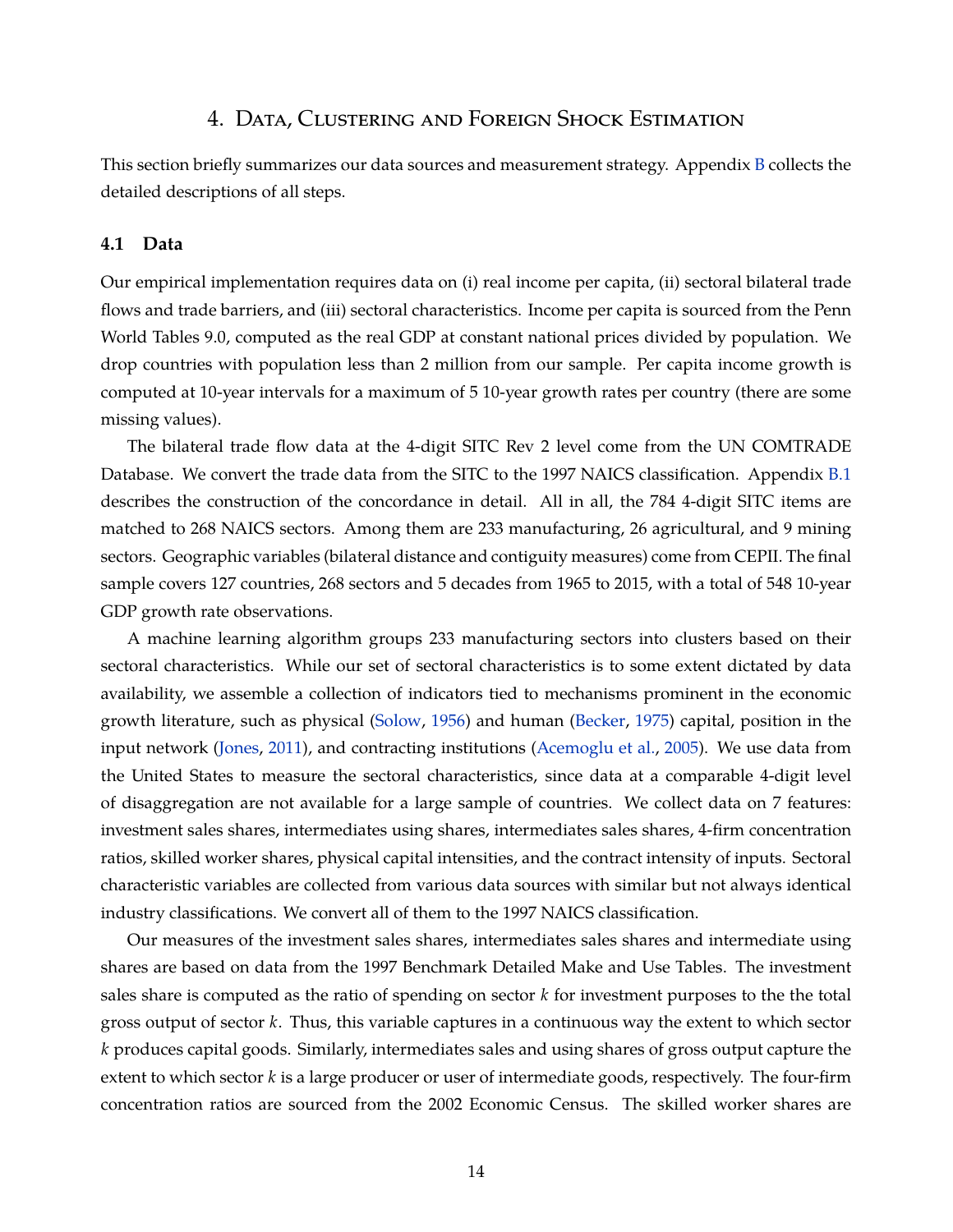# 4. Data, Clustering and Foreign Shock Estimation

This section briefly summarizes our data sources and measurement strategy. Appendix [B](#page-56-0) collects the detailed descriptions of all steps.

#### **4.1 Data**

Our empirical implementation requires data on (i) real income per capita, (ii) sectoral bilateral trade flows and trade barriers, and (iii) sectoral characteristics. Income per capita is sourced from the Penn World Tables 9.0, computed as the real GDP at constant national prices divided by population. We drop countries with population less than 2 million from our sample. Per capita income growth is computed at 10-year intervals for a maximum of 5 10-year growth rates per country (there are some missing values).

The bilateral trade flow data at the 4-digit SITC Rev 2 level come from the UN COMTRADE Database. We convert the trade data from the SITC to the 1997 NAICS classification. Appendix [B.1](#page-56-1) describes the construction of the concordance in detail. All in all, the 784 4-digit SITC items are matched to 268 NAICS sectors. Among them are 233 manufacturing, 26 agricultural, and 9 mining sectors. Geographic variables (bilateral distance and contiguity measures) come from CEPII. The final sample covers 127 countries, 268 sectors and 5 decades from 1965 to 2015, with a total of 548 10-year GDP growth rate observations.

A machine learning algorithm groups 233 manufacturing sectors into clusters based on their sectoral characteristics. While our set of sectoral characteristics is to some extent dictated by data availability, we assemble a collection of indicators tied to mechanisms prominent in the economic growth literature, such as physical [\(Solow,](#page-40-8) [1956\)](#page-40-8) and human [\(Becker,](#page-36-11) [1975\)](#page-36-11) capital, position in the input network [\(Jones,](#page-38-13) [2011\)](#page-38-13), and contracting institutions [\(Acemoglu et al.,](#page-35-10) [2005\)](#page-35-10). We use data from the United States to measure the sectoral characteristics, since data at a comparable 4-digit level of disaggregation are not available for a large sample of countries. We collect data on 7 features: investment sales shares, intermediates using shares, intermediates sales shares, 4-firm concentration ratios, skilled worker shares, physical capital intensities, and the contract intensity of inputs. Sectoral characteristic variables are collected from various data sources with similar but not always identical industry classifications. We convert all of them to the 1997 NAICS classification.

Our measures of the investment sales shares, intermediates sales shares and intermediate using shares are based on data from the 1997 Benchmark Detailed Make and Use Tables. The investment sales share is computed as the ratio of spending on sector *k* for investment purposes to the the total gross output of sector *k*. Thus, this variable captures in a continuous way the extent to which sector *k* produces capital goods. Similarly, intermediates sales and using shares of gross output capture the extent to which sector *k* is a large producer or user of intermediate goods, respectively. The four-firm concentration ratios are sourced from the 2002 Economic Census. The skilled worker shares are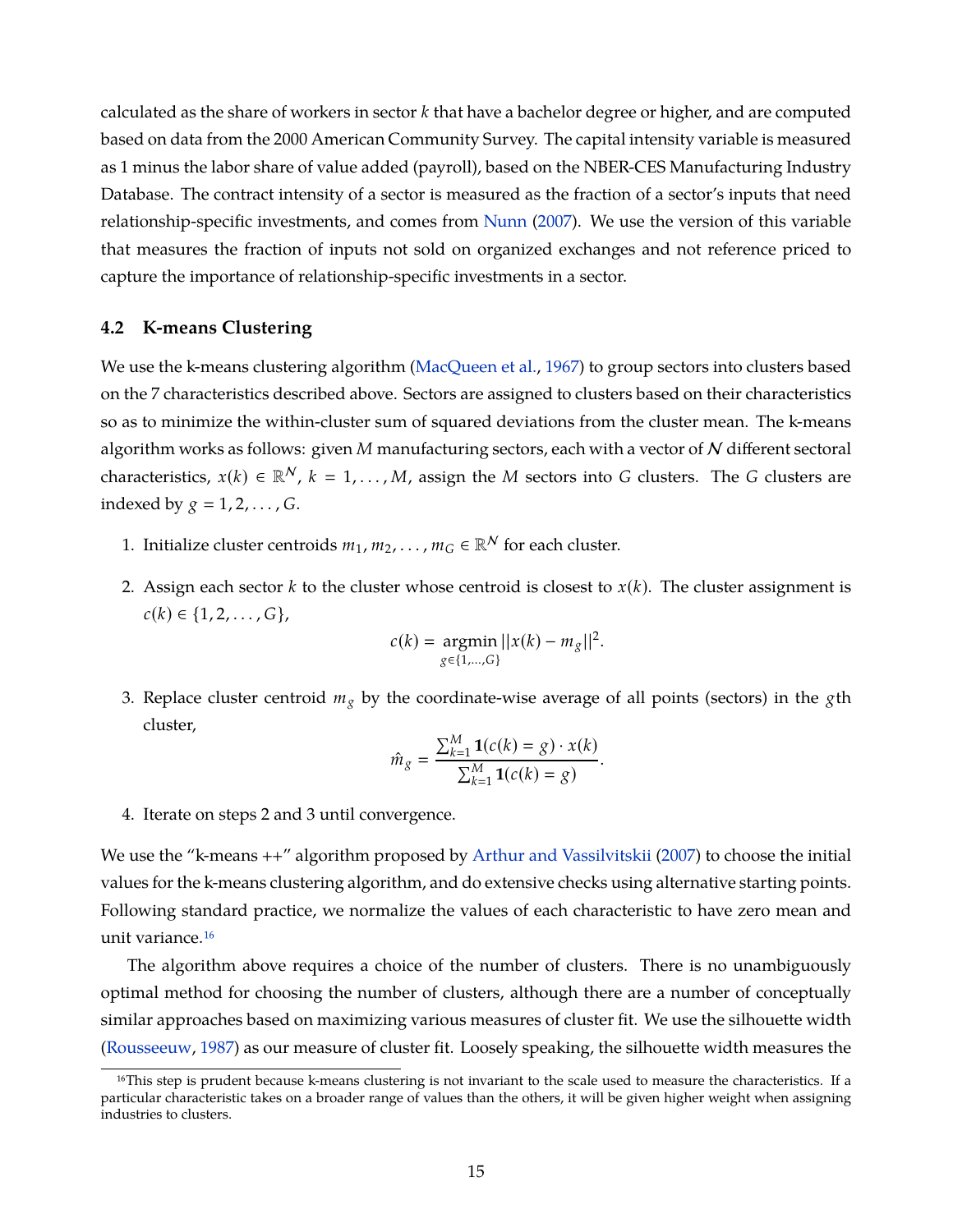calculated as the share of workers in sector *k* that have a bachelor degree or higher, and are computed based on data from the 2000 American Community Survey. The capital intensity variable is measured as 1 minus the labor share of value added (payroll), based on the NBER-CES Manufacturing Industry Database. The contract intensity of a sector is measured as the fraction of a sector's inputs that need relationship-specific investments, and comes from [Nunn](#page-39-14) [\(2007\)](#page-39-14). We use the version of this variable that measures the fraction of inputs not sold on organized exchanges and not reference priced to capture the importance of relationship-specific investments in a sector.

#### **4.2 K-means Clustering**

We use the k-means clustering algorithm [\(MacQueen et al.,](#page-39-4) [1967\)](#page-39-4) to group sectors into clusters based on the 7 characteristics described above. Sectors are assigned to clusters based on their characteristics so as to minimize the within-cluster sum of squared deviations from the cluster mean. The k-means algorithm works as follows: given *M* manufacturing sectors, each with a vector of N different sectoral characteristics,  $x(k) \in \mathbb{R}^N$ ,  $k = 1, ..., M$ , assign the *M* sectors into *G* clusters. The *G* clusters are indexed by  $g = 1, 2, ..., G$ .

- 1. Initialize cluster centroids  $m_1, m_2, \ldots, m_G \in \mathbb{R}^N$  for each cluster.
- 2. Assign each sector *k* to the cluster whose centroid is closest to *x*(*k*). The cluster assignment is  $c(k)$  ∈ {1, 2, . . . , G},

$$
c(k) = \underset{g \in \{1, \dots, G\}}{\text{argmin}} ||x(k) - m_g||^2.
$$

3. Replace cluster centroid *m<sup>g</sup>* by the coordinate-wise average of all points (sectors) in the *g*th cluster,

$$
\hat{m}_g = \frac{\sum_{k=1}^{M} \mathbf{1}(c(k) = g) \cdot x(k)}{\sum_{k=1}^{M} \mathbf{1}(c(k) = g)}.
$$

4. Iterate on steps 2 and 3 until convergence.

We use the "k-means  $++$ " algorithm proposed by [Arthur and Vassilvitskii](#page-35-11) [\(2007\)](#page-35-11) to choose the initial values for the k-means clustering algorithm, and do extensive checks using alternative starting points. Following standard practice, we normalize the values of each characteristic to have zero mean and unit variance[.16](#page-1-0)

The algorithm above requires a choice of the number of clusters. There is no unambiguously optimal method for choosing the number of clusters, although there are a number of conceptually similar approaches based on maximizing various measures of cluster fit. We use the silhouette width [\(Rousseeuw,](#page-40-9) [1987\)](#page-40-9) as our measure of cluster fit. Loosely speaking, the silhouette width measures the

<sup>&</sup>lt;sup>16</sup>This step is prudent because k-means clustering is not invariant to the scale used to measure the characteristics. If a particular characteristic takes on a broader range of values than the others, it will be given higher weight when assigning industries to clusters.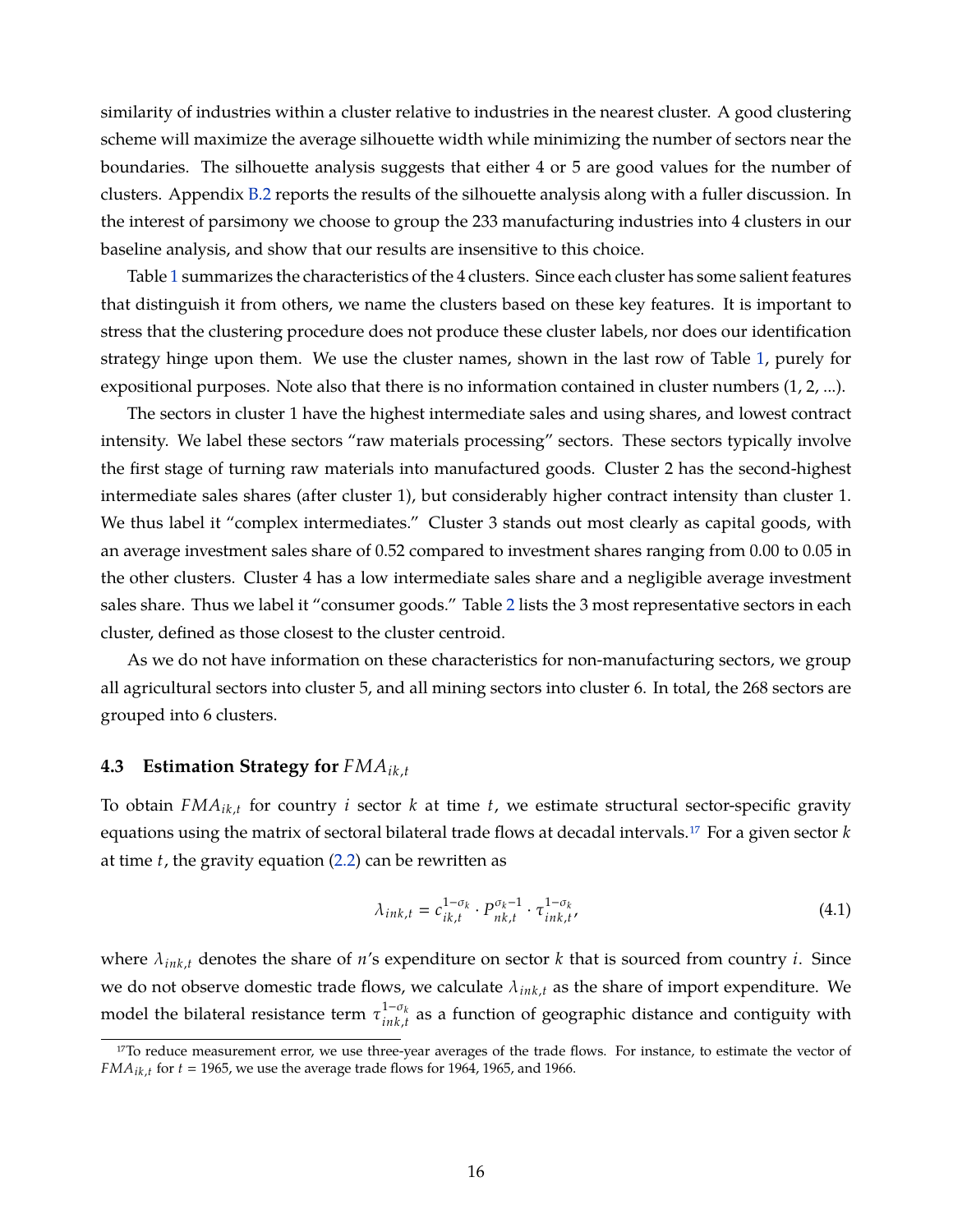similarity of industries within a cluster relative to industries in the nearest cluster. A good clustering scheme will maximize the average silhouette width while minimizing the number of sectors near the boundaries. The silhouette analysis suggests that either 4 or 5 are good values for the number of clusters. Appendix [B.2](#page-56-2) reports the results of the silhouette analysis along with a fuller discussion. In the interest of parsimony we choose to group the 233 manufacturing industries into 4 clusters in our baseline analysis, and show that our results are insensitive to this choice.

Table [1](#page-18-0) summarizes the characteristics of the 4 clusters. Since each cluster has some salient features that distinguish it from others, we name the clusters based on these key features. It is important to stress that the clustering procedure does not produce these cluster labels, nor does our identification strategy hinge upon them. We use the cluster names, shown in the last row of Table [1,](#page-18-0) purely for expositional purposes. Note also that there is no information contained in cluster numbers (1, 2, ...).

The sectors in cluster 1 have the highest intermediate sales and using shares, and lowest contract intensity. We label these sectors "raw materials processing" sectors. These sectors typically involve the first stage of turning raw materials into manufactured goods. Cluster 2 has the second-highest intermediate sales shares (after cluster 1), but considerably higher contract intensity than cluster 1. We thus label it "complex intermediates." Cluster 3 stands out most clearly as capital goods, with an average investment sales share of 0.52 compared to investment shares ranging from 0.00 to 0.05 in the other clusters. Cluster 4 has a low intermediate sales share and a negligible average investment sales share. Thus we label it "consumer goods." Table [2](#page-18-1) lists the 3 most representative sectors in each cluster, defined as those closest to the cluster centroid.

As we do not have information on these characteristics for non-manufacturing sectors, we group all agricultural sectors into cluster 5, and all mining sectors into cluster 6. In total, the 268 sectors are grouped into 6 clusters.

#### **4.3 Estimation Strategy for** *FMAik*,*<sup>t</sup>*

To obtain *FMAik*,*<sup>t</sup>* for country *i* sector *k* at time *t*, we estimate structural sector-specific gravity equations using the matrix of sectoral bilateral trade flows at decadal intervals[.17](#page-1-0) For a given sector *k* at time *t*, the gravity equation [\(2.2\)](#page-7-2) can be rewritten as

$$
\lambda_{ink,t} = c_{ik,t}^{1-\sigma_k} \cdot P_{nk,t}^{\sigma_k-1} \cdot \tau_{ink,t}^{1-\sigma_k},\tag{4.1}
$$

where  $\lambda_{ink,t}$  denotes the share of *n*'s expenditure on sector *k* that is sourced from country *i*. Since we do not observe domestic trade flows, we calculate λ*ink*,*<sup>t</sup>* as the share of import expenditure. We model the bilateral resistance term  $\tau_{ink}^{1-\sigma_{k}}$  $\int_{ink,t}^{1-\sigma_k}$  as a function of geographic distance and contiguity with

<sup>&</sup>lt;sup>17</sup>To reduce measurement error, we use three-year averages of the trade flows. For instance, to estimate the vector of  $FMA_{ik,t}$  for  $t = 1965$ , we use the average trade flows for 1964, 1965, and 1966.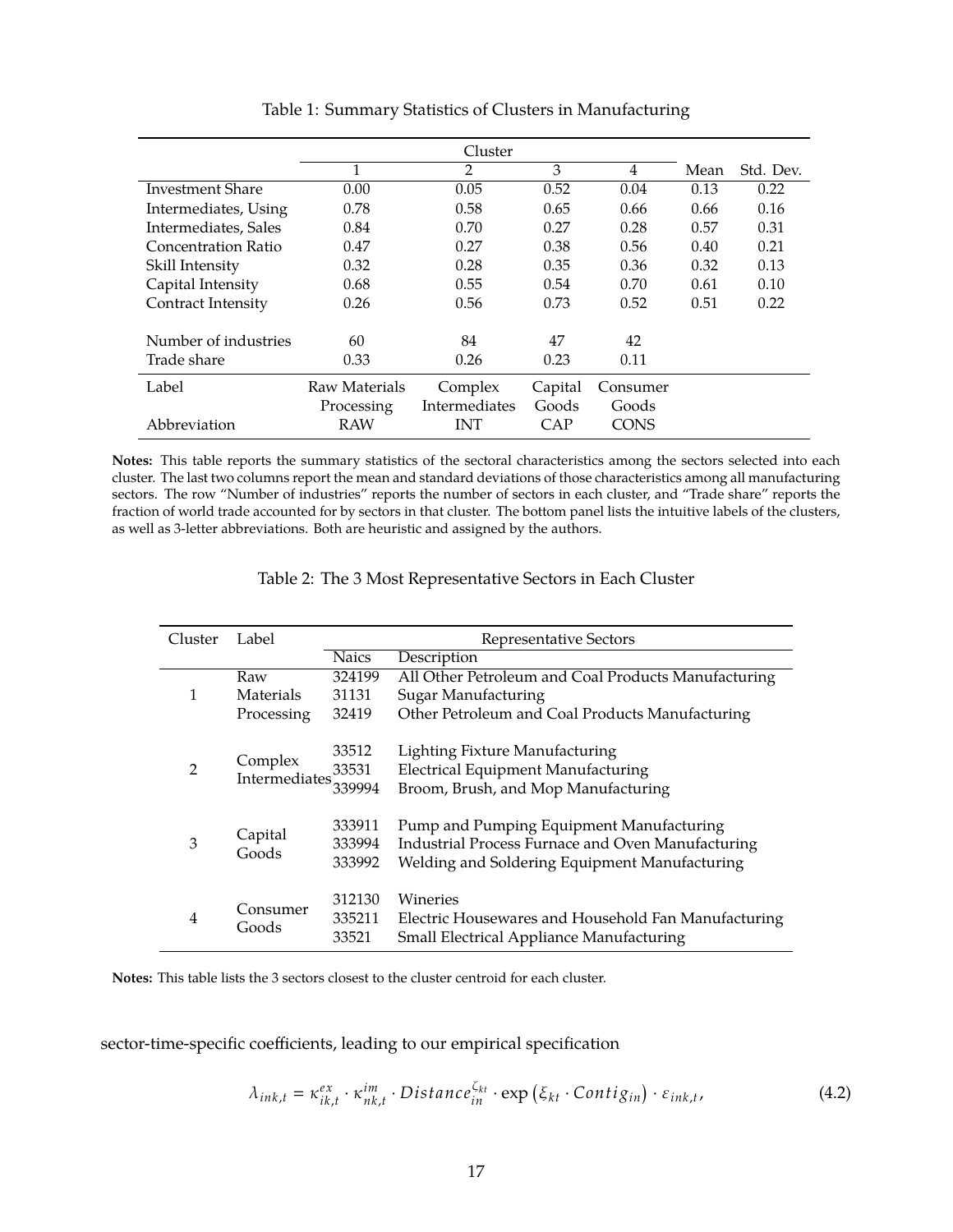<span id="page-18-0"></span>

|                         | Cluster       |               |         |             |      |           |
|-------------------------|---------------|---------------|---------|-------------|------|-----------|
|                         | 1             | 2             | 3       | 4           | Mean | Std. Dev. |
| <b>Investment Share</b> | 0.00          | 0.05          | 0.52    | 0.04        | 0.13 | 0.22      |
| Intermediates, Using    | 0.78          | 0.58          | 0.65    | 0.66        | 0.66 | 0.16      |
| Intermediates, Sales    | 0.84          | 0.70          | 0.27    | 0.28        | 0.57 | 0.31      |
| Concentration Ratio     | 0.47          | 0.27          | 0.38    | 0.56        | 0.40 | 0.21      |
| Skill Intensity         | 0.32          | 0.28          | 0.35    | 0.36        | 0.32 | 0.13      |
| Capital Intensity       | 0.68          | 0.55          | 0.54    | 0.70        | 0.61 | 0.10      |
| Contract Intensity      | 0.26          | 0.56          | 0.73    | 0.52        | 0.51 | 0.22      |
| Number of industries    | 60            | 84            | 47      | 42          |      |           |
| Trade share             | 0.33          | 0.26          | 0.23    | 0.11        |      |           |
| Label                   | Raw Materials | Complex       | Capital | Consumer    |      |           |
|                         | Processing    | Intermediates | Goods   | Goods       |      |           |
| Abbreviation            | <b>RAW</b>    | <b>INT</b>    | CAP     | <b>CONS</b> |      |           |

Table 1: Summary Statistics of Clusters in Manufacturing

**Notes:** This table reports the summary statistics of the sectoral characteristics among the sectors selected into each cluster. The last two columns report the mean and standard deviations of those characteristics among all manufacturing sectors. The row "Number of industries" reports the number of sectors in each cluster, and "Trade share" reports the fraction of world trade accounted for by sectors in that cluster. The bottom panel lists the intuitive labels of the clusters, as well as 3-letter abbreviations. Both are heuristic and assigned by the authors.

| Table 2: The 3 Most Representative Sectors in Each Cluster |  |
|------------------------------------------------------------|--|
|------------------------------------------------------------|--|

<span id="page-18-1"></span>

| Cluster        | Label                    | Representative Sectors     |                                                                                                                                                |  |  |
|----------------|--------------------------|----------------------------|------------------------------------------------------------------------------------------------------------------------------------------------|--|--|
|                |                          | <b>Naics</b>               | Description                                                                                                                                    |  |  |
|                | Raw                      | 324199                     | All Other Petroleum and Coal Products Manufacturing                                                                                            |  |  |
| 1              | Materials                | 31131                      | <b>Sugar Manufacturing</b>                                                                                                                     |  |  |
|                | Processing               | 32419                      | Other Petroleum and Coal Products Manufacturing                                                                                                |  |  |
| $\overline{2}$ | Complex<br>Intermediates | 33512<br>33531<br>339994   | Lighting Fixture Manufacturing<br><b>Electrical Equipment Manufacturing</b><br>Broom, Brush, and Mop Manufacturing                             |  |  |
| 3              | Capital<br>Goods         | 333911<br>333994<br>333992 | Pump and Pumping Equipment Manufacturing<br>Industrial Process Furnace and Oven Manufacturing<br>Welding and Soldering Equipment Manufacturing |  |  |
| 4              | Consumer<br>Goods        | 312130<br>335211<br>33521  | Wineries<br>Electric Housewares and Household Fan Manufacturing<br>Small Electrical Appliance Manufacturing                                    |  |  |

**Notes:** This table lists the 3 sectors closest to the cluster centroid for each cluster.

sector-time-specific coefficients, leading to our empirical specification

<span id="page-18-2"></span>
$$
\lambda_{ink,t} = \kappa_{ik,t}^{ex} \cdot \kappa_{nk,t}^{im} \cdot Distance_{in}^{\zeta_{kt}} \cdot \exp\left(\xi_{kt} \cdot Contign\right) \cdot \varepsilon_{ink,t},\tag{4.2}
$$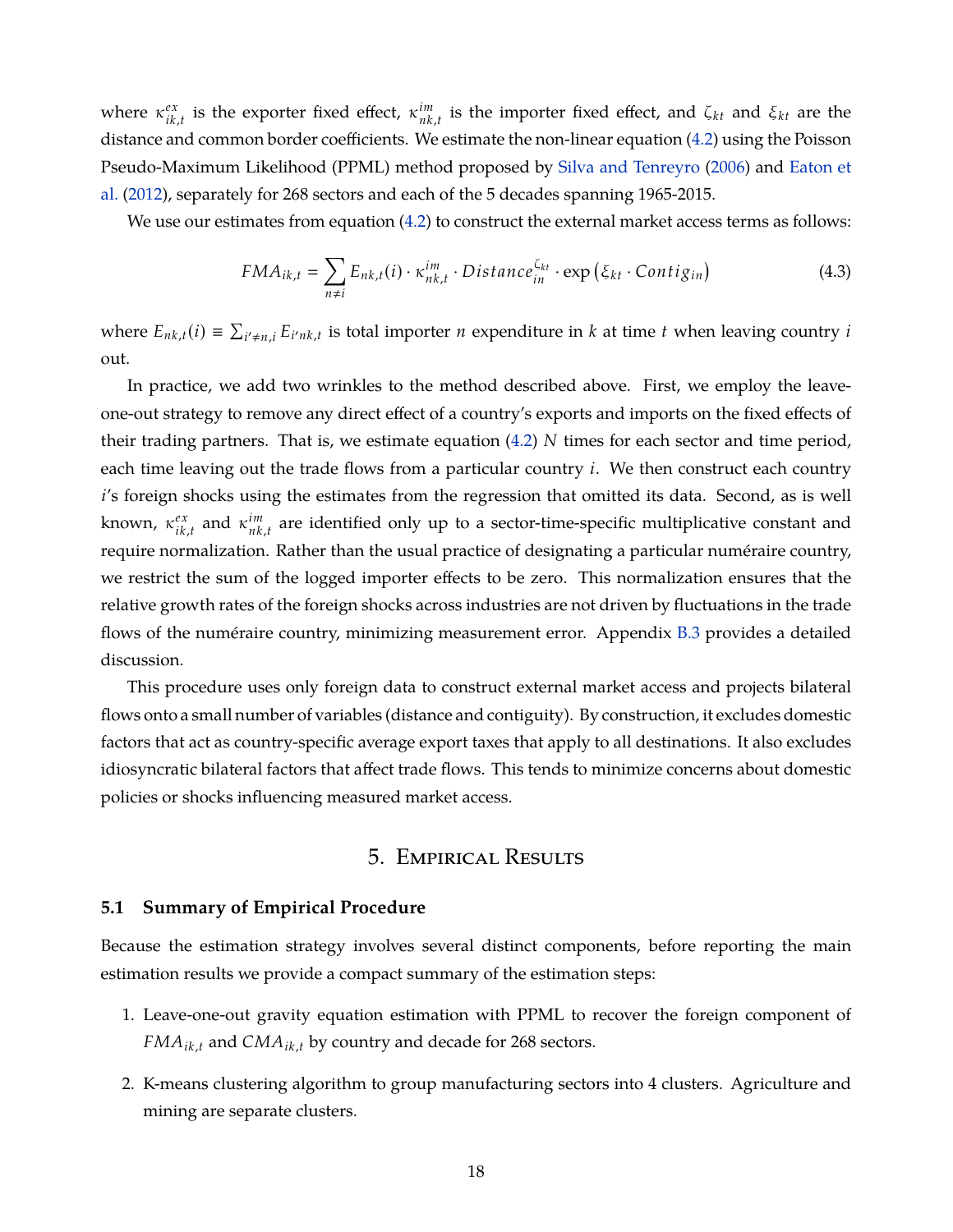where  $\kappa_{ik}^{ex}$  $\int_{ik,t}^{ex}$  is the exporter fixed effect,  $\kappa_{nk}^{im}$  $n<sup>tm</sup>$ , *i*s the importer fixed effect, and ζ<sub>*kt*</sub> and ξ<sub>*kt*</sub> are the distance and common border coefficients. We estimate the non-linear equation [\(4.2\)](#page-18-2) using the Poisson Pseudo-Maximum Likelihood (PPML) method proposed by [Silva and Tenreyro](#page-40-10) [\(2006\)](#page-40-10) and [Eaton et](#page-37-15) [al.](#page-37-15) [\(2012\)](#page-37-15), separately for 268 sectors and each of the 5 decades spanning 1965-2015.

We use our estimates from equation [\(4.2\)](#page-18-2) to construct the external market access terms as follows:

<span id="page-19-1"></span>
$$
FMA_{ik,t} = \sum_{n \neq i} E_{nk,t}(i) \cdot \kappa_{nk,t}^{im} \cdot Distance_{in}^{\zeta_{kt}} \cdot \exp\left(\xi_{kt} \cdot Contig_{in}\right)
$$
(4.3)

where  $E_{nk,t}(i) \equiv \sum_{i' \neq n,i} E_{i'nk,t}$  is total importer *n* expenditure in *k* at time *t* when leaving country *i* out.

In practice, we add two wrinkles to the method described above. First, we employ the leaveone-out strategy to remove any direct effect of a country's exports and imports on the fixed effects of their trading partners. That is, we estimate equation [\(4.2\)](#page-18-2) *N* times for each sector and time period, each time leaving out the trade flows from a particular country *i*. We then construct each country *i*'s foreign shocks using the estimates from the regression that omitted its data. Second, as is well known*, κ<sup>ex</sup> ik*,*t* and κ *im*  $\mathbf{r}_{nk,t}^{tm}$  are identified only up to a sector-time-specific multiplicative constant and require normalization. Rather than the usual practice of designating a particular numéraire country, we restrict the sum of the logged importer effects to be zero. This normalization ensures that the relative growth rates of the foreign shocks across industries are not driven by fluctuations in the trade flows of the numéraire country, minimizing measurement error. Appendix [B.3](#page-58-0) provides a detailed discussion.

This procedure uses only foreign data to construct external market access and projects bilateral flows onto a small number of variables (distance and contiguity). By construction, it excludes domestic factors that act as country-specific average export taxes that apply to all destinations. It also excludes idiosyncratic bilateral factors that affect trade flows. This tends to minimize concerns about domestic policies or shocks influencing measured market access.

# 5. Empirical Results

#### <span id="page-19-0"></span>**5.1 Summary of Empirical Procedure**

Because the estimation strategy involves several distinct components, before reporting the main estimation results we provide a compact summary of the estimation steps:

- 1. Leave-one-out gravity equation estimation with PPML to recover the foreign component of *FMAik*,*<sup>t</sup>* and *CMAik*,*<sup>t</sup>* by country and decade for 268 sectors.
- 2. K-means clustering algorithm to group manufacturing sectors into 4 clusters. Agriculture and mining are separate clusters.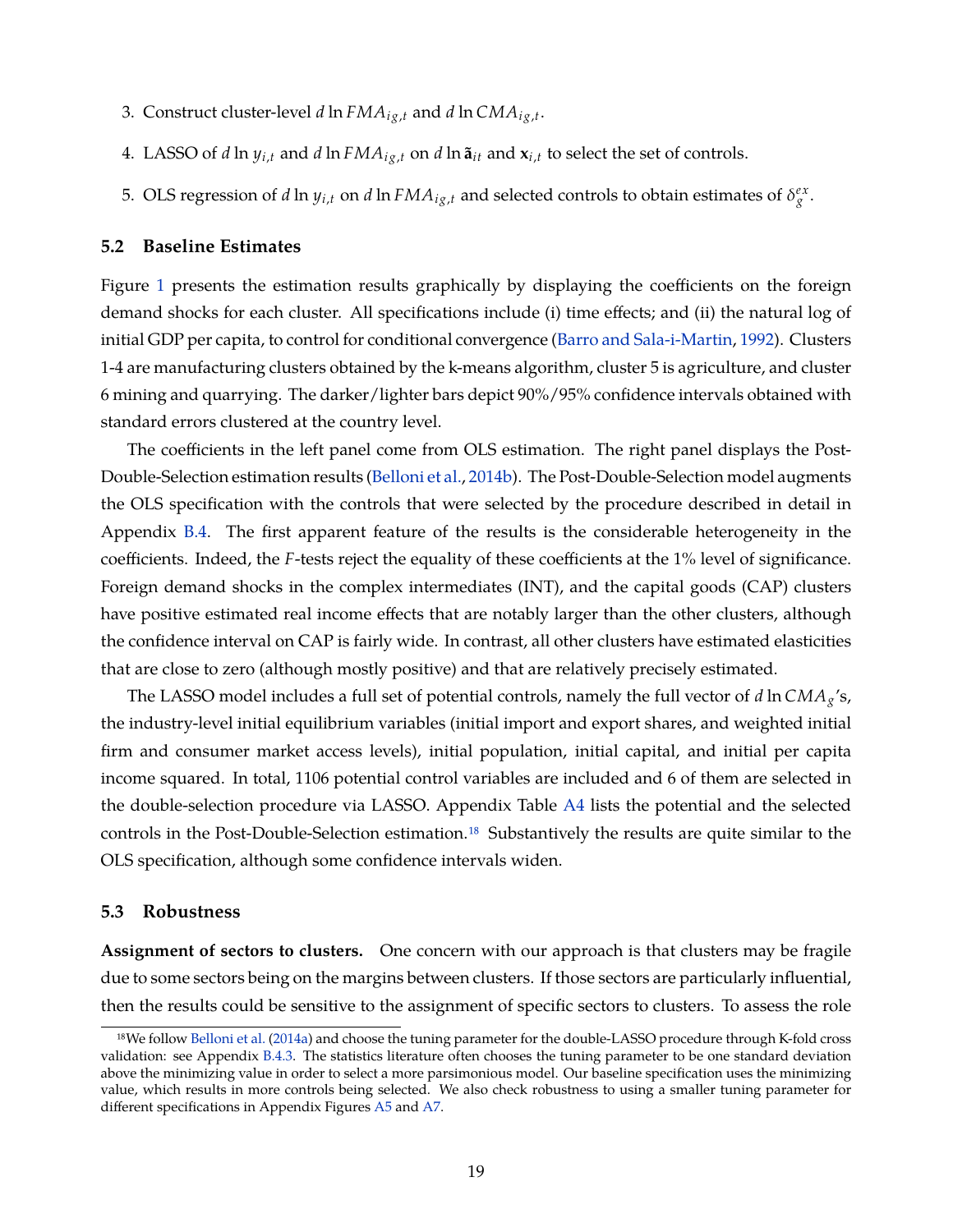- 3. Construct cluster-level  $d$  ln  $FMA_{ig,t}$  and  $d$  ln  $CMA_{ig,t}.$
- 4. LASSO of *d*  $\ln y_{i,t}$  and *d*  $\ln FMA_{ig,t}$  on *d*  $\ln \tilde{a}_{it}$  and  $x_{i,t}$  to select the set of controls.
- 5. OLS regression of *d* ln  $y_{i,t}$  on *d* ln  $FMA_{ig,t}$  and selected controls to obtain estimates of  $\delta_g^{ex}$ .

#### **5.2 Baseline Estimates**

Figure [1](#page-21-0) presents the estimation results graphically by displaying the coefficients on the foreign demand shocks for each cluster. All specifications include (i) time effects; and (ii) the natural log of initial GDP per capita, to control for conditional convergence [\(Barro and Sala-i-Martin,](#page-35-12) [1992\)](#page-35-12). Clusters 1-4 are manufacturing clusters obtained by the k-means algorithm, cluster 5 is agriculture, and cluster 6 mining and quarrying. The darker/lighter bars depict 90%/95% confidence intervals obtained with standard errors clustered at the country level.

The coefficients in the left panel come from OLS estimation. The right panel displays the Post-Double-Selection estimation results [\(Belloni et al.,](#page-36-0) [2014b\)](#page-36-0). The Post-Double-Selection model augments the OLS specification with the controls that were selected by the procedure described in detail in Appendix [B.4.](#page-60-0) The first apparent feature of the results is the considerable heterogeneity in the coefficients. Indeed, the *F*-tests reject the equality of these coefficients at the 1% level of significance. Foreign demand shocks in the complex intermediates (INT), and the capital goods (CAP) clusters have positive estimated real income effects that are notably larger than the other clusters, although the confidence interval on CAP is fairly wide. In contrast, all other clusters have estimated elasticities that are close to zero (although mostly positive) and that are relatively precisely estimated.

The LASSO model includes a full set of potential controls, namely the full vector of *d* ln *CMAg*'s, the industry-level initial equilibrium variables (initial import and export shares, and weighted initial firm and consumer market access levels), initial population, initial capital, and initial per capita income squared. In total, 1106 potential control variables are included and 6 of them are selected in the double-selection procedure via LASSO. Appendix Table [A4](#page-65-0) lists the potential and the selected controls in the Post-Double-Selection estimation[.18](#page-1-0) Substantively the results are quite similar to the OLS specification, although some confidence intervals widen.

#### **5.3 Robustness**

**Assignment of sectors to clusters.** One concern with our approach is that clusters may be fragile due to some sectors being on the margins between clusters. If those sectors are particularly influential, then the results could be sensitive to the assignment of specific sectors to clusters. To assess the role

<sup>18</sup>We follow [Belloni et al.](#page-36-10) [\(2014a\)](#page-36-10) and choose the tuning parameter for the double-LASSO procedure through K-fold cross validation: see Appendix [B.4.3.](#page-62-1) The statistics literature often chooses the tuning parameter to be one standard deviation above the minimizing value in order to select a more parsimonious model. Our baseline specification uses the minimizing value, which results in more controls being selected. We also check robustness to using a smaller tuning parameter for different specifications in Appendix Figures [A5](#page-68-0) and [A7.](#page-70-0)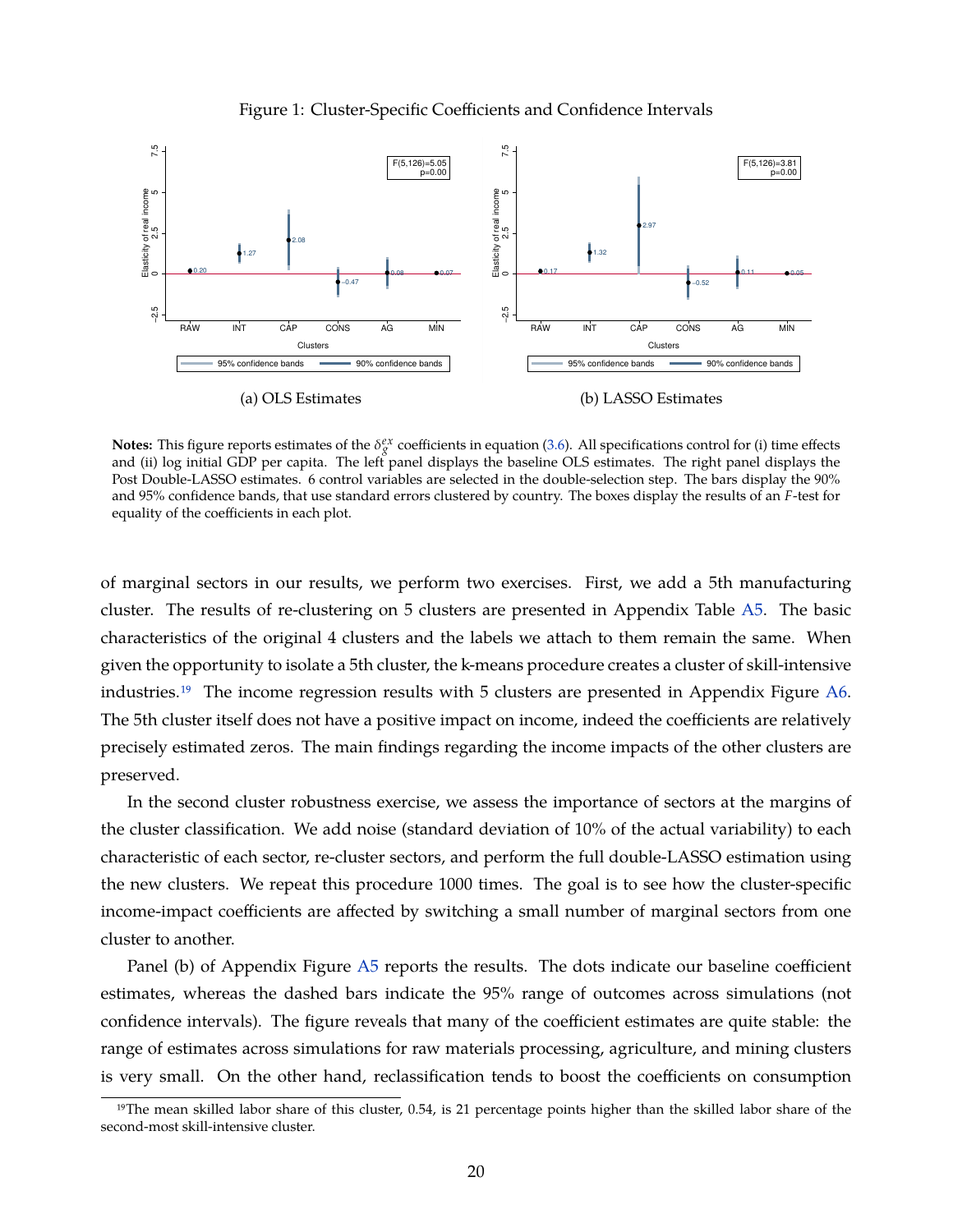<span id="page-21-0"></span>

Figure 1: Cluster-Specific Coefficients and Confidence Intervals

**Notes:** This figure reports estimates of the  $\delta_g^{ex}$  coefficients in equation [\(3.6\)](#page-13-1). All specifications control for (i) time effects and (ii) log initial GDP per capita. The left panel displays the baseline OLS estimates. The right panel displays the Post Double-LASSO estimates. 6 control variables are selected in the double-selection step. The bars display the 90% and 95% confidence bands, that use standard errors clustered by country. The boxes display the results of an *F*-test for equality of the coefficients in each plot.

of marginal sectors in our results, we perform two exercises. First, we add a 5th manufacturing cluster. The results of re-clustering on 5 clusters are presented in Appendix Table [A5.](#page-66-0) The basic characteristics of the original 4 clusters and the labels we attach to them remain the same. When given the opportunity to isolate a 5th cluster, the k-means procedure creates a cluster of skill-intensive industries[.19](#page-1-0) The income regression results with 5 clusters are presented in Appendix Figure [A6.](#page-69-0) The 5th cluster itself does not have a positive impact on income, indeed the coefficients are relatively precisely estimated zeros. The main findings regarding the income impacts of the other clusters are preserved.

In the second cluster robustness exercise, we assess the importance of sectors at the margins of the cluster classification. We add noise (standard deviation of 10% of the actual variability) to each characteristic of each sector, re-cluster sectors, and perform the full double-LASSO estimation using the new clusters. We repeat this procedure 1000 times. The goal is to see how the cluster-specific income-impact coefficients are affected by switching a small number of marginal sectors from one cluster to another.

Panel (b) of Appendix Figure [A5](#page-68-0) reports the results. The dots indicate our baseline coefficient estimates, whereas the dashed bars indicate the 95% range of outcomes across simulations (not confidence intervals). The figure reveals that many of the coefficient estimates are quite stable: the range of estimates across simulations for raw materials processing, agriculture, and mining clusters is very small. On the other hand, reclassification tends to boost the coefficients on consumption

 $19$ The mean skilled labor share of this cluster, 0.54, is 21 percentage points higher than the skilled labor share of the second-most skill-intensive cluster.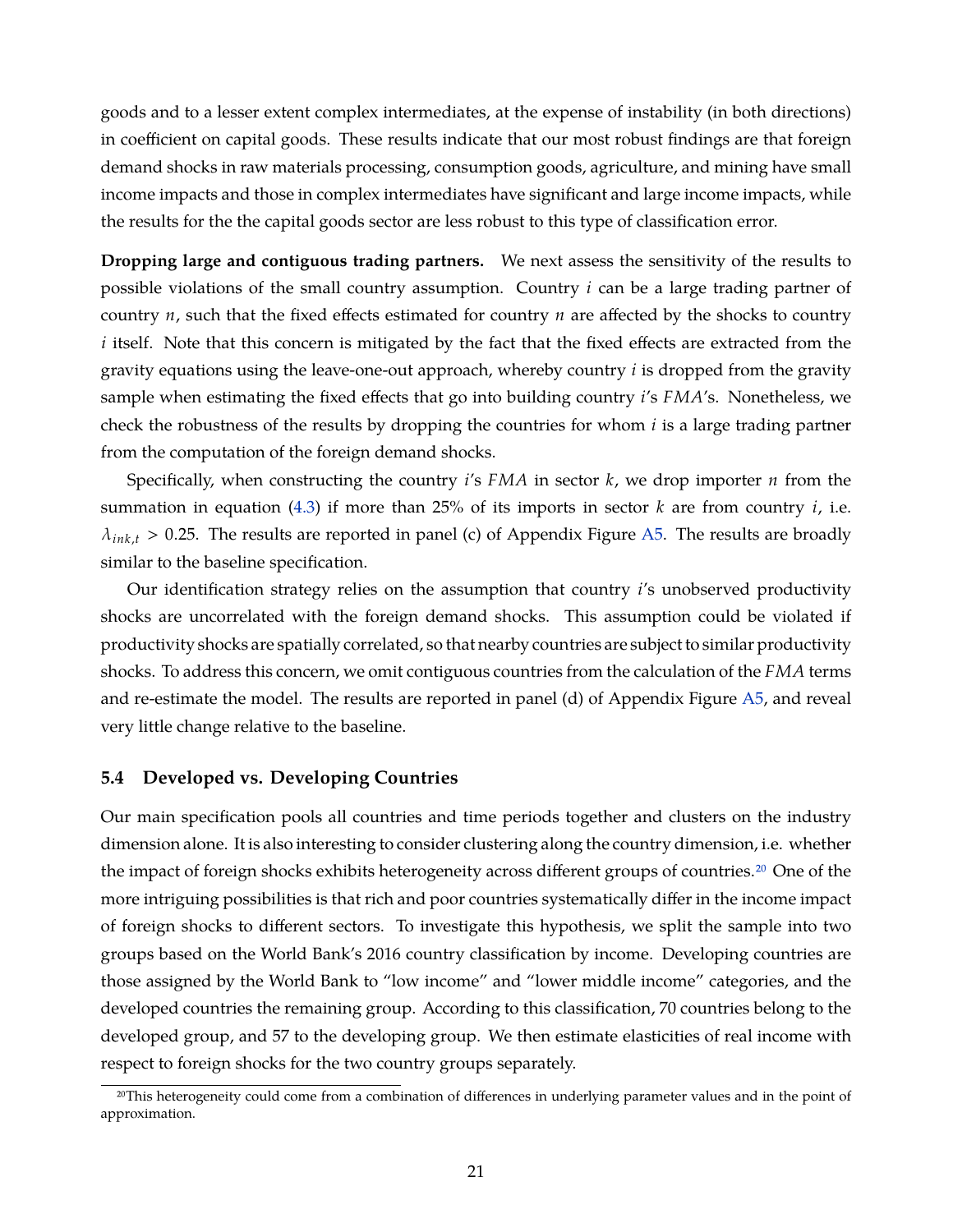goods and to a lesser extent complex intermediates, at the expense of instability (in both directions) in coefficient on capital goods. These results indicate that our most robust findings are that foreign demand shocks in raw materials processing, consumption goods, agriculture, and mining have small income impacts and those in complex intermediates have significant and large income impacts, while the results for the the capital goods sector are less robust to this type of classification error.

**Dropping large and contiguous trading partners.** We next assess the sensitivity of the results to possible violations of the small country assumption. Country *i* can be a large trading partner of country *n*, such that the fixed effects estimated for country *n* are affected by the shocks to country *i* itself. Note that this concern is mitigated by the fact that the fixed effects are extracted from the gravity equations using the leave-one-out approach, whereby country *i* is dropped from the gravity sample when estimating the fixed effects that go into building country *i*'s *FMA*'s. Nonetheless, we check the robustness of the results by dropping the countries for whom *i* is a large trading partner from the computation of the foreign demand shocks.

Specifically, when constructing the country *i*'s *FMA* in sector *k*, we drop importer *n* from the summation in equation [\(4.3\)](#page-19-1) if more than 25% of its imports in sector *k* are from country *i*, i.e.  $\lambda_{ink,t}$  > 0.25. The results are reported in panel (c) of Appendix Figure [A5.](#page-68-0) The results are broadly similar to the baseline specification.

Our identification strategy relies on the assumption that country *i*'s unobserved productivity shocks are uncorrelated with the foreign demand shocks. This assumption could be violated if productivity shocks are spatially correlated, so that nearby countries are subject to similar productivity shocks. To address this concern, we omit contiguous countries from the calculation of the *FMA* terms and re-estimate the model. The results are reported in panel (d) of Appendix Figure [A5,](#page-68-0) and reveal very little change relative to the baseline.

#### **5.4 Developed vs. Developing Countries**

Our main specification pools all countries and time periods together and clusters on the industry dimension alone. It is also interesting to consider clustering along the country dimension, i.e. whether the impact of foreign shocks exhibits heterogeneity across different groups of countries[.20](#page-1-0) One of the more intriguing possibilities is that rich and poor countries systematically differ in the income impact of foreign shocks to different sectors. To investigate this hypothesis, we split the sample into two groups based on the World Bank's 2016 country classification by income. Developing countries are those assigned by the World Bank to "low income" and "lower middle income" categories, and the developed countries the remaining group. According to this classification, 70 countries belong to the developed group, and 57 to the developing group. We then estimate elasticities of real income with respect to foreign shocks for the two country groups separately.

<sup>20</sup>This heterogeneity could come from a combination of differences in underlying parameter values and in the point of approximation.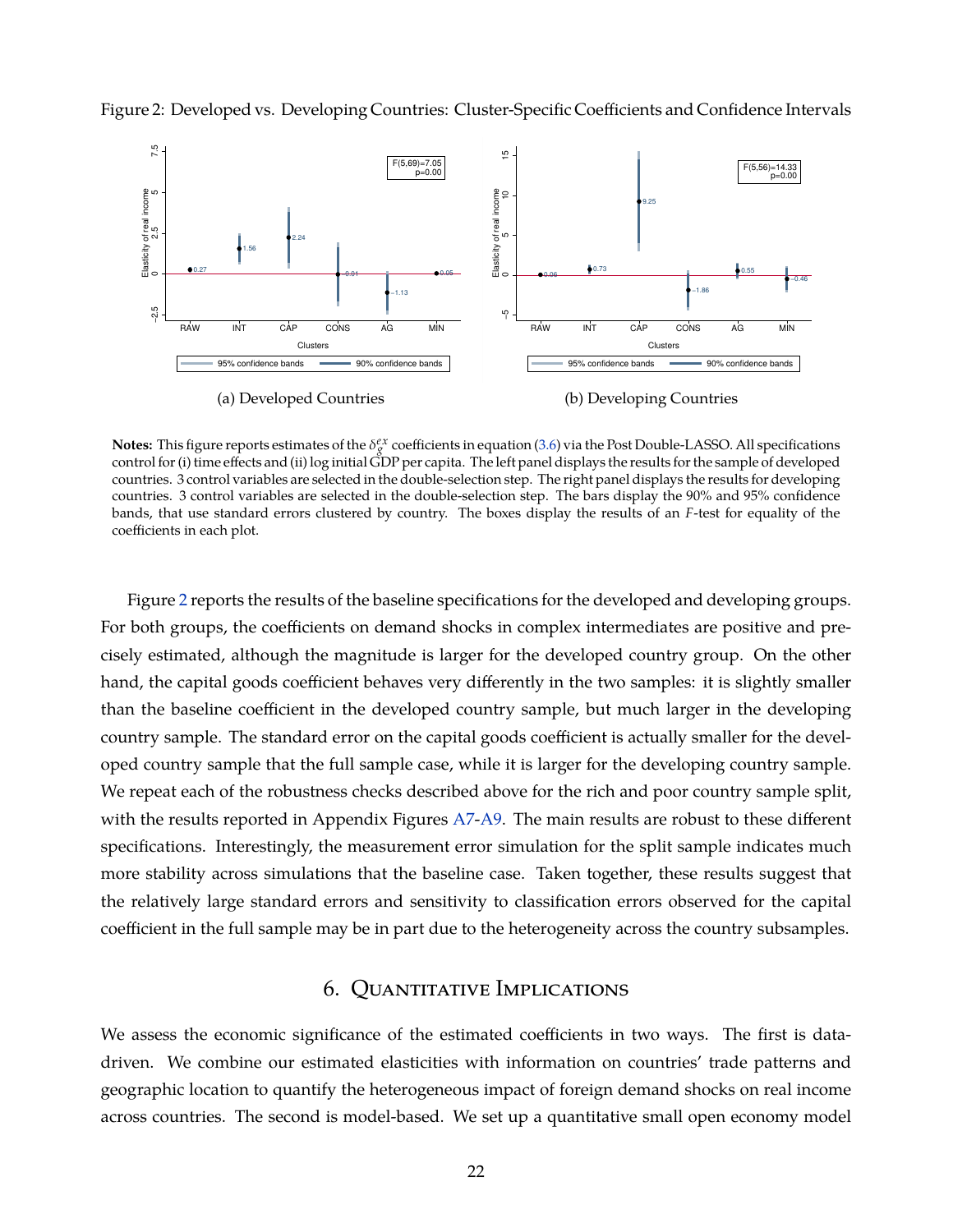

<span id="page-23-1"></span>Figure 2: Developed vs. Developing Countries: Cluster-Specific Coefficients and Confidence Intervals

**Notes:** This figure reports estimates of the  $\delta_g^{ex}$  coefficients in equation [\(3.6\)](#page-13-1) via the Post Double-LASSO. All specifications control for (i) time effects and (ii) log initial GDP per capita. The left panel displays the results for the sample of developed countries. 3 control variables are selected in the double-selection step. The right panel displays the results for developing countries. 3 control variables are selected in the double-selection step. The bars display the 90% and 95% confidence bands, that use standard errors clustered by country. The boxes display the results of an *F*-test for equality of the coefficients in each plot.

Figure [2](#page-23-1) reports the results of the baseline specifications for the developed and developing groups. For both groups, the coefficients on demand shocks in complex intermediates are positive and precisely estimated, although the magnitude is larger for the developed country group. On the other hand, the capital goods coefficient behaves very differently in the two samples: it is slightly smaller than the baseline coefficient in the developed country sample, but much larger in the developing country sample. The standard error on the capital goods coefficient is actually smaller for the developed country sample that the full sample case, while it is larger for the developing country sample. We repeat each of the robustness checks described above for the rich and poor country sample split, with the results reported in Appendix Figures [A7-](#page-70-0)[A9.](#page-72-0) The main results are robust to these different specifications. Interestingly, the measurement error simulation for the split sample indicates much more stability across simulations that the baseline case. Taken together, these results suggest that the relatively large standard errors and sensitivity to classification errors observed for the capital coefficient in the full sample may be in part due to the heterogeneity across the country subsamples.

# 6. Quantitative Implications

<span id="page-23-0"></span>We assess the economic significance of the estimated coefficients in two ways. The first is datadriven. We combine our estimated elasticities with information on countries' trade patterns and geographic location to quantify the heterogeneous impact of foreign demand shocks on real income across countries. The second is model-based. We set up a quantitative small open economy model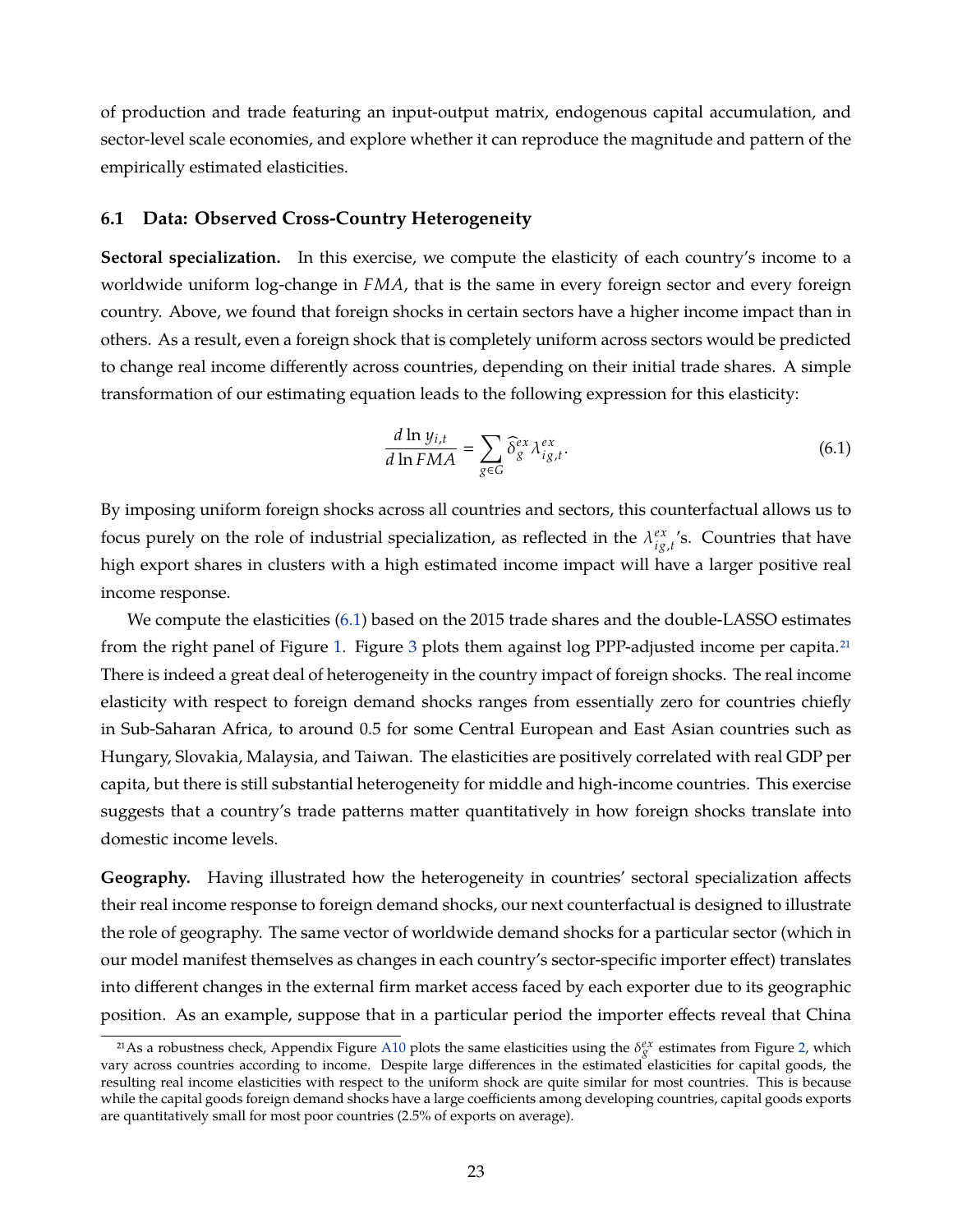of production and trade featuring an input-output matrix, endogenous capital accumulation, and sector-level scale economies, and explore whether it can reproduce the magnitude and pattern of the empirically estimated elasticities.

#### **6.1 Data: Observed Cross-Country Heterogeneity**

**Sectoral specialization.** In this exercise, we compute the elasticity of each country's income to a worldwide uniform log-change in *FMA*, that is the same in every foreign sector and every foreign country. Above, we found that foreign shocks in certain sectors have a higher income impact than in others. As a result, even a foreign shock that is completely uniform across sectors would be predicted to change real income differently across countries, depending on their initial trade shares. A simple transformation of our estimating equation leads to the following expression for this elasticity:

<span id="page-24-0"></span>
$$
\frac{d \ln y_{i,t}}{d \ln FMA} = \sum_{g \in G} \widehat{\delta}_g^{ex} \lambda_{ig,t}^{ex}.
$$
\n(6.1)

By imposing uniform foreign shocks across all countries and sectors, this counterfactual allows us to focus purely on the role of industrial specialization, as reflected in the  $\lambda_{io}^{ex}$  $\frac{ex}{ig,t}$ 's. Countries that have high export shares in clusters with a high estimated income impact will have a larger positive real income response.

We compute the elasticities [\(6.1\)](#page-24-0) based on the 2015 trade shares and the double-LASSO estimates from the right panel of Figure [1.](#page-21-0) Figure [3](#page-25-0) plots them against log PPP-adjusted income per capita.<sup>21</sup> There is indeed a great deal of heterogeneity in the country impact of foreign shocks. The real income elasticity with respect to foreign demand shocks ranges from essentially zero for countries chiefly in Sub-Saharan Africa, to around 0.5 for some Central European and East Asian countries such as Hungary, Slovakia, Malaysia, and Taiwan. The elasticities are positively correlated with real GDP per capita, but there is still substantial heterogeneity for middle and high-income countries. This exercise suggests that a country's trade patterns matter quantitatively in how foreign shocks translate into domestic income levels.

**Geography.** Having illustrated how the heterogeneity in countries' sectoral specialization affects their real income response to foreign demand shocks, our next counterfactual is designed to illustrate the role of geography. The same vector of worldwide demand shocks for a particular sector (which in our model manifest themselves as changes in each country's sector-specific importer effect) translates into different changes in the external firm market access faced by each exporter due to its geographic position. As an example, suppose that in a particular period the importer effects reveal that China

<sup>&</sup>lt;sup>21</sup>As a robustness check, Appendix Figure [A10](#page-72-1) plots the same elasticities using the  $\delta_g^{ex}$  estimates from Figure [2,](#page-23-1) which vary across countries according to income. Despite large differences in the estimated elasticities for capital goods, the resulting real income elasticities with respect to the uniform shock are quite similar for most countries. This is because while the capital goods foreign demand shocks have a large coefficients among developing countries, capital goods exports are quantitatively small for most poor countries (2.5% of exports on average).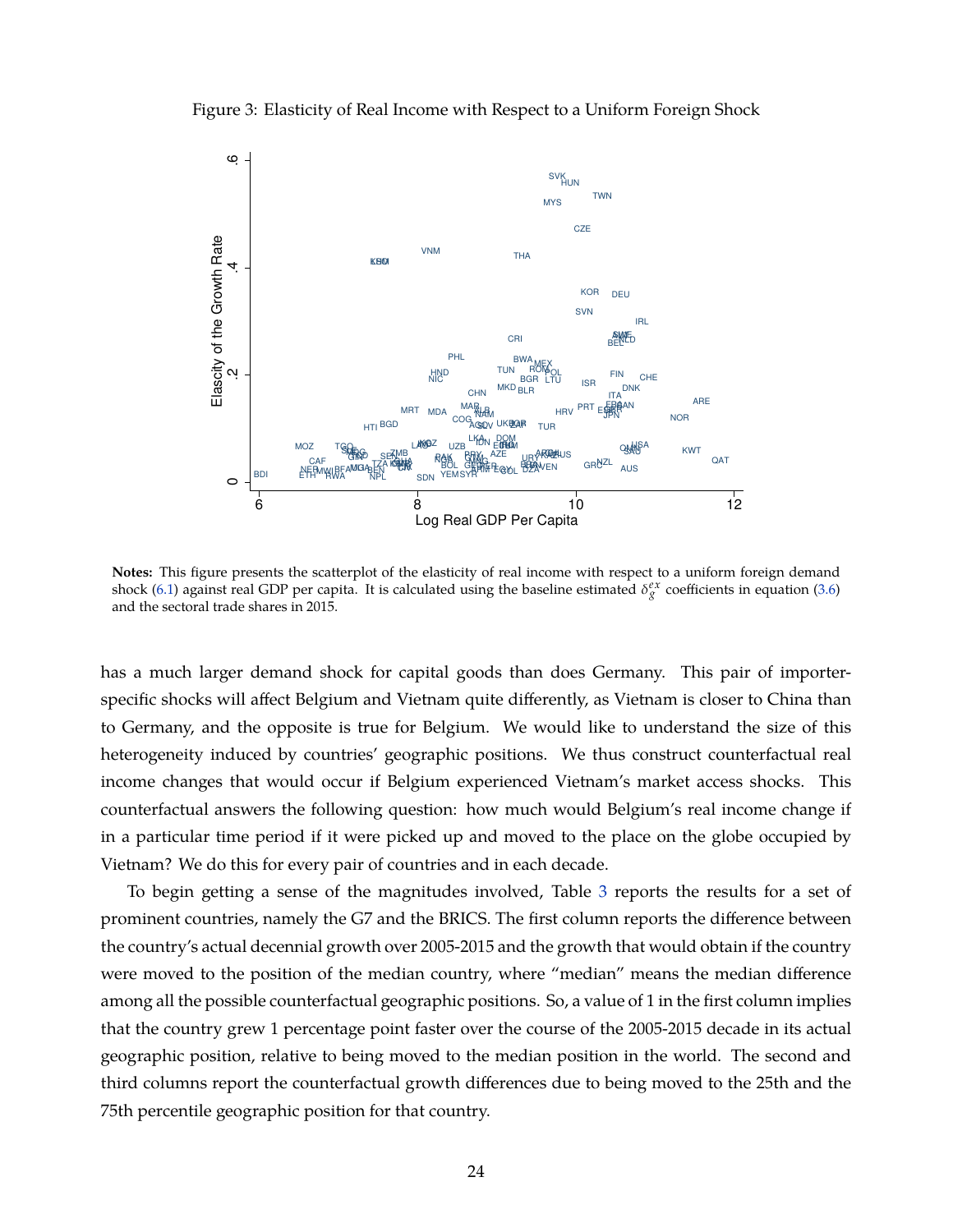<span id="page-25-0"></span>Figure 3: Elasticity of Real Income with Respect to a Uniform Foreign Shock



**Notes:** This figure presents the scatterplot of the elasticity of real income with respect to a uniform foreign demand shock [\(6.1\)](#page-24-0) against real GDP per capita. It is calculated using the baseline estimated  $\delta_g^{ex}$  coefficients in equation [\(3.6\)](#page-13-1) and the sectoral trade shares in 2015.

has a much larger demand shock for capital goods than does Germany. This pair of importerspecific shocks will affect Belgium and Vietnam quite differently, as Vietnam is closer to China than to Germany, and the opposite is true for Belgium. We would like to understand the size of this heterogeneity induced by countries' geographic positions. We thus construct counterfactual real income changes that would occur if Belgium experienced Vietnam's market access shocks. This counterfactual answers the following question: how much would Belgium's real income change if in a particular time period if it were picked up and moved to the place on the globe occupied by Vietnam? We do this for every pair of countries and in each decade.

To begin getting a sense of the magnitudes involved, Table [3](#page-26-0) reports the results for a set of prominent countries, namely the G7 and the BRICS. The first column reports the difference between the country's actual decennial growth over 2005-2015 and the growth that would obtain if the country were moved to the position of the median country, where "median" means the median difference among all the possible counterfactual geographic positions. So, a value of 1 in the first column implies that the country grew 1 percentage point faster over the course of the 2005-2015 decade in its actual geographic position, relative to being moved to the median position in the world. The second and third columns report the counterfactual growth differences due to being moved to the 25th and the 75th percentile geographic position for that country.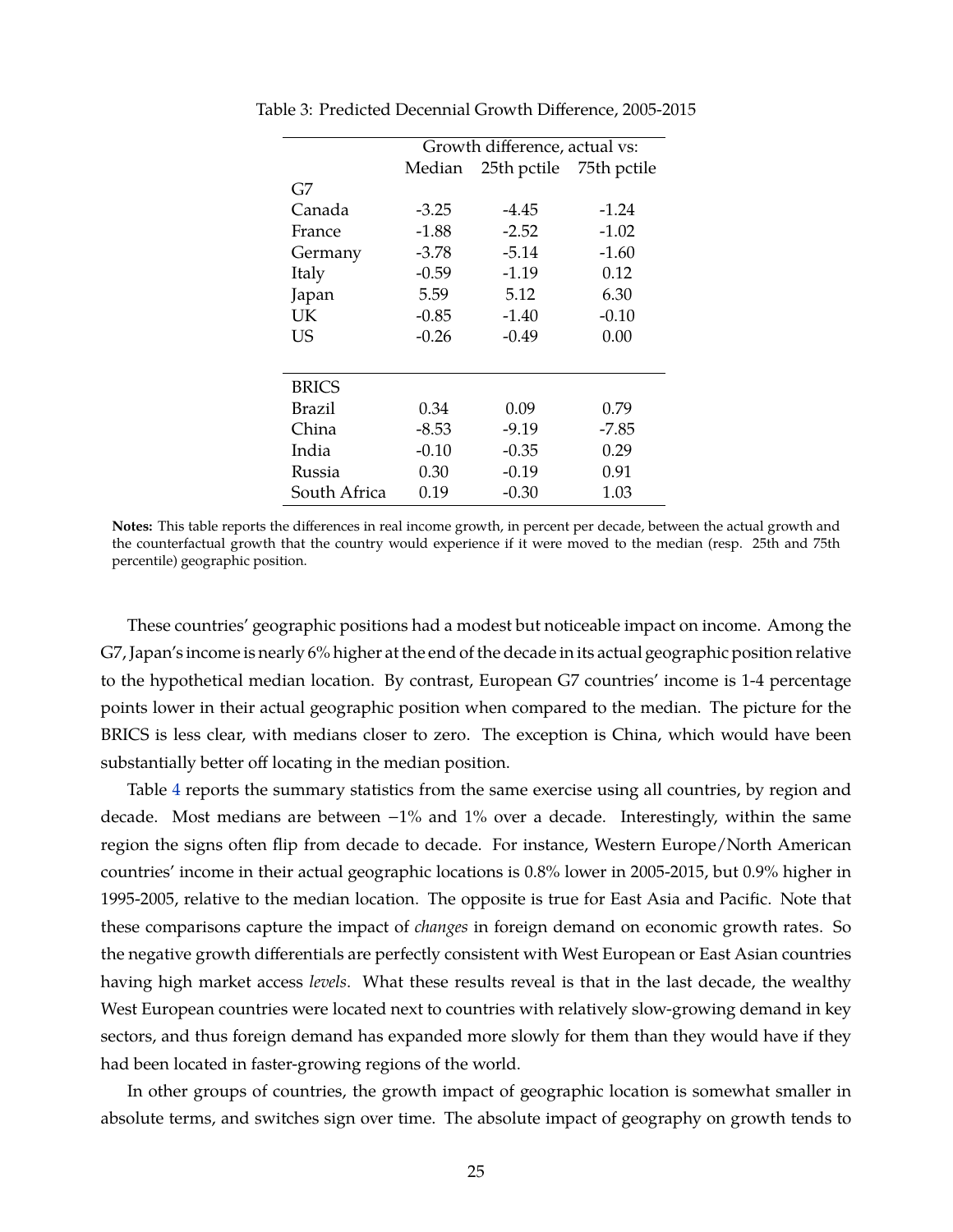|               | Growth difference, actual vs: |                         |         |  |  |  |
|---------------|-------------------------------|-------------------------|---------|--|--|--|
|               | Median                        | 25th pctile 75th pctile |         |  |  |  |
| G7            |                               |                         |         |  |  |  |
| Canada        | $-3.25$                       | -4.45                   | $-1.24$ |  |  |  |
| France        | $-1.88$                       | $-2.52$                 | $-1.02$ |  |  |  |
| Germany       | $-3.78$                       | $-5.14$                 | $-1.60$ |  |  |  |
| Italy         | $-0.59$                       | $-1.19$                 | 0.12    |  |  |  |
| Japan         | 5.59                          | 5.12                    | 6.30    |  |  |  |
| UK            | $-0.85$                       | $-1.40$                 | $-0.10$ |  |  |  |
| US            | $-0.26$                       | -0.49                   | 0.00    |  |  |  |
|               |                               |                         |         |  |  |  |
| <b>BRICS</b>  |                               |                         |         |  |  |  |
| <b>Brazil</b> | 0.34                          | 0.09                    | 0.79    |  |  |  |
| China         | $-8.53$                       | $-9.19$                 | -7.85   |  |  |  |
| India         | $-0.10$                       | $-0.35$                 | 0.29    |  |  |  |
| Russia        | 0.30                          | $-0.19$                 | 0.91    |  |  |  |
| South Africa  | 0.19                          | $-0.30$                 | 1.03    |  |  |  |

<span id="page-26-0"></span>Table 3: Predicted Decennial Growth Difference, 2005-2015

These countries' geographic positions had a modest but noticeable impact on income. Among the G7, Japan's income is nearly 6% higher at the end of the decade in its actual geographic position relative to the hypothetical median location. By contrast, European G7 countries' income is 1-4 percentage points lower in their actual geographic position when compared to the median. The picture for the BRICS is less clear, with medians closer to zero. The exception is China, which would have been substantially better off locating in the median position.

Table [4](#page-27-0) reports the summary statistics from the same exercise using all countries, by region and decade. Most medians are between −1% and 1% over a decade. Interestingly, within the same region the signs often flip from decade to decade. For instance, Western Europe/North American countries' income in their actual geographic locations is 0.8% lower in 2005-2015, but 0.9% higher in 1995-2005, relative to the median location. The opposite is true for East Asia and Pacific. Note that these comparisons capture the impact of *changes* in foreign demand on economic growth rates. So the negative growth differentials are perfectly consistent with West European or East Asian countries having high market access *levels*. What these results reveal is that in the last decade, the wealthy West European countries were located next to countries with relatively slow-growing demand in key sectors, and thus foreign demand has expanded more slowly for them than they would have if they had been located in faster-growing regions of the world.

In other groups of countries, the growth impact of geographic location is somewhat smaller in absolute terms, and switches sign over time. The absolute impact of geography on growth tends to

**Notes:** This table reports the differences in real income growth, in percent per decade, between the actual growth and the counterfactual growth that the country would experience if it were moved to the median (resp. 25th and 75th percentile) geographic position.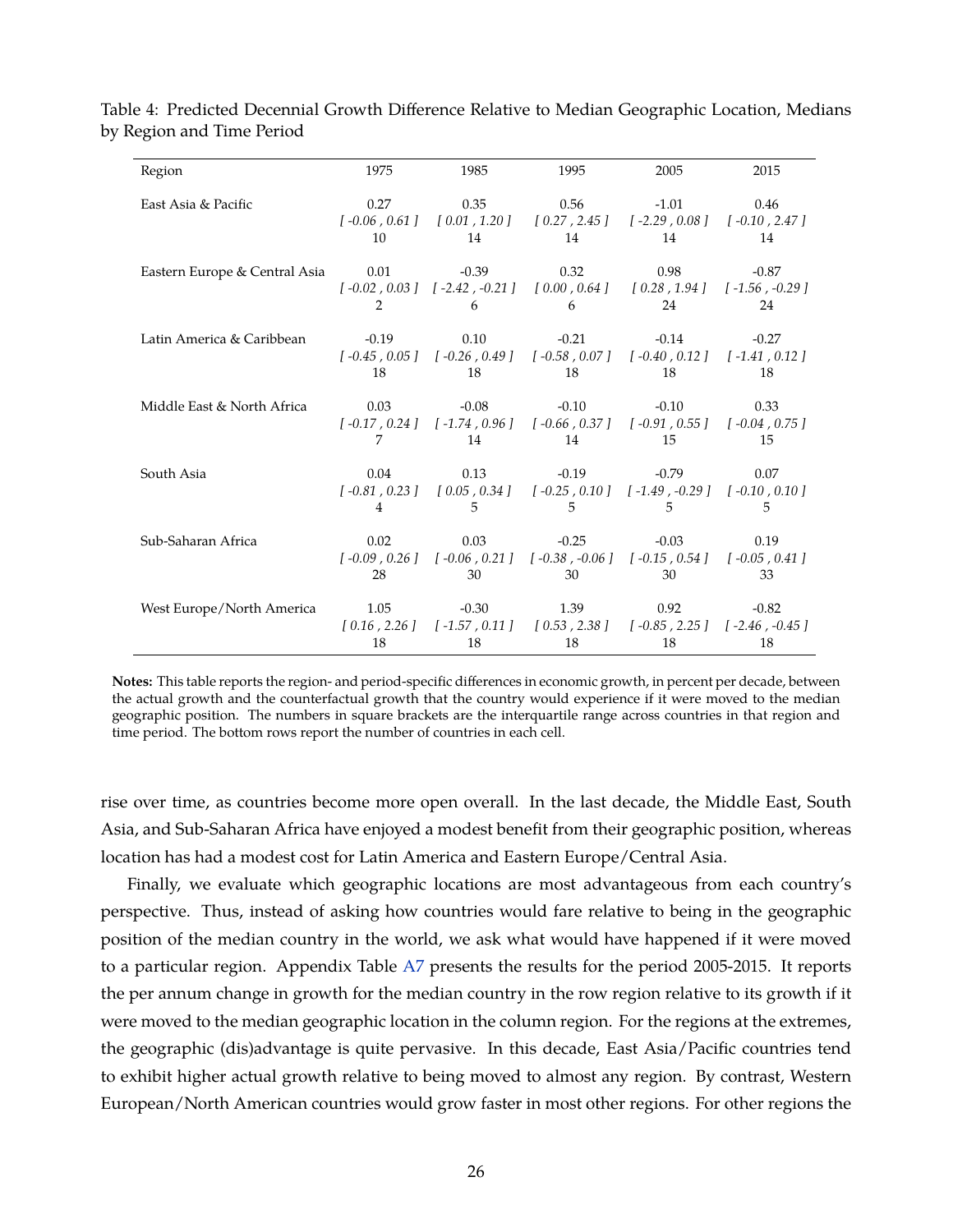| Region                        | 1975           | 1985                                                                                                                               | 1995            | 2005         | 2015          |
|-------------------------------|----------------|------------------------------------------------------------------------------------------------------------------------------------|-----------------|--------------|---------------|
| East Asia & Pacific           | 0.27           | $[-0.06, 0.61]$ $[0.01, 1.20]$ $[0.27, 2.45]$ $[-2.29, 0.08]$ $[-0.10, 2.47]$                                                      | $0.35$ 0.56     | $-1.01$      | 0.46          |
|                               | 10             | 14                                                                                                                                 | 14              | 14           | 14            |
| Eastern Europe & Central Asia | 2              | $0.01$ $-0.39$ $0.32$<br>$[-0.02, 0.03] \quad [-2.42, -0.21] \quad [0.00, 0.64] \quad [0.28, 1.94] \quad [-1.56, -0.29]$<br>6      | 6               | 0.98<br>24   | $-0.87$<br>24 |
| Latin America & Caribbean     | $-0.19$        | $[-0.45, 0.05]$ $[-0.26, 0.49]$ $[-0.58, 0.07]$ $[-0.40, 0.12]$ $[-1.41, 0.12]$                                                    | $0.10$ $-0.21$  | $-0.14$      | $-0.27$       |
|                               | 18             | 18                                                                                                                                 | 18              | 18           | 18            |
| Middle East & North Africa    | 0.03           | $[-0.17, 0.24] \quad [-1.74, 0.96] \quad [-0.66, 0.37] \quad [-0.91, 0.55] \quad [-0.04, 0.75]$                                    | $-0.08$ $-0.10$ | $-0.10$      | 0.33          |
|                               | 7              | 14                                                                                                                                 | 14              | -15          | 15            |
| South Asia                    | $\overline{4}$ | $0.04$ $0.13$ $-0.19$<br>$[-0.81, 0.23] \quad [0.05, 0.34] \quad [-0.25, 0.10] \quad [-1.49, -0.29] \quad [-0.10, 0.10]$<br>5      | 5               | $-0.79$<br>5 | 0.07<br>5.    |
| Sub-Saharan Africa            | 0.02           | $[-0.09, 0.26]$ $[-0.06, 0.21]$ $[-0.38, -0.06]$ $[-0.15, 0.54]$ $[-0.05, 0.41]$                                                   | $0.03$ $-0.25$  | $-0.03$      | 0.19          |
|                               | 28             | 30                                                                                                                                 | 30 <sup>1</sup> | 30           | 33            |
| West Europe/North America     | 1.05           | $[\;0.16\;,\;2.26\;]\quad [\;-1.57\;,\;0.11\;]\quad [\;0.53\;,\;2.38\;]\quad [\;-0.85\;,\;2.25\;]\quad [\;-2.46\;,\;-0.45\;]\quad$ | $-0.30$ 1.39    | 0.92         | $-0.82$       |
|                               | 18             | 18                                                                                                                                 | 18              | 18           | 18            |

<span id="page-27-0"></span>Table 4: Predicted Decennial Growth Difference Relative to Median Geographic Location, Medians by Region and Time Period

**Notes:** This table reports the region- and period-specific differences in economic growth, in percent per decade, between the actual growth and the counterfactual growth that the country would experience if it were moved to the median geographic position. The numbers in square brackets are the interquartile range across countries in that region and time period. The bottom rows report the number of countries in each cell.

rise over time, as countries become more open overall. In the last decade, the Middle East, South Asia, and Sub-Saharan Africa have enjoyed a modest benefit from their geographic position, whereas location has had a modest cost for Latin America and Eastern Europe/Central Asia.

Finally, we evaluate which geographic locations are most advantageous from each country's perspective. Thus, instead of asking how countries would fare relative to being in the geographic position of the median country in the world, we ask what would have happened if it were moved to a particular region. Appendix Table [A7](#page-73-0) presents the results for the period 2005-2015. It reports the per annum change in growth for the median country in the row region relative to its growth if it were moved to the median geographic location in the column region. For the regions at the extremes, the geographic (dis)advantage is quite pervasive. In this decade, East Asia/Pacific countries tend to exhibit higher actual growth relative to being moved to almost any region. By contrast, Western European/North American countries would grow faster in most other regions. For other regions the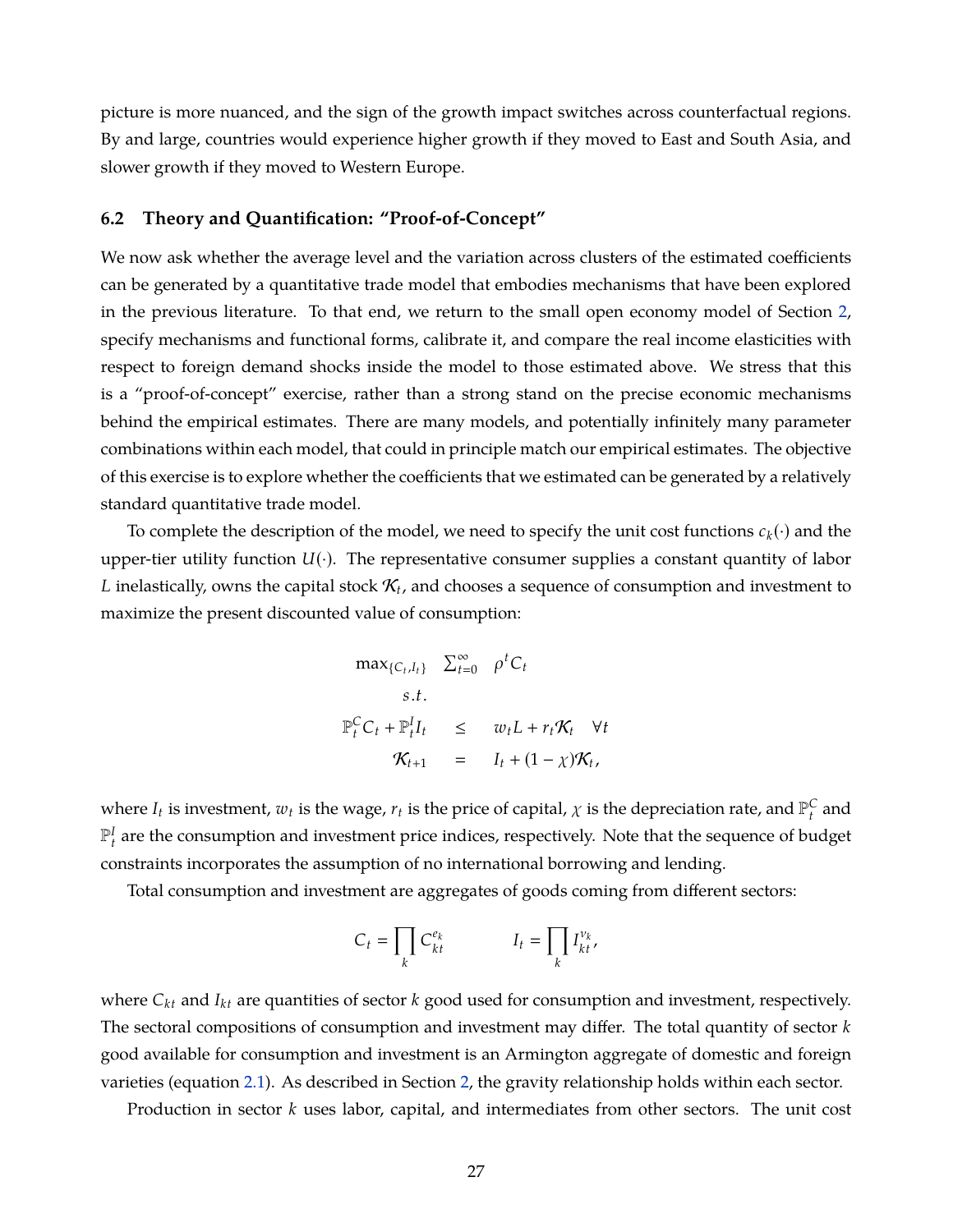picture is more nuanced, and the sign of the growth impact switches across counterfactual regions. By and large, countries would experience higher growth if they moved to East and South Asia, and slower growth if they moved to Western Europe.

#### **6.2 Theory and Quantification: "Proof-of-Concept"**

We now ask whether the average level and the variation across clusters of the estimated coefficients can be generated by a quantitative trade model that embodies mechanisms that have been explored in the previous literature. To that end, we return to the small open economy model of Section [2,](#page-6-0) specify mechanisms and functional forms, calibrate it, and compare the real income elasticities with respect to foreign demand shocks inside the model to those estimated above. We stress that this is a "proof-of-concept" exercise, rather than a strong stand on the precise economic mechanisms behind the empirical estimates. There are many models, and potentially infinitely many parameter combinations within each model, that could in principle match our empirical estimates. The objective of this exercise is to explore whether the coefficients that we estimated can be generated by a relatively standard quantitative trade model.

To complete the description of the model, we need to specify the unit cost functions  $c_k(\cdot)$  and the upper-tier utility function  $U(\cdot)$ . The representative consumer supplies a constant quantity of labor  $L$  inelastically, owns the capital stock  $\mathcal{K}_t$ , and chooses a sequence of consumption and investment to maximize the present discounted value of consumption:

$$
\max_{\{C_t, I_t\}} \sum_{t=0}^{\infty} \rho^t C_t
$$
  
s.t.  

$$
\mathbb{P}_t^C C_t + \mathbb{P}_t^I I_t \leq w_t L + r_t \mathcal{K}_t \quad \forall t
$$
  

$$
\mathcal{K}_{t+1} = I_t + (1 - \chi)\mathcal{K}_t,
$$

where  $I_t$  is investment,  $w_t$  is the wage,  $r_t$  is the price of capital,  $\chi$  is the depreciation rate, and  $\mathbb{P}_t^C$  and  $\mathbb{P}_t^I$  are the consumption and investment price indices, respectively. Note that the sequence of budget constraints incorporates the assumption of no international borrowing and lending.

Total consumption and investment are aggregates of goods coming from different sectors:

$$
C_t = \prod_k C_{kt}^{e_k} \qquad I_t = \prod_k I_{kt}^{v_k},
$$

where  $C_{kt}$  and  $I_{kt}$  are quantities of sector  $k$  good used for consumption and investment, respectively. The sectoral compositions of consumption and investment may differ. The total quantity of sector *k* good available for consumption and investment is an Armington aggregate of domestic and foreign varieties (equation [2.1\)](#page-7-0). As described in Section [2,](#page-6-0) the gravity relationship holds within each sector.

Production in sector *k* uses labor, capital, and intermediates from other sectors. The unit cost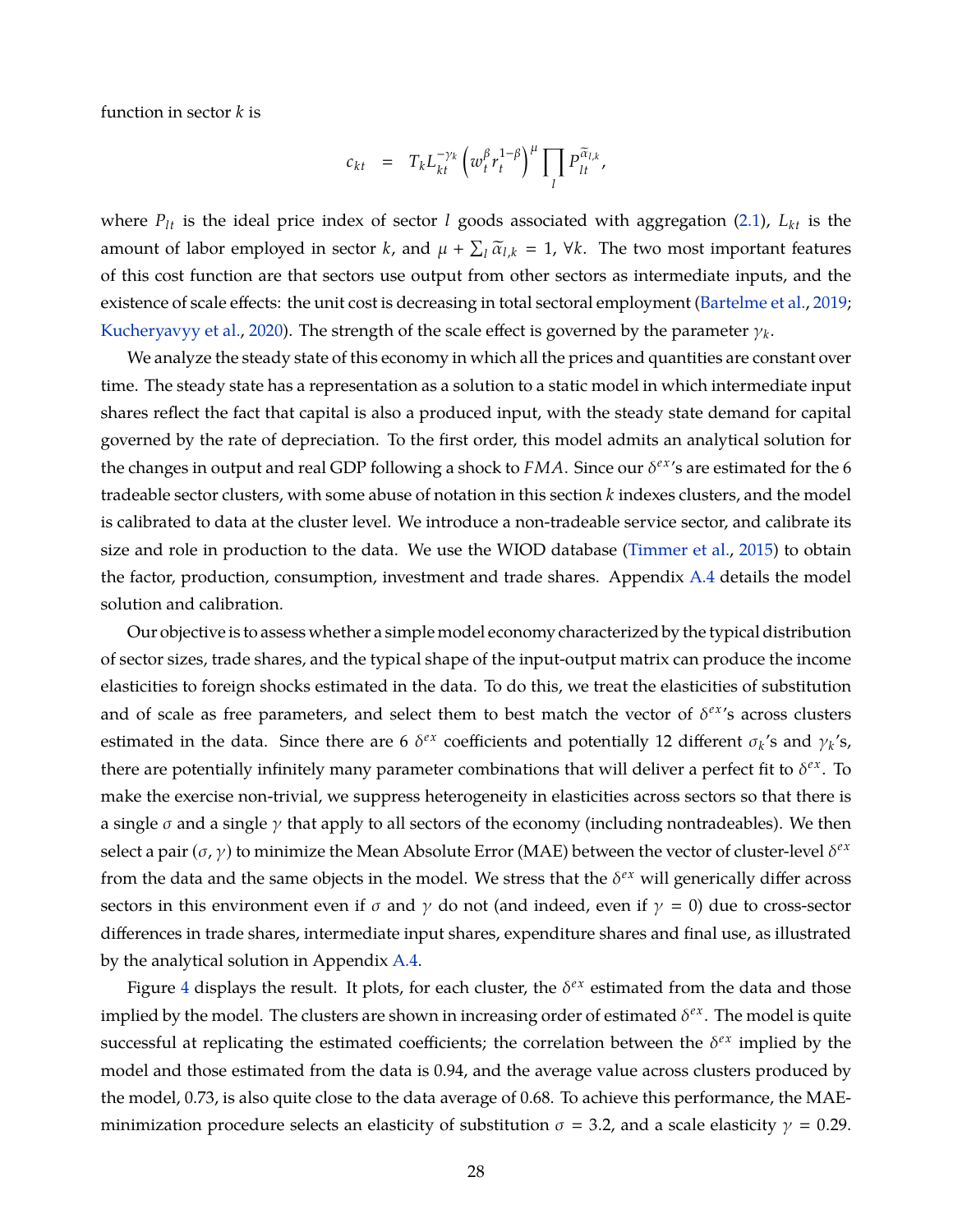function in sector *k* is

$$
c_{kt} = T_k L_{kt}^{-\gamma_k} \left( w_t^{\beta} r_t^{1-\beta} \right)^{\mu} \prod_l P_{lt}^{\widetilde{\alpha}_{l,k}},
$$

where  $P_{lt}$  is the ideal price index of sector *l* goods associated with aggregation [\(2.1\)](#page-7-0),  $L_{kt}$  is the amount of labor employed in sector *k*, and  $\mu + \sum_l \widetilde{\alpha}_{l,k} = 1$ ,  $\forall k$ . The two most important features of this cost function are that sectors use output from other sectors as intermediate inputs, and the existence of scale effects: the unit cost is decreasing in total sectoral employment [\(Bartelme et al.,](#page-36-2) [2019;](#page-36-2) [Kucheryavyy et al.,](#page-39-5) [2020\)](#page-39-5). The strength of the scale effect is governed by the parameter  $\gamma_k.$ 

We analyze the steady state of this economy in which all the prices and quantities are constant over time. The steady state has a representation as a solution to a static model in which intermediate input shares reflect the fact that capital is also a produced input, with the steady state demand for capital governed by the rate of depreciation. To the first order, this model admits an analytical solution for the changes in output and real GDP following a shock to  $FMA$ . Since our  $\delta^{ex}$ 's are estimated for the 6 tradeable sector clusters, with some abuse of notation in this section *k* indexes clusters, and the model is calibrated to data at the cluster level. We introduce a non-tradeable service sector, and calibrate its size and role in production to the data. We use the WIOD database [\(Timmer et al.,](#page-40-11) [2015\)](#page-40-11) to obtain the factor, production, consumption, investment and trade shares. Appendix [A.4](#page-48-0) details the model solution and calibration.

Our objective is to assess whether a simple model economy characterized by the typical distribution of sector sizes, trade shares, and the typical shape of the input-output matrix can produce the income elasticities to foreign shocks estimated in the data. To do this, we treat the elasticities of substitution and of scale as free parameters, and select them to best match the vector of  $\delta^{ex}$ 's across clusters estimated in the data. Since there are 6  $\delta^{ex}$  coefficients and potentially 12 different  $\sigma_k$ 's and  $\gamma_k$ 's, there are potentially infinitely many parameter combinations that will deliver a perfect fit to  $\delta^{ex}$ . To make the exercise non-trivial, we suppress heterogeneity in elasticities across sectors so that there is a single  $\sigma$  and a single  $\gamma$  that apply to all sectors of the economy (including nontradeables). We then select a pair  $(\sigma, \gamma)$  to minimize the Mean Absolute Error (MAE) between the vector of cluster-level  $\delta^{ex}$ from the data and the same objects in the model. We stress that the  $\delta^{ex}$  will generically differ across sectors in this environment even if  $\sigma$  and  $\gamma$  do not (and indeed, even if  $\gamma = 0$ ) due to cross-sector differences in trade shares, intermediate input shares, expenditure shares and final use, as illustrated by the analytical solution in Appendix [A.4.](#page-48-0)

Figure [4](#page-30-0) displays the result. It plots, for each cluster, the  $\delta^{ex}$  estimated from the data and those implied by the model. The clusters are shown in increasing order of estimated  $\delta^{ex}$ . The model is quite successful at replicating the estimated coefficients; the correlation between the  $\delta^{ex}$  implied by the model and those estimated from the data is 0.94, and the average value across clusters produced by the model, 0.73, is also quite close to the data average of 0.68. To achieve this performance, the MAEminimization procedure selects an elasticity of substitution  $\sigma = 3.2$ , and a scale elasticity  $\gamma = 0.29$ .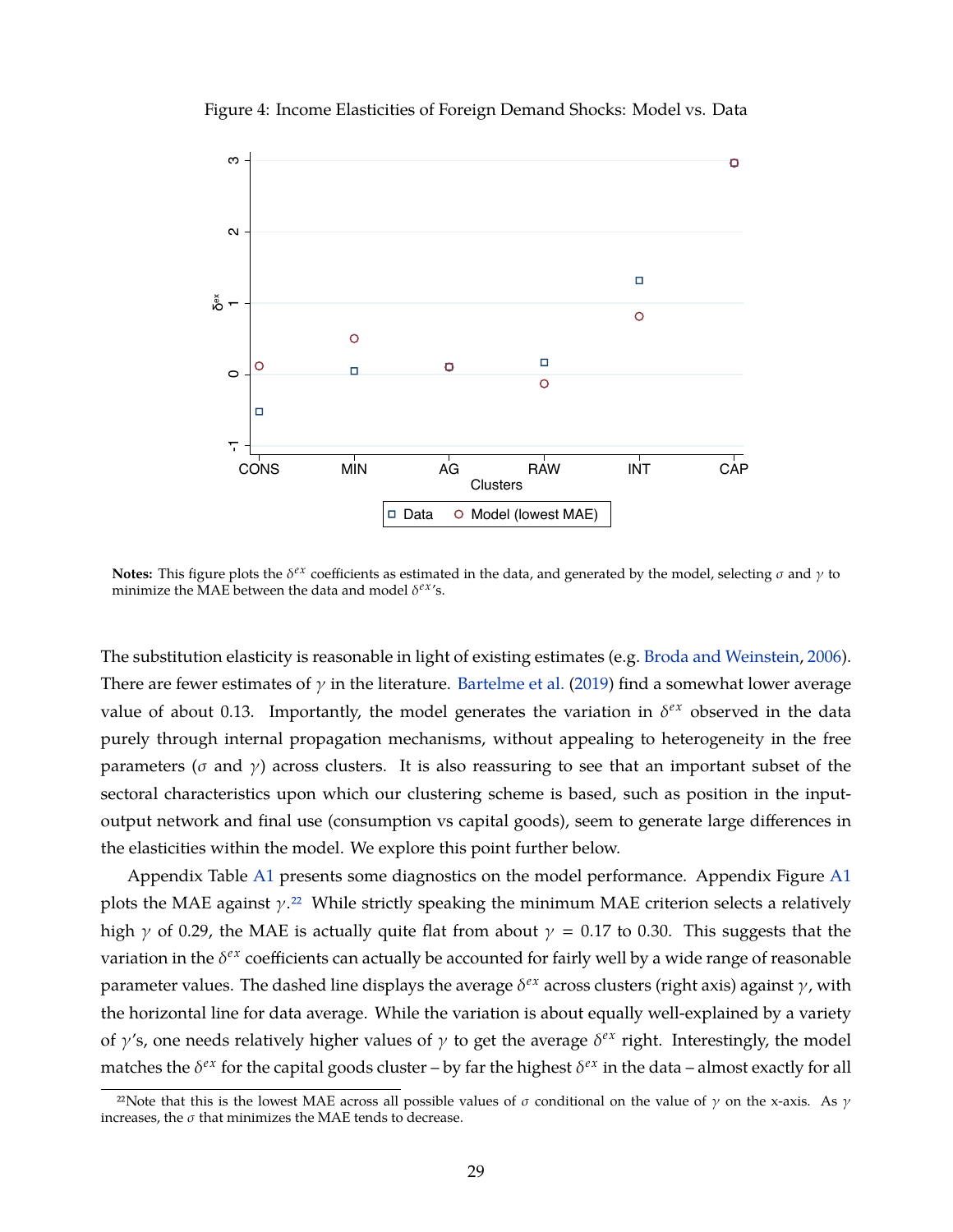<span id="page-30-0"></span>

Figure 4: Income Elasticities of Foreign Demand Shocks: Model vs. Data

**Notes:** This figure plots the  $\delta^{ex}$  coefficients as estimated in the data, and generated by the model, selecting  $\sigma$  and  $\gamma$  to minimize the MAE between the data and model  $\delta^{ex}$ 's.

The substitution elasticity is reasonable in light of existing estimates (e.g. [Broda and Weinstein,](#page-36-12) [2006\)](#page-36-12). There are fewer estimates of  $\gamma$  in the literature. [Bartelme et al.](#page-36-2) [\(2019\)](#page-36-2) find a somewhat lower average value of about 0.13. Importantly, the model generates the variation in  $\delta^{ex}$  observed in the data purely through internal propagation mechanisms, without appealing to heterogeneity in the free parameters ( $\sigma$  and  $\gamma$ ) across clusters. It is also reassuring to see that an important subset of the sectoral characteristics upon which our clustering scheme is based, such as position in the inputoutput network and final use (consumption vs capital goods), seem to generate large differences in the elasticities within the model. We explore this point further below.

Appendix Table [A1](#page-55-0) presents some diagnostics on the model performance. Appendix Figure [A1](#page-54-0) plots the MAE against  $\gamma$ .<sup>22</sup> While strictly speaking the minimum MAE criterion selects a relatively high  $\gamma$  of 0.29, the MAE is actually quite flat from about  $\gamma = 0.17$  to 0.30. This suggests that the variation in the δ<sup>ex</sup> coefficients can actually be accounted for fairly well by a wide range of reasonable parameter values. The dashed line displays the average δ<sup>ex</sup> across clusters (right axis) against γ, with the horizontal line for data average. While the variation is about equally well-explained by a variety of  $\gamma$ 's, one needs relatively higher values of  $\gamma$  to get the average  $\delta^{ex}$  right. Interestingly, the model matches the  $\delta^{ex}$  for the capital goods cluster – by far the highest  $\delta^{ex}$  in the data – almost exactly for all

<sup>&</sup>lt;sup>22</sup>Note that this is the lowest MAE across all possible values of  $\sigma$  conditional on the value of  $\gamma$  on the x-axis. As  $\gamma$ increases, the  $\sigma$  that minimizes the MAE tends to decrease.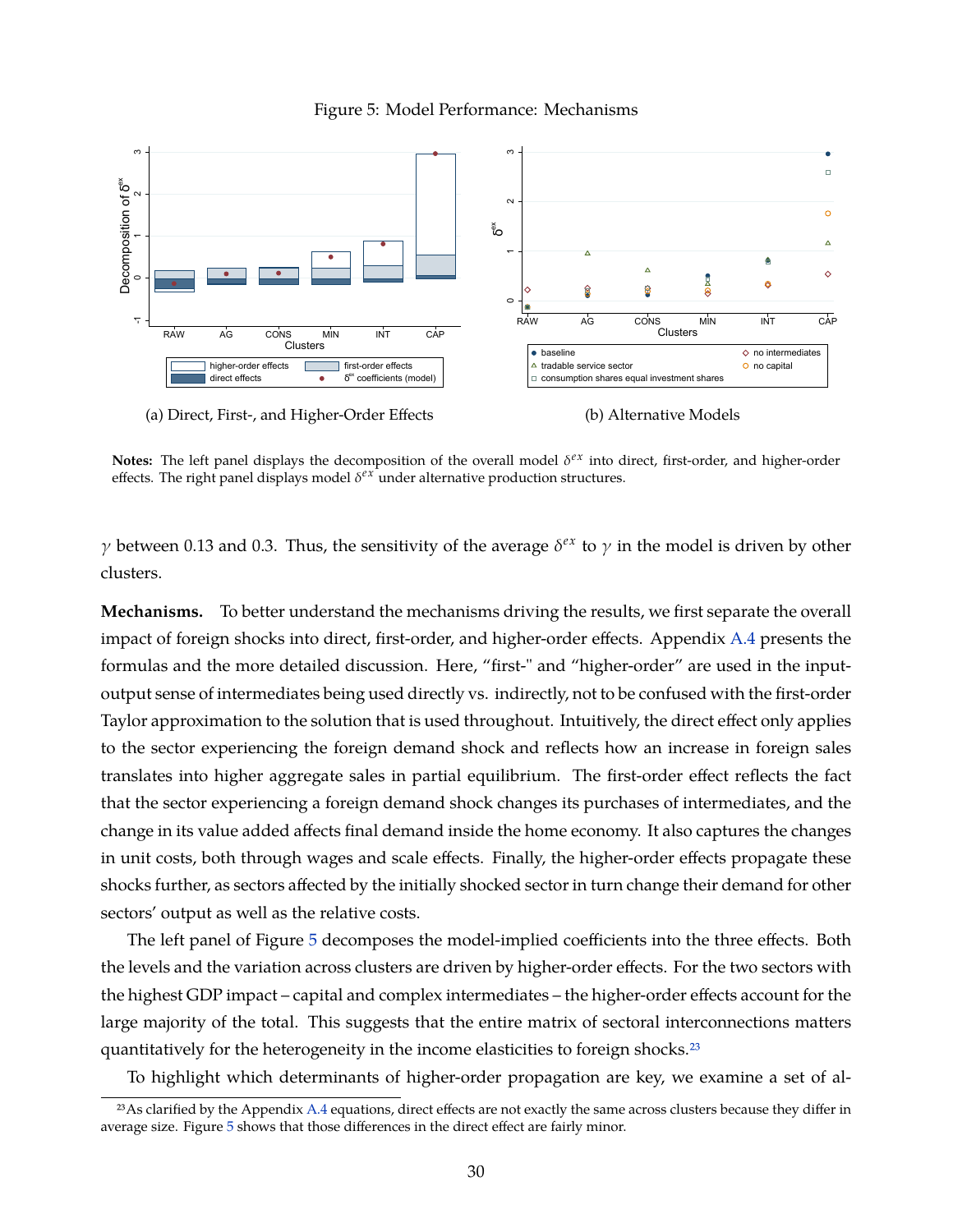<span id="page-31-0"></span>

#### Figure 5: Model Performance: Mechanisms

(a) Direct, First-, and Higher-Order Effects

(b) Alternative Models

**Notes:** The left panel displays the decomposition of the overall model δ<sup>εx</sup> into direct, first-order, and higher-order effects. The right panel displays model  $\delta^{ex}$  under alternative production structures.

 $γ$  between 0.13 and 0.3. Thus, the sensitivity of the average  $δ<sup>ex</sup>$  to  $γ$  in the model is driven by other clusters.

**Mechanisms.** To better understand the mechanisms driving the results, we first separate the overall impact of foreign shocks into direct, first-order, and higher-order effects. Appendix [A.4](#page-48-0) presents the formulas and the more detailed discussion. Here, "first-" and "higher-order" are used in the inputoutput sense of intermediates being used directly vs. indirectly, not to be confused with the first-order Taylor approximation to the solution that is used throughout. Intuitively, the direct effect only applies to the sector experiencing the foreign demand shock and reflects how an increase in foreign sales translates into higher aggregate sales in partial equilibrium. The first-order effect reflects the fact that the sector experiencing a foreign demand shock changes its purchases of intermediates, and the change in its value added affects final demand inside the home economy. It also captures the changes in unit costs, both through wages and scale effects. Finally, the higher-order effects propagate these shocks further, as sectors affected by the initially shocked sector in turn change their demand for other sectors' output as well as the relative costs.

The left panel of Figure [5](#page-31-0) decomposes the model-implied coefficients into the three effects. Both the levels and the variation across clusters are driven by higher-order effects. For the two sectors with the highest GDP impact – capital and complex intermediates – the higher-order effects account for the large majority of the total. This suggests that the entire matrix of sectoral interconnections matters quantitatively for the heterogeneity in the income elasticities to foreign shocks.<sup>23</sup>

To highlight which determinants of higher-order propagation are key, we examine a set of al-

<sup>&</sup>lt;sup>23</sup>As clarified by the Appendix [A.4](#page-48-0) equations, direct effects are not exactly the same across clusters because they differ in average size. Figure [5](#page-31-0) shows that those differences in the direct effect are fairly minor.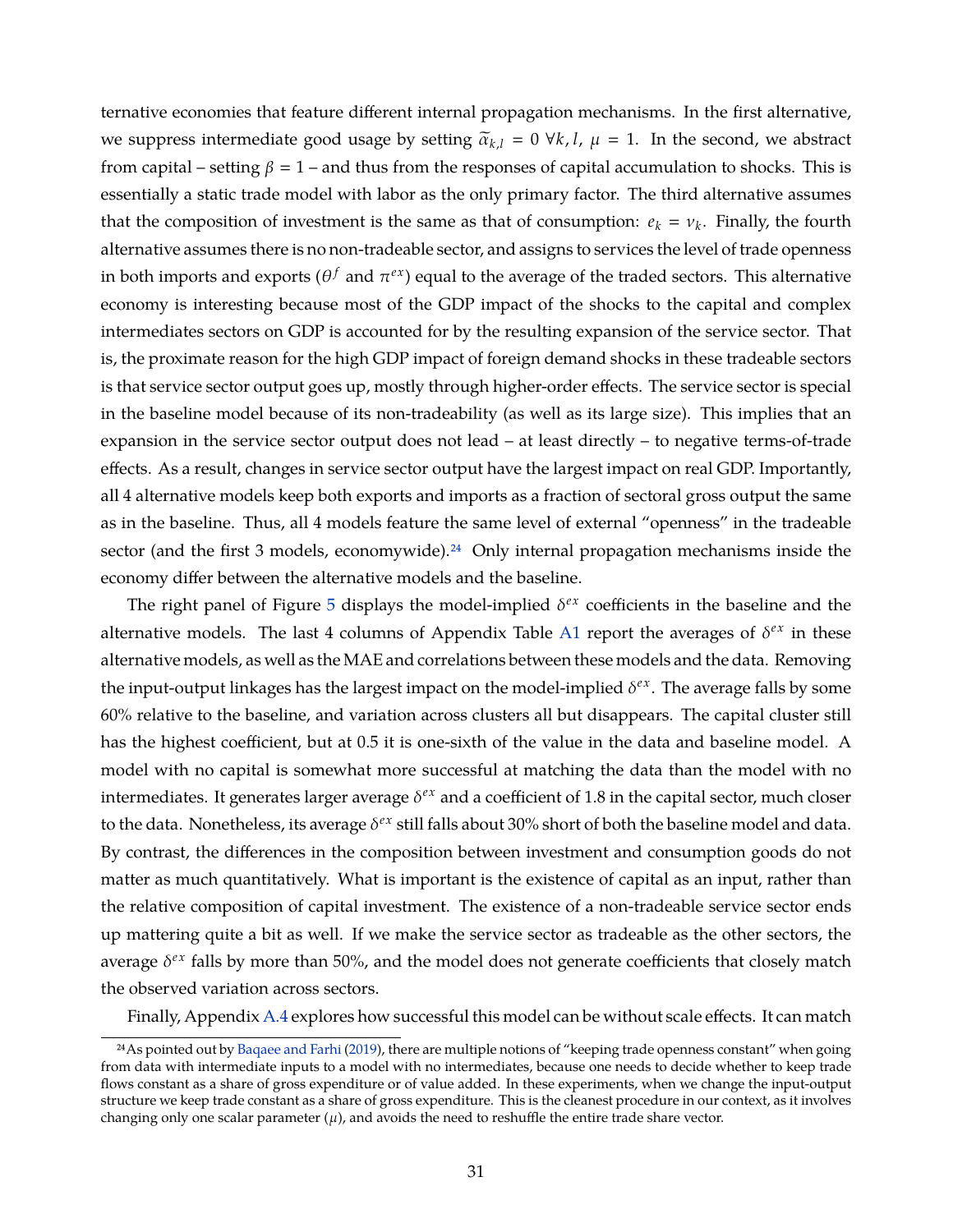ternative economies that feature different internal propagation mechanisms. In the first alternative, we suppress intermediate good usage by setting  $\tilde{\alpha}_{k,l} = 0 \forall k, l, \mu = 1$ . In the second, we abstract from capital – setting  $\beta = 1$  – and thus from the responses of capital accumulation to shocks. This is essentially a static trade model with labor as the only primary factor. The third alternative assumes that the composition of investment is the same as that of consumption:  $e_k = v_k$ . Finally, the fourth alternative assumes there is no non-tradeable sector, and assigns to services the level of trade openness in both imports and exports ( $\theta^f$  and  $\pi^{e x}$ ) equal to the average of the traded sectors. This alternative economy is interesting because most of the GDP impact of the shocks to the capital and complex intermediates sectors on GDP is accounted for by the resulting expansion of the service sector. That is, the proximate reason for the high GDP impact of foreign demand shocks in these tradeable sectors is that service sector output goes up, mostly through higher-order effects. The service sector is special in the baseline model because of its non-tradeability (as well as its large size). This implies that an expansion in the service sector output does not lead – at least directly – to negative terms-of-trade effects. As a result, changes in service sector output have the largest impact on real GDP. Importantly, all 4 alternative models keep both exports and imports as a fraction of sectoral gross output the same as in the baseline. Thus, all 4 models feature the same level of external "openness" in the tradeable sector (and the first 3 models, economywide).<sup>24</sup> Only internal propagation mechanisms inside the economy differ between the alternative models and the baseline.

The right panel of Figure [5](#page-31-0) displays the model-implied  $\delta^{ex}$  coefficients in the baseline and the alternative models. The last 4 columns of Appendix Table [A1](#page-55-0) report the averages of  $\delta^{ex}$  in these alternative models, as well as the MAE and correlations between these models and the data. Removing the input-output linkages has the largest impact on the model-implied δ<sup>εx</sup>. The average falls by some 60% relative to the baseline, and variation across clusters all but disappears. The capital cluster still has the highest coefficient, but at 0.5 it is one-sixth of the value in the data and baseline model. A model with no capital is somewhat more successful at matching the data than the model with no intermediates. It generates larger average  $\delta^{ex}$  and a coefficient of 1.8 in the capital sector, much closer to the data. Nonetheless, its average δ<sup>*ex*</sup> still falls about 30% short of both the baseline model and data. By contrast, the differences in the composition between investment and consumption goods do not matter as much quantitatively. What is important is the existence of capital as an input, rather than the relative composition of capital investment. The existence of a non-tradeable service sector ends up mattering quite a bit as well. If we make the service sector as tradeable as the other sectors, the average δ<sup>εx</sup> falls by more than 50%, and the model does not generate coefficients that closely match the observed variation across sectors.

Finally, Appendix [A.4](#page-48-0) explores how successful this model can be without scale effects. It can match

<sup>24</sup>As pointed out by [Baqaee and Farhi](#page-35-5) [\(2019\)](#page-35-5), there are multiple notions of "keeping trade openness constant" when going from data with intermediate inputs to a model with no intermediates, because one needs to decide whether to keep trade flows constant as a share of gross expenditure or of value added. In these experiments, when we change the input-output structure we keep trade constant as a share of gross expenditure. This is the cleanest procedure in our context, as it involves changing only one scalar parameter  $(\mu)$ , and avoids the need to reshuffle the entire trade share vector.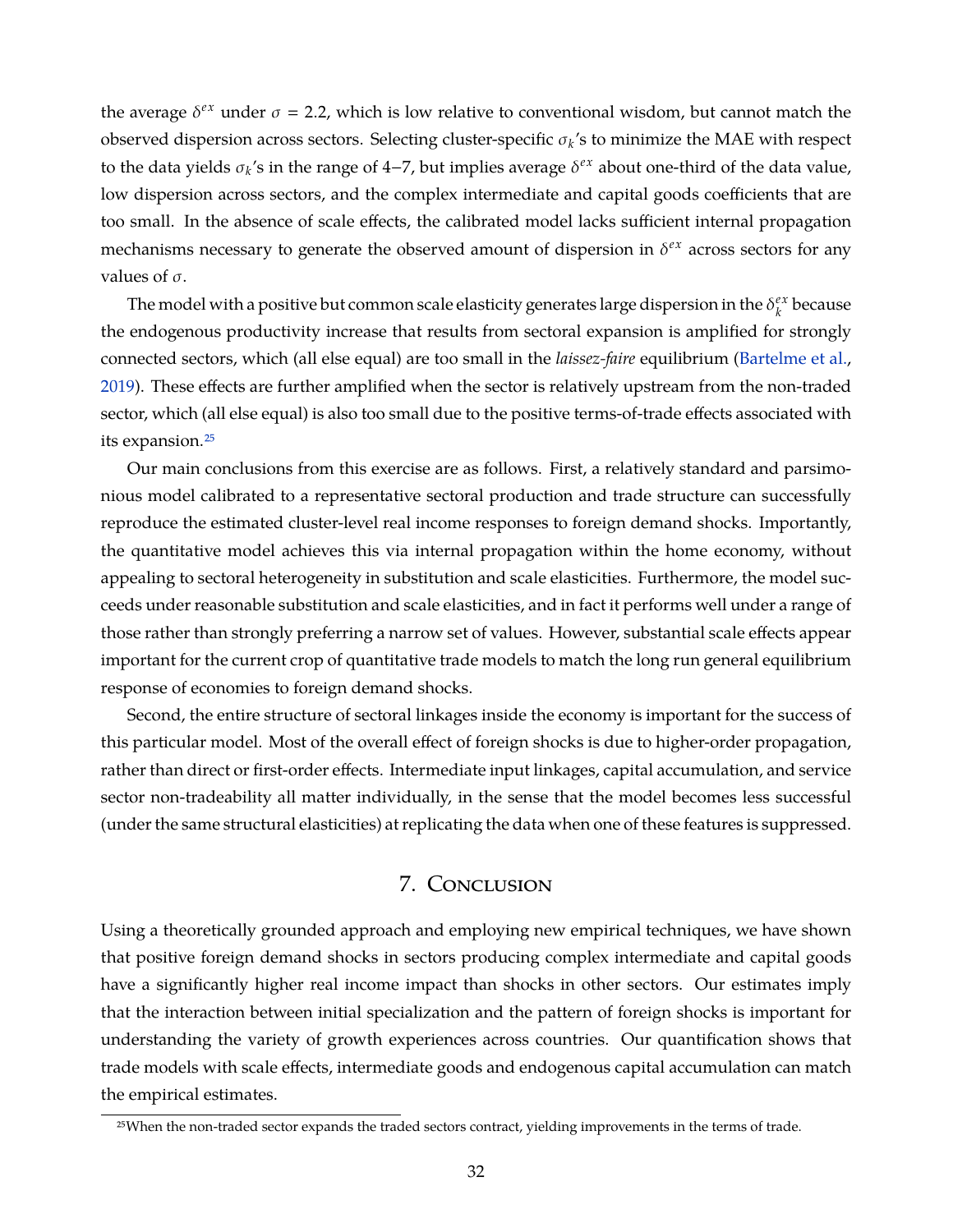the average  $\delta^{ex}$  under  $\sigma$  = 2.2, which is low relative to conventional wisdom, but cannot match the observed dispersion across sectors. Selecting cluster-specific  $\sigma_k$ 's to minimize the MAE with respect to the data yields  $\sigma_k$ 's in the range of 4−7, but implies average  $\delta^{ex}$  about one-third of the data value, low dispersion across sectors, and the complex intermediate and capital goods coefficients that are too small. In the absence of scale effects, the calibrated model lacks sufficient internal propagation mechanisms necessary to generate the observed amount of dispersion in  $\delta^{ex}$  across sectors for any values of  $\sigma$ .

The model with a positive but common scale elasticity generates large dispersion in the  $\delta_t^{ex}$ *k* because the endogenous productivity increase that results from sectoral expansion is amplified for strongly connected sectors, which (all else equal) are too small in the *laissez-faire* equilibrium [\(Bartelme et al.,](#page-36-2) [2019\)](#page-36-2). These effects are further amplified when the sector is relatively upstream from the non-traded sector, which (all else equal) is also too small due to the positive terms-of-trade effects associated with its expansion.<sup>25</sup>

Our main conclusions from this exercise are as follows. First, a relatively standard and parsimonious model calibrated to a representative sectoral production and trade structure can successfully reproduce the estimated cluster-level real income responses to foreign demand shocks. Importantly, the quantitative model achieves this via internal propagation within the home economy, without appealing to sectoral heterogeneity in substitution and scale elasticities. Furthermore, the model succeeds under reasonable substitution and scale elasticities, and in fact it performs well under a range of those rather than strongly preferring a narrow set of values. However, substantial scale effects appear important for the current crop of quantitative trade models to match the long run general equilibrium response of economies to foreign demand shocks.

Second, the entire structure of sectoral linkages inside the economy is important for the success of this particular model. Most of the overall effect of foreign shocks is due to higher-order propagation, rather than direct or first-order effects. Intermediate input linkages, capital accumulation, and service sector non-tradeability all matter individually, in the sense that the model becomes less successful (under the same structural elasticities) at replicating the data when one of these features is suppressed.

# 7. Conclusion

Using a theoretically grounded approach and employing new empirical techniques, we have shown that positive foreign demand shocks in sectors producing complex intermediate and capital goods have a significantly higher real income impact than shocks in other sectors. Our estimates imply that the interaction between initial specialization and the pattern of foreign shocks is important for understanding the variety of growth experiences across countries. Our quantification shows that trade models with scale effects, intermediate goods and endogenous capital accumulation can match the empirical estimates.

<sup>25</sup>When the non-traded sector expands the traded sectors contract, yielding improvements in the terms of trade.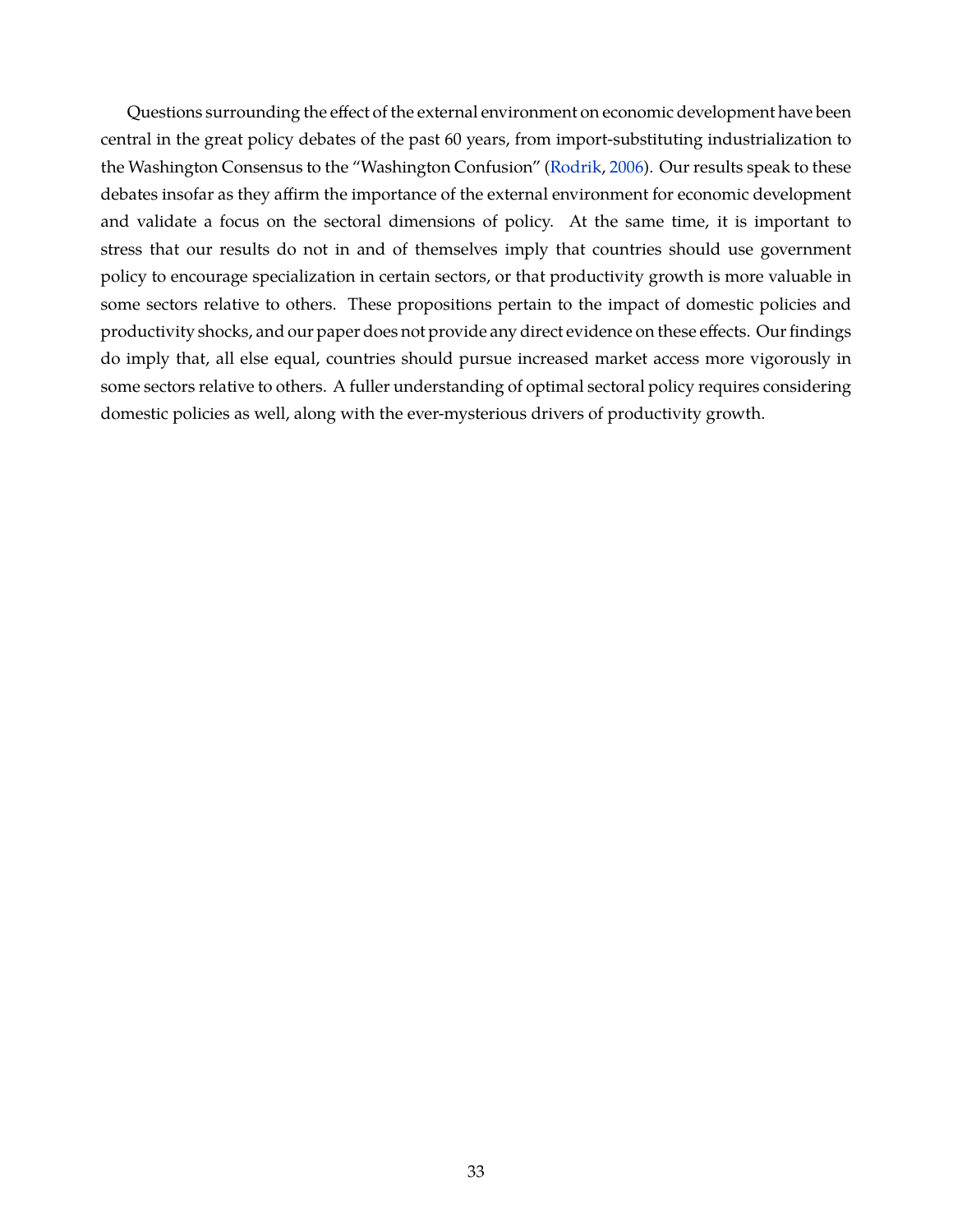Questions surrounding the effect of the external environment on economic development have been central in the great policy debates of the past 60 years, from import-substituting industrialization to the Washington Consensus to the "Washington Confusion" [\(Rodrik,](#page-40-12) [2006\)](#page-40-12). Our results speak to these debates insofar as they affirm the importance of the external environment for economic development and validate a focus on the sectoral dimensions of policy. At the same time, it is important to stress that our results do not in and of themselves imply that countries should use government policy to encourage specialization in certain sectors, or that productivity growth is more valuable in some sectors relative to others. These propositions pertain to the impact of domestic policies and productivity shocks, and our paper does not provide any direct evidence on these effects. Our findings do imply that, all else equal, countries should pursue increased market access more vigorously in some sectors relative to others. A fuller understanding of optimal sectoral policy requires considering domestic policies as well, along with the ever-mysterious drivers of productivity growth.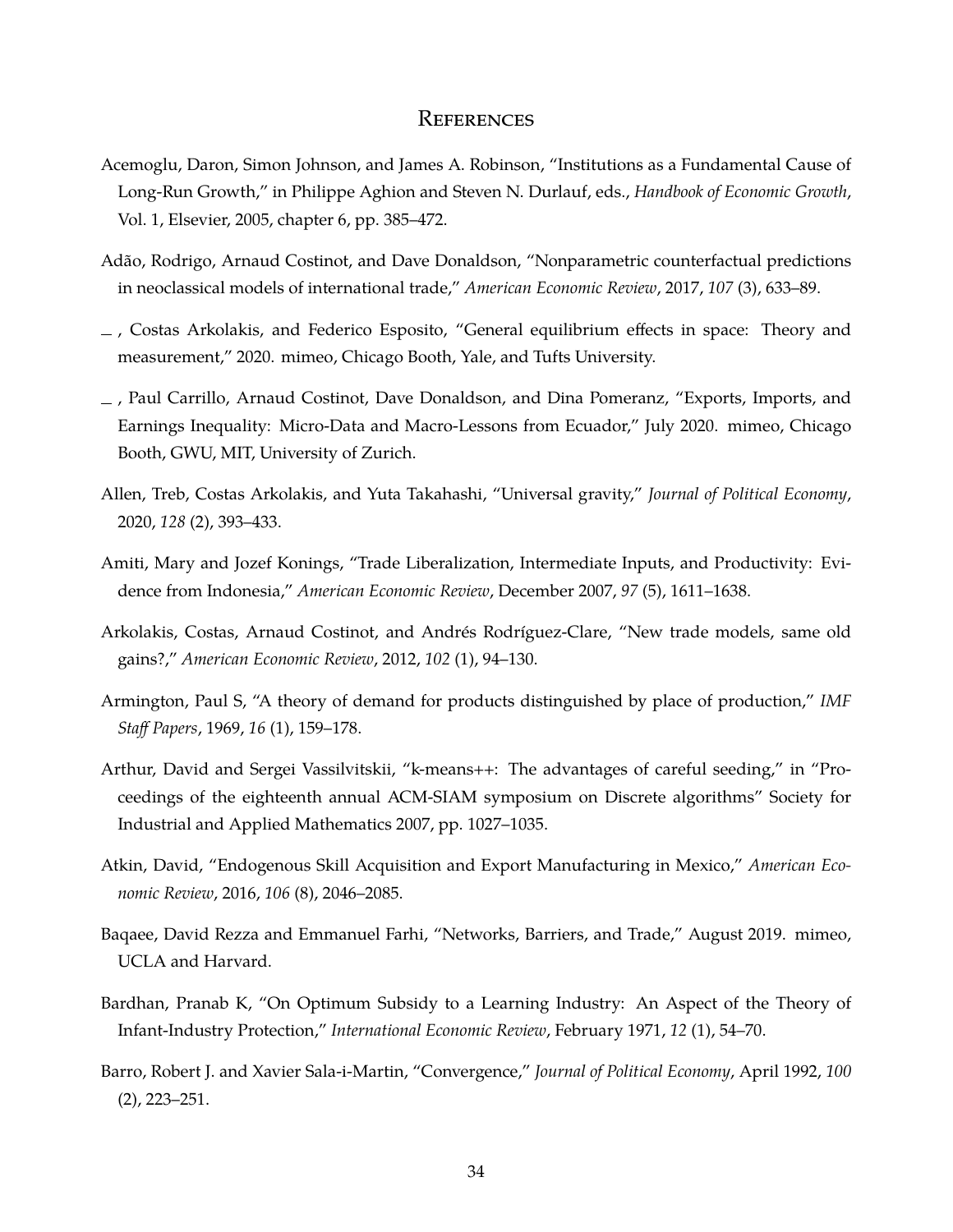## **REFERENCES**

- <span id="page-35-10"></span>Acemoglu, Daron, Simon Johnson, and James A. Robinson, "Institutions as a Fundamental Cause of Long-Run Growth," in Philippe Aghion and Steven N. Durlauf, eds., *Handbook of Economic Growth*, Vol. 1, Elsevier, 2005, chapter 6, pp. 385–472.
- <span id="page-35-4"></span>Adão, Rodrigo, Arnaud Costinot, and Dave Donaldson, "Nonparametric counterfactual predictions in neoclassical models of international trade," *American Economic Review*, 2017, *107* (3), 633–89.
- <span id="page-35-8"></span> $\overline{\phantom{a}}$ , Costas Arkolakis, and Federico Esposito, "General equilibrium effects in space: Theory and measurement," 2020. mimeo, Chicago Booth, Yale, and Tufts University.
- <span id="page-35-9"></span>, Paul Carrillo, Arnaud Costinot, Dave Donaldson, and Dina Pomeranz, "Exports, Imports, and Earnings Inequality: Micro-Data and Macro-Lessons from Ecuador," July 2020. mimeo, Chicago Booth, GWU, MIT, University of Zurich.
- <span id="page-35-6"></span>Allen, Treb, Costas Arkolakis, and Yuta Takahashi, "Universal gravity," *Journal of Political Economy*, 2020, *128* (2), 393–433.
- <span id="page-35-2"></span>Amiti, Mary and Jozef Konings, "Trade Liberalization, Intermediate Inputs, and Productivity: Evidence from Indonesia," *American Economic Review*, December 2007, *97* (5), 1611–1638.
- <span id="page-35-3"></span>Arkolakis, Costas, Arnaud Costinot, and Andrés Rodríguez-Clare, "New trade models, same old gains?," *American Economic Review*, 2012, *102* (1), 94–130.
- <span id="page-35-7"></span>Armington, Paul S, "A theory of demand for products distinguished by place of production," *IMF Staff Papers*, 1969, *16* (1), 159–178.
- <span id="page-35-11"></span>Arthur, David and Sergei Vassilvitskii, "k-means++: The advantages of careful seeding," in "Proceedings of the eighteenth annual ACM-SIAM symposium on Discrete algorithms" Society for Industrial and Applied Mathematics 2007, pp. 1027–1035.
- <span id="page-35-0"></span>Atkin, David, "Endogenous Skill Acquisition and Export Manufacturing in Mexico," *American Economic Review*, 2016, *106* (8), 2046–2085.
- <span id="page-35-5"></span>Baqaee, David Rezza and Emmanuel Farhi, "Networks, Barriers, and Trade," August 2019. mimeo, UCLA and Harvard.
- <span id="page-35-1"></span>Bardhan, Pranab K, "On Optimum Subsidy to a Learning Industry: An Aspect of the Theory of Infant-Industry Protection," *International Economic Review*, February 1971, *12* (1), 54–70.
- <span id="page-35-12"></span>Barro, Robert J. and Xavier Sala-i-Martin, "Convergence," *Journal of Political Economy*, April 1992, *100* (2), 223–251.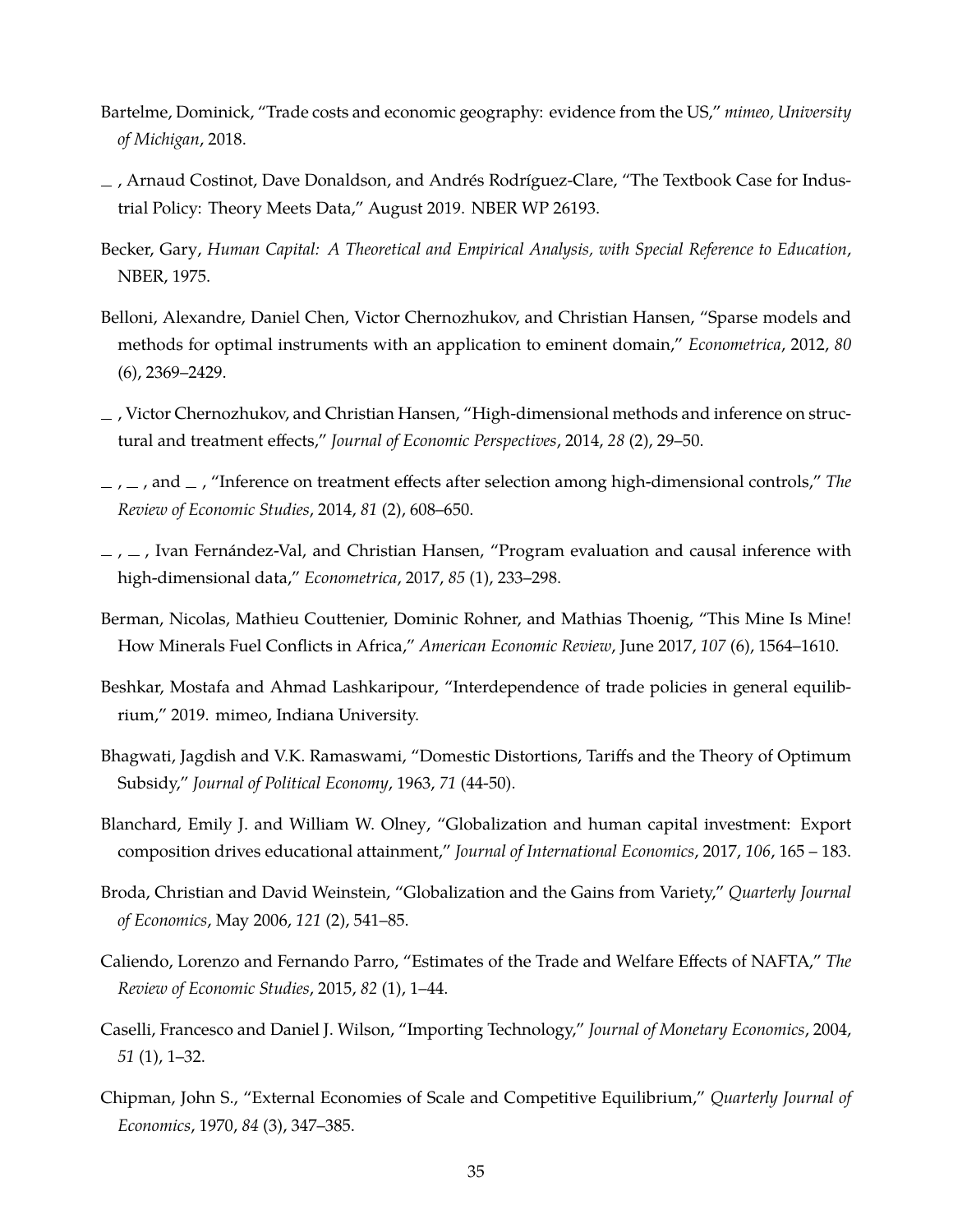- Bartelme, Dominick, "Trade costs and economic geography: evidence from the US," *mimeo, University of Michigan*, 2018.
- <span id="page-36-0"></span>, Arnaud Costinot, Dave Donaldson, and Andrés Rodríguez-Clare, "The Textbook Case for Industrial Policy: Theory Meets Data," August 2019. NBER WP 26193.
- Becker, Gary, *Human Capital: A Theoretical and Empirical Analysis, with Special Reference to Education*, NBER, 1975.
- <span id="page-36-5"></span>Belloni, Alexandre, Daniel Chen, Victor Chernozhukov, and Christian Hansen, "Sparse models and methods for optimal instruments with an application to eminent domain," *Econometrica*, 2012, *80* (6), 2369–2429.
- <span id="page-36-6"></span>, Victor Chernozhukov, and Christian Hansen, "High-dimensional methods and inference on structural and treatment effects," *Journal of Economic Perspectives*, 2014, *28* (2), 29–50.
- <span id="page-36-3"></span> $, \ldots$ , and  $\ldots$ , "Inference on treatment effects after selection among high-dimensional controls," *The Review of Economic Studies*, 2014, *81* (2), 608–650.
- <span id="page-36-4"></span> $\ldots$ ,  $\ldots$ , Ivan Fernández-Val, and Christian Hansen, "Program evaluation and causal inference with high-dimensional data," *Econometrica*, 2017, *85* (1), 233–298.
- Berman, Nicolas, Mathieu Couttenier, Dominic Rohner, and Mathias Thoenig, "This Mine Is Mine! How Minerals Fuel Conflicts in Africa," *American Economic Review*, June 2017, *107* (6), 1564–1610.
- <span id="page-36-1"></span>Beshkar, Mostafa and Ahmad Lashkaripour, "Interdependence of trade policies in general equilibrium," 2019. mimeo, Indiana University.
- Bhagwati, Jagdish and V.K. Ramaswami, "Domestic Distortions, Tariffs and the Theory of Optimum Subsidy," *Journal of Political Economy*, 1963, *71* (44-50).
- Blanchard, Emily J. and William W. Olney, "Globalization and human capital investment: Export composition drives educational attainment," *Journal of International Economics*, 2017, *106*, 165 – 183.
- Broda, Christian and David Weinstein, "Globalization and the Gains from Variety," *Quarterly Journal of Economics*, May 2006, *121* (2), 541–85.
- <span id="page-36-2"></span>Caliendo, Lorenzo and Fernando Parro, "Estimates of the Trade and Welfare Effects of NAFTA," *The Review of Economic Studies*, 2015, *82* (1), 1–44.
- Caselli, Francesco and Daniel J. Wilson, "Importing Technology," *Journal of Monetary Economics*, 2004, *51* (1), 1–32.
- Chipman, John S., "External Economies of Scale and Competitive Equilibrium," *Quarterly Journal of Economics*, 1970, *84* (3), 347–385.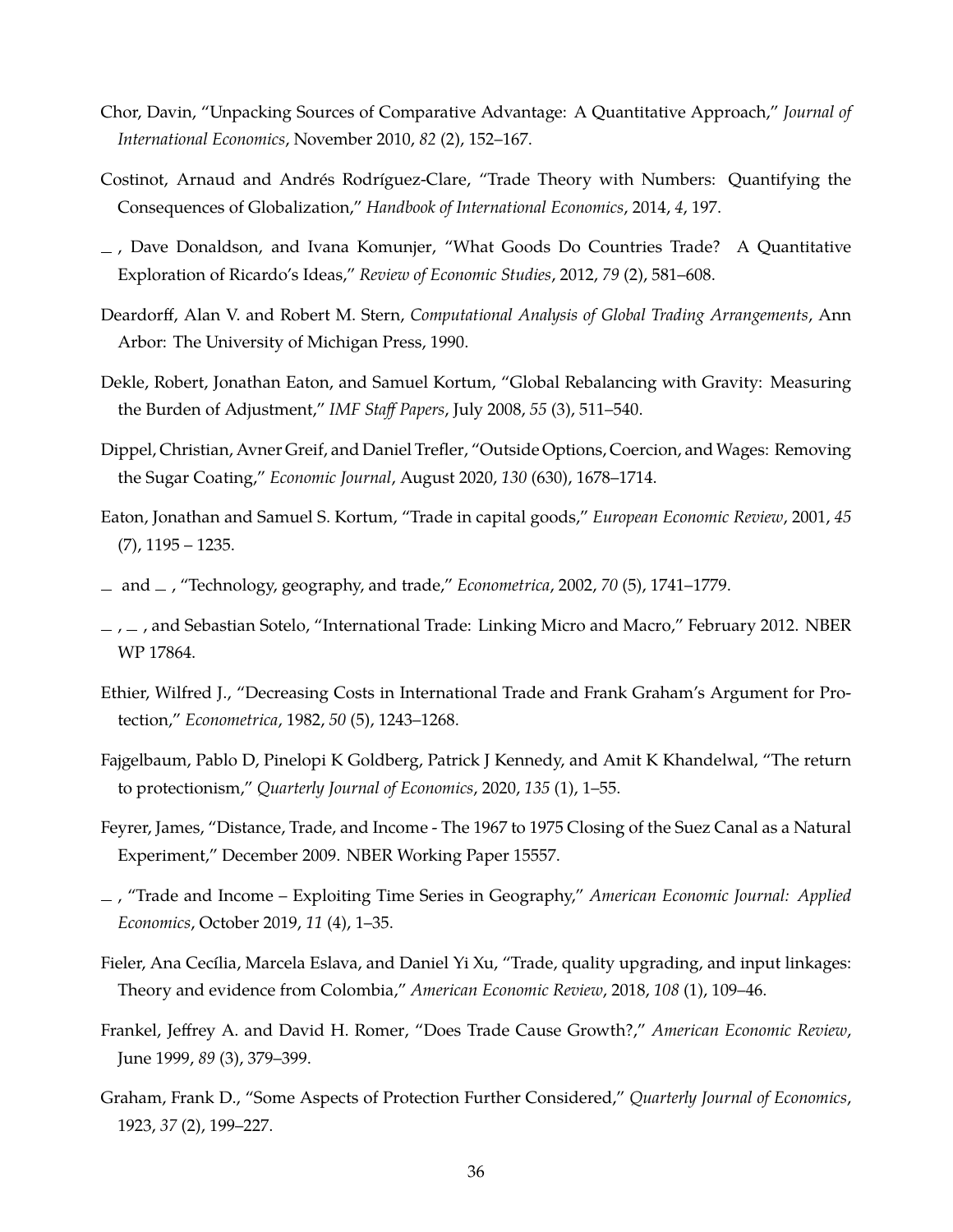- Chor, Davin, "Unpacking Sources of Comparative Advantage: A Quantitative Approach," *Journal of International Economics*, November 2010, *82* (2), 152–167.
- Costinot, Arnaud and Andrés Rodríguez-Clare, "Trade Theory with Numbers: Quantifying the Consequences of Globalization," *Handbook of International Economics*, 2014, *4*, 197.
- , Dave Donaldson, and Ivana Komunjer, "What Goods Do Countries Trade? A Quantitative Exploration of Ricardo's Ideas," *Review of Economic Studies*, 2012, *79* (2), 581–608.
- Deardorff, Alan V. and Robert M. Stern, *Computational Analysis of Global Trading Arrangements*, Ann Arbor: The University of Michigan Press, 1990.
- Dekle, Robert, Jonathan Eaton, and Samuel Kortum, "Global Rebalancing with Gravity: Measuring the Burden of Adjustment," *IMF Staff Papers*, July 2008, *55* (3), 511–540.
- Dippel, Christian, Avner Greif, and Daniel Trefler, "Outside Options, Coercion, and Wages: Removing the Sugar Coating," *Economic Journal*, August 2020, *130* (630), 1678–1714.
- Eaton, Jonathan and Samuel S. Kortum, "Trade in capital goods," *European Economic Review*, 2001, *45*  $(7)$ , 1195 – 1235.
- and , "Technology, geography, and trade," *Econometrica*, 2002, *70* (5), 1741–1779.
- <span id="page-37-0"></span> $\mu$ ,  $\mu$ , and Sebastian Sotelo, "International Trade: Linking Micro and Macro," February 2012. NBER WP 17864.
- Ethier, Wilfred J., "Decreasing Costs in International Trade and Frank Graham's Argument for Protection," *Econometrica*, 1982, *50* (5), 1243–1268.
- Fajgelbaum, Pablo D, Pinelopi K Goldberg, Patrick J Kennedy, and Amit K Khandelwal, "The return to protectionism," *Quarterly Journal of Economics*, 2020, *135* (1), 1–55.
- Feyrer, James, "Distance, Trade, and Income The 1967 to 1975 Closing of the Suez Canal as a Natural Experiment," December 2009. NBER Working Paper 15557.
- , "Trade and Income Exploiting Time Series in Geography," *American Economic Journal: Applied Economics*, October 2019, *11* (4), 1–35.
- Fieler, Ana Cecília, Marcela Eslava, and Daniel Yi Xu, "Trade, quality upgrading, and input linkages: Theory and evidence from Colombia," *American Economic Review*, 2018, *108* (1), 109–46.
- Frankel, Jeffrey A. and David H. Romer, "Does Trade Cause Growth?," *American Economic Review*, June 1999, *89* (3), 379–399.
- Graham, Frank D., "Some Aspects of Protection Further Considered," *Quarterly Journal of Economics*, 1923, *37* (2), 199–227.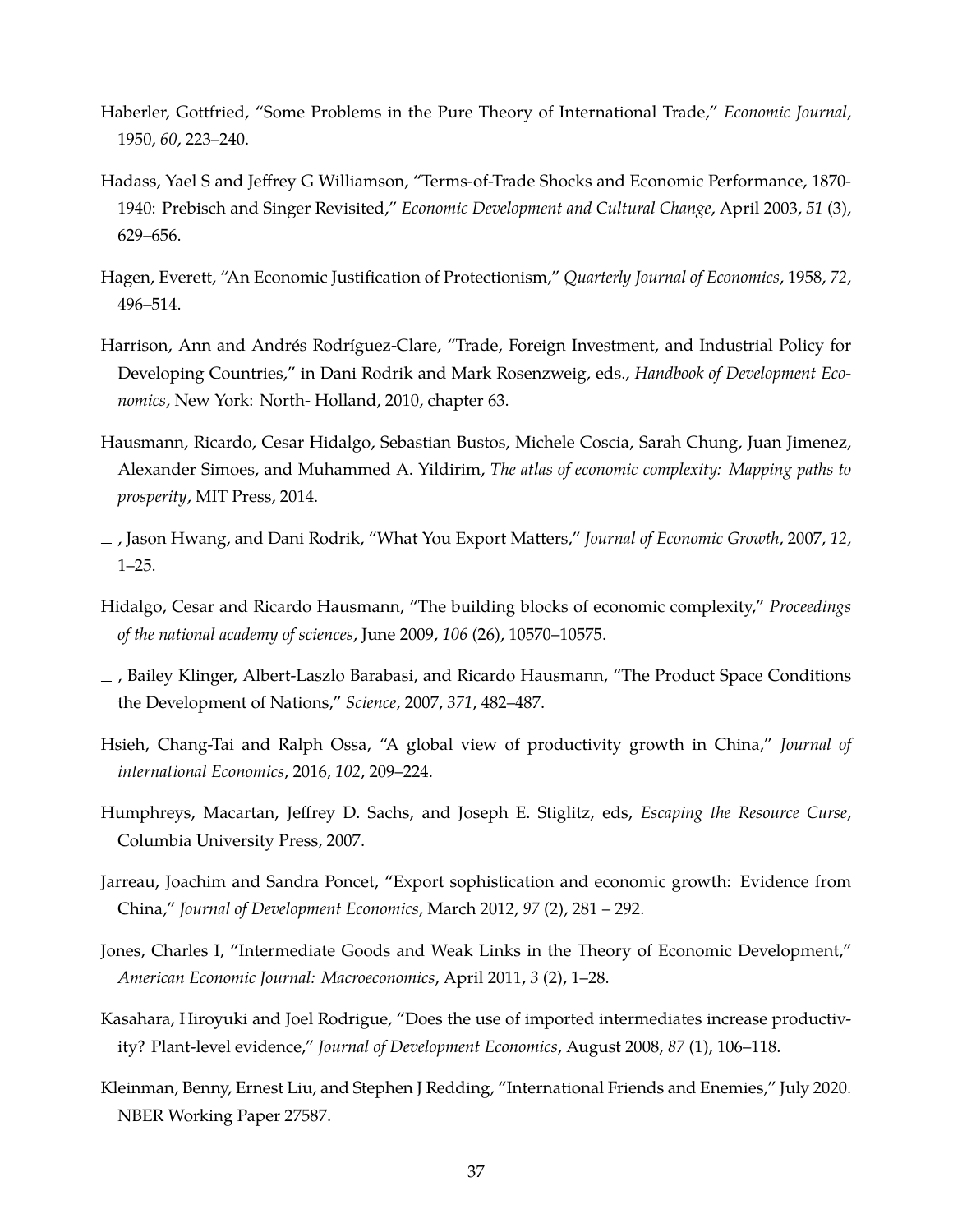- Haberler, Gottfried, "Some Problems in the Pure Theory of International Trade," *Economic Journal*, 1950, *60*, 223–240.
- Hadass, Yael S and Jeffrey G Williamson, "Terms-of-Trade Shocks and Economic Performance, 1870- 1940: Prebisch and Singer Revisited," *Economic Development and Cultural Change*, April 2003, *51* (3), 629–656.
- Hagen, Everett, "An Economic Justification of Protectionism," *Quarterly Journal of Economics*, 1958, *72*, 496–514.
- Harrison, Ann and Andrés Rodríguez-Clare, "Trade, Foreign Investment, and Industrial Policy for Developing Countries," in Dani Rodrik and Mark Rosenzweig, eds., *Handbook of Development Economics*, New York: North- Holland, 2010, chapter 63.
- Hausmann, Ricardo, Cesar Hidalgo, Sebastian Bustos, Michele Coscia, Sarah Chung, Juan Jimenez, Alexander Simoes, and Muhammed A. Yildirim, *The atlas of economic complexity: Mapping paths to prosperity*, MIT Press, 2014.
- , Jason Hwang, and Dani Rodrik, "What You Export Matters," *Journal of Economic Growth*, 2007, *12*, 1–25.
- Hidalgo, Cesar and Ricardo Hausmann, "The building blocks of economic complexity," *Proceedings of the national academy of sciences*, June 2009, *106* (26), 10570–10575.
- , Bailey Klinger, Albert-Laszlo Barabasi, and Ricardo Hausmann, "The Product Space Conditions the Development of Nations," *Science*, 2007, *371*, 482–487.
- Hsieh, Chang-Tai and Ralph Ossa, "A global view of productivity growth in China," *Journal of international Economics*, 2016, *102*, 209–224.
- Humphreys, Macartan, Jeffrey D. Sachs, and Joseph E. Stiglitz, eds, *Escaping the Resource Curse*, Columbia University Press, 2007.
- Jarreau, Joachim and Sandra Poncet, "Export sophistication and economic growth: Evidence from China," *Journal of Development Economics*, March 2012, *97* (2), 281 – 292.
- Jones, Charles I, "Intermediate Goods and Weak Links in the Theory of Economic Development," *American Economic Journal: Macroeconomics*, April 2011, *3* (2), 1–28.
- Kasahara, Hiroyuki and Joel Rodrigue, "Does the use of imported intermediates increase productivity? Plant-level evidence," *Journal of Development Economics*, August 2008, *87* (1), 106–118.
- Kleinman, Benny, Ernest Liu, and Stephen J Redding, "International Friends and Enemies," July 2020. NBER Working Paper 27587.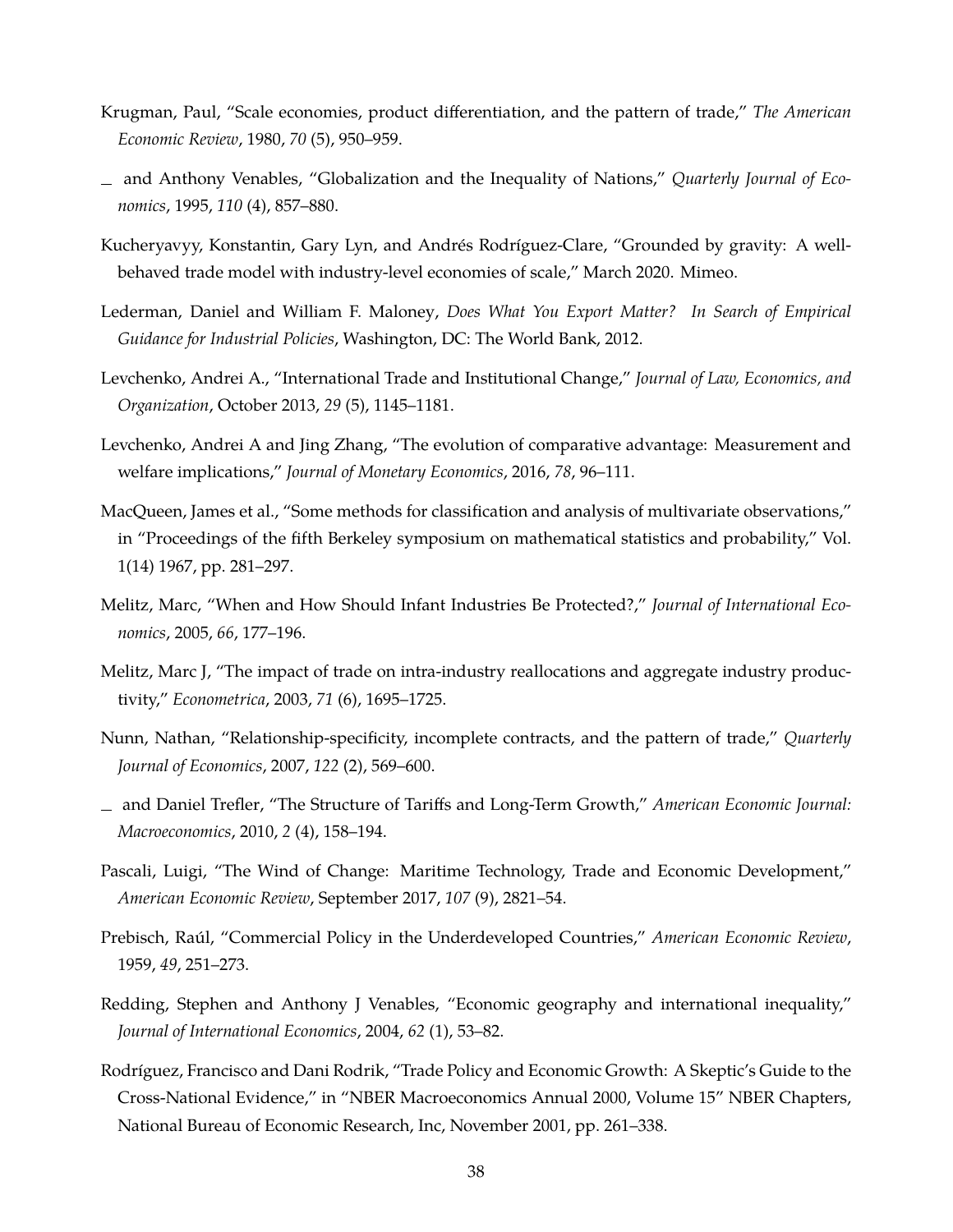- Krugman, Paul, "Scale economies, product differentiation, and the pattern of trade," *The American Economic Review*, 1980, *70* (5), 950–959.
- and Anthony Venables, "Globalization and the Inequality of Nations," *Quarterly Journal of Economics*, 1995, *110* (4), 857–880.
- <span id="page-39-0"></span>Kucheryavyy, Konstantin, Gary Lyn, and Andrés Rodríguez-Clare, "Grounded by gravity: A wellbehaved trade model with industry-level economies of scale," March 2020. Mimeo.
- Lederman, Daniel and William F. Maloney, *Does What You Export Matter? In Search of Empirical Guidance for Industrial Policies*, Washington, DC: The World Bank, 2012.
- Levchenko, Andrei A., "International Trade and Institutional Change," *Journal of Law, Economics, and Organization*, October 2013, *29* (5), 1145–1181.
- Levchenko, Andrei A and Jing Zhang, "The evolution of comparative advantage: Measurement and welfare implications," *Journal of Monetary Economics*, 2016, *78*, 96–111.
- MacQueen, James et al., "Some methods for classification and analysis of multivariate observations," in "Proceedings of the fifth Berkeley symposium on mathematical statistics and probability," Vol. 1(14) 1967, pp. 281–297.
- Melitz, Marc, "When and How Should Infant Industries Be Protected?," *Journal of International Economics*, 2005, *66*, 177–196.
- Melitz, Marc J, "The impact of trade on intra-industry reallocations and aggregate industry productivity," *Econometrica*, 2003, *71* (6), 1695–1725.
- Nunn, Nathan, "Relationship-specificity, incomplete contracts, and the pattern of trade," *Quarterly Journal of Economics*, 2007, *122* (2), 569–600.
- and Daniel Trefler, "The Structure of Tariffs and Long-Term Growth," *American Economic Journal: Macroeconomics*, 2010, *2* (4), 158–194.
- Pascali, Luigi, "The Wind of Change: Maritime Technology, Trade and Economic Development," *American Economic Review*, September 2017, *107* (9), 2821–54.
- Prebisch, Raúl, "Commercial Policy in the Underdeveloped Countries," *American Economic Review*, 1959, *49*, 251–273.
- Redding, Stephen and Anthony J Venables, "Economic geography and international inequality," *Journal of International Economics*, 2004, *62* (1), 53–82.
- Rodríguez, Francisco and Dani Rodrik, "Trade Policy and Economic Growth: A Skeptic's Guide to the Cross-National Evidence," in "NBER Macroeconomics Annual 2000, Volume 15" NBER Chapters, National Bureau of Economic Research, Inc, November 2001, pp. 261–338.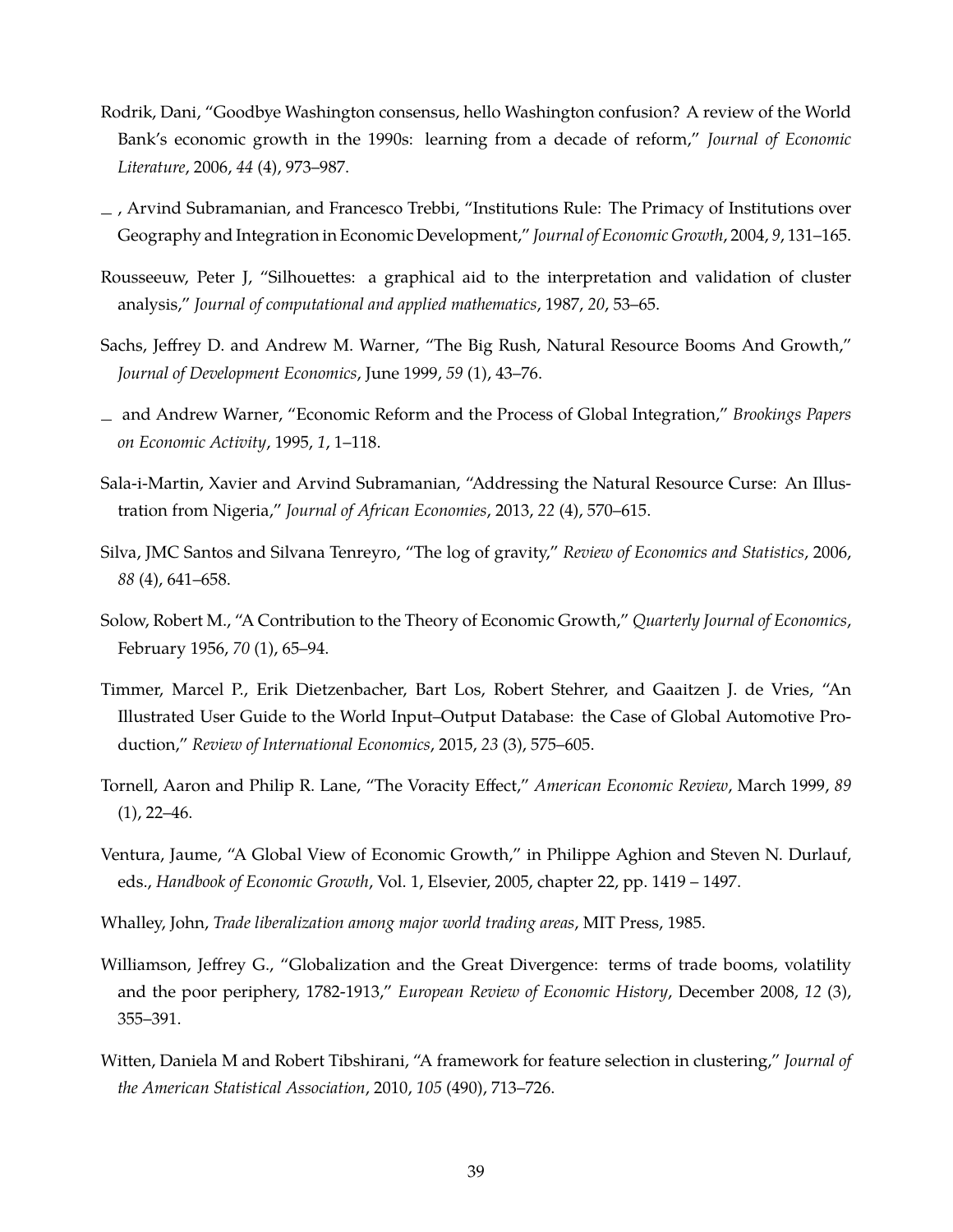- Rodrik, Dani, "Goodbye Washington consensus, hello Washington confusion? A review of the World Bank's economic growth in the 1990s: learning from a decade of reform," *Journal of Economic Literature*, 2006, *44* (4), 973–987.
- , Arvind Subramanian, and Francesco Trebbi, "Institutions Rule: The Primacy of Institutions over Geography and Integration in Economic Development," *Journal of Economic Growth*, 2004, *9*, 131–165.
- <span id="page-40-1"></span>Rousseeuw, Peter J, "Silhouettes: a graphical aid to the interpretation and validation of cluster analysis," *Journal of computational and applied mathematics*, 1987, *20*, 53–65.
- Sachs, Jeffrey D. and Andrew M. Warner, "The Big Rush, Natural Resource Booms And Growth," *Journal of Development Economics*, June 1999, *59* (1), 43–76.
- and Andrew Warner, "Economic Reform and the Process of Global Integration," *Brookings Papers on Economic Activity*, 1995, *1*, 1–118.
- Sala-i-Martin, Xavier and Arvind Subramanian, "Addressing the Natural Resource Curse: An Illustration from Nigeria," *Journal of African Economies*, 2013, *22* (4), 570–615.
- Silva, JMC Santos and Silvana Tenreyro, "The log of gravity," *Review of Economics and Statistics*, 2006, *88* (4), 641–658.
- Solow, Robert M., "A Contribution to the Theory of Economic Growth," *Quarterly Journal of Economics*, February 1956, *70* (1), 65–94.
- <span id="page-40-0"></span>Timmer, Marcel P., Erik Dietzenbacher, Bart Los, Robert Stehrer, and Gaaitzen J. de Vries, "An Illustrated User Guide to the World Input–Output Database: the Case of Global Automotive Production," *Review of International Economics*, 2015, *23* (3), 575–605.
- Tornell, Aaron and Philip R. Lane, "The Voracity Effect," *American Economic Review*, March 1999, *89*  $(1)$ , 22–46.
- Ventura, Jaume, "A Global View of Economic Growth," in Philippe Aghion and Steven N. Durlauf, eds., *Handbook of Economic Growth*, Vol. 1, Elsevier, 2005, chapter 22, pp. 1419 – 1497.
- Whalley, John, *Trade liberalization among major world trading areas*, MIT Press, 1985.
- Williamson, Jeffrey G., "Globalization and the Great Divergence: terms of trade booms, volatility and the poor periphery, 1782-1913," *European Review of Economic History*, December 2008, *12* (3), 355–391.
- <span id="page-40-2"></span>Witten, Daniela M and Robert Tibshirani, "A framework for feature selection in clustering," *Journal of the American Statistical Association*, 2010, *105* (490), 713–726.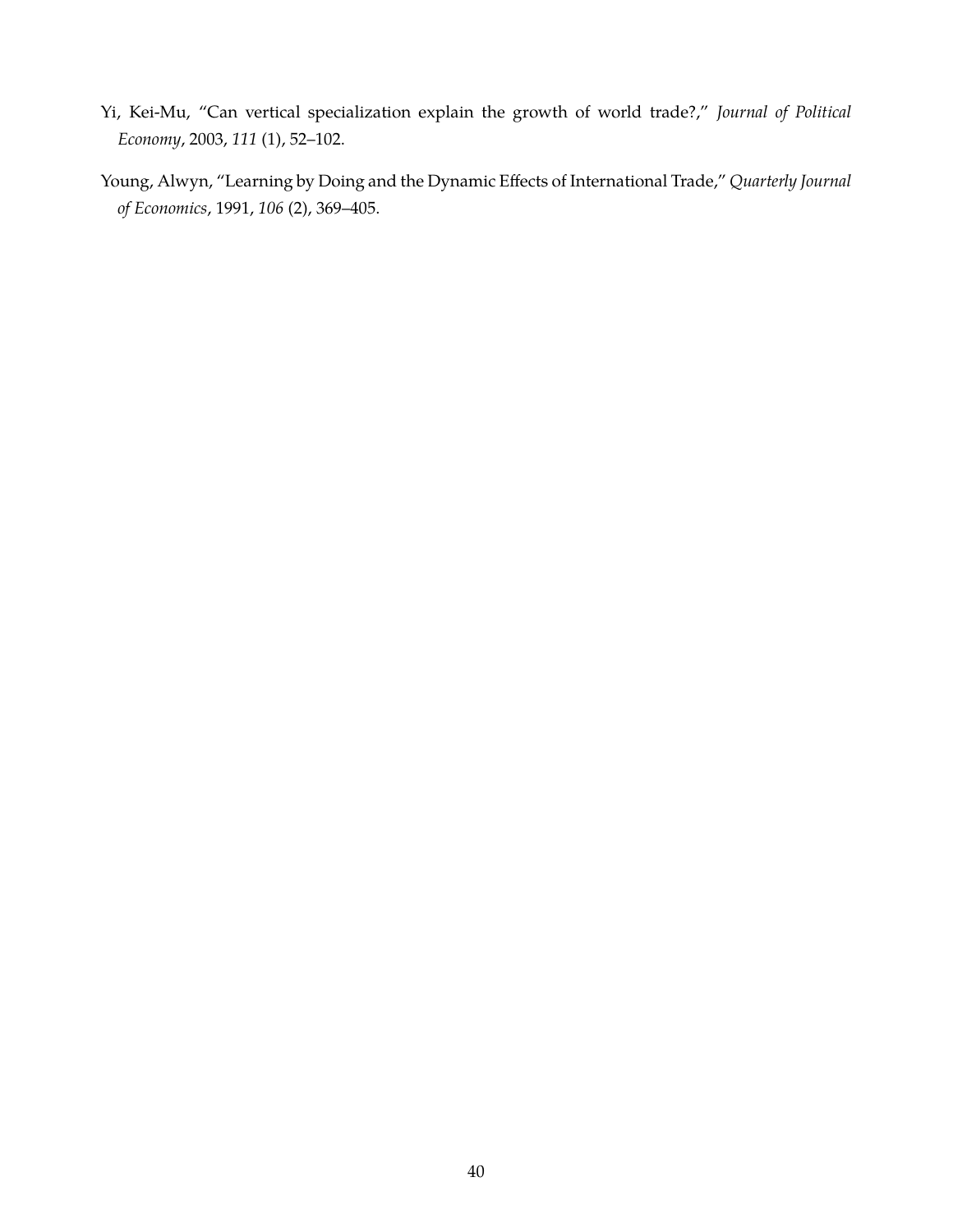- Yi, Kei-Mu, "Can vertical specialization explain the growth of world trade?," *Journal of Political Economy*, 2003, *111* (1), 52–102.
- Young, Alwyn, "Learning by Doing and the Dynamic Effects of International Trade," *Quarterly Journal of Economics*, 1991, *106* (2), 369–405.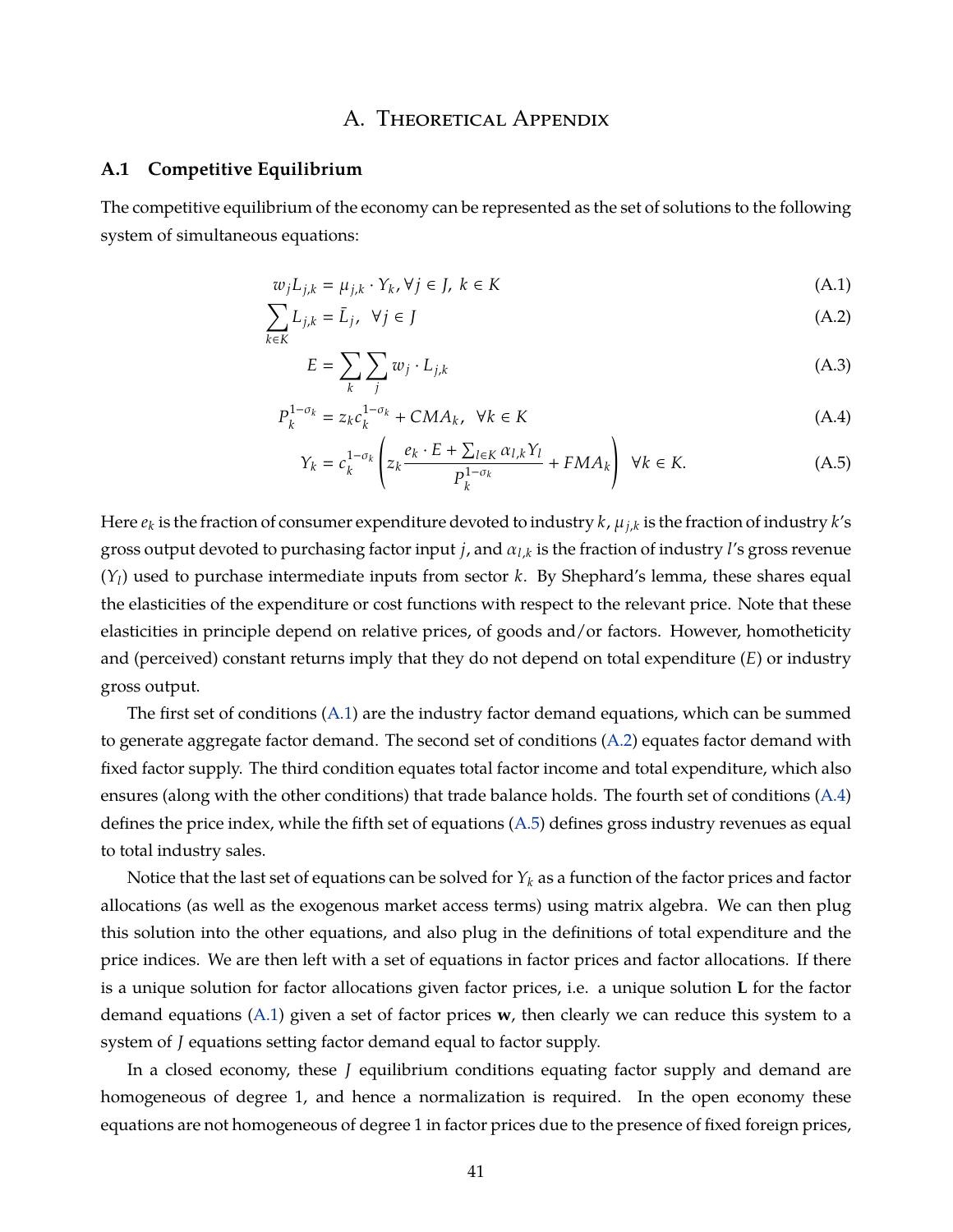## <span id="page-42-1"></span><span id="page-42-0"></span>A. Theoretical Appendix

#### **A.1 Competitive Equilibrium**

The competitive equilibrium of the economy can be represented as the set of solutions to the following system of simultaneous equations:

$$
w_j L_{j,k} = \mu_{j,k} \cdot Y_k, \forall j \in J, \ k \in K \tag{A.1}
$$

$$
\sum_{k \in K} L_{j,k} = \bar{L}_j, \ \forall j \in J \tag{A.2}
$$

$$
E = \sum_{k} \sum_{j} w_j \cdot L_{j,k} \tag{A.3}
$$

$$
P_k^{1-\sigma_k} = z_k c_k^{1-\sigma_k} + CMA_k, \ \ \forall k \in K
$$
 (A.4)

<span id="page-42-3"></span><span id="page-42-2"></span>
$$
Y_k = c_k^{1-\sigma_k} \left( z_k \frac{e_k \cdot E + \sum_{l \in K} \alpha_{l,k} Y_l}{P_k^{1-\sigma_k}} + FMA_k \right) \ \forall k \in K. \tag{A.5}
$$

Here *e<sup>k</sup>* is the fraction of consumer expenditure devoted to industry *k*, µ*j*,*<sup>k</sup>* is the fraction of industry *k*'s gross output devoted to purchasing factor input *j*, and α*l*,*<sup>k</sup>* is the fraction of industry *l*'s gross revenue (*Yl*) used to purchase intermediate inputs from sector *k*. By Shephard's lemma, these shares equal the elasticities of the expenditure or cost functions with respect to the relevant price. Note that these elasticities in principle depend on relative prices, of goods and/or factors. However, homotheticity and (perceived) constant returns imply that they do not depend on total expenditure (*E*) or industry gross output.

The first set of conditions [\(A.1\)](#page-42-0) are the industry factor demand equations, which can be summed to generate aggregate factor demand. The second set of conditions [\(A.2\)](#page-42-1) equates factor demand with fixed factor supply. The third condition equates total factor income and total expenditure, which also ensures (along with the other conditions) that trade balance holds. The fourth set of conditions [\(A.4\)](#page-42-2) defines the price index, while the fifth set of equations [\(A.5\)](#page-42-3) defines gross industry revenues as equal to total industry sales.

Notice that the last set of equations can be solved for  $Y_k$  as a function of the factor prices and factor allocations (as well as the exogenous market access terms) using matrix algebra. We can then plug this solution into the other equations, and also plug in the definitions of total expenditure and the price indices. We are then left with a set of equations in factor prices and factor allocations. If there is a unique solution for factor allocations given factor prices, i.e. a unique solution **L** for the factor demand equations [\(A.1\)](#page-42-0) given a set of factor prices **w**, then clearly we can reduce this system to a system of *J* equations setting factor demand equal to factor supply.

In a closed economy, these *J* equilibrium conditions equating factor supply and demand are homogeneous of degree 1, and hence a normalization is required. In the open economy these equations are not homogeneous of degree 1 in factor prices due to the presence of fixed foreign prices,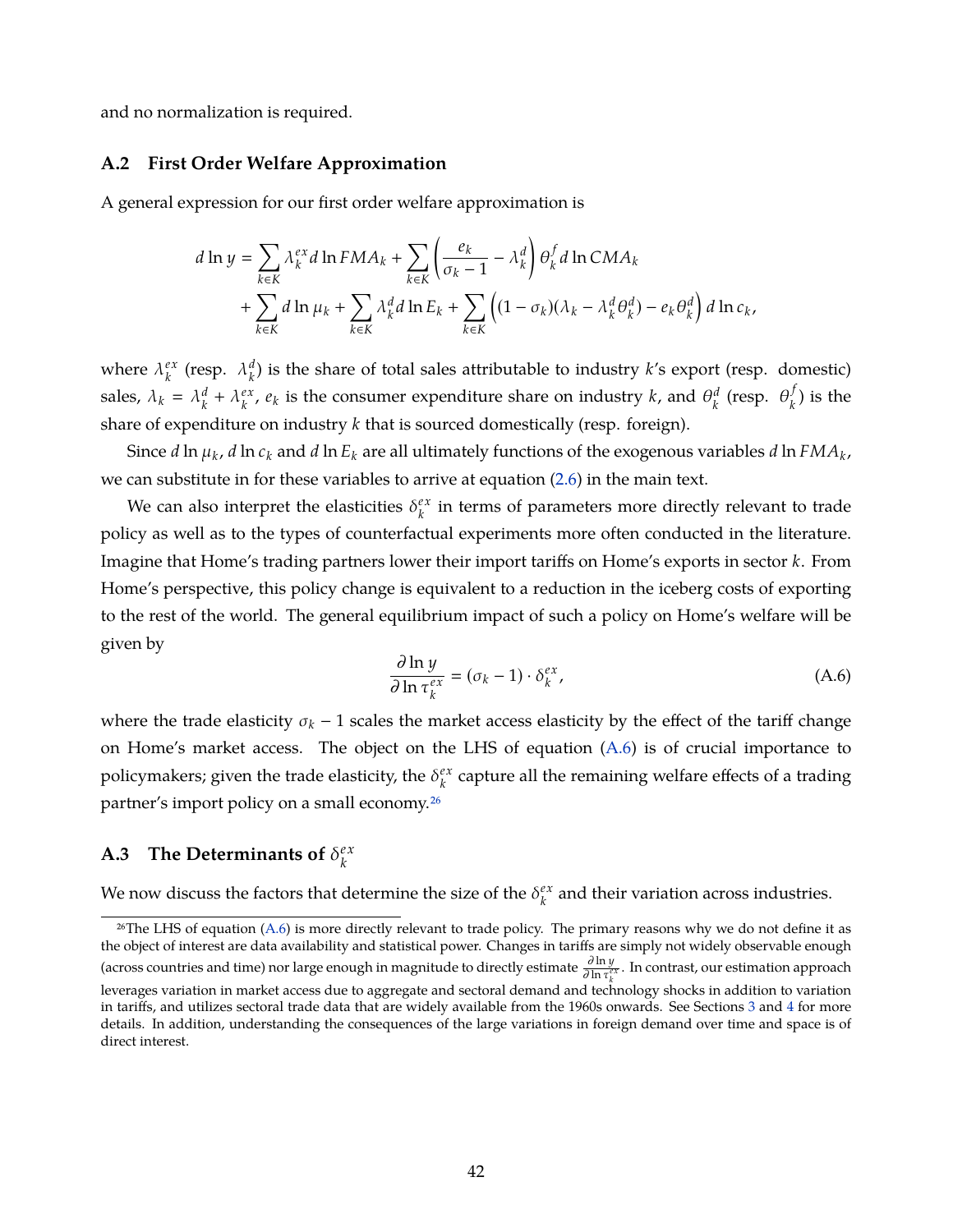and no normalization is required.

#### **A.2 First Order Welfare Approximation**

A general expression for our first order welfare approximation is

$$
d \ln y = \sum_{k \in K} \lambda_k^{ex} d \ln FMA_k + \sum_{k \in K} \left( \frac{e_k}{\sigma_k - 1} - \lambda_k^d \right) \theta_k^f d \ln CMA_k
$$
  
+ 
$$
\sum_{k \in K} d \ln \mu_k + \sum_{k \in K} \lambda_k^d d \ln E_k + \sum_{k \in K} \left( (1 - \sigma_k)(\lambda_k - \lambda_k^d \theta_k^d) - e_k \theta_k^d \right) d \ln c_k,
$$

where  $\lambda_k^{ex}$  $\kappa_k^{ex}$  (resp.  $\lambda_k^d$  $\binom{a}{k}$  is the share of total sales attributable to industry *k*'s export (resp. domestic) sales,  $\lambda_k = \lambda_k^d$  $\lambda_k^d + \lambda_k^{ex}$  $e^{\alpha x}_{k}$ ,  $e_{k}$  is the consumer expenditure share on industry *k*, and  $\theta_{k}^{d}$  $\theta_k^d$  (resp.  $\theta_k^f$  $\binom{1}{k}$  is the share of expenditure on industry *k* that is sourced domestically (resp. foreign).

Since *d* ln  $\mu_k$ , *d* ln  $c_k$  and *d* ln  $E_k$  are all ultimately functions of the exogenous variables *d* ln  $FMA_k$ , we can substitute in for these variables to arrive at equation [\(2.6\)](#page-9-0) in the main text.

We can also interpret the elasticities  $\delta_k^{ex}$  $\frac{ex}{k}$  in terms of parameters more directly relevant to trade policy as well as to the types of counterfactual experiments more often conducted in the literature. Imagine that Home's trading partners lower their import tariffs on Home's exports in sector *k*. From Home's perspective, this policy change is equivalent to a reduction in the iceberg costs of exporting to the rest of the world. The general equilibrium impact of such a policy on Home's welfare will be given by

<span id="page-43-0"></span>
$$
\frac{\partial \ln y}{\partial \ln \tau_k^{ex}} = (\sigma_k - 1) \cdot \delta_k^{ex},\tag{A.6}
$$

where the trade elasticity  $\sigma_k - 1$  scales the market access elasticity by the effect of the tariff change on Home's market access. The object on the LHS of equation  $(A.6)$  is of crucial importance to policymakers; given the trade elasticity, the  $\delta_k^{ex}$ *k* capture all the remaining welfare effects of a trading partner's import policy on a small economy[.26](#page-1-0)

#### **A.3** The Determinants of  $\delta_k^{ex}$ *k*

We now discuss the factors that determine the size of the  $\delta_k^{ex}$  $\frac{e^{x}}{k}$  and their variation across industries.

 $26$ The LHS of equation [\(A.6\)](#page-43-0) is more directly relevant to trade policy. The primary reasons why we do not define it as the object of interest are data availability and statistical power. Changes in tariffs are simply not widely observable enough (across countries and time) nor large enough in magnitude to directly estimate <sup>∂</sup> ln *<sup>y</sup>* ∂ ln τ *e x k* . In contrast, our estimation approach

leverages variation in market access due to aggregate and sectoral demand and technology shocks in addition to variation in tariffs, and utilizes sectoral trade data that are widely available from the 1960s onwards. See Sections [3](#page-11-0) and [4](#page-14-0) for more details. In addition, understanding the consequences of the large variations in foreign demand over time and space is of direct interest.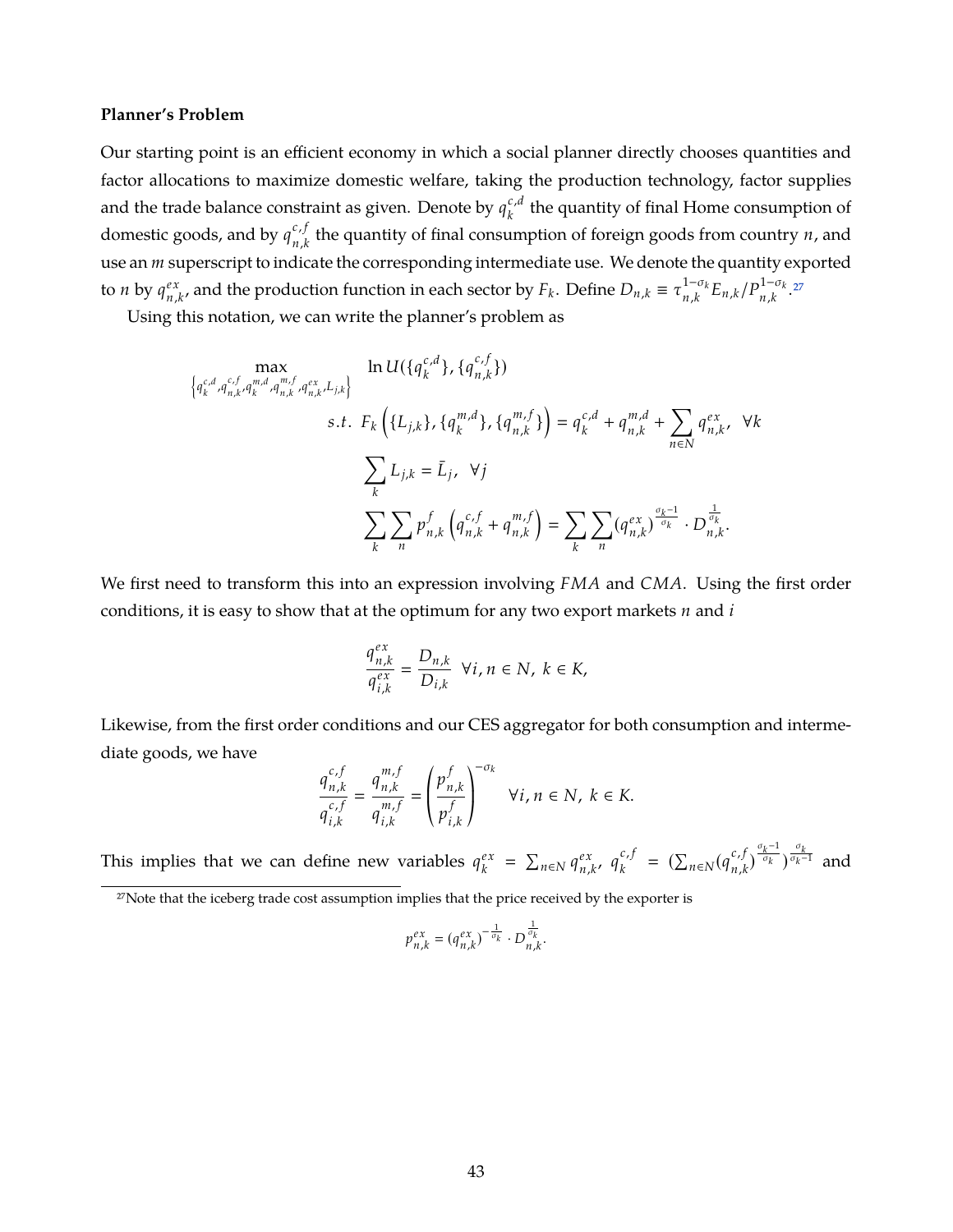#### **Planner's Problem**

Our starting point is an efficient economy in which a social planner directly chooses quantities and factor allocations to maximize domestic welfare, taking the production technology, factor supplies and the trade balance constraint as given. Denote by  $q_k^{c,d}$  $\kappa_k^{t,u}$  the quantity of final Home consumption of domestic goods, and by  $q_{n,k}^{c,f}$  $\sum_{n,k}^{c,j}$  the quantity of final consumption of foreign goods from country *n*, and use an *m* superscript to indicate the corresponding intermediate use. We denote the quantity exported to *n* by  $q_n^{ex}$  $P_{n,k'}^{\alpha}$  and the production function in each sector by  $F_k$ . Define  $D_{n,k} \equiv \tau_{n,k}^{1-\sigma_k}$  $^{1-\sigma_k}_{n,k}E_{n,k}/P^{1-\sigma_k}_{n,k}$  $n, k$ <sup>27</sup>

Using this notation, we can write the planner's problem as

$$
\begin{aligned}\n&\max_{\left\{q_{k}^{c,d}, q_{n,k}^{c,f}, q_{n,k}^{m,f}, q_{n,k}^{ex}, L_{j,k}\right\}} \quad \ln U(\left\{q_{k}^{c,d}\right\}, \left\{q_{n,k}^{m,f}\right\}) \\
&\quad s.t. \quad F_{k}\left(\left\{L_{j,k}\right\}, \left\{q_{n}^{m,d}\right\}, \left\{q_{n,k}^{m,f}\right\}\right) = q_{k}^{c,d} + q_{n,k}^{m,d} + \sum_{n \in \mathbb{N}} q_{n,k}^{ex}, \quad \forall k \\
&\quad \sum_{k} L_{j,k} = \bar{L}_{j}, \quad \forall j \\
&\quad \sum_{k} \sum_{n} p_{n,k}^{f}\left(q_{n,k}^{c,f} + q_{n,k}^{m,f}\right) = \sum_{k} \sum_{n} (q_{n,k}^{ex})^{\frac{\sigma_{k}-1}{\sigma_{k}}} \cdot D_{n,k}^{\frac{1}{\sigma_{k}}}.\n\end{aligned}
$$

We first need to transform this into an expression involving *FMA* and *CMA*. Using the first order conditions, it is easy to show that at the optimum for any two export markets *n* and *i*

$$
\frac{q_{n,k}^{ex}}{q_{i,k}^{ex}}=\frac{D_{n,k}}{D_{i,k}}\;\;\forall i,n\in\cal N,\;k\in\cal K,
$$

Likewise, from the first order conditions and our CES aggregator for both consumption and intermediate goods, we have

$$
\frac{q_{n,k}^{c,f}}{q_{i,k}^{c,f}} = \frac{q_{n,k}^{m,f}}{q_{i,k}^{m,f}} = \left(\frac{p_{n,k}^f}{p_{i,k}^f}\right)^{-\sigma_k} \quad \forall i, n \in \mathbb{N}, k \in \mathbb{K}.
$$

This implies that we can define new variables  $q_k^{ex}$  $\int_{k}^{ex}$  =  $\sum_{n \in \mathbb{N}} q_{n}^{ex}$ *n*,*k* , *q c*, *f*  $\sum_{k}^{c, f} = (\sum_{n \in N} (q_{n,k}^{c, f})$  $\int_{n,k}^{c} \int_{\frac{\sigma_k}{\sigma_k}}^{\frac{\sigma_k}{\sigma_k}} e^{-\frac{\sigma_k}{\sigma_k}}$  and

$$
p_{n,k}^{ex} = (q_{n,k}^{ex})^{-\frac{1}{\sigma_k}} \cdot D_{n,k}^{\frac{1}{\sigma_k}}.
$$

<sup>&</sup>lt;sup>27</sup>Note that the iceberg trade cost assumption implies that the price received by the exporter is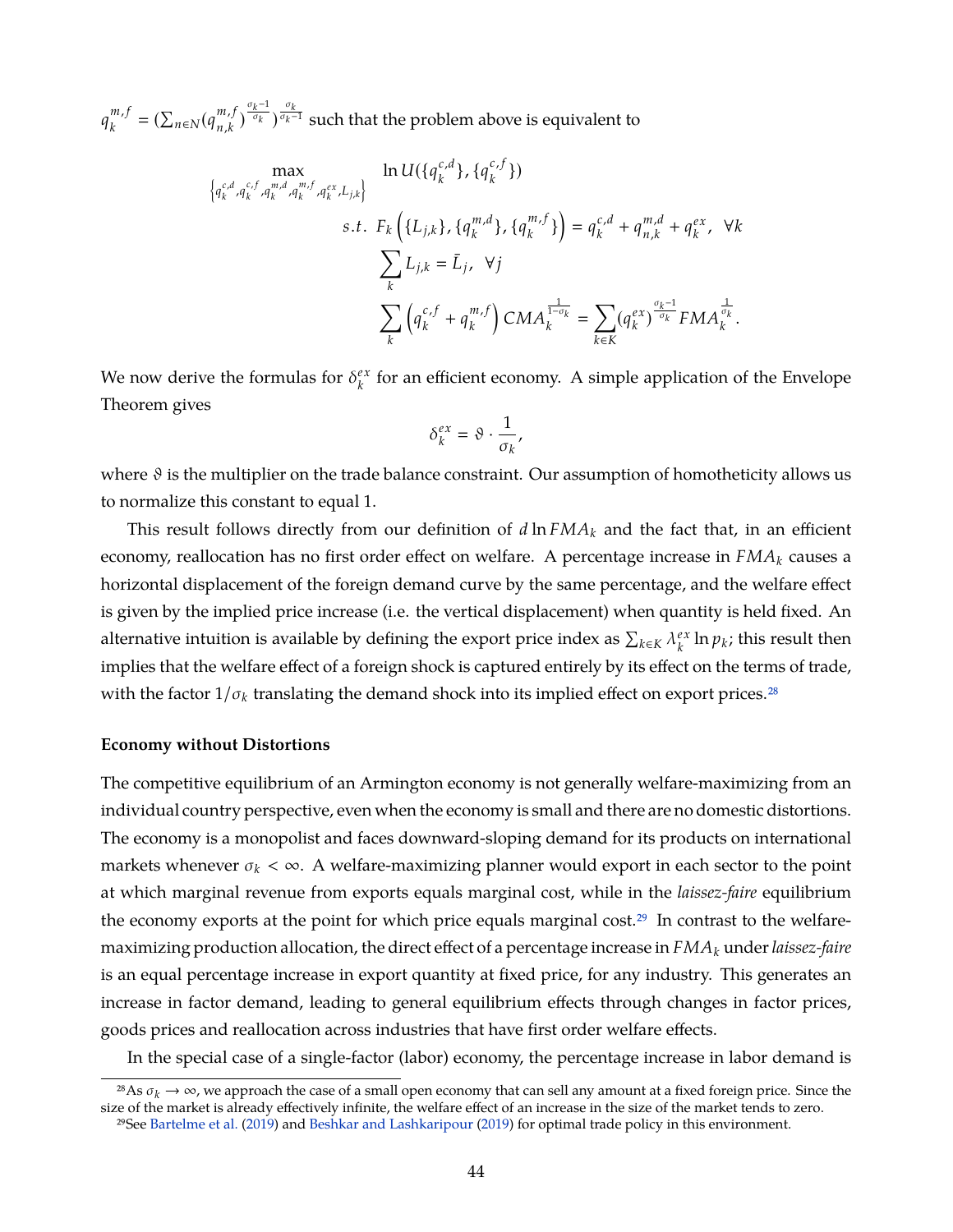$q_k^{m, f}$  $_{k}^{m,f} = (\sum_{n \in \mathbb{N}} (q_{n,k}^{m,f})$  $\binom{m,f}{n,k}^{\frac{\sigma_k}{\sigma_k}}$ <sup> $\frac{\sigma_k}{\sigma_k-1}$  such that the problem above is equivalent to</sup>

$$
\begin{aligned}\n&\left\{ q_{k}^{c,d}, q_{k}^{c,f}, q_{k}^{m,d}, q_{k}^{m,f}, q_{k}^{ex}, L_{j,k} \right\} &\quad \ln U(\lbrace q_{k}^{c,d} \rbrace, \lbrace q_{k}^{m,f} \rbrace) \\
&\quad s.t. &\quad F_{k} \left( \lbrace L_{j,k} \rbrace, \lbrace q_{k}^{m,d} \rbrace, \lbrace q_{k}^{m,f} \rbrace \right) = q_{k}^{c,d} + q_{n,k}^{m,d} + q_{k}^{ex}, \quad \forall k \\
&\quad \sum_{k} L_{j,k} = \bar{L}_{j}, \quad \forall j \\
&\quad \sum_{k} \left( q_{k}^{c,f} + q_{k}^{m,f} \right) CMA_{k}^{\frac{1}{1-\sigma_{k}}} = \sum_{k \in K} (q_{k}^{ex})^{\frac{\sigma_{k}-1}{\sigma_{k}}} FMA_{k}^{\frac{1}{\sigma_{k}}}.\n\end{aligned}
$$

We now derive the formulas for  $\delta_k^{ex}$ *k* for an efficient economy. A simple application of the Envelope Theorem gives

$$
\delta_k^{ex} = \vartheta \cdot \frac{1}{\sigma_k},
$$

where  $\vartheta$  is the multiplier on the trade balance constraint. Our assumption of homotheticity allows us to normalize this constant to equal 1.

This result follows directly from our definition of *d* ln *FMA<sup>k</sup>* and the fact that, in an efficient economy, reallocation has no first order effect on welfare. A percentage increase in *FMA<sup>k</sup>* causes a horizontal displacement of the foreign demand curve by the same percentage, and the welfare effect is given by the implied price increase (i.e. the vertical displacement) when quantity is held fixed. An alternative intuition is available by defining the export price index as  $\sum_{k \in K} \lambda_k^{ex}$  $\int_k^{ex}$  ln  $p_k$ ; this result then implies that the welfare effect of a foreign shock is captured entirely by its effect on the terms of trade, with the factor  $1/\sigma_k$  translating the demand shock into its implied effect on export prices.<sup>28</sup>

### **Economy without Distortions**

The competitive equilibrium of an Armington economy is not generally welfare-maximizing from an individual country perspective, even when the economy is small and there are no domestic distortions. The economy is a monopolist and faces downward-sloping demand for its products on international markets whenever  $\sigma_k < \infty$ . A welfare-maximizing planner would export in each sector to the point at which marginal revenue from exports equals marginal cost, while in the *laissez-faire* equilibrium the economy exports at the point for which price equals marginal cost.<sup>29</sup> In contrast to the welfaremaximizing production allocation, the direct effect of a percentage increase in *FMA<sup>k</sup>* under*laissez-faire* is an equal percentage increase in export quantity at fixed price, for any industry. This generates an increase in factor demand, leading to general equilibrium effects through changes in factor prices, goods prices and reallocation across industries that have first order welfare effects.

In the special case of a single-factor (labor) economy, the percentage increase in labor demand is

<sup>&</sup>lt;sup>28</sup>As  $\sigma_k \to \infty$ , we approach the case of a small open economy that can sell any amount at a fixed foreign price. Since the size of the market is already effectively infinite, the welfare effect of an increase in the size of the market tends to zero. 29See [Bartelme et al.](#page-36-0) [\(2019\)](#page-36-0) and [Beshkar and Lashkaripour](#page-36-1) [\(2019\)](#page-36-1) for optimal trade policy in this environment.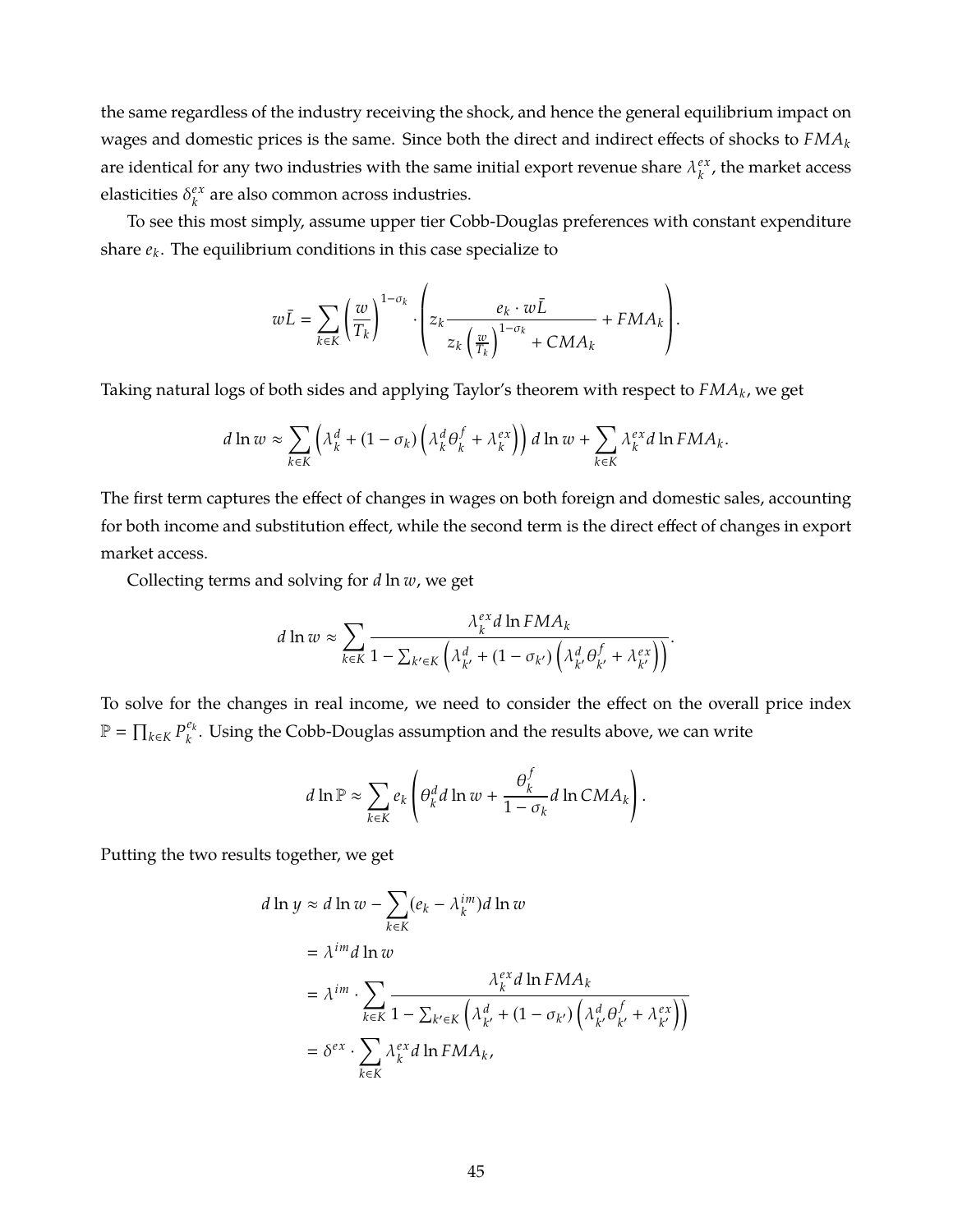the same regardless of the industry receiving the shock, and hence the general equilibrium impact on wages and domestic prices is the same. Since both the direct and indirect effects of shocks to *FMA<sup>k</sup>* are identical for any two industries with the same initial export revenue share  $\lambda_k^{ex}$  $k^{ex}$ , the market access elasticities  $\delta_k^{ex}$  $k \atop k$  are also common across industries.

To see this most simply, assume upper tier Cobb-Douglas preferences with constant expenditure share *e<sup>k</sup>* . The equilibrium conditions in this case specialize to

$$
w\bar{L} = \sum_{k \in K} \left(\frac{w}{T_k}\right)^{1-\sigma_k} \cdot \left(z_k \frac{e_k \cdot w\bar{L}}{z_k \left(\frac{w}{T_k}\right)^{1-\sigma_k}} + FMA_k\right).
$$

Taking natural logs of both sides and applying Taylor's theorem with respect to *FMA<sup>k</sup>* , we get

$$
d\ln w \approx \sum_{k\in K} \left(\lambda_k^d + (1 - \sigma_k) \left(\lambda_k^d \theta_k^f + \lambda_k^{ex}\right)\right) d\ln w + \sum_{k\in K} \lambda_k^{ex} d\ln F MA_k.
$$

The first term captures the effect of changes in wages on both foreign and domestic sales, accounting for both income and substitution effect, while the second term is the direct effect of changes in export market access.

Collecting terms and solving for *d* ln *w*, we get

$$
d\ln w \approx \sum_{k \in K} \frac{\lambda_k^{ex} d\ln F M A_k}{1 - \sum_{k' \in K} \left( \lambda_{k'}^d + (1 - \sigma_{k'}) \left( \lambda_{k'}^d \theta_{k'}^f + \lambda_{k'}^{ex} \right) \right)}.
$$

To solve for the changes in real income, we need to consider the effect on the overall price index  $\mathbb{P} = \prod_{k \in K} P_k^{e_k}$ *k* . Using the Cobb-Douglas assumption and the results above, we can write

$$
d \ln \mathbb{P} \approx \sum_{k \in K} e_k \left( \theta_k^d d \ln w + \frac{\theta_k^f}{1 - \sigma_k} d \ln C M A_k \right).
$$

Putting the two results together, we get

$$
d \ln y \approx d \ln w - \sum_{k \in K} (e_k - \lambda_k^{im}) d \ln w
$$
  
=  $\lambda^{im} d \ln w$   
=  $\lambda^{im} \cdot \sum_{k \in K} \frac{\lambda_k^{ex} d \ln F M A_k}{1 - \sum_{k' \in K} (\lambda_{k'}^d + (1 - \sigma_{k'}) (\lambda_{k'}^d \theta_{k'}^f + \lambda_{k'}^{ex}))}$   
=  $\delta^{ex} \cdot \sum_{k \in K} \lambda_k^{ex} d \ln F M A_k$ ,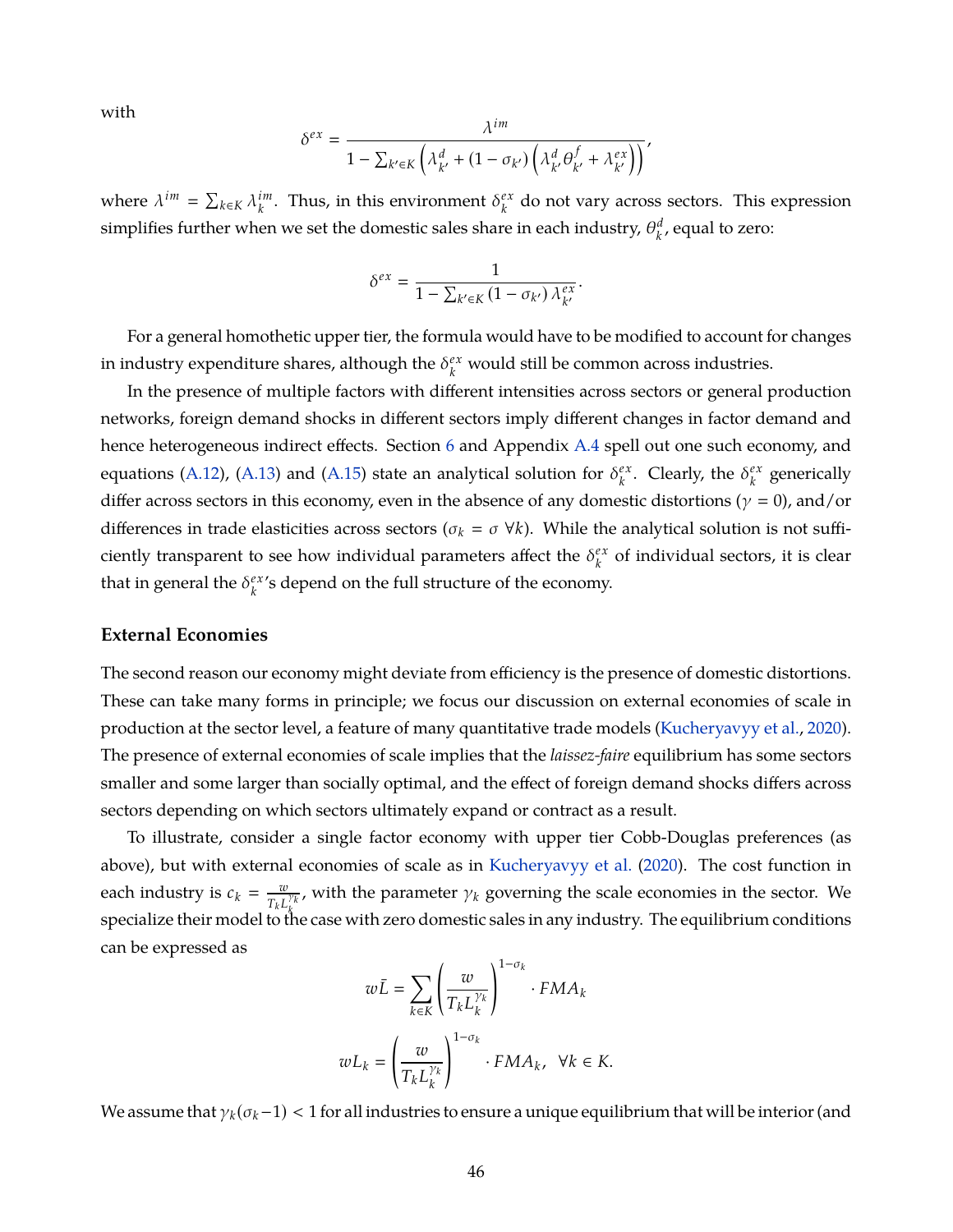with

$$
\delta^{ex} = \frac{\lambda^{im}}{1 - \sum_{k' \in K} \left( \lambda_{k'}^d + (1 - \sigma_{k'}) \left( \lambda_{k'}^d \theta_{k'}^f + \lambda_{k'}^{ex} \right) \right)},
$$

where  $\lambda^{im} = \sum_{k \in K} \lambda_k^{im}$  $\hat{h}^{im}_{k}$ . Thus, in this environment  $\delta^{ex}_{k}$  $k \atop k$  do not vary across sectors. This expression simplifies further when we set the domestic sales share in each industry,  $\theta_k^d$  $\binom{d}{k}$ , equal to zero:

$$
\delta^{ex} = \frac{1}{1 - \sum_{k' \in K} (1 - \sigma_{k'}) \lambda_{k'}^{ex}}.
$$

For a general homothetic upper tier, the formula would have to be modified to account for changes in industry expenditure shares, although the  $\delta_k^{ex}$  would still be common across industries.

In the presence of multiple factors with different intensities across sectors or general production networks, foreign demand shocks in different sectors imply different changes in factor demand and hence heterogeneous indirect effects. Section [6](#page-23-0) and Appendix [A.4](#page-48-0) spell out one such economy, and equations [\(A.12\)](#page-50-0), [\(A.13\)](#page-50-0) and [\(A.15\)](#page-52-0) state an analytical solution for  $\delta_k^{ex}$  $\int_k^{ex}$ . Clearly, the  $\delta_k^{ex}$  $k \atop k$  generically differ across sectors in this economy, even in the absence of any domestic distortions ( $\gamma = 0$ ), and/or differences in trade elasticities across sectors ( $\sigma_k = \sigma \ \forall k$ ). While the analytical solution is not sufficiently transparent to see how individual parameters affect the  $\delta_k^{ex}$  $k \atop k$  of individual sectors, it is clear that in general the  $\delta_k^{ex}$ *k* 's depend on the full structure of the economy.

### **External Economies**

The second reason our economy might deviate from efficiency is the presence of domestic distortions. These can take many forms in principle; we focus our discussion on external economies of scale in production at the sector level, a feature of many quantitative trade models [\(Kucheryavyy et al.,](#page-39-0) [2020\)](#page-39-0). The presence of external economies of scale implies that the *laissez-faire* equilibrium has some sectors smaller and some larger than socially optimal, and the effect of foreign demand shocks differs across sectors depending on which sectors ultimately expand or contract as a result.

To illustrate, consider a single factor economy with upper tier Cobb-Douglas preferences (as above), but with external economies of scale as in [Kucheryavyy et al.](#page-39-0) [\(2020\)](#page-39-0). The cost function in each industry is  $c_k = \frac{w}{T}$  $\frac{w}{T_k L_k^{\gamma_k}}$ , with the parameter  $\gamma_k$  governing the scale economies in the sector. We *k* specialize their model to the case with zero domestic sales in any industry. The equilibrium conditions can be expressed as

$$
w\bar{L} = \sum_{k \in K} \left(\frac{w}{T_k L_k^{\gamma_k}}\right)^{1 - \sigma_k} \cdot FMA_k
$$

$$
wL_k = \left(\frac{w}{T_k L_k^{\gamma_k}}\right)^{1 - \sigma_k} \cdot FMA_k, \ \forall k \in K.
$$

We assume that  $\gamma_k(\sigma_k-1)$  < 1 for all industries to ensure a unique equilibrium that will be interior (and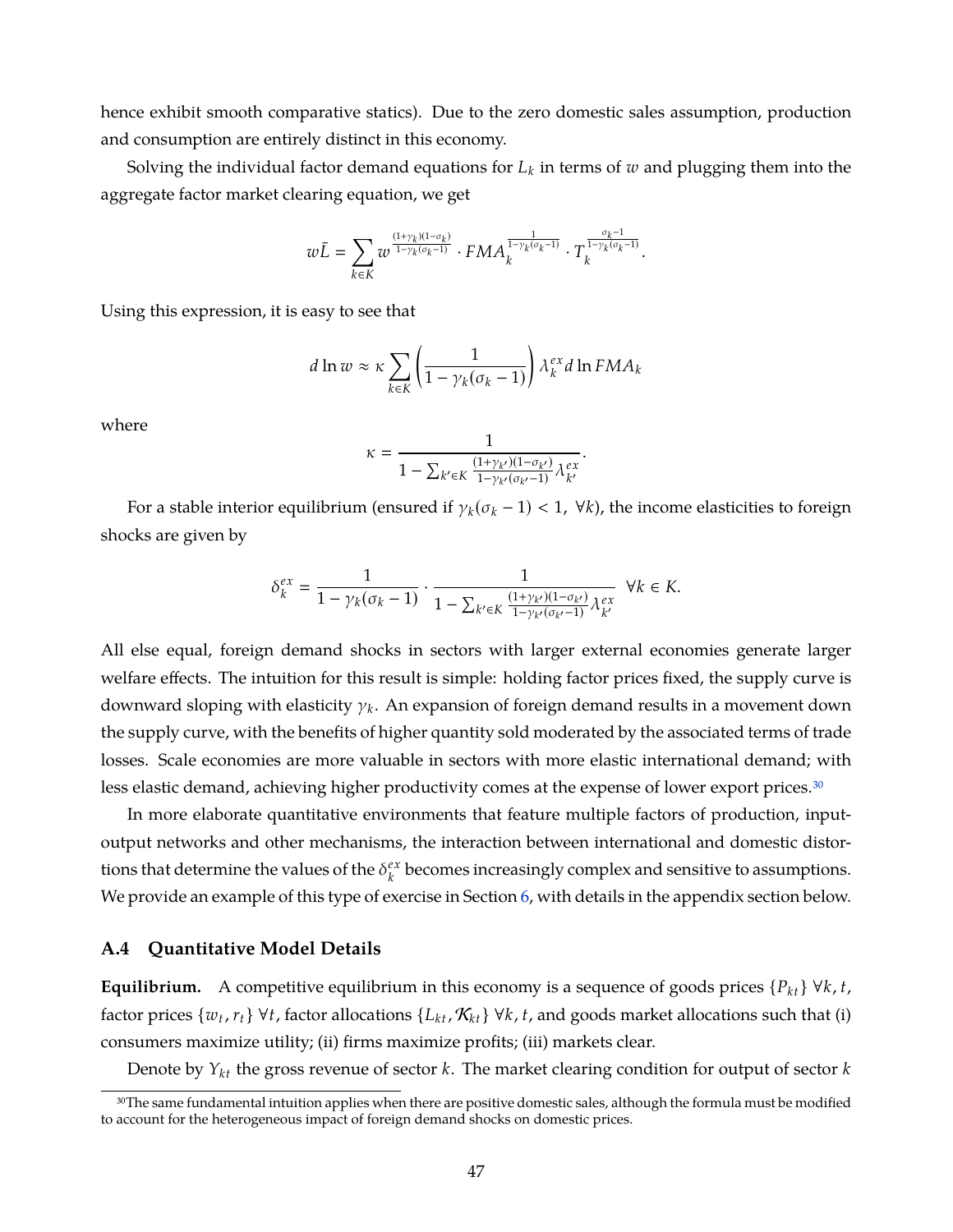hence exhibit smooth comparative statics). Due to the zero domestic sales assumption, production and consumption are entirely distinct in this economy.

Solving the individual factor demand equations for  $L_k$  in terms of  $w$  and plugging them into the aggregate factor market clearing equation, we get

$$
w\bar{L}=\sum_{k\in K}w^{\frac{(1+\gamma_k)(1-\sigma_k)}{1-\gamma_k(\sigma_k-1)}}\cdot FMA_k^{\frac{1}{1-\gamma_k(\sigma_k-1)}}\cdot T_k^{\frac{\sigma_k-1}{1-\gamma_k(\sigma_k-1)}}.
$$

Using this expression, it is easy to see that

$$
d \ln w \approx \kappa \sum_{k \in K} \left( \frac{1}{1 - \gamma_k (\sigma_k - 1)} \right) \lambda_k^{ex} d \ln F M A_k
$$

where

$$
\kappa = \frac{1}{1 - \sum_{k' \in K} \frac{(1 + \gamma_{k'}) (1 - \sigma_{k'})}{1 - \gamma_{k'} (\sigma_{k'} - 1)} \lambda_{k'}^{ex}}
$$

.

For a stable interior equilibrium (ensured if  $\gamma_k(\sigma_k - 1) < 1$ ,  $\forall k$ ), the income elasticities to foreign shocks are given by

$$
\delta_k^{ex}=\frac{1}{1-\gamma_k(\sigma_k-1)}\cdot\frac{1}{1-\sum_{k'\in K}\frac{(1+\gamma_{k'})(1-\sigma_{k'})}{1-\gamma_{k'}(\sigma_{k'}-1)}\lambda_{k'}^{ex}}\ \ \forall k\in K.
$$

All else equal, foreign demand shocks in sectors with larger external economies generate larger welfare effects. The intuition for this result is simple: holding factor prices fixed, the supply curve is downward sloping with elasticity γ*<sup>k</sup>* . An expansion of foreign demand results in a movement down the supply curve, with the benefits of higher quantity sold moderated by the associated terms of trade losses. Scale economies are more valuable in sectors with more elastic international demand; with less elastic demand, achieving higher productivity comes at the expense of lower export prices.<sup>30</sup>

In more elaborate quantitative environments that feature multiple factors of production, inputoutput networks and other mechanisms, the interaction between international and domestic distortions that determine the values of the  $\delta_k^{ex}$  $\mathcal{E}^{\alpha}_{k}$  becomes increasingly complex and sensitive to assumptions. We provide an example of this type of exercise in Section [6,](#page-23-0) with details in the appendix section below.

## <span id="page-48-0"></span>**A.4 Quantitative Model Details**

**Equilibrium.** A competitive equilibrium in this economy is a sequence of goods prices  $\{P_{kt}\}\forall k, t$ , factor prices  $\{w_t, r_t\}$   $\forall t$ , factor allocations  $\{L_{kt}, \mathcal{K}_{kt}\}$   $\forall k$ ,  $t$ , and goods market allocations such that (i) consumers maximize utility; (ii) firms maximize profits; (iii) markets clear.

Denote by *Yk t* the gross revenue of sector *k*. The market clearing condition for output of sector *k*

<sup>&</sup>lt;sup>30</sup>The same fundamental intuition applies when there are positive domestic sales, although the formula must be modified to account for the heterogeneous impact of foreign demand shocks on domestic prices.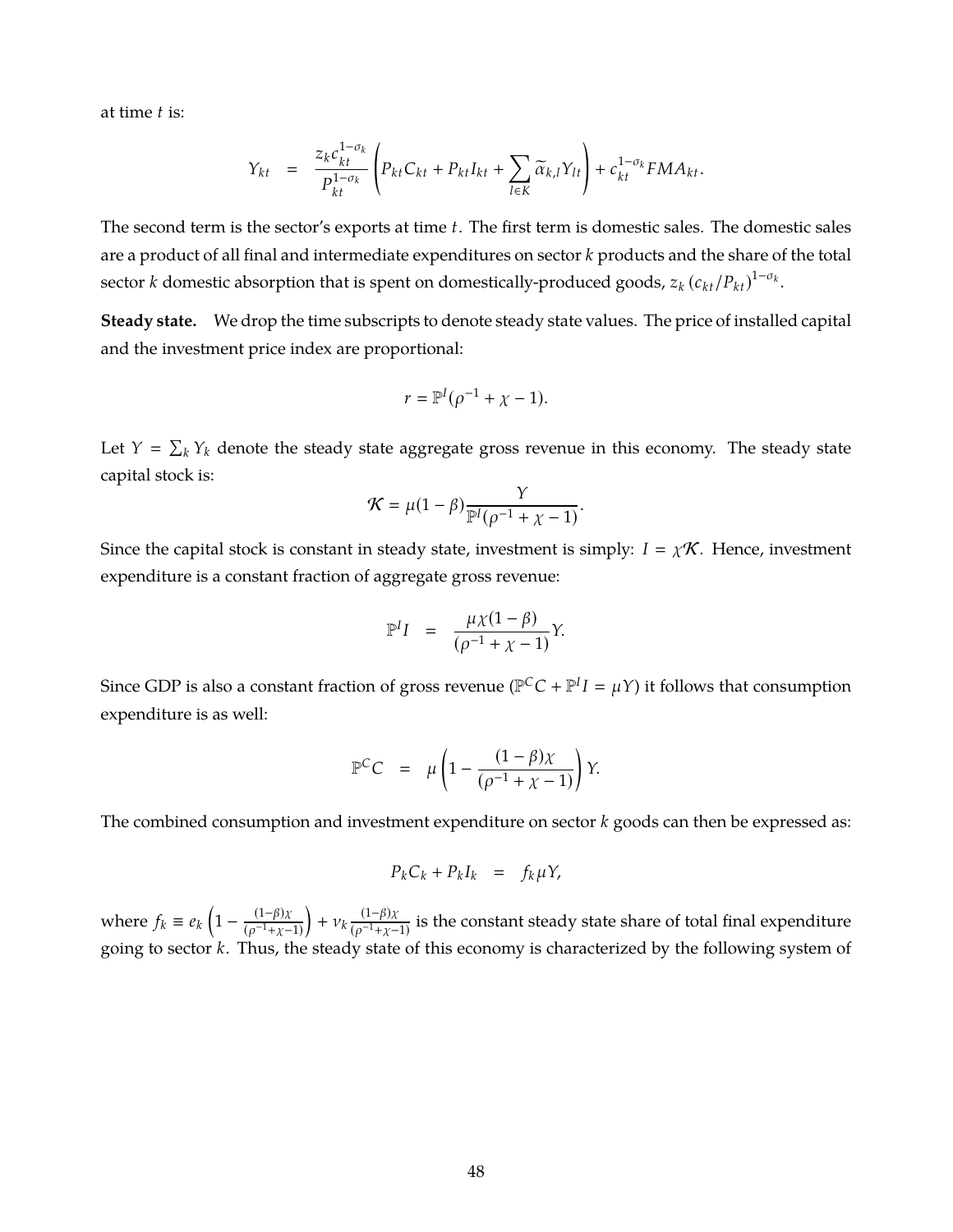at time *t* is:

$$
Y_{kt} = \frac{z_k c_{kt}^{1-\sigma_k}}{P_{kt}^{1-\sigma_k}} \left( P_{kt} C_{kt} + P_{kt} I_{kt} + \sum_{l \in K} \widetilde{\alpha}_{k,l} Y_{lt} \right) + c_{kt}^{1-\sigma_k} FMA_{kt}.
$$

The second term is the sector's exports at time *t*. The first term is domestic sales. The domestic sales are a product of all final and intermediate expenditures on sector *k* products and the share of the total sector *k* domestic absorption that is spent on domestically-produced goods,  $z_k\left(c_{kt}/P_{kt}\right)^{1-\sigma_k}$ .

**Steady state.** We drop the time subscripts to denote steady state values. The price of installed capital and the investment price index are proportional:

$$
r = \mathbb{P}^I(\rho^{-1} + \chi - 1).
$$

Let  $Y = \sum_k Y_k$  denote the steady state aggregate gross revenue in this economy. The steady state capital stock is:

$$
\mathcal{K} = \mu(1-\beta) \frac{Y}{\mathbb{P}^I(\rho^{-1} + \chi - 1)}.
$$

Since the capital stock is constant in steady state, investment is simply:  $I = \chi \mathcal{K}$ . Hence, investment expenditure is a constant fraction of aggregate gross revenue:

$$
\mathbb{P}^I I = \frac{\mu \chi (1 - \beta)}{(\rho^{-1} + \chi - 1)} Y.
$$

Since GDP is also a constant fraction of gross revenue ( $\mathbb{P}^C C + \mathbb{P}^I I = \mu Y$ ) it follows that consumption expenditure is as well:

$$
\mathbb{P}^C C = \mu \left( 1 - \frac{(1 - \beta)\chi}{(\rho^{-1} + \chi - 1)} \right) Y.
$$

The combined consumption and investment expenditure on sector *k* goods can then be expressed as:

$$
P_k C_k + P_k I_k = f_k \mu Y,
$$

where  $f_k \equiv e_k \left(1 - \frac{(1-\beta)\chi}{(0.1+\gamma - \epsilon)}\right)$  $(\rho^{-1}+\chi-1)$  $+ v_k \frac{(1-\beta)\chi}{(\rho^{-1}+\gamma - \mu)}$  $\frac{1}{(\rho^{-1}+\chi-1)}$  is the constant steady state share of total final expenditure going to sector *k*. Thus, the steady state of this economy is characterized by the following system of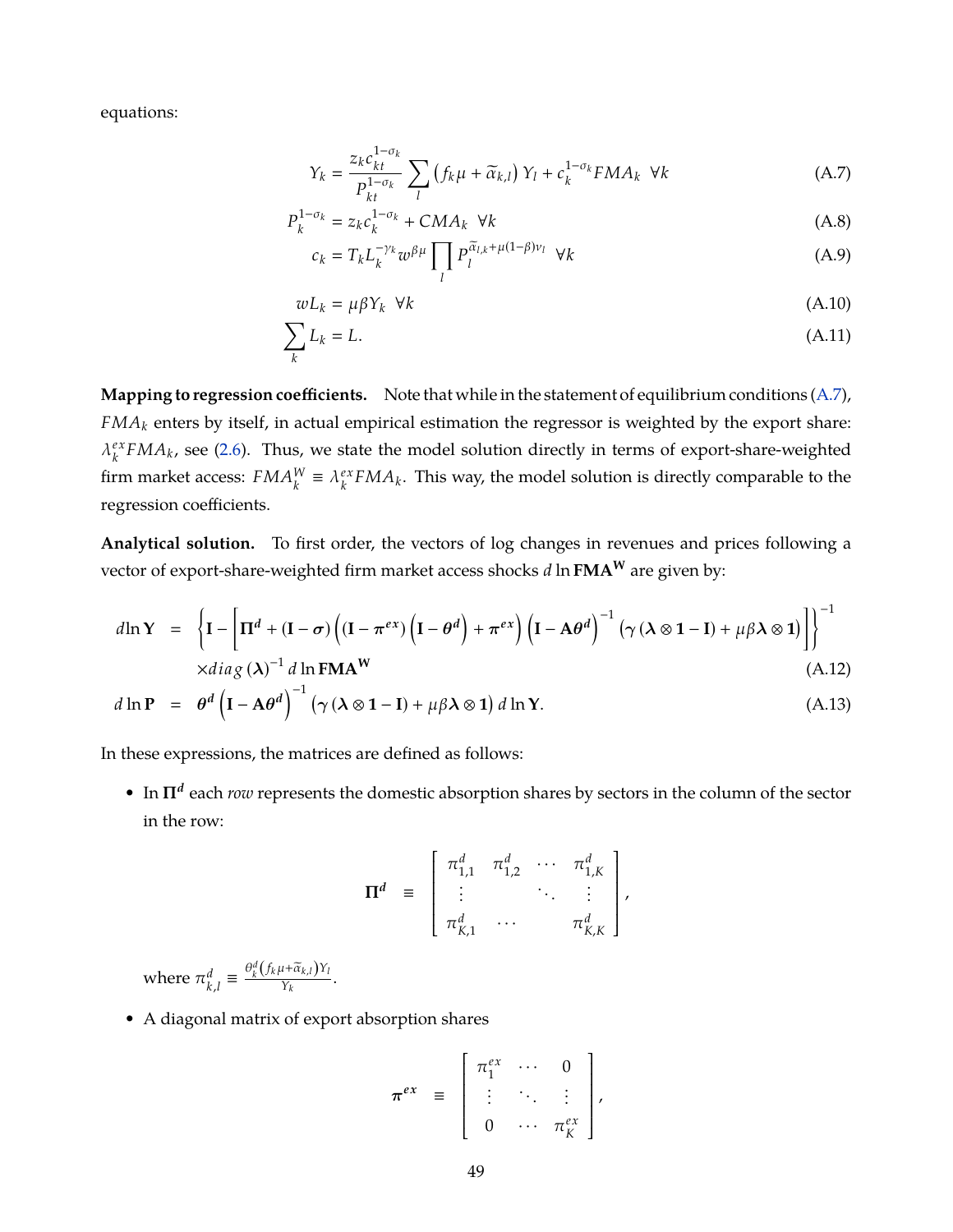equations:

<span id="page-50-1"></span>
$$
Y_k = \frac{z_k c_{kt}^{1-\sigma_k}}{P_{kt}^{1-\sigma_k}} \sum_l \left( f_k \mu + \widetilde{\alpha}_{k,l} \right) Y_l + c_k^{1-\sigma_k} F M A_k \ \forall k \tag{A.7}
$$

$$
P_k^{1-\sigma_k} = z_k c_k^{1-\sigma_k} + CMA_k \ \forall k
$$
\n(A.8)

$$
c_k = T_k L_k^{-\gamma_k} w^{\beta \mu} \prod_l P_l^{\widetilde{\alpha}_{l,k} + \mu(1-\beta)\nu_l} \ \forall k
$$
 (A.9)

$$
wL_k = \mu \beta Y_k \quad \forall k \tag{A.10}
$$

$$
\sum_{k} L_k = L. \tag{A.11}
$$

**Mapping to regression coefficients.** Note that while in the statement of equilibrium conditions [\(A.7\)](#page-50-1), *FMA<sup>k</sup>* enters by itself, in actual empirical estimation the regressor is weighted by the export share:  $\lambda_k^{ex}$  $\frac{ex}{k}FMA_k$ , see [\(2.6\)](#page-9-0). Thus, we state the model solution directly in terms of export-share-weighted firm market access:  $FMA_k^W \equiv \lambda_k^{ex}$  $\frac{e^{x}}{k}FMA_{k}$ . This way, the model solution is directly comparable to the regression coefficients.

**Analytical solution.** To first order, the vectors of log changes in revenues and prices following a vector of export-share-weighted firm market access shocks *d* ln **FMA<sup>W</sup>** are given by:

<span id="page-50-0"></span>
$$
d\ln Y = \left\{ \mathbf{I} - \left[ \mathbf{\Pi}^d + (\mathbf{I} - \boldsymbol{\sigma}) \left( (\mathbf{I} - \boldsymbol{\pi}^{ex}) \left( \mathbf{I} - \boldsymbol{\theta}^d \right) + \boldsymbol{\pi}^{ex} \right) \left( \mathbf{I} - \mathbf{A} \boldsymbol{\theta}^d \right)^{-1} \left( \gamma \left( \lambda \otimes \mathbf{1} - \mathbf{I} \right) + \mu \beta \lambda \otimes \mathbf{1} \right) \right\} \right\}^{-1}
$$
  
 
$$
\times diag(\lambda)^{-1} d \ln \text{FMAW}
$$
 (A.12)

$$
d\ln P = \theta^d \left( I - A\theta^d \right)^{-1} \left( \gamma \left( \lambda \otimes 1 - I \right) + \mu \beta \lambda \otimes 1 \right) d\ln Y. \tag{A.13}
$$

In these expressions, the matrices are defined as follows:

• In Π<sup>d</sup> each *row* represents the domestic absorption shares by sectors in the column of the sector in the row:

$$
\mathbf{\Pi}^d = \begin{bmatrix} \pi_{1,1}^d & \pi_{1,2}^d & \cdots & \pi_{1,K}^d \\ \vdots & & \ddots & \vdots \\ \pi_{K,1}^d & \cdots & & \pi_{K,K}^d \end{bmatrix},
$$

where  $\pi_k^d$  $\frac{d}{k,l} \equiv \frac{\theta_k^d (f_k \mu + \tilde{\alpha}_{k,l}) Y_l}{Y_k}.$ 

• A diagonal matrix of export absorption shares

$$
\boldsymbol{\pi}^{ex} = \begin{bmatrix} \pi_1^{ex} & \cdots & 0 \\ \vdots & \ddots & \vdots \\ 0 & \cdots & \pi_K^{ex} \end{bmatrix},
$$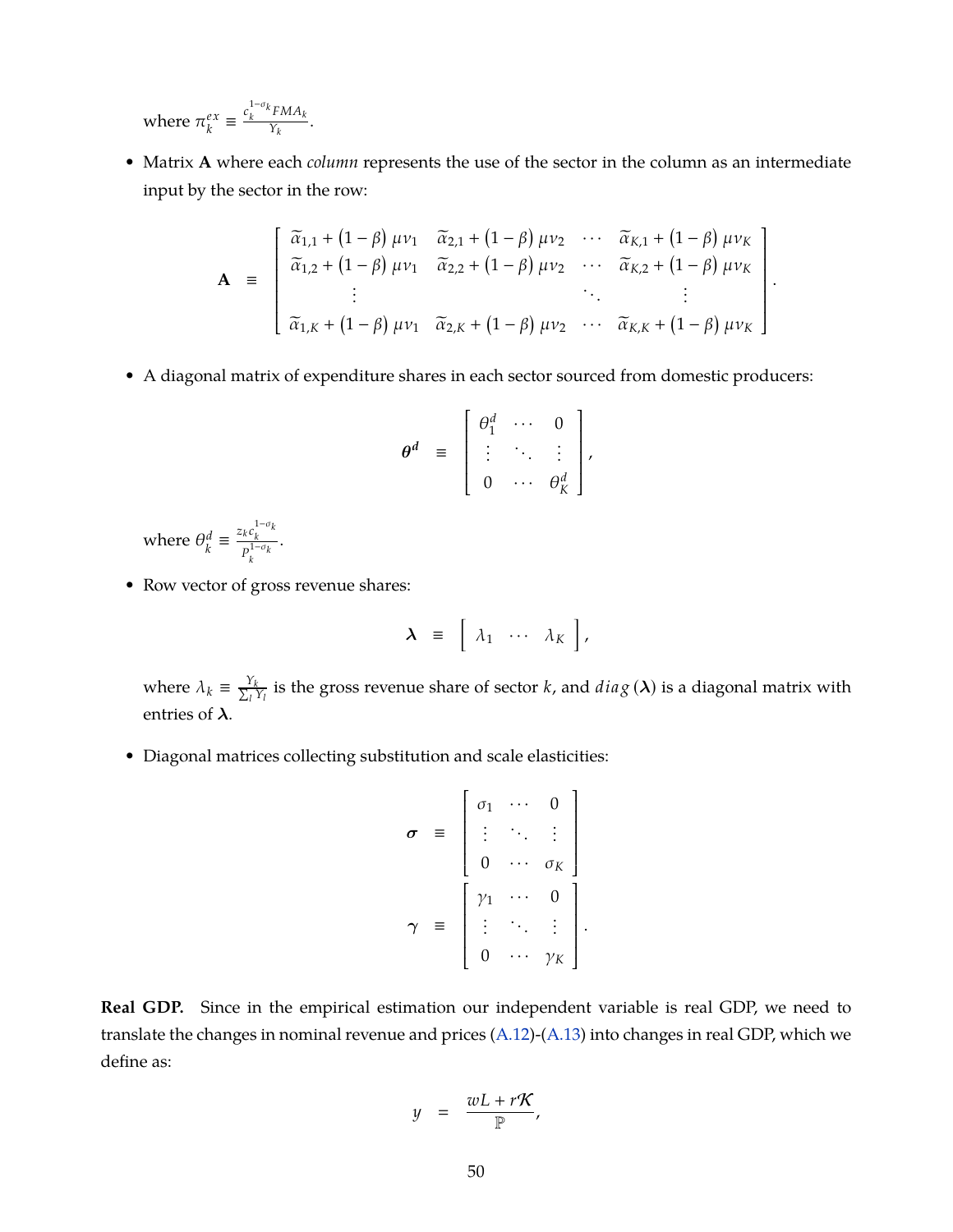where  $\pi_k^{ex}$  $\frac{ex}{k} \equiv \frac{c_k^{1-\sigma_k} FMA_k}{Y_k}$  $\frac{1}{Y_k}$ .

• Matrix **A** where each *column* represents the use of the sector in the column as an intermediate input by the sector in the row:

$$
\mathbf{A} = \begin{bmatrix} \tilde{\alpha}_{1,1} + (1 - \beta) \mu v_1 & \tilde{\alpha}_{2,1} + (1 - \beta) \mu v_2 & \cdots & \tilde{\alpha}_{K,1} + (1 - \beta) \mu v_K \\ \tilde{\alpha}_{1,2} + (1 - \beta) \mu v_1 & \tilde{\alpha}_{2,2} + (1 - \beta) \mu v_2 & \cdots & \tilde{\alpha}_{K,2} + (1 - \beta) \mu v_K \\ \vdots & & \ddots & \vdots \\ \tilde{\alpha}_{1,K} + (1 - \beta) \mu v_1 & \tilde{\alpha}_{2,K} + (1 - \beta) \mu v_2 & \cdots & \tilde{\alpha}_{K,K} + (1 - \beta) \mu v_K \end{bmatrix}
$$

.

• A diagonal matrix of expenditure shares in each sector sourced from domestic producers:

$$
\theta^d = \begin{bmatrix} \theta_1^d & \cdots & 0 \\ \vdots & \ddots & \vdots \\ 0 & \cdots & \theta_K^d \end{bmatrix},
$$

where  $\theta_k^d$  $\frac{d}{k} \equiv \frac{z_k c_k^{1-\sigma_k}}{p^{1-\sigma_k}}$  $P_k^{1-\sigma_k}$ .

• Row vector of gross revenue shares:

$$
\lambda = [\lambda_1 \cdots \lambda_K],
$$

where  $\lambda_k \equiv \frac{Y_k}{\sum_l Y_l}$  $\frac{y_k}{y_l}$  is the gross revenue share of sector *k*, and  $diag\left(\boldsymbol{\lambda}\right)$  is a diagonal matrix with entries of  $\lambda$ .

• Diagonal matrices collecting substitution and scale elasticities:

$$
\sigma = \begin{bmatrix} \sigma_1 & \cdots & 0 \\ \vdots & \ddots & \vdots \\ 0 & \cdots & \sigma_K \end{bmatrix}
$$

$$
\gamma = \begin{bmatrix} \gamma_1 & \cdots & 0 \\ \vdots & \ddots & \vdots \\ 0 & \cdots & \gamma_K \end{bmatrix}
$$

.

**Real GDP.** Since in the empirical estimation our independent variable is real GDP, we need to translate the changes in nominal revenue and prices [\(A.12\)](#page-50-0)-[\(A.13\)](#page-50-0) into changes in real GDP, which we define as:

$$
y = \frac{wL + rK}{P},
$$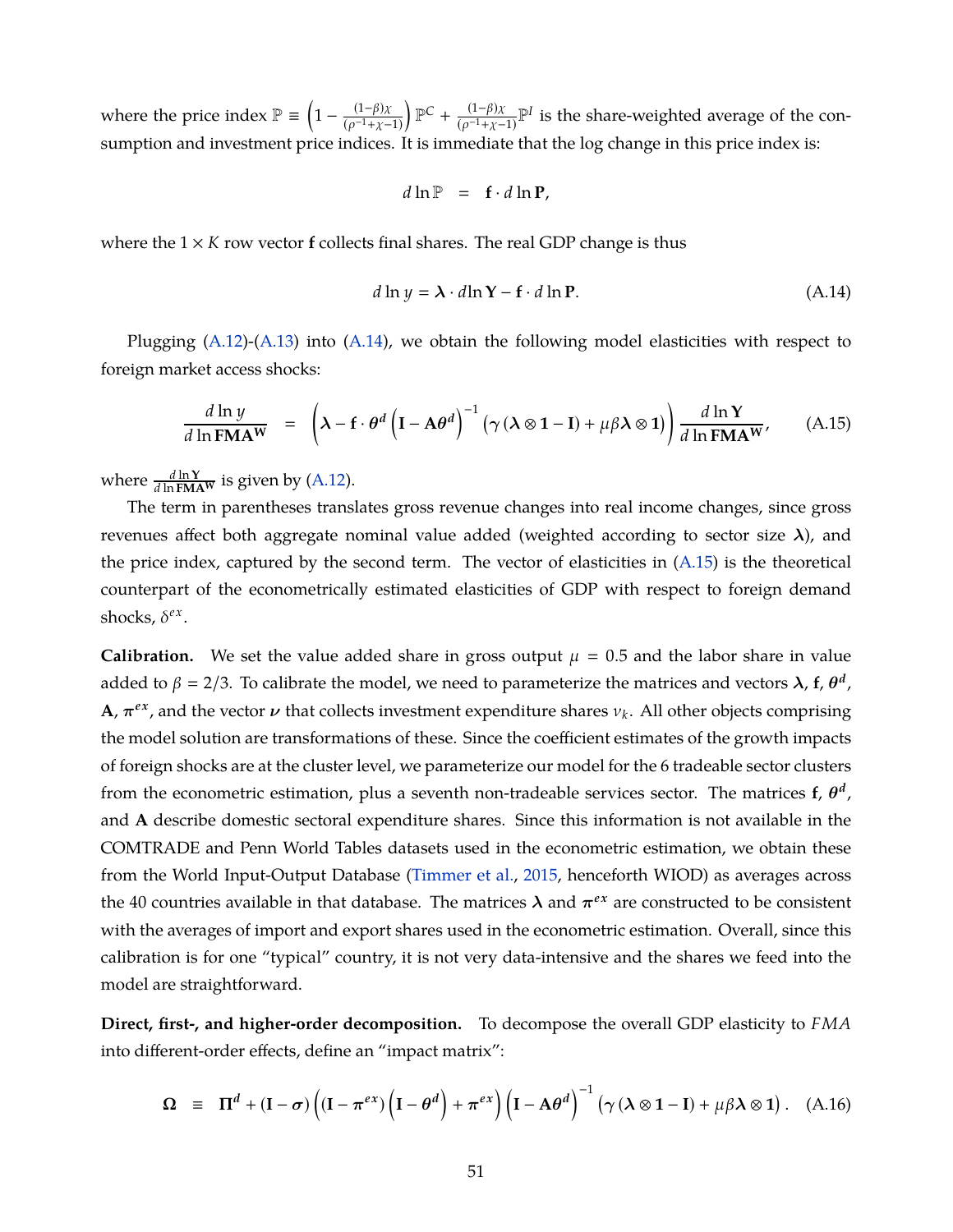where the price index  $\mathbb{P} \equiv \left(1 - \frac{(1-\beta)\chi}{(\alpha^{-1}+\chi - \epsilon)}\right)$  $(\rho^{-1}+\chi-1)$  $\mathbb{P}^C$  +  $\frac{(1-\beta)x}{\beta}$  $\frac{(1-\beta)\chi}{(\rho^{-1}+\chi-1)}$ <sup>p</sup>*I* is the share-weighted average of the consumption and investment price indices. It is immediate that the log change in this price index is:

$$
d\ln\mathbb{P} = \mathbf{f} \cdot d\ln\mathbf{P},
$$

where the  $1 \times K$  row vector **f** collects final shares. The real GDP change is thus

<span id="page-52-1"></span>
$$
d \ln y = \lambda \cdot d \ln Y - f \cdot d \ln P. \tag{A.14}
$$

Plugging  $(A.12)-(A.13)$  $(A.12)-(A.13)$  $(A.12)-(A.13)$  into  $(A.14)$ , we obtain the following model elasticities with respect to foreign market access shocks:

<span id="page-52-0"></span>
$$
\frac{d\ln y}{d\ln \text{FMAW}} = \left(\lambda - \mathbf{f} \cdot \theta^d \left(\mathbf{I} - \mathbf{A}\theta^d\right)^{-1} \left(\gamma \left(\lambda \otimes \mathbf{1} - \mathbf{I}\right) + \mu \beta \lambda \otimes \mathbf{1}\right)\right) \frac{d\ln Y}{d\ln \text{FMAW}},\tag{A.15}
$$

where  $\frac{d \ln Y}{d \ln F \mathbf{M} \mathbf{A}^{\mathbf{W}}}$  is given by [\(A.12\)](#page-50-0).

The term in parentheses translates gross revenue changes into real income changes, since gross revenues affect both aggregate nominal value added (weighted according to sector size  $\lambda$ ), and the price index, captured by the second term. The vector of elasticities in  $(A.15)$  is the theoretical counterpart of the econometrically estimated elasticities of GDP with respect to foreign demand shocks,  $\delta^{ex}$ .

**Calibration.** We set the value added share in gross output  $\mu = 0.5$  and the labor share in value added to  $\beta = 2/3$ . To calibrate the model, we need to parameterize the matrices and vectors  $\lambda$ , f,  $\theta^d$ , **A**,  $\pi^{ex}$ , and the vector  $\nu$  that collects investment expenditure shares  $v_k$ . All other objects comprising the model solution are transformations of these. Since the coefficient estimates of the growth impacts of foreign shocks are at the cluster level, we parameterize our model for the 6 tradeable sector clusters from the econometric estimation, plus a seventh non-tradeable services sector. The matrices  $f$ ,  $\theta^d$ , and **A** describe domestic sectoral expenditure shares. Since this information is not available in the COMTRADE and Penn World Tables datasets used in the econometric estimation, we obtain these from the World Input-Output Database [\(Timmer et al.,](#page-40-0) [2015,](#page-40-0) henceforth WIOD) as averages across the 40 countries available in that database. The matrices  $\lambda$  and  $\pi^{ex}$  are constructed to be consistent with the averages of import and export shares used in the econometric estimation. Overall, since this calibration is for one "typical" country, it is not very data-intensive and the shares we feed into the model are straightforward.

**Direct, first-, and higher-order decomposition.** To decompose the overall GDP elasticity to *FMA* into different-order effects, define an "impact matrix":

<span id="page-52-2"></span>
$$
\Omega \equiv \Pi^d + (I - \sigma) \left( (I - \pi^{ex}) \left( I - \theta^d \right) + \pi^{ex} \right) \left( I - A \theta^d \right)^{-1} \left( \gamma \left( \lambda \otimes 1 - I \right) + \mu \beta \lambda \otimes 1 \right). \quad (A.16)
$$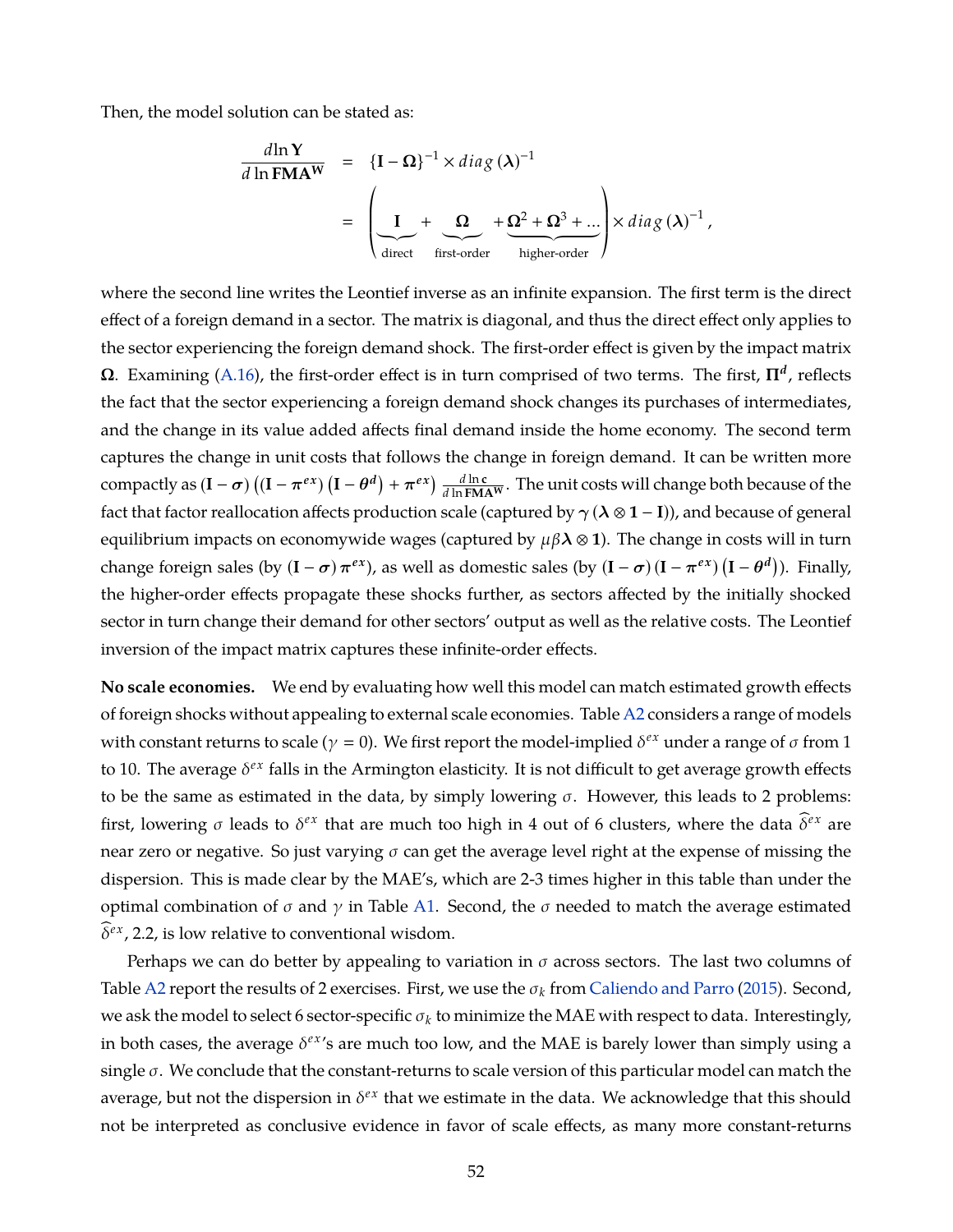Then, the model solution can be stated as:

$$
\frac{d\ln Y}{d\ln \text{FMAW}} = \left\{ \mathbf{I} - \mathbf{\Omega} \right\}^{-1} \times diag(\lambda)^{-1}
$$
\n
$$
= \left( \underbrace{\mathbf{I}}_{\text{direct}} + \underbrace{\mathbf{\Omega}}_{\text{first-order}} + \underbrace{\mathbf{\Omega}^{2} + \mathbf{\Omega}^{3} + \dots}_{\text{higher-order}} \right) \times diag(\lambda)^{-1},
$$

where the second line writes the Leontief inverse as an infinite expansion. The first term is the direct effect of a foreign demand in a sector. The matrix is diagonal, and thus the direct effect only applies to the sector experiencing the foreign demand shock. The first-order effect is given by the impact matrix  $Ω$ . Examining [\(A.16\)](#page-52-2), the first-order effect is in turn comprised of two terms. The first,  $\Pi^d$ , reflects the fact that the sector experiencing a foreign demand shock changes its purchases of intermediates, and the change in its value added affects final demand inside the home economy. The second term captures the change in unit costs that follows the change in foreign demand. It can be written more compactly as  $(I - \sigma) ((I - \pi^{ex}) (I - \theta^d) + \pi^{ex}) \frac{d \ln c}{d \ln F \mathbf{M} A^W}$ . The unit costs will change both because of the fact that factor reallocation affects production scale (captured by  $\gamma$  ( $\lambda \otimes 1 - I$ )), and because of general equilibrium impacts on economywide wages (captured by  $\mu\beta\lambda \otimes 1$ ). The change in costs will in turn change foreign sales (by  $(I - \sigma) \pi^{ex}$ ), as well as domestic sales (by  $(I - \sigma) (I - \pi^{ex}) (I - \theta^d)$ ). Finally, the higher-order effects propagate these shocks further, as sectors affected by the initially shocked sector in turn change their demand for other sectors' output as well as the relative costs. The Leontief inversion of the impact matrix captures these infinite-order effects.

**No scale economies.** We end by evaluating how well this model can match estimated growth effects of foreign shocks without appealing to external scale economies. Table [A2](#page-55-0) considers a range of models with constant returns to scale ( $\gamma = 0$ ). We first report the model-implied  $\delta^{ex}$  under a range of  $\sigma$  from 1 to 10. The average  $\delta^{ex}$  falls in the Armington elasticity. It is not difficult to get average growth effects to be the same as estimated in the data, by simply lowering  $\sigma$ . However, this leads to 2 problems: first, lowering  $\sigma$  leads to  $\delta^{ex}$  that are much too high in 4 out of 6 clusters, where the data  $\delta^{ex}$  are near zero or negative. So just varying  $\sigma$  can get the average level right at the expense of missing the dispersion. This is made clear by the MAE's, which are 2-3 times higher in this table than under the optimal combination of  $\sigma$  and  $\gamma$  in Table [A1.](#page-54-0) Second, the  $\sigma$  needed to match the average estimated  $\delta^{ex}$ , 2.2, is low relative to conventional wisdom.

Perhaps we can do better by appealing to variation in  $\sigma$  across sectors. The last two columns of Table [A2](#page-55-0) report the results of 2 exercises. First, we use the σ*<sup>k</sup>* from [Caliendo and Parro](#page-36-2) [\(2015\)](#page-36-2). Second, we ask the model to select 6 sector-specific  $\sigma_k$  to minimize the MAE with respect to data. Interestingly, in both cases, the average  $\delta^{ex}$ 's are much too low, and the MAE is barely lower than simply using a single  $\sigma$ . We conclude that the constant-returns to scale version of this particular model can match the average, but not the dispersion in  $\delta^{ex}$  that we estimate in the data. We acknowledge that this should not be interpreted as conclusive evidence in favor of scale effects, as many more constant-returns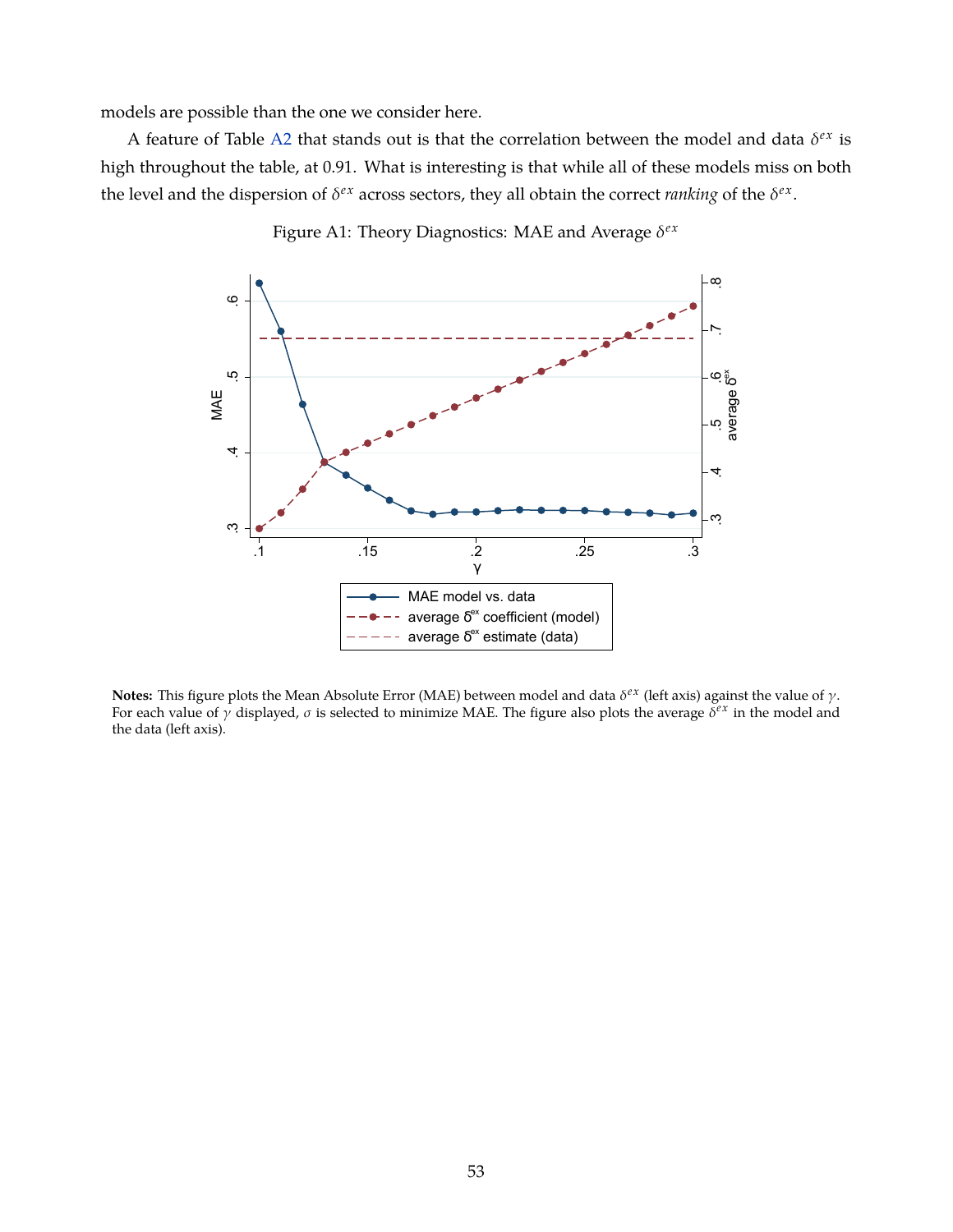models are possible than the one we consider here.

<span id="page-54-0"></span>A feature of Table [A2](#page-55-0) that stands out is that the correlation between the model and data  $\delta^{ex}$  is high throughout the table, at 0.91. What is interesting is that while all of these models miss on both the level and the dispersion of  $\delta^{ex}$  across sectors, they all obtain the correct *ranking* of the  $\delta^{ex}$ .



Figure A1: Theory Diagnostics: MAE and Average δ<sup>ex</sup>

**Notes:** This figure plots the Mean Absolute Error (MAE) between model and data δ<sup>εχ</sup> (left axis) against the value of γ. For each value of  $\gamma$  displayed,  $\sigma$  is selected to minimize MAE. The figure also plots the average  $\delta^{ex}$  in the model and the data (left axis).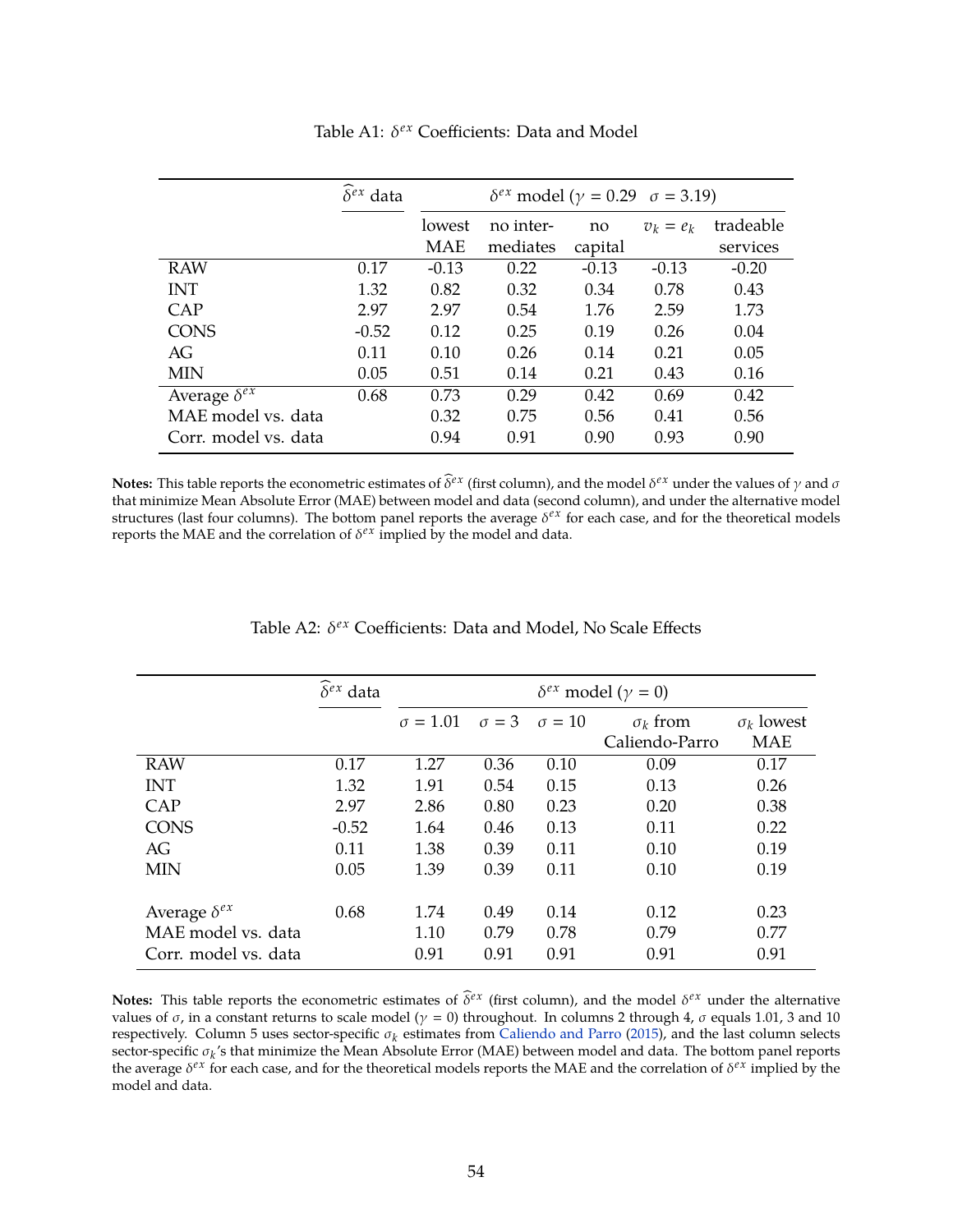|                       | $\widehat{\delta}^{ex}$ data | $\delta^{ex}$ model ( $\gamma = 0.29$ $\sigma = 3.19$ ) |           |         |             |           |  |
|-----------------------|------------------------------|---------------------------------------------------------|-----------|---------|-------------|-----------|--|
|                       |                              | lowest                                                  | no inter- | no      | $v_k = e_k$ | tradeable |  |
|                       |                              | <b>MAE</b>                                              | mediates  | capital |             | services  |  |
| <b>RAW</b>            | 0.17                         | $-0.13$                                                 | 0.22      | $-0.13$ | $-0.13$     | $-0.20$   |  |
| <b>INT</b>            | 1.32                         | 0.82                                                    | 0.32      | 0.34    | 0.78        | 0.43      |  |
| CAP                   | 2.97                         | 2.97                                                    | 0.54      | 1.76    | 2.59        | 1.73      |  |
| <b>CONS</b>           | $-0.52$                      | 0.12                                                    | 0.25      | 0.19    | 0.26        | 0.04      |  |
| AG                    | 0.11                         | 0.10                                                    | 0.26      | 0.14    | 0.21        | 0.05      |  |
| MIN                   | 0.05                         | 0.51                                                    | 0.14      | 0.21    | 0.43        | 0.16      |  |
| Average $\delta^{ex}$ | 0.68                         | 0.73                                                    | 0.29      | 0.42    | 0.69        | 0.42      |  |
| MAE model vs. data    |                              | 0.32                                                    | 0.75      | 0.56    | 0.41        | 0.56      |  |
| Corr. model vs. data  |                              | 0.94                                                    | 0.91      | 0.90    | 0.93        | 0.90      |  |

Table A1: δ<sup>*ex*</sup> Coefficients: Data and Model

**Notes:** This table reports the econometric estimates of  $\delta^{ex}$  (first column), and the model  $\delta^{ex}$  under the values of  $\gamma$  and  $\sigma$ that minimize Mean Absolute Error (MAE) between model and data (second column), and under the alternative model structures (last four columns). The bottom panel reports the average  $\delta^{ex}$  for each case, and for the theoretical models reports the MAE and the correlation of  $\delta^{ex}$  implied by the model and data.

<span id="page-55-0"></span>

|                       | $\delta^{ex}$ data | $\delta^{ex}$ model ( $\gamma = 0$ ) |              |               |                 |                   |
|-----------------------|--------------------|--------------------------------------|--------------|---------------|-----------------|-------------------|
|                       |                    | $\sigma = 1.01$                      | $\sigma = 3$ | $\sigma = 10$ | $\sigma_k$ from | $\sigma_k$ lowest |
|                       |                    |                                      |              |               | Caliendo-Parro  | <b>MAE</b>        |
| <b>RAW</b>            | 0.17               | 1.27                                 | 0.36         | 0.10          | 0.09            | 0.17              |
| <b>INT</b>            | 1.32               | 1.91                                 | 0.54         | 0.15          | 0.13            | 0.26              |
| CAP                   | 2.97               | 2.86                                 | 0.80         | 0.23          | 0.20            | 0.38              |
| <b>CONS</b>           | $-0.52$            | 1.64                                 | 0.46         | 0.13          | 0.11            | 0.22              |
| AG                    | 0.11               | 1.38                                 | 0.39         | 0.11          | 0.10            | 0.19              |
| MIN                   | 0.05               | 1.39                                 | 0.39         | 0.11          | 0.10            | 0.19              |
| Average $\delta^{ex}$ | 0.68               | 1.74                                 | 0.49         | 0.14          | 0.12            | 0.23              |
| MAE model vs. data    |                    | 1.10                                 | 0.79         | 0.78          | 0.79            | 0.77              |
| Corr. model vs. data  |                    | 0.91                                 | 0.91         | 0.91          | 0.91            | 0.91              |

Table A2: δ<sup>εx</sup> Coefficients: Data and Model, No Scale Effects

**Notes:** This table reports the econometric estimates of  $\delta^{ex}$  (first column), and the model  $\delta^{ex}$  under the alternative values of σ, in a constant returns to scale model ( $\gamma = 0$ ) throughout. In columns 2 through 4, σ equals 1.01, 3 and 10 respectively. Column 5 uses sector-specific σ*<sup>k</sup>* estimates from [Caliendo and Parro](#page-36-2) [\(2015\)](#page-36-2), and the last column selects sector-specific σ*<sup>k</sup>* 's that minimize the Mean Absolute Error (MAE) between model and data. The bottom panel reports the average δ<sup>ex</sup> for each case, and for the theoretical models reports the MAE and the correlation of δ<sup>ex</sup> implied by the model and data.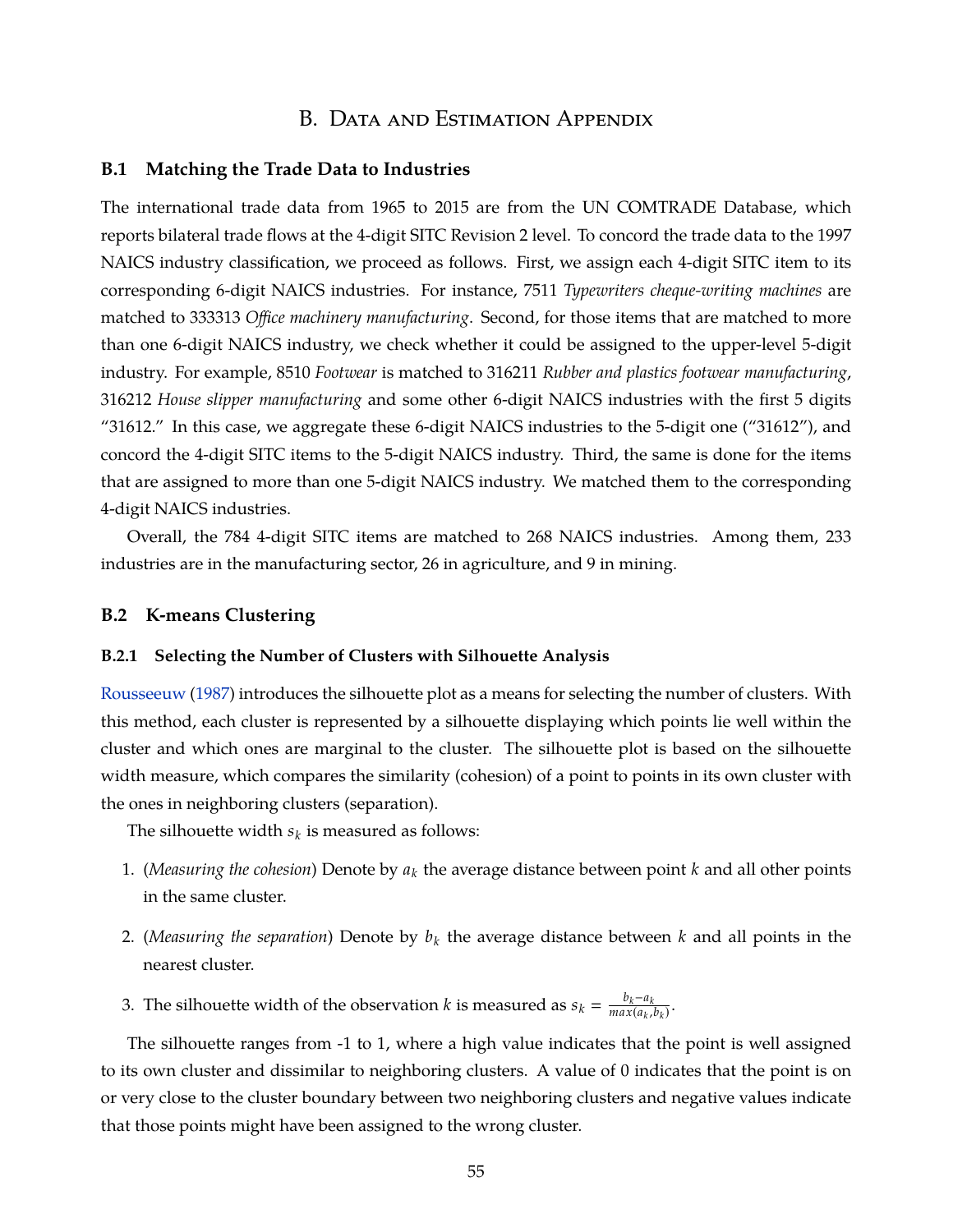## B. Data and Estimation Appendix

#### **B.1 Matching the Trade Data to Industries**

The international trade data from 1965 to 2015 are from the UN COMTRADE Database, which reports bilateral trade flows at the 4-digit SITC Revision 2 level. To concord the trade data to the 1997 NAICS industry classification, we proceed as follows. First, we assign each 4-digit SITC item to its corresponding 6-digit NAICS industries. For instance, *7511 Typewriters cheque-writing machines* are matched to *333313 Office machinery manufacturing*. Second, for those items that are matched to more than one 6-digit NAICS industry, we check whether it could be assigned to the upper-level 5-digit industry. For example, *8510 Footwear* is matched to *316211 Rubber and plastics footwear manufacturing*, *316212 House slipper manufacturing* and some other 6-digit NAICS industries with the first 5 digits "31612." In this case, we aggregate these 6-digit NAICS industries to the 5-digit one ("31612"), and concord the 4-digit SITC items to the 5-digit NAICS industry. Third, the same is done for the items that are assigned to more than one 5-digit NAICS industry. We matched them to the corresponding 4-digit NAICS industries.

Overall, the 784 4-digit SITC items are matched to 268 NAICS industries. Among them, 233 industries are in the manufacturing sector, 26 in agriculture, and 9 in mining.

#### **B.2 K-means Clustering**

#### **B.2.1 Selecting the Number of Clusters with Silhouette Analysis**

[Rousseeuw](#page-40-1) [\(1987\)](#page-40-1) introduces the silhouette plot as a means for selecting the number of clusters. With this method, each cluster is represented by a silhouette displaying which points lie well within the cluster and which ones are marginal to the cluster. The silhouette plot is based on the silhouette width measure, which compares the similarity (cohesion) of a point to points in its own cluster with the ones in neighboring clusters (separation).

The silhouette width  $s_k$  is measured as follows:

- 1. (*Measuring the cohesion*) Denote by *a<sup>k</sup>* the average distance between point *k* and all other points in the same cluster.
- 2. (*Measuring the separation*) Denote by *b<sup>k</sup>* the average distance between *k* and all points in the nearest cluster.
- 3. The silhouette width of the observation *k* is measured as  $s_k = \frac{b_k a_k}{max(a_k)}$  $\frac{v_k - u_k}{\max(a_k, b_k)}$ .

The silhouette ranges from -1 to 1, where a high value indicates that the point is well assigned to its own cluster and dissimilar to neighboring clusters. A value of 0 indicates that the point is on or very close to the cluster boundary between two neighboring clusters and negative values indicate that those points might have been assigned to the wrong cluster.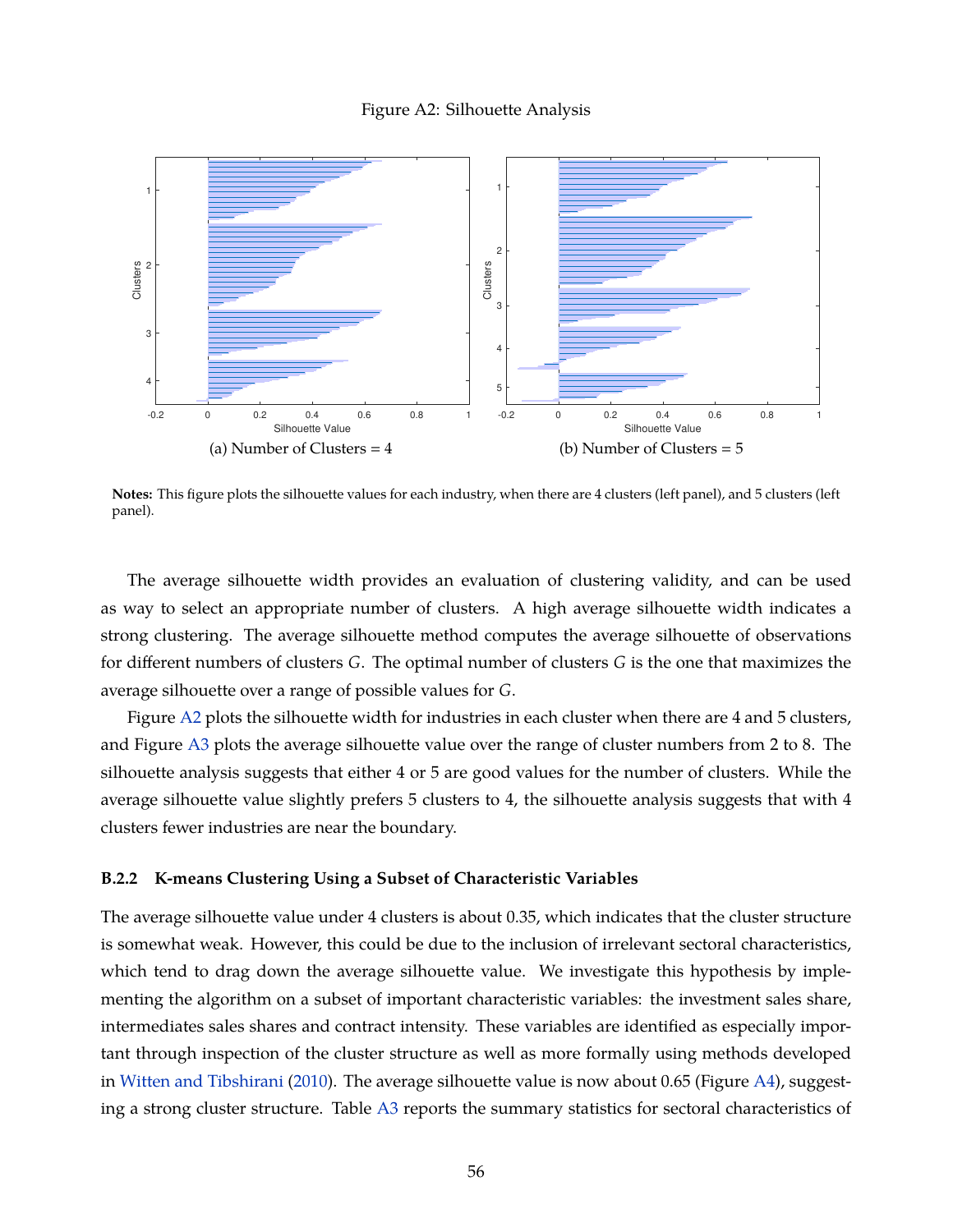#### Figure A2: Silhouette Analysis

<span id="page-57-0"></span>

**Notes:** This figure plots the silhouette values for each industry, when there are 4 clusters (left panel), and 5 clusters (left panel).

The average silhouette width provides an evaluation of clustering validity, and can be used as way to select an appropriate number of clusters. A high average silhouette width indicates a strong clustering. The average silhouette method computes the average silhouette of observations for different numbers of clusters *G*. The optimal number of clusters *G* is the one that maximizes the average silhouette over a range of possible values for *G*.

Figure [A2](#page-57-0) plots the silhouette width for industries in each cluster when there are 4 and 5 clusters, and Figure [A3](#page-58-0) plots the average silhouette value over the range of cluster numbers from 2 to 8. The silhouette analysis suggests that either 4 or 5 are good values for the number of clusters. While the average silhouette value slightly prefers 5 clusters to 4, the silhouette analysis suggests that with 4 clusters fewer industries are near the boundary.

#### **B.2.2 K-means Clustering Using a Subset of Characteristic Variables**

The average silhouette value under 4 clusters is about 0.35, which indicates that the cluster structure is somewhat weak. However, this could be due to the inclusion of irrelevant sectoral characteristics, which tend to drag down the average silhouette value. We investigate this hypothesis by implementing the algorithm on a subset of important characteristic variables: the investment sales share, intermediates sales shares and contract intensity. These variables are identified as especially important through inspection of the cluster structure as well as more formally using methods developed in [Witten and Tibshirani](#page-40-2) [\(2010\)](#page-40-2). The average silhouette value is now about 0.65 (Figure [A4\)](#page-58-1), suggesting a strong cluster structure. Table [A3](#page-59-0) reports the summary statistics for sectoral characteristics of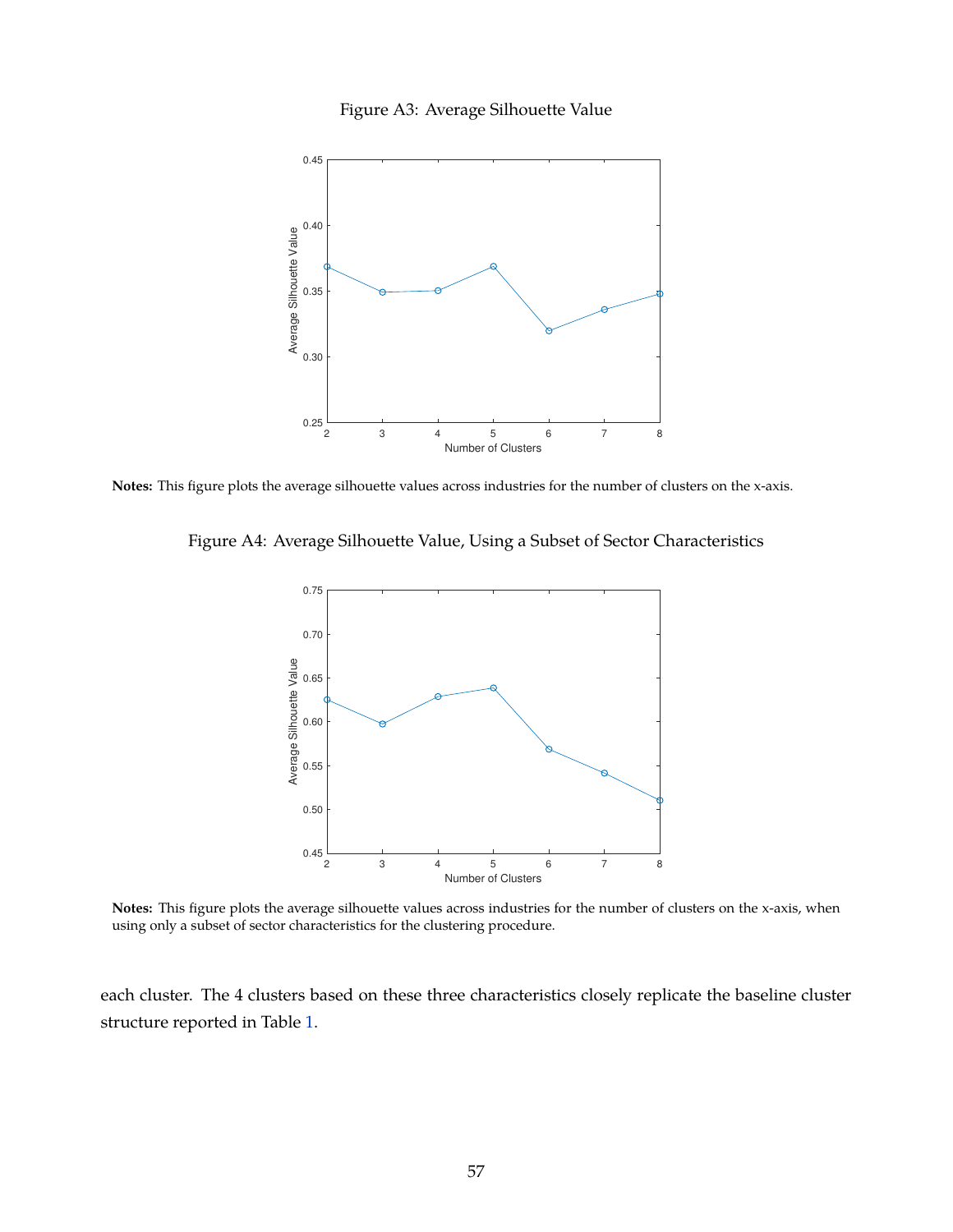

<span id="page-58-0"></span>

<span id="page-58-1"></span>**Notes:** This figure plots the average silhouette values across industries for the number of clusters on the x-axis.

Figure A4: Average Silhouette Value, Using a Subset of Sector Characteristics



**Notes:** This figure plots the average silhouette values across industries for the number of clusters on the x-axis, when using only a subset of sector characteristics for the clustering procedure.

each cluster. The 4 clusters based on these three characteristics closely replicate the baseline cluster structure reported in Table [1.](#page-18-0)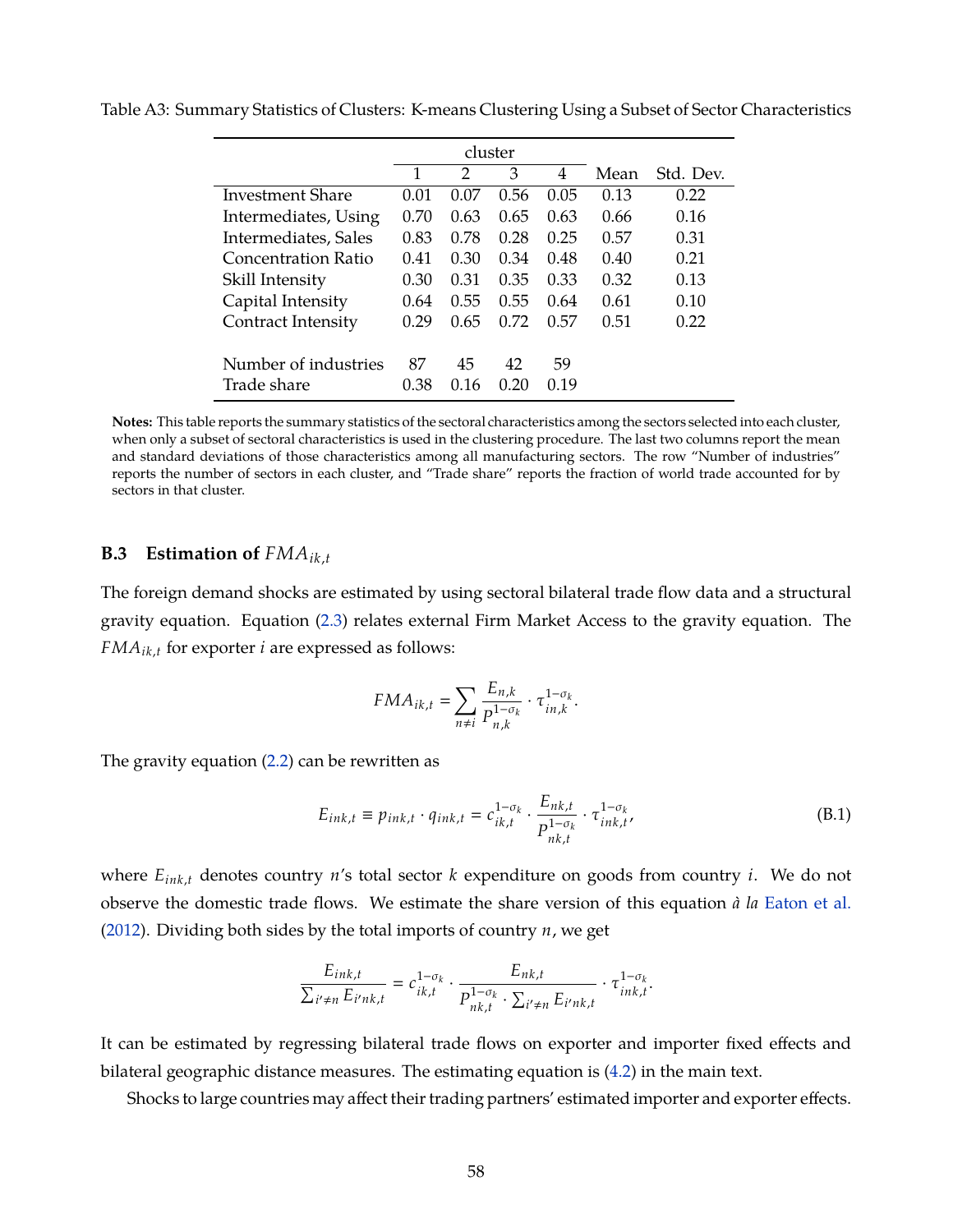|                      |      | cluster |      |      |      |           |
|----------------------|------|---------|------|------|------|-----------|
|                      | 1    | 2       | 3    | 4    | Mean | Std. Dev. |
| Investment Share     | 0.01 | 0.07    | 0.56 | 0.05 | 0.13 | 0.22      |
| Intermediates, Using | 0.70 | 0.63    | 0.65 | 0.63 | 0.66 | 0.16      |
| Intermediates, Sales | 0.83 | 0.78    | 0.28 | 0.25 | 0.57 | 0.31      |
| Concentration Ratio  | 0.41 | 0.30    | 0.34 | 0.48 | 0.40 | 0.21      |
| Skill Intensity      | 0.30 | 0.31    | 0.35 | 0.33 | 0.32 | 0.13      |
| Capital Intensity    | 0.64 | 0.55    | 0.55 | 0.64 | 0.61 | 0.10      |
| Contract Intensity   | 0.29 | 0.65    | 0.72 | 0.57 | 0.51 | 0.22      |
|                      |      |         |      |      |      |           |
| Number of industries | 87   | 45      | 42   | 59   |      |           |
| Trade share          | 0.38 | 0.16    | 0.20 | 0.19 |      |           |

<span id="page-59-0"></span>Table A3: Summary Statistics of Clusters: K-means Clustering Using a Subset of Sector Characteristics

**Notes:** This table reports the summary statistics of the sectoral characteristics among the sectors selected into each cluster, when only a subset of sectoral characteristics is used in the clustering procedure. The last two columns report the mean and standard deviations of those characteristics among all manufacturing sectors. The row "Number of industries" reports the number of sectors in each cluster, and "Trade share" reports the fraction of world trade accounted for by sectors in that cluster.

## **B.3 Estimation of**  $FMA_{ik,t}$

The foreign demand shocks are estimated by using sectoral bilateral trade flow data and a structural gravity equation. Equation [\(2.3\)](#page-7-0) relates external Firm Market Access to the gravity equation. The *FMAik*,*<sup>t</sup>* for exporter *i* are expressed as follows:

$$
FMA_{ik,t} = \sum_{n \neq i} \frac{E_{n,k}}{P_{n,k}^{1-\sigma_k}} \cdot \tau_{in,k}^{1-\sigma_k}.
$$

The gravity equation [\(2.2\)](#page-7-1) can be rewritten as

$$
E_{ink,t} \equiv p_{ink,t} \cdot q_{ink,t} = c_{ik,t}^{1-\sigma_k} \cdot \frac{E_{nk,t}}{P_{nk,t}^{1-\sigma_k}} \cdot \tau_{ink,t}^{1-\sigma_k}
$$
(B.1)

where *Eink*,*<sup>t</sup>* denotes country *n*'s total sector *k* expenditure on goods from country *i*. We do not observe the domestic trade flows. We estimate the share version of this equation *à la* [Eaton et al.](#page-37-0) [\(2012\)](#page-37-0). Dividing both sides by the total imports of country *n*, we get

$$
\frac{E_{ink,t}}{\sum_{i' \neq n} E_{i'nk,t}} = c_{ik,t}^{1-\sigma_k} \cdot \frac{E_{nk,t}}{P_{nk,t}^{1-\sigma_k} \cdot \sum_{i' \neq n} E_{i'nk,t}} \cdot \tau_{ink,t}^{1-\sigma_k}.
$$

It can be estimated by regressing bilateral trade flows on exporter and importer fixed effects and bilateral geographic distance measures. The estimating equation is [\(4.2\)](#page-18-1) in the main text.

Shocks to large countries may affect their trading partners' estimated importer and exporter effects.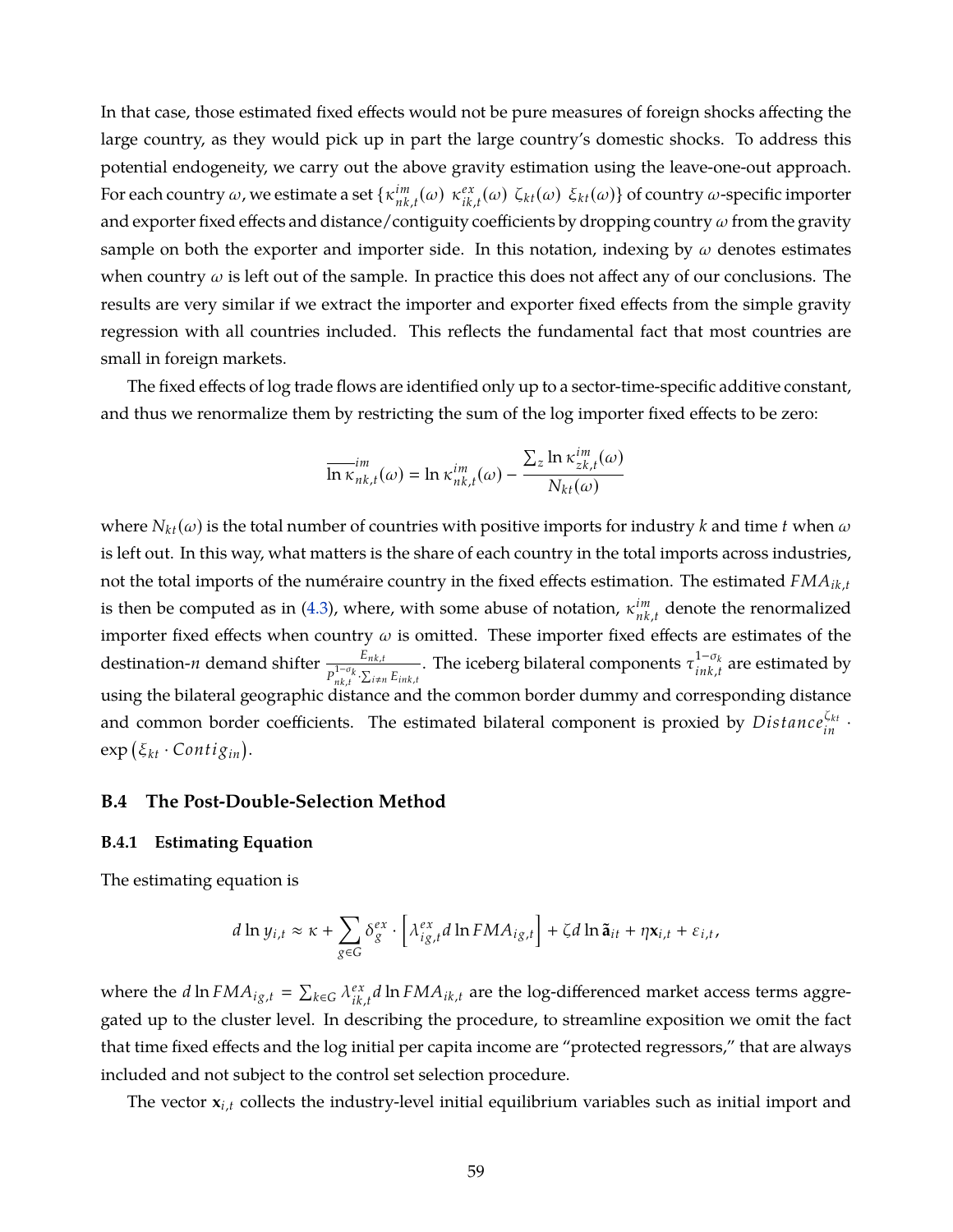In that case, those estimated fixed effects would not be pure measures of foreign shocks affecting the large country, as they would pick up in part the large country's domestic shocks. To address this potential endogeneity, we carry out the above gravity estimation using the leave-one-out approach. For each country  $\omega$ , we estimate a set  $\{ \kappa_{nk}^{im} \}$  $\lim_{nk,t}(\omega) \kappa_{ik}^{ex}$  $e_{ik,t}^{\alpha}(\omega)$  ζ<sub>kt</sub>(ω) ξ<sub>kt</sub>(ω)} of country ω-specific importer and exporter fixed effects and distance/contiguity coefficients by dropping country  $\omega$  from the gravity sample on both the exporter and importer side. In this notation, indexing by  $\omega$  denotes estimates when country  $\omega$  is left out of the sample. In practice this does not affect any of our conclusions. The results are very similar if we extract the importer and exporter fixed effects from the simple gravity regression with all countries included. This reflects the fundamental fact that most countries are small in foreign markets.

The fixed effects of log trade flows are identified only up to a sector-time-specific additive constant, and thus we renormalize them by restricting the sum of the log importer fixed effects to be zero:

$$
\overline{\ln\kappa}_{nk,t}^{im}(\omega)=\ln\kappa_{nk,t}^{im}(\omega)-\frac{\sum_{z}\ln\kappa_{zk,t}^{im}(\omega)}{N_{kt}(\omega)}
$$

where  $N_{kt}(\omega)$  is the total number of countries with positive imports for industry *k* and time *t* when  $\omega$ is left out. In this way, what matters is the share of each country in the total imports across industries, not the total imports of the numéraire country in the fixed effects estimation. The estimated *FMAik*,*<sup>t</sup>* is then be computed as in [\(4.3\)](#page-19-0), where, with some abuse of notation,  $\kappa_{nk}^{im}$ *nk*,*t* denote the renormalized importer fixed effects when country  $\omega$  is omitted. These importer fixed effects are estimates of the destination-*n* demand shifter  $\frac{E_{nk,t}}{P_{nk,t}^{1-\sigma_k} \cdot \sum_{i\neq n} E_{ink,t}}$ . The iceberg bilateral components  $\tau^{1-\sigma_k}_{ink,t}$  $\sum_{i\neq k,t}^{1-\sigma_k}$  are estimated by using the bilateral geographic distance and the common border dummy and corresponding distance and common border coefficients. The estimated bilateral component is proxied by  $Distance_{in}^{\zeta_{kt}}$ .  $\exp\left(\xi_{kt}\cdot Contig_{in}\right)$ .

#### **B.4 The Post-Double-Selection Method**

#### **B.4.1 Estimating Equation**

The estimating equation is

$$
d\ln y_{i,t} \approx \kappa + \sum_{g \in G} \delta_g^{ex} \cdot \left[ \lambda_{ig,t}^{ex} d \ln FMA_{ig,t} \right] + \zeta d \ln \tilde{\mathbf{a}}_{it} + \eta \mathbf{x}_{i,t} + \varepsilon_{i,t},
$$

where the *d* ln  $FMA_{ig,t} = \sum_{k \in G} \lambda_{ik}^{ex}$  $\int_{ik,t}^{ex} d\ln{FMA_{ik,t}}$  are the log-differenced market access terms aggregated up to the cluster level. In describing the procedure, to streamline exposition we omit the fact that time fixed effects and the log initial per capita income are "protected regressors," that are always included and not subject to the control set selection procedure.

The vector **x***i*,*<sup>t</sup>* collects the industry-level initial equilibrium variables such as initial import and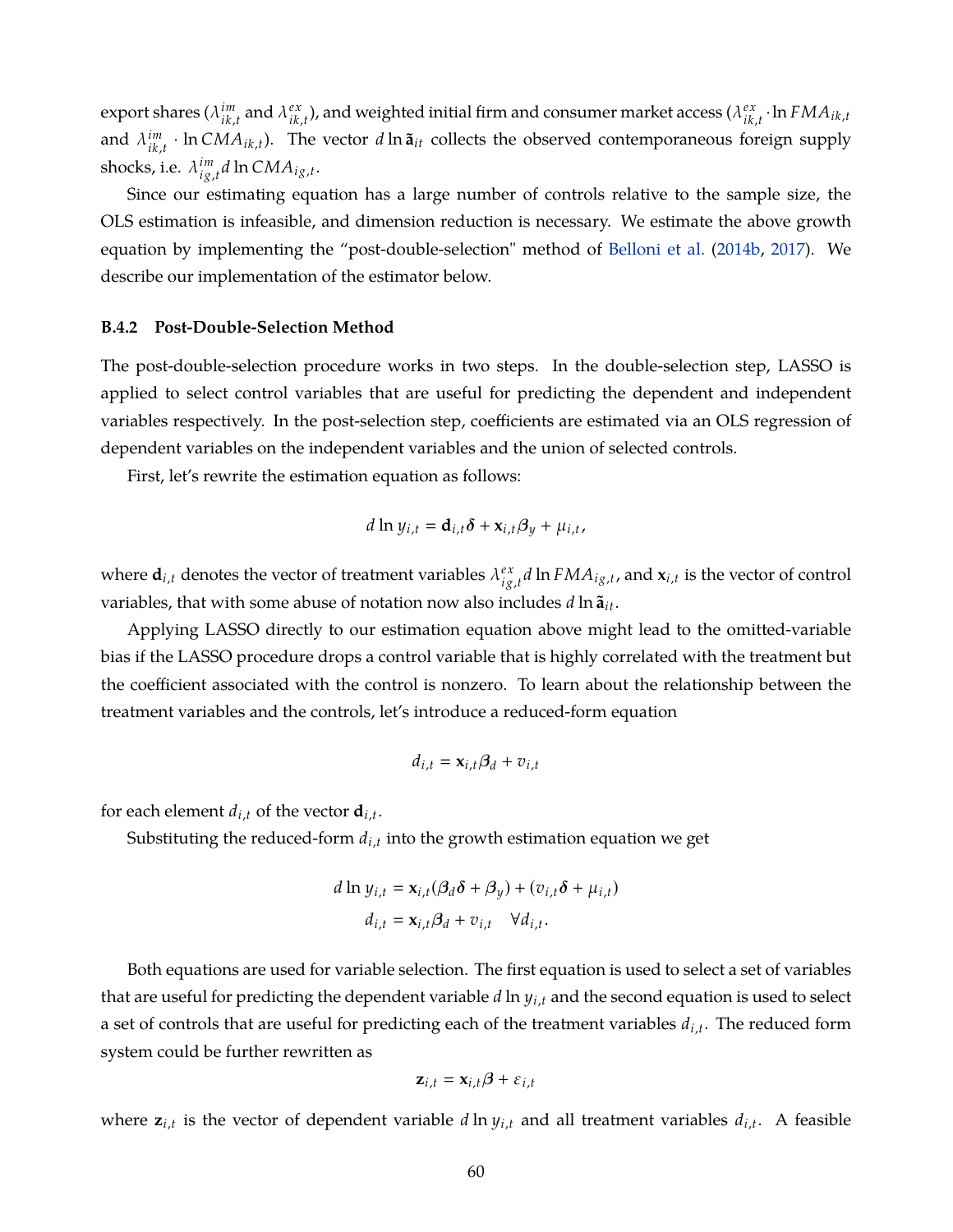export shares (λ *im*  $\sum_{ik,t}^{im}$  and  $\lambda_{ik,t}^{ex}$  $e^{ \alpha}_{ik,t}$ ), and weighted initial firm and consumer market access ( $\lambda^{ex}_{ik,t}$  $\sum_{ik,t}^{ex}$  · ln  $FMA_{ik,t}$ and  $\lambda_{ik}^{im}$  $\int_{ik,t}^{im}$  · ln *CMA*<sub>*ik*,*t*</sub>). The vector *d* ln  $\tilde{a}_{it}$  collects the observed contemporaneous foreign supply shocks, i.e.  $\lambda_{i\sigma}^{im}$ *i g*,*t d* ln *CMAi g*,*<sup>t</sup>* .

Since our estimating equation has a large number of controls relative to the sample size, the OLS estimation is infeasible, and dimension reduction is necessary. We estimate the above growth equation by implementing the "post-double-selection" method of [Belloni et al.](#page-36-3) [\(2014b,](#page-36-3) [2017\)](#page-36-4). We describe our implementation of the estimator below.

#### **B.4.2 Post-Double-Selection Method**

The post-double-selection procedure works in two steps. In the double-selection step, LASSO is applied to select control variables that are useful for predicting the dependent and independent variables respectively. In the post-selection step, coefficients are estimated via an OLS regression of dependent variables on the independent variables and the union of selected controls.

First, let's rewrite the estimation equation as follows:

$$
d \ln y_{i,t} = \mathbf{d}_{i,t} \delta + \mathbf{x}_{i,t} \beta_y + \mu_{i,t},
$$

where  $\mathbf{d}_{i,t}$  denotes the vector of treatment variables  $\lambda_{i\sigma}^{ex}$  $\int_{i g,t}^{e x} d \ln F M A_{ig,t}$  , and  $\mathbf{x}_{i,t}$  is the vector of control variables, that with some abuse of notation now also includes *d* ln  $\tilde{a}_{it}$ .

Applying LASSO directly to our estimation equation above might lead to the omitted-variable bias if the LASSO procedure drops a control variable that is highly correlated with the treatment but the coefficient associated with the control is nonzero. To learn about the relationship between the treatment variables and the controls, let's introduce a reduced-form equation

$$
d_{i,t} = \mathbf{x}_{i,t} \boldsymbol{\beta}_d + v_{i,t}
$$

for each element  $d_{i,t}$  of the vector  $\mathbf{d}_{i,t}$ .

Substituting the reduced-form  $d_{i,t}$  into the growth estimation equation we get

$$
d \ln y_{i,t} = \mathbf{x}_{i,t} (\beta_d \delta + \beta_y) + (v_{i,t} \delta + \mu_{i,t})
$$

$$
d_{i,t} = \mathbf{x}_{i,t} \beta_d + v_{i,t} \quad \forall d_{i,t}.
$$

Both equations are used for variable selection. The first equation is used to select a set of variables that are useful for predicting the dependent variable *d* ln *yi*,*<sup>t</sup>* and the second equation is used to select a set of controls that are useful for predicting each of the treatment variables *di*,*<sup>t</sup>* . The reduced form system could be further rewritten as

$$
\mathbf{z}_{i,t} = \mathbf{x}_{i,t} \boldsymbol{\beta} + \varepsilon_{i,t}
$$

where  $z_{i,t}$  is the vector of dependent variable *d* ln  $y_{i,t}$  and all treatment variables  $d_{i,t}$ . A feasible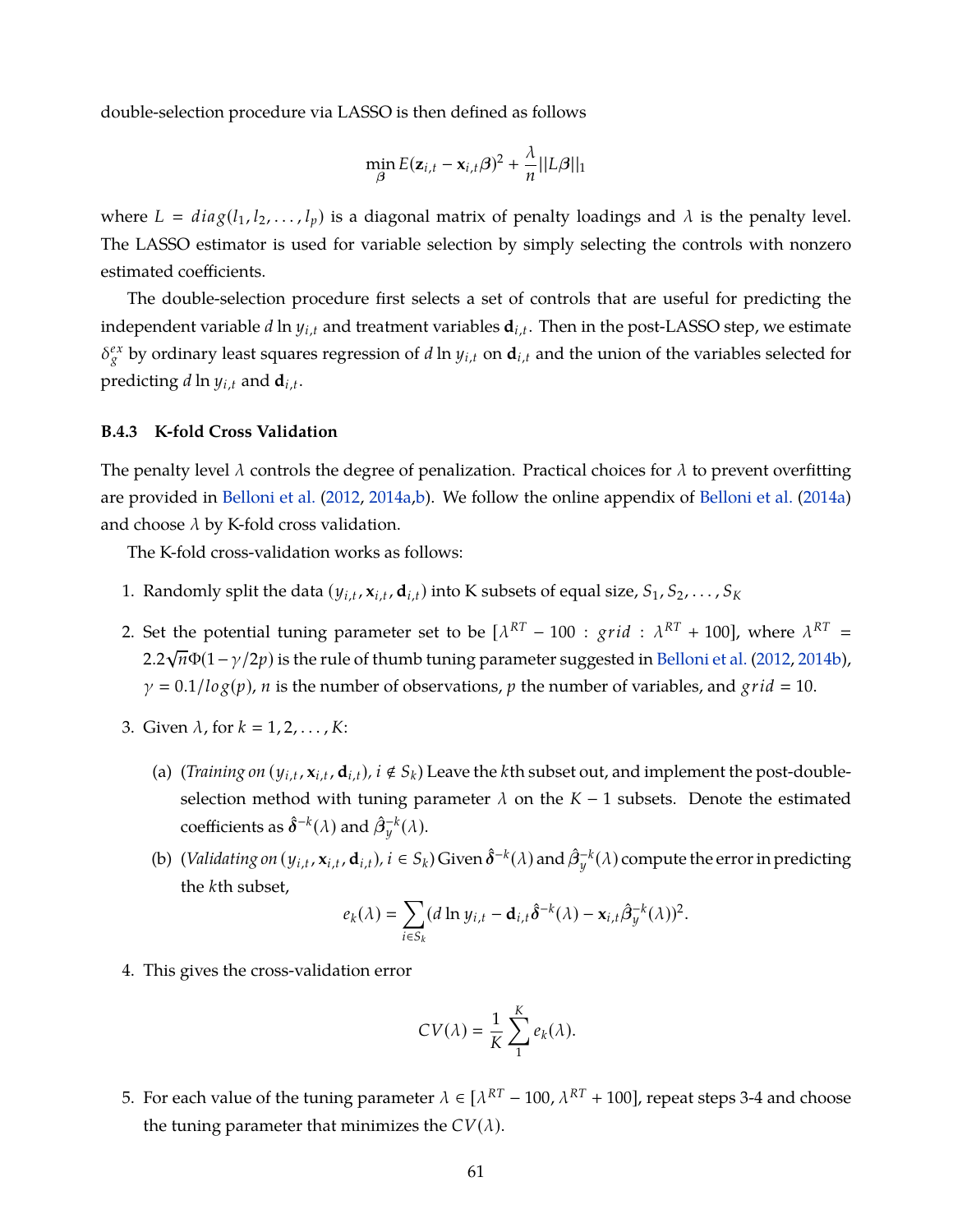double-selection procedure via LASSO is then defined as follows

$$
\min_{\beta} E(\mathbf{z}_{i,t} - \mathbf{x}_{i,t} \beta)^2 + \frac{\lambda}{n} ||L\beta||_1
$$

where  $L = diag(l_1, l_2, \ldots, l_p)$  is a diagonal matrix of penalty loadings and  $\lambda$  is the penalty level. The LASSO estimator is used for variable selection by simply selecting the controls with nonzero estimated coefficients.

The double-selection procedure first selects a set of controls that are useful for predicting the independent variable *d* ln *yi*,*<sup>t</sup>* and treatment variables **d***i*,*<sup>t</sup>* . Then in the post-LASSO step, we estimate  $\delta_g^{ex}$  by ordinary least squares regression of *d* ln  $y_{i,t}$  on  $\mathbf{d}_{i,t}$  and the union of the variables selected for predicting *d* ln *yi*,*<sup>t</sup>* and **d***i*,*<sup>t</sup>* .

#### **B.4.3 K-fold Cross Validation**

The penalty level  $\lambda$  controls the degree of penalization. Practical choices for  $\lambda$  to prevent overfitting are provided in [Belloni et al.](#page-36-5) [\(2012,](#page-36-5) [2014a](#page-36-6)[,b\)](#page-36-3). We follow the online appendix of [Belloni et al.](#page-36-6) [\(2014a\)](#page-36-6) and choose  $\lambda$  by K-fold cross validation.

The K-fold cross-validation works as follows:

- 1. Randomly split the data  $(y_{i,t}, x_{i,t}, d_{i,t})$  into K subsets of equal size,  $S_1, S_2, \ldots, S_K$
- 2. Set the potential tuning parameter set to be  $[\lambda^{RT} 100 : grid : \lambda^{RT} + 100]$ , where  $\lambda^{RT} =$ 2.2 *n*Φ(1−γ/2*p*) is the rule of thumb tuning parameter suggested in [Belloni et al.](#page-36-5) [\(2012,](#page-36-5) [2014b\)](#page-36-3), √  $\gamma = 0.1/l \log(p)$ , *n* is the number of observations, *p* the number of variables, and *grid* = 10.
- 3. Given  $\lambda$ , for  $k = 1, 2, \ldots, K$ :
	- (a) (*Training on*  $(y_{i,t}, x_{i,t}, d_{i,t})$ ,  $i \notin S_k$ ) Leave the *k*th subset out, and implement the post-doubleselection method with tuning parameter  $\lambda$  on the  $K - 1$  subsets. Denote the estimated coefficients as  $\hat{\boldsymbol{\delta}}^{-k}(\lambda)$  and  $\hat{\boldsymbol{\beta}}^{-k}_{y}(\lambda)$ .
	- (b) (*Validating on* ( $y_{i,t}$ ,  $\mathbf{x}_{i,t}$ ,  $\mathbf{d}_{i,t}$ ),  $i \in S_k$ ) Given  $\hat{\boldsymbol{\delta}}^{-k}(\lambda)$  and  $\hat{\beta}_y^{-k}(\lambda)$  compute the error in predicting the *k*th subset,

$$
e_k(\lambda) = \sum_{i \in S_k} (d \ln y_{i,t} - \mathbf{d}_{i,t} \hat{\delta}^{-k}(\lambda) - \mathbf{x}_{i,t} \hat{\beta}_y^{-k}(\lambda))^2.
$$

4. This gives the cross-validation error

$$
CV(\lambda) = \frac{1}{K} \sum_{1}^{K} e_k(\lambda).
$$

5. For each value of the tuning parameter  $\lambda \in [\lambda^{RT} - 100, \lambda^{RT} + 100]$ , repeat steps 3-4 and choose the tuning parameter that minimizes the  $CV(\lambda)$ .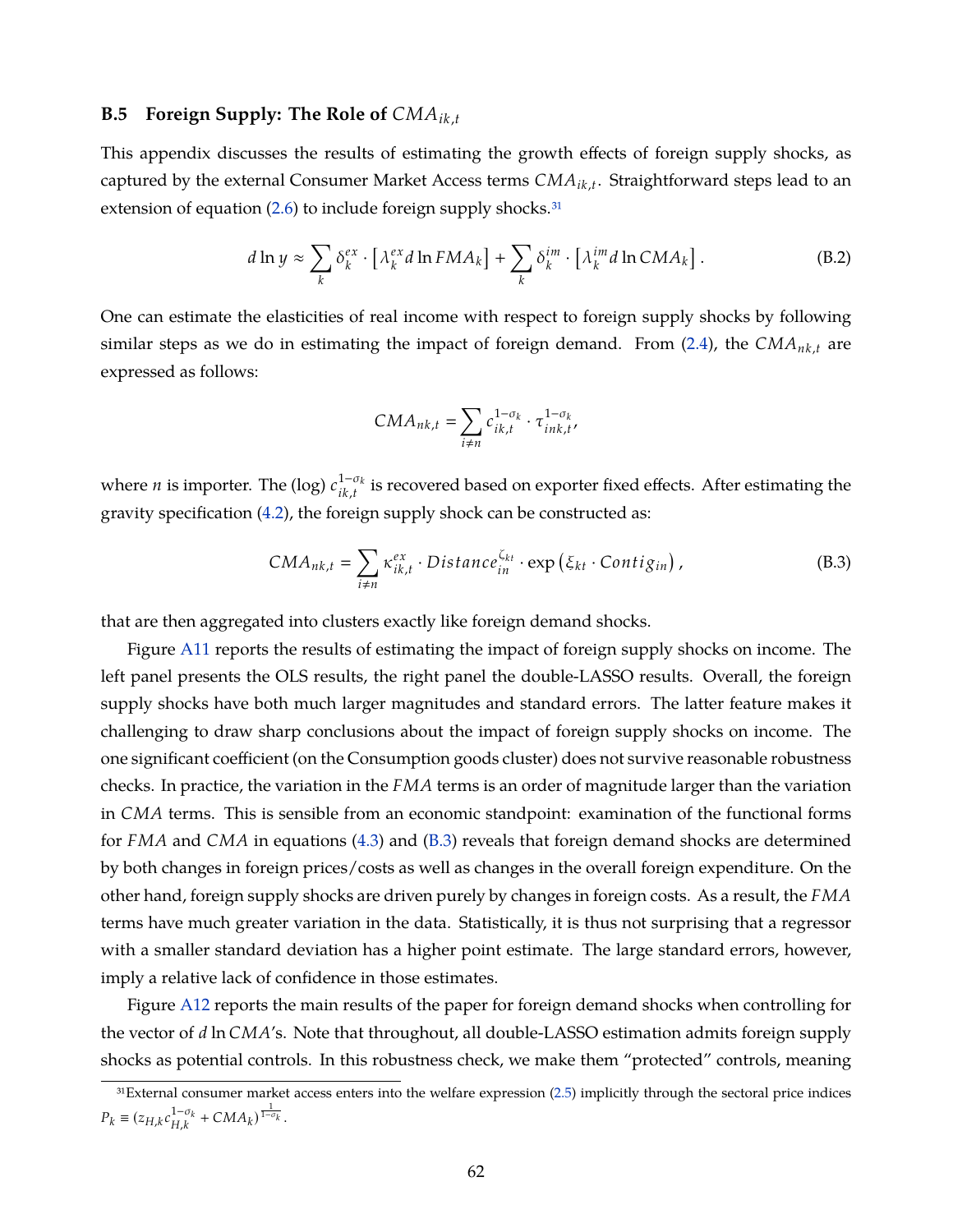## **B.5 Foreign Supply: The Role of** *CMAik*,*<sup>t</sup>*

This appendix discusses the results of estimating the growth effects of foreign supply shocks, as captured by the external Consumer Market Access terms *CMAik*,*<sup>t</sup>* . Straightforward steps lead to an extension of equation  $(2.6)$  to include foreign supply shocks.<sup>31</sup>

$$
d \ln y \approx \sum_{k} \delta_{k}^{ex} \cdot \left[ \lambda_{k}^{ex} d \ln FMA_{k} \right] + \sum_{k} \delta_{k}^{im} \cdot \left[ \lambda_{k}^{im} d \ln CMA_{k} \right]. \tag{B.2}
$$

One can estimate the elasticities of real income with respect to foreign supply shocks by following similar steps as we do in estimating the impact of foreign demand. From [\(2.4\)](#page-8-0), the *CMAnk*,*<sup>t</sup>* are expressed as follows:

<span id="page-63-0"></span>
$$
CMA_{nk,t} = \sum_{i \neq n} c_{ik,t}^{1-\sigma_k} \cdot \tau_{ink,t}^{1-\sigma_k},
$$

where *n* is importer. The (log)  $c_{ik}^{1-\sigma_{k}}$  $i_{ik,t}^{1-o_k}$  is recovered based on exporter fixed effects. After estimating the gravity specification [\(4.2\)](#page-18-1), the foreign supply shock can be constructed as:

$$
CMA_{nk,t} = \sum_{i \neq n} \kappa_{ik,t}^{ex} \cdot Distance_{in}^{\zeta_{kt}} \cdot \exp\left(\xi_{kt} \cdot Contign\right), \tag{B.3}
$$

that are then aggregated into clusters exactly like foreign demand shocks.

Figure [A11](#page-74-0) reports the results of estimating the impact of foreign supply shocks on income. The left panel presents the OLS results, the right panel the double-LASSO results. Overall, the foreign supply shocks have both much larger magnitudes and standard errors. The latter feature makes it challenging to draw sharp conclusions about the impact of foreign supply shocks on income. The one significant coefficient (on the Consumption goods cluster) does not survive reasonable robustness checks. In practice, the variation in the *FMA* terms is an order of magnitude larger than the variation in *CMA* terms. This is sensible from an economic standpoint: examination of the functional forms for *FMA* and *CMA* in equations [\(4.3\)](#page-19-0) and [\(B.3\)](#page-63-0) reveals that foreign demand shocks are determined by both changes in foreign prices/costs as well as changes in the overall foreign expenditure. On the other hand, foreign supply shocks are driven purely by changes in foreign costs. As a result, the *FMA* terms have much greater variation in the data. Statistically, it is thus not surprising that a regressor with a smaller standard deviation has a higher point estimate. The large standard errors, however, imply a relative lack of confidence in those estimates.

Figure [A12](#page-74-1) reports the main results of the paper for foreign demand shocks when controlling for the vector of *d* ln *CMA*'s. Note that throughout, all double-LASSO estimation admits foreign supply shocks as potential controls. In this robustness check, we make them "protected" controls, meaning

<sup>31</sup>External consumer market access enters into the welfare expression [\(2.5\)](#page-9-1) implicitly through the sectoral price indices  $P_k \equiv (z_{H,k}c_{H,k}^{1-\sigma_k} + CMA_k)^{\frac{1}{1-\sigma_k}}.$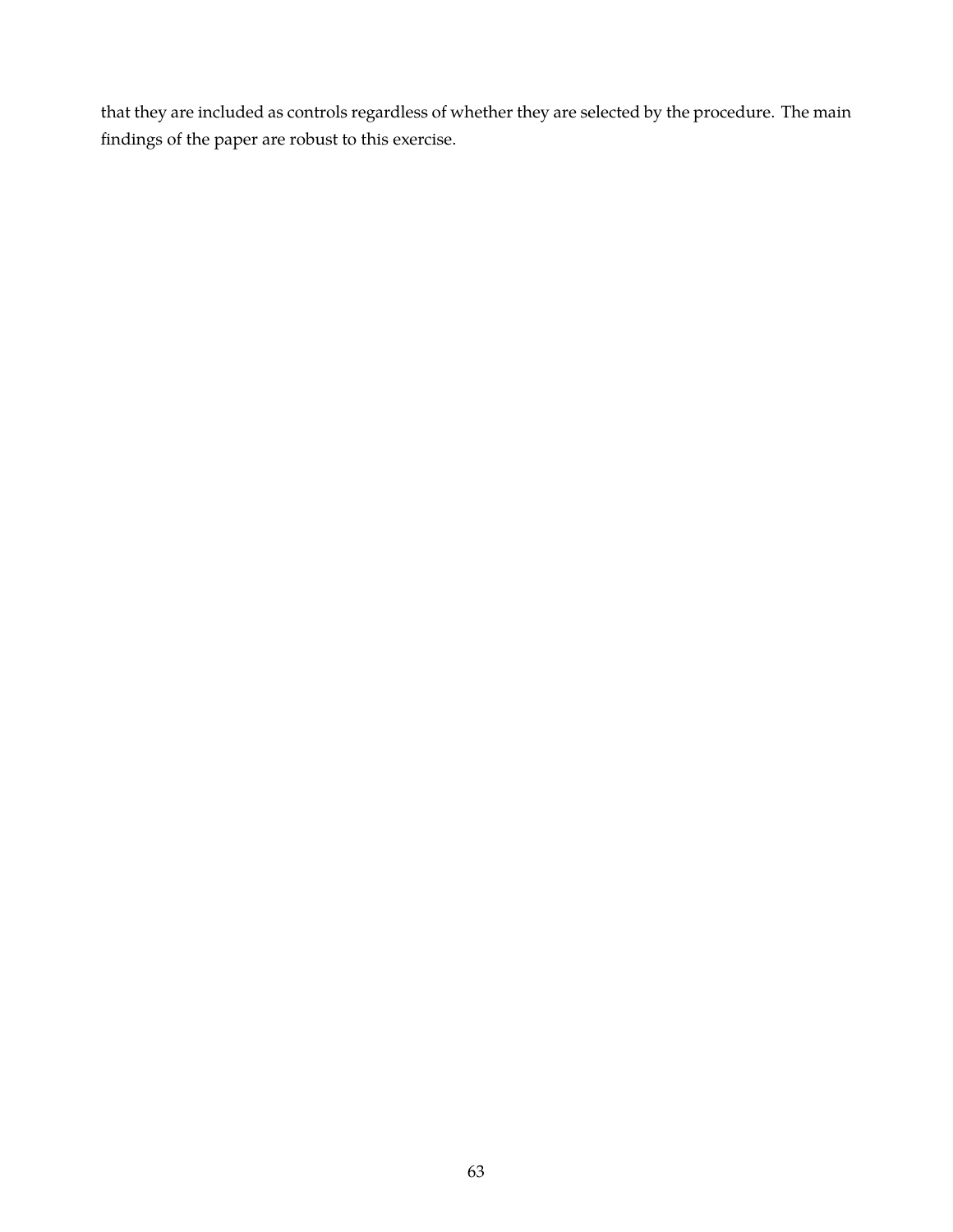that they are included as controls regardless of whether they are selected by the procedure. The main findings of the paper are robust to this exercise.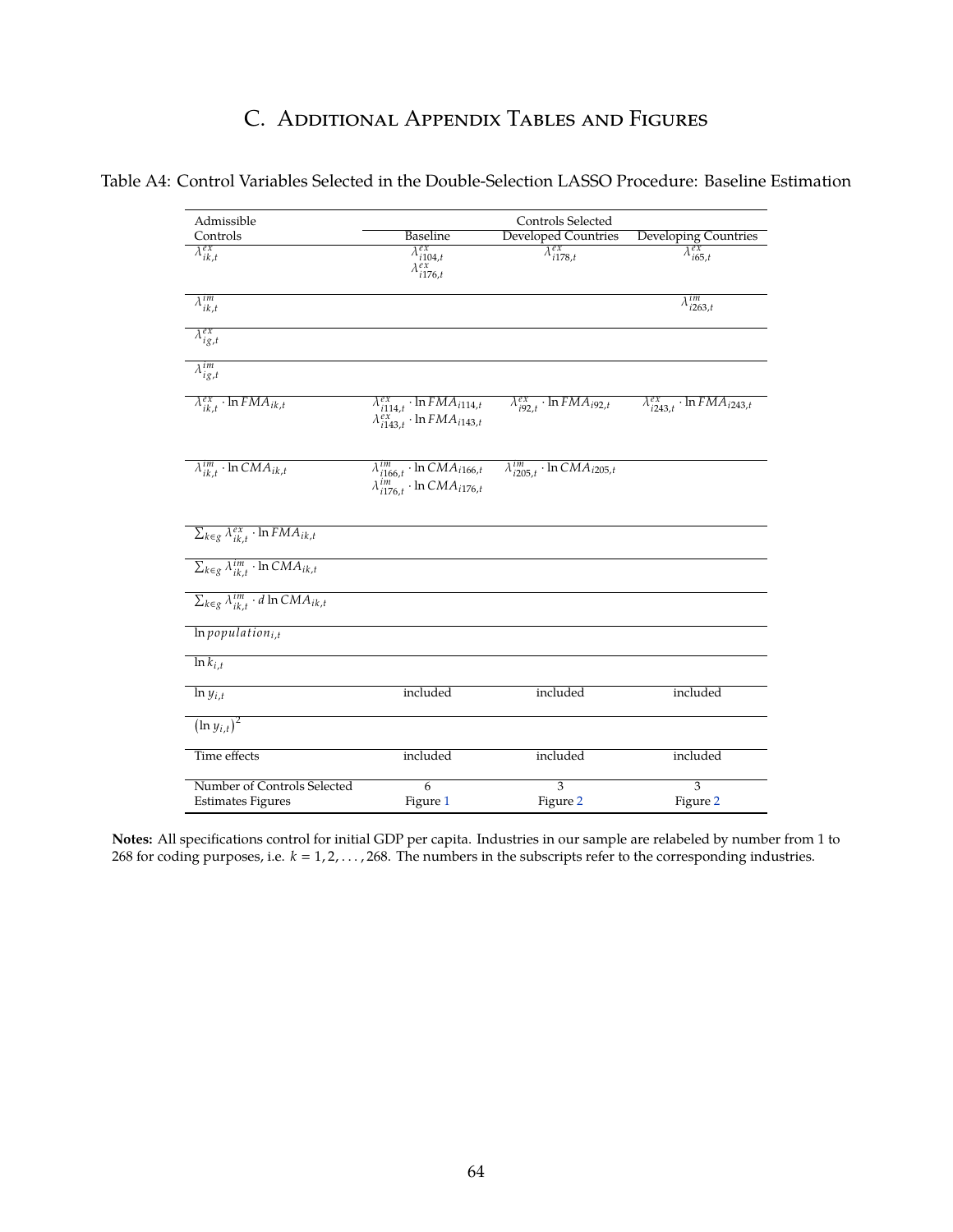# C. Additional Appendix Tables and Figures

| Admissible                                                  | Controls Selected                                                                                |                                                |                                                |  |  |  |
|-------------------------------------------------------------|--------------------------------------------------------------------------------------------------|------------------------------------------------|------------------------------------------------|--|--|--|
| Controls                                                    | <b>Baseline</b>                                                                                  | <b>Developed Countries</b>                     | Developing Countries                           |  |  |  |
| $\lambda_{ik,t}^{ex}$                                       | $\overline{\lambda^{ex}_{i104,t} \atop \lambda^{ex}_{i176,t}}$                                   | $\overline{\lambda_{i178,t}^{ex}}$             | $\lambda_{i65,t}^{ex}$                         |  |  |  |
| $\lambda^{im}_{ik,t}$                                       |                                                                                                  |                                                | $\lambda_{i263,t}^{im}$                        |  |  |  |
| $\overline{\lambda^{ex}_{ig,t}}$                            |                                                                                                  |                                                |                                                |  |  |  |
| $\overline{\lambda_{ig,t}^{im}}$                            |                                                                                                  |                                                |                                                |  |  |  |
| $\lambda_{ik,t}^{ex} \cdot \ln FMA_{ik,t}$                  | $\lambda_{i114,t}^{ex} \cdot \ln FMA_{i114,t}$<br>$\lambda_{i143,t}^{ex} \cdot \ln FMA_{i143,t}$ | $\lambda_{i92,t}^{ex} \cdot \ln FMA_{i92,t}$   | $\lambda_{i243,t}^{ex} \cdot \ln FMA_{i243,t}$ |  |  |  |
| $\lambda_{ik,t}^{im} \cdot \overline{\ln CMA_{ik,t}}$       | $\lambda_{i166,t}^{im} \cdot \ln CMA_{i166,t}$<br>$\lambda_{i176,t}^{im} \cdot \ln CMA_{i176,t}$ | $\lambda_{i205,t}^{im} \cdot \ln CMA_{i205,t}$ |                                                |  |  |  |
| $\sum_{k \in g} \lambda_{ik,t}^{ex} \cdot \ln FMA_{ik,t}$   |                                                                                                  |                                                |                                                |  |  |  |
| $\sum_{k \in g} \lambda_{ik,t}^{im} \cdot \ln CMA_{ik,t}$   |                                                                                                  |                                                |                                                |  |  |  |
| $\sum_{k \in g} \lambda_{ik,t}^{im} \cdot d \ln CMA_{ik,t}$ |                                                                                                  |                                                |                                                |  |  |  |
| $ln$ population <sub>i.t</sub>                              |                                                                                                  |                                                |                                                |  |  |  |
| $\ln k_{i,t}$                                               |                                                                                                  |                                                |                                                |  |  |  |
| $\ln y_{i,t}$                                               | included                                                                                         | included                                       | included                                       |  |  |  |
| $\overline{\left(\ln y_{i,t}\right)^2}$                     |                                                                                                  |                                                |                                                |  |  |  |
| Time effects                                                | included                                                                                         | included                                       | included                                       |  |  |  |
| Number of Controls Selected                                 | $\overline{6}$                                                                                   | $\overline{3}$                                 | $\overline{3}$                                 |  |  |  |
| <b>Estimates Figures</b>                                    | Figure 1                                                                                         | Figure 2                                       | Figure 2                                       |  |  |  |

**Notes:** All specifications control for initial GDP per capita. Industries in our sample are relabeled by number from 1 to 268 for coding purposes, i.e.  $k = 1, 2, \ldots, 268$ . The numbers in the subscripts refer to the corresponding industries.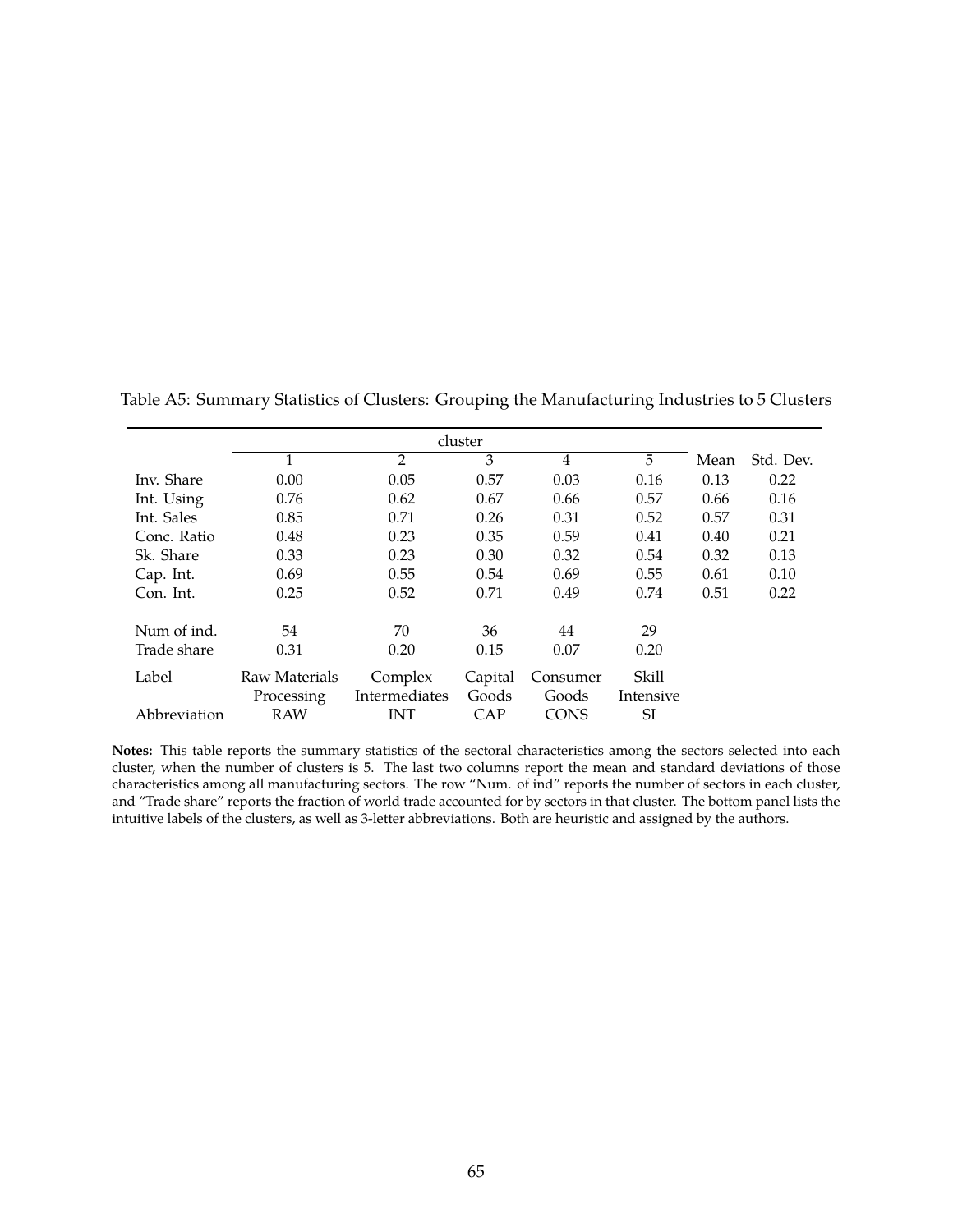|              | cluster       |               |         |             |           |      |           |
|--------------|---------------|---------------|---------|-------------|-----------|------|-----------|
|              | 1             | 2             | 3       | 4           | 5.        | Mean | Std. Dev. |
| Inv. Share   | 0.00          | 0.05          | 0.57    | 0.03        | 0.16      | 0.13 | 0.22      |
| Int. Using   | 0.76          | 0.62          | 0.67    | 0.66        | 0.57      | 0.66 | 0.16      |
| Int. Sales   | 0.85          | 0.71          | 0.26    | 0.31        | 0.52      | 0.57 | 0.31      |
| Conc. Ratio  | 0.48          | 0.23          | 0.35    | 0.59        | 0.41      | 0.40 | 0.21      |
| Sk. Share    | 0.33          | 0.23          | 0.30    | 0.32        | 0.54      | 0.32 | 0.13      |
| Cap. Int.    | 0.69          | 0.55          | 0.54    | 0.69        | 0.55      | 0.61 | 0.10      |
| Con. Int.    | 0.25          | 0.52          | 0.71    | 0.49        | 0.74      | 0.51 | 0.22      |
|              |               |               |         |             |           |      |           |
| Num of ind.  | 54            | 70            | 36      | 44          | 29        |      |           |
| Trade share  | 0.31          | 0.20          | 0.15    | 0.07        | 0.20      |      |           |
| Label        | Raw Materials | Complex       | Capital | Consumer    | Skill     |      |           |
|              | Processing    | Intermediates | Goods   | Goods       | Intensive |      |           |
| Abbreviation | <b>RAW</b>    | INT           | CAP     | <b>CONS</b> | SI        |      |           |

Table A5: Summary Statistics of Clusters: Grouping the Manufacturing Industries to 5 Clusters

**Notes:** This table reports the summary statistics of the sectoral characteristics among the sectors selected into each cluster, when the number of clusters is 5. The last two columns report the mean and standard deviations of those characteristics among all manufacturing sectors. The row "Num. of ind" reports the number of sectors in each cluster, and "Trade share" reports the fraction of world trade accounted for by sectors in that cluster. The bottom panel lists the intuitive labels of the clusters, as well as 3-letter abbreviations. Both are heuristic and assigned by the authors.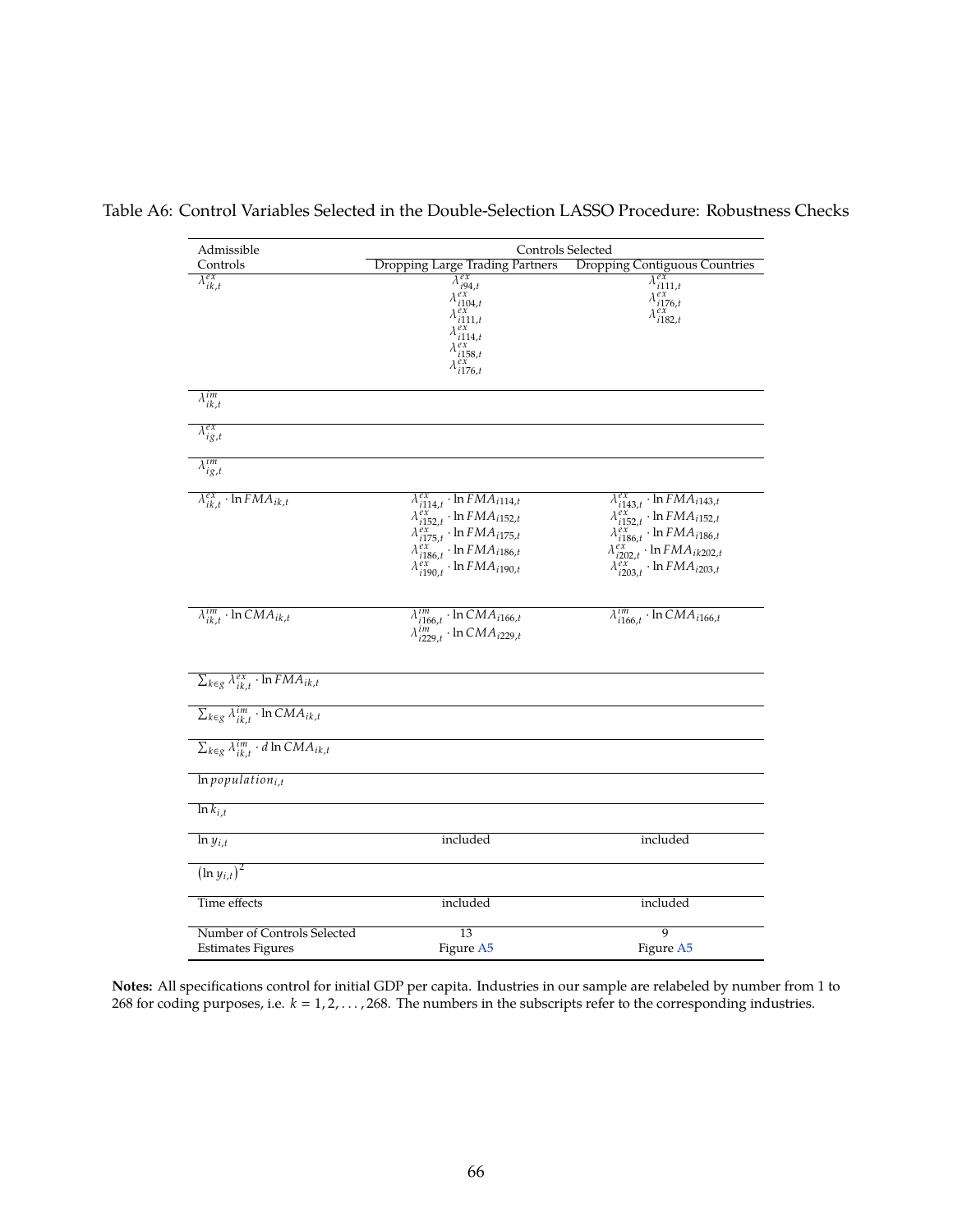Table A6: Control Variables Selected in the Double-Selection LASSO Procedure: Robustness Checks

| Admissible                                                  | Controls Selected                                                                                                                                                                                                                          |                                                                                                                                                                                                                                                   |  |  |  |  |
|-------------------------------------------------------------|--------------------------------------------------------------------------------------------------------------------------------------------------------------------------------------------------------------------------------------------|---------------------------------------------------------------------------------------------------------------------------------------------------------------------------------------------------------------------------------------------------|--|--|--|--|
| Controls                                                    | <b>Dropping Large Trading Partners</b>                                                                                                                                                                                                     | <b>Dropping Contiguous Countries</b>                                                                                                                                                                                                              |  |  |  |  |
| $\lambda_{ik,t}^{ex}$                                       | $\lambda_{i94,t}^{ex}$<br>$\lambda_{i104,t}^{ex}$<br>$\lambda_{i111,t}^{ex}$<br>$\lambda_{i114,t}^{ex}$<br>$\lambda_{i158,t}^{ex}$<br>$\lambda_{i176,t}^{ex}$                                                                              | $\lambda_{i111,t}^{ex}$<br>$\begin{array}{c}\n\lambda_{i176,t}^{ex} \\ \lambda_{i176,t}^{ex} \\ \lambda_{i182,t}^{ex}\n\end{array}$                                                                                                               |  |  |  |  |
| $\lambda^{im}_{ik,t}$                                       |                                                                                                                                                                                                                                            |                                                                                                                                                                                                                                                   |  |  |  |  |
| $\lambda_{ig,t}^{ex}$                                       |                                                                                                                                                                                                                                            |                                                                                                                                                                                                                                                   |  |  |  |  |
| $\lambda_{ig,t}^{im}$                                       |                                                                                                                                                                                                                                            |                                                                                                                                                                                                                                                   |  |  |  |  |
| $\lambda_{ik,t}^{ex} \cdot \ln FMA_{ik,t}$                  | $\lambda_{i114,t}^{ex} \cdot \ln FMA_{i114,t}$<br>$\lambda_{i152,t}^{ex}$ · ln $FMA_{i152,t}$<br>$\lambda_{i175,t}^{ex}$ · ln $FMA_{i175,t}$<br>$\lambda_{i186,t}^{ex}$ · ln $FMA_{i186,t}$<br>$\lambda_{i190,t}^{ex}$ · ln $FMA_{i190,t}$ | $\lambda_{i143,t}^{ex} \cdot \ln FMA_{i143,t}$<br>$\lambda_{i152,t}^{ex} \cdot \ln FMA_{i152,t}$<br>$\lambda_{i186,t}^{ex}$ · ln $FMA_{i186,t}$<br>$\lambda_{i202,t}^{ex}$ · ln $FMA_{ik202,t}$<br>$\lambda_{i203,t}^{ex} \cdot \ln FMA_{i203,t}$ |  |  |  |  |
| $\lambda_{ik,t}^{im} \cdot \ln CMA_{ik,t}$                  | $\lambda_{i166,t}^{im} \cdot \ln CMA_{i166,t}$<br>$\lambda_{i229,t}^{im} \cdot \ln CMA_{i229,t}$                                                                                                                                           | $\lambda_{i166,t}^{im} \cdot \ln CMA_{i166,t}$                                                                                                                                                                                                    |  |  |  |  |
| $\sum_{k\in g}\lambda_{ik,t}^{ex}\cdot \ln FMA_{ik,t}$      |                                                                                                                                                                                                                                            |                                                                                                                                                                                                                                                   |  |  |  |  |
| $\sum_{k \in g} \lambda_{ik,t}^{im} \cdot \ln CMA_{ik,t}$   |                                                                                                                                                                                                                                            |                                                                                                                                                                                                                                                   |  |  |  |  |
| $\sum_{k \in g} \lambda_{ik,t}^{im} \cdot d \ln CMA_{ik,t}$ |                                                                                                                                                                                                                                            |                                                                                                                                                                                                                                                   |  |  |  |  |
| $ln$ population <sub>i,t</sub>                              |                                                                                                                                                                                                                                            |                                                                                                                                                                                                                                                   |  |  |  |  |
| $\ln k_{i,t}$                                               |                                                                                                                                                                                                                                            |                                                                                                                                                                                                                                                   |  |  |  |  |
| $\overline{\ln y_{i,t}}$                                    | included                                                                                                                                                                                                                                   | included                                                                                                                                                                                                                                          |  |  |  |  |
| $\left(\ln y_{i,t}\right)^2$                                |                                                                                                                                                                                                                                            |                                                                                                                                                                                                                                                   |  |  |  |  |
| Time effects                                                | included                                                                                                                                                                                                                                   | included<br>9                                                                                                                                                                                                                                     |  |  |  |  |
| Number of Controls Selected<br><b>Estimates Figures</b>     | 13<br>Figure A5                                                                                                                                                                                                                            | Figure A5                                                                                                                                                                                                                                         |  |  |  |  |

**Notes:** All specifications control for initial GDP per capita. Industries in our sample are relabeled by number from 1 to 268 for coding purposes, i.e.  $k = 1, 2, ..., 268$ . The numbers in the subscripts refer to the corresponding industries.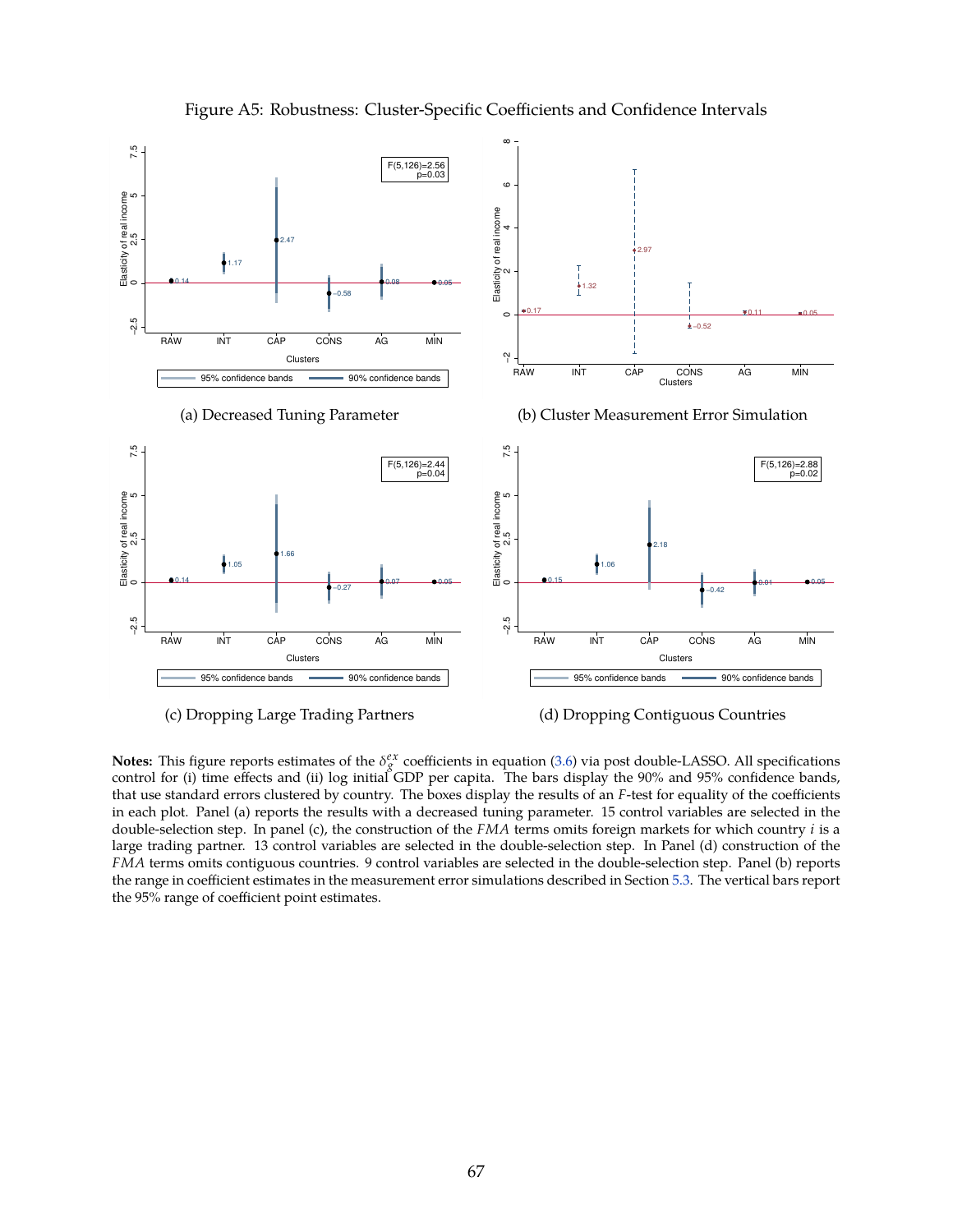<span id="page-68-0"></span>

Figure A5: Robustness: Cluster-Specific Coefficients and Confidence Intervals

**Notes:** This figure reports estimates of the  $\delta_g^{ex}$  coefficients in equation [\(3.6\)](#page-13-0) via post double-LASSO. All specifications control for (i) time effects and (ii) log initial GDP per capita. The bars display the 90% and 95% confidence bands, that use standard errors clustered by country. The boxes display the results of an *F*-test for equality of the coefficients in each plot. Panel (a) reports the results with a decreased tuning parameter. 15 control variables are selected in the double-selection step. In panel (c), the construction of the *FMA* terms omits foreign markets for which country *i* is a large trading partner. 13 control variables are selected in the double-selection step. In Panel (d) construction of the *FMA* terms omits contiguous countries. 9 control variables are selected in the double-selection step. Panel (b) reports the range in coefficient estimates in the measurement error simulations described in Section [5.3.](#page-20-0) The vertical bars report the 95% range of coefficient point estimates.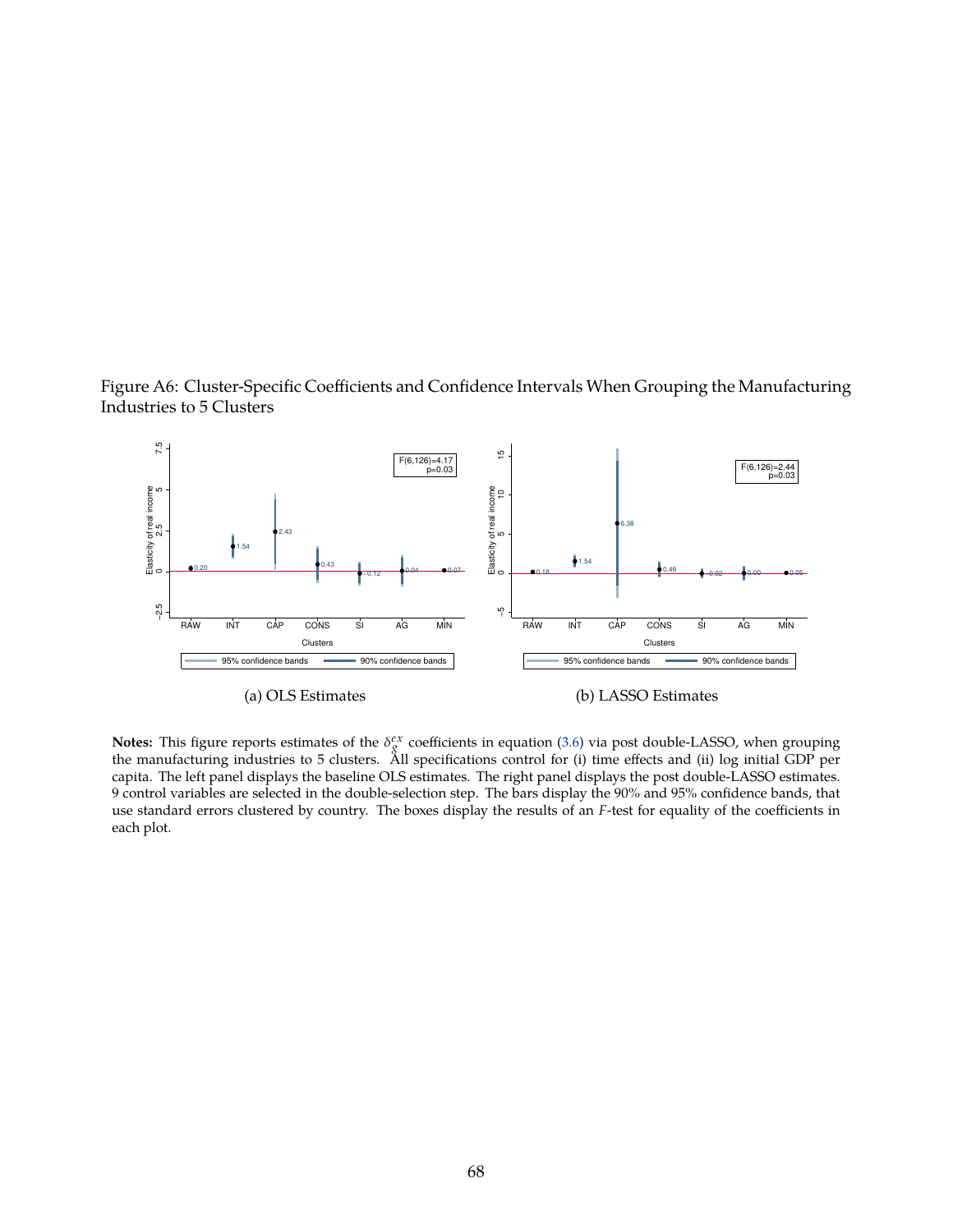



**Notes:** This figure reports estimates of the  $\delta_g^{ex}$  coefficients in equation [\(3.6\)](#page-13-0) via post double-LASSO, when grouping the manufacturing industries to 5 clusters. All specifications control for (i) time effects and (ii) log initial GDP per capita. The left panel displays the baseline OLS estimates. The right panel displays the post double-LASSO estimates. 9 control variables are selected in the double-selection step. The bars display the 90% and 95% confidence bands, that use standard errors clustered by country. The boxes display the results of an *F*-test for equality of the coefficients in each plot.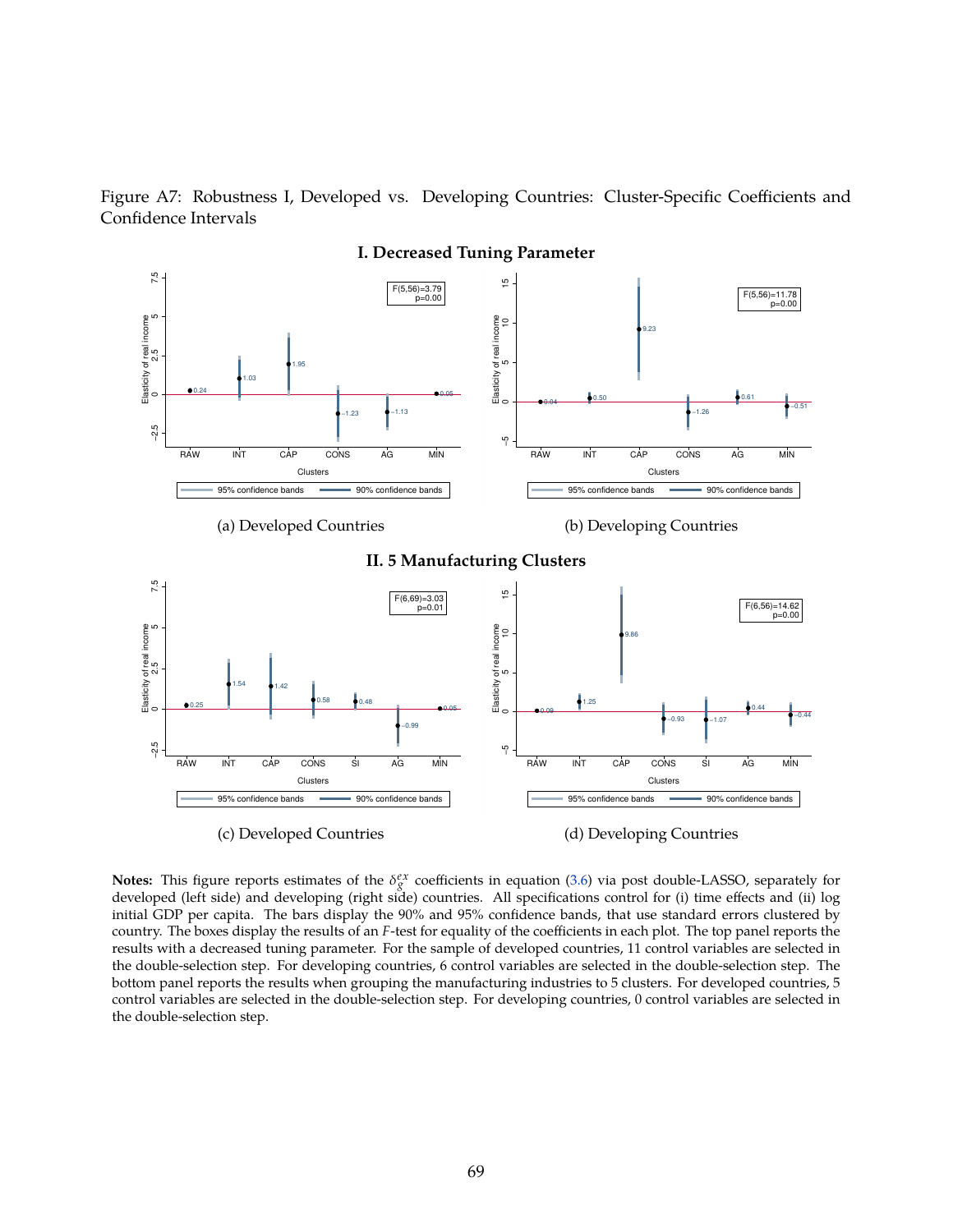



**Notes:** This figure reports estimates of the  $\delta_g^{ex}$  coefficients in equation [\(3.6\)](#page-13-0) via post double-LASSO, separately for developed (left side) and developing (right side) countries. All specifications control for (i) time effects and (ii) log initial GDP per capita. The bars display the 90% and 95% confidence bands, that use standard errors clustered by country. The boxes display the results of an *F*-test for equality of the coefficients in each plot. The top panel reports the results with a decreased tuning parameter. For the sample of developed countries, 11 control variables are selected in the double-selection step. For developing countries, 6 control variables are selected in the double-selection step. The bottom panel reports the results when grouping the manufacturing industries to 5 clusters. For developed countries, 5 control variables are selected in the double-selection step. For developing countries, 0 control variables are selected in the double-selection step.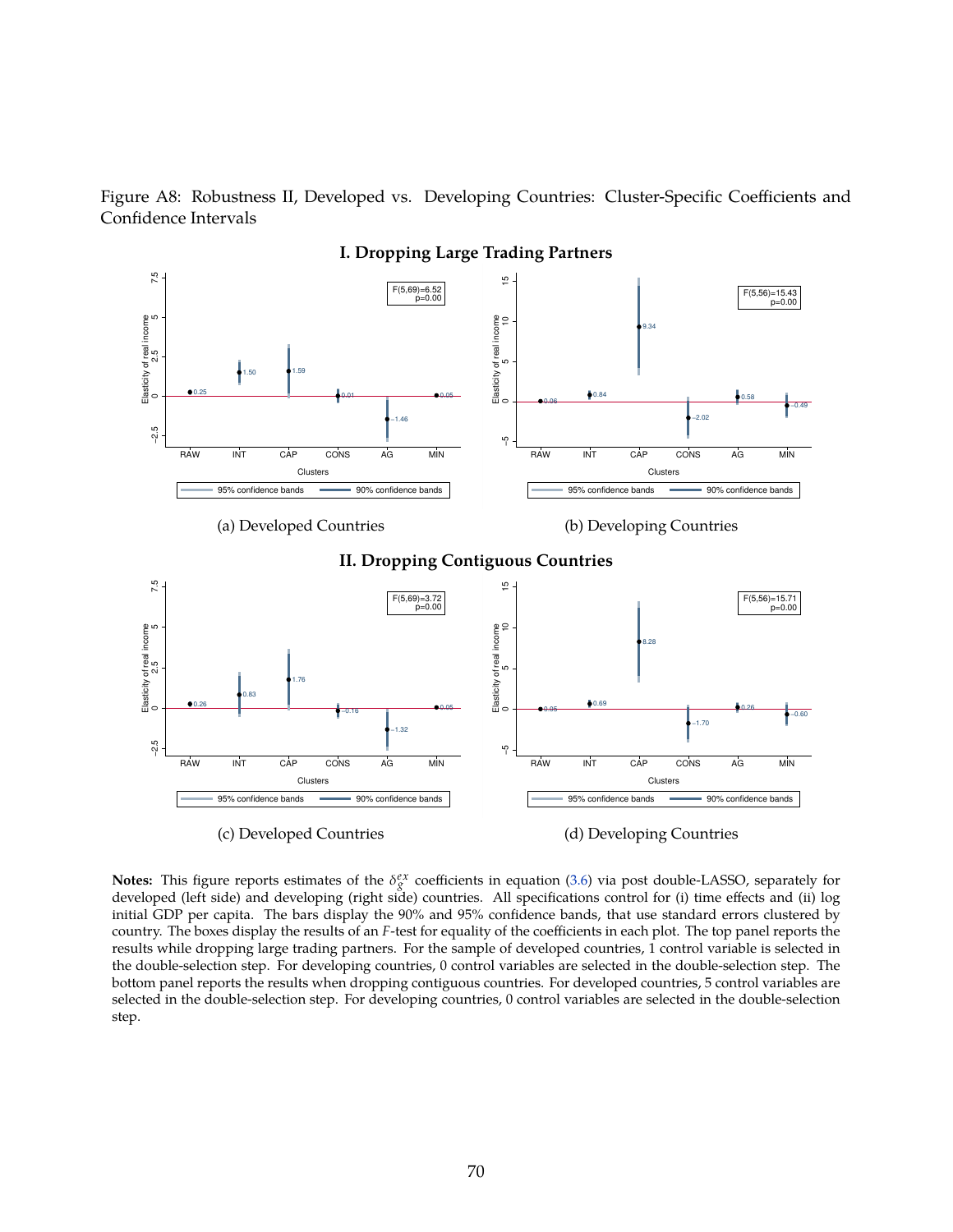Figure A8: Robustness II, Developed vs. Developing Countries: Cluster-Specific Coefficients and Confidence Intervals



**Notes:** This figure reports estimates of the  $\delta_g^{ex}$  coefficients in equation [\(3.6\)](#page-13-0) via post double-LASSO, separately for developed (left side) and developing (right side) countries. All specifications control for (i) time effects and (ii) log initial GDP per capita. The bars display the 90% and 95% confidence bands, that use standard errors clustered by country. The boxes display the results of an *F*-test for equality of the coefficients in each plot. The top panel reports the results while dropping large trading partners. For the sample of developed countries, 1 control variable is selected in the double-selection step. For developing countries, 0 control variables are selected in the double-selection step. The bottom panel reports the results when dropping contiguous countries. For developed countries, 5 control variables are selected in the double-selection step. For developing countries, 0 control variables are selected in the double-selection step.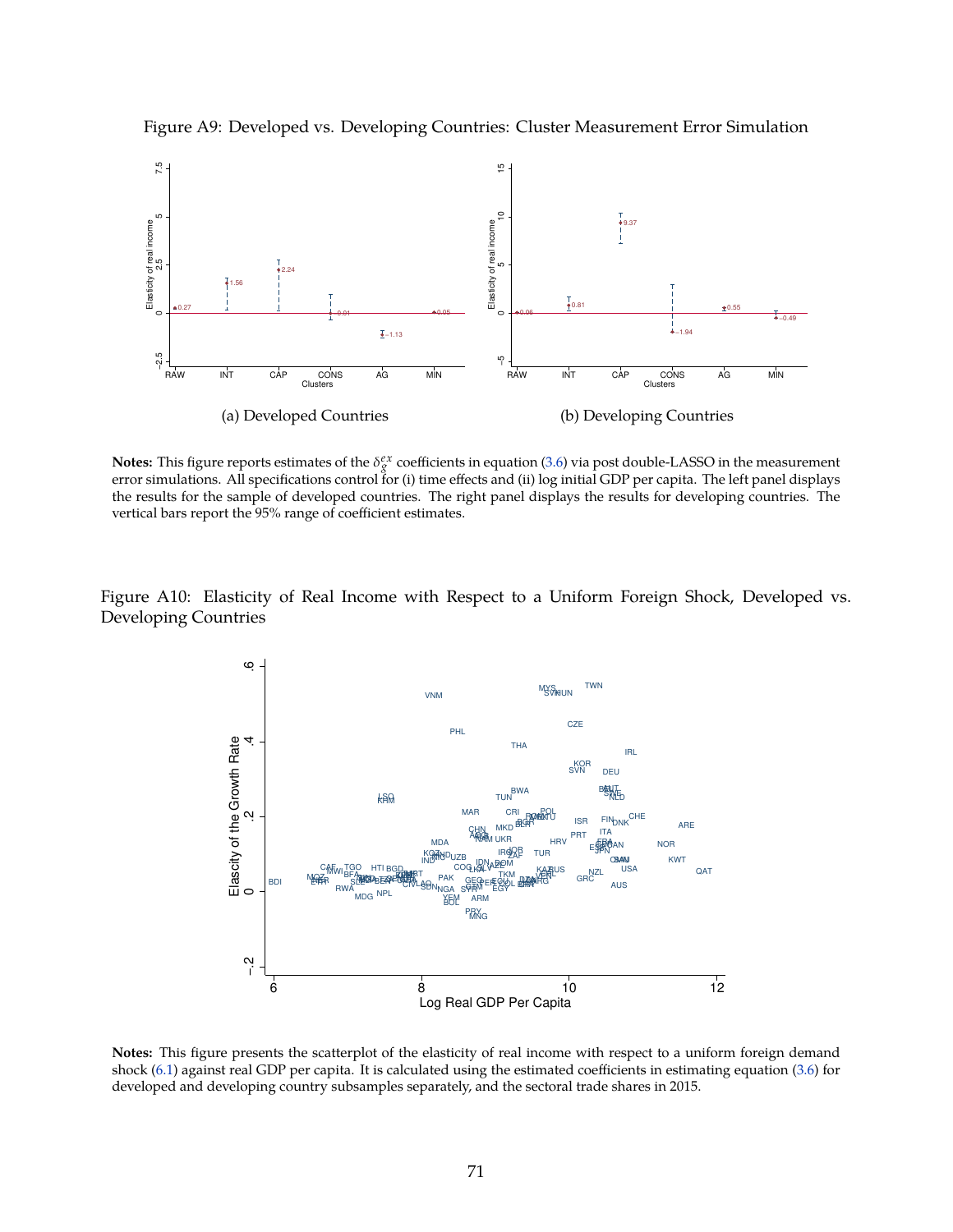

Figure A9: Developed vs. Developing Countries: Cluster Measurement Error Simulation

**Notes:** This figure reports estimates of the  $\delta_g^{ex}$  coefficients in equation [\(3.6\)](#page-13-0) via post double-LASSO in the measurement error simulations. All specifications control for (i) time effects and (ii) log initial GDP per capita. The left panel displays the results for the sample of developed countries. The right panel displays the results for developing countries. The vertical bars report the 95% range of coefficient estimates.

Figure A10: Elasticity of Real Income with Respect to a Uniform Foreign Shock, Developed vs. Developing Countries



**Notes:** This figure presents the scatterplot of the elasticity of real income with respect to a uniform foreign demand shock [\(6.1\)](#page-24-0) against real GDP per capita. It is calculated using the estimated coefficients in estimating equation [\(3.6\)](#page-13-0) for developed and developing country subsamples separately, and the sectoral trade shares in 2015.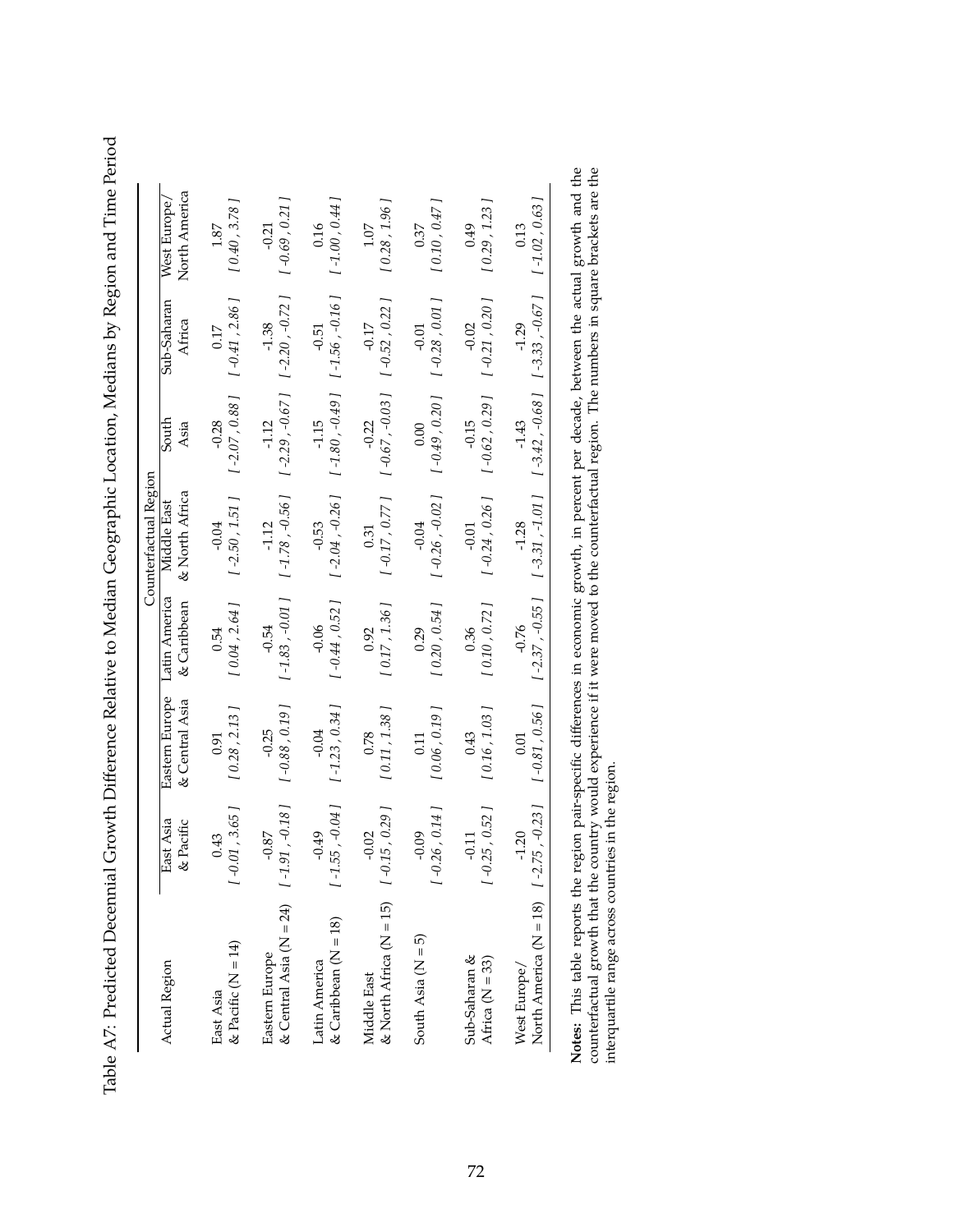Table A7: Predicted Decennial Growth Difference Relative to Median Geographic Location, Medians by Region and Time Period Table A7: Predicted Decennial Growth Difference Relative to Median Geographic Location, Medians by Region and Time Period

| Actual Region                                                  | East Asia<br>& Pacific              | Eastern Europe<br>& Central Asia | Latin America<br>& Caribbean | Counterfactual Region<br>& North Africa<br>Middle East | South<br>Asia                                                  | Sub-Saharan<br>Africa                        | North America<br>West Europe, |
|----------------------------------------------------------------|-------------------------------------|----------------------------------|------------------------------|--------------------------------------------------------|----------------------------------------------------------------|----------------------------------------------|-------------------------------|
| & Pacific $(N = 14)$<br>East Asia                              | 0.01, 3.65<br>0.43                  | [0.28, 2.13]<br>0.91             | [0.04, 2.64]<br>0.54         | $[-2.50, 1.51]$<br>$-0.04$                             | $[-2.07, 0.88]$<br>$-0.28$                                     | $[\, -0.41\; , 2.86\; ]$<br>0.17             | [0.40, 3.78]<br>1.87          |
| & Central Asia ( $N = 24$ ) $1 - 1$<br>Eastern Europe          | $.91, -0.18$<br>$-0.87$             | $[-0.88, 0.19]$<br>$-0.25$       | $[-1.83, -0.01]$<br>$-0.54$  | $[ -1.78, -0.56 ]$<br>$-1.12$                          | $[-2.29, -0.67]$<br>$-1.12$                                    | $[-2.20, -0.72]$<br>$-1.38$                  | $[ -0.69, 0.21 ]$<br>$-0.21$  |
| $\&$ Caribbean ( $N = 18$ )<br>Latin America                   | $.55, -0.04$<br>$-0.49$<br>$\Gamma$ | $[-1.23, 0.34]$<br>$-0.04$       | $[-0.44, 0.52]$<br>$-0.06$   | $[-2.04, -0.26]$<br>$-0.53$                            | $-1.15$ $-0.51$<br>[ $-1.80$ , $-0.49$ ] [ $-1.56$ , $-0.16$ ] |                                              | $[-1.00, 0.44]$<br>0.16       |
| & North Africa ( $N = 15$ ) $[ -0.15, 0.29]$<br>Middle East    | $-0.02$                             | [0.11, 1.38]<br>0.78             | [0.17, 1.36]<br>0.92         | $[-0.17, 0.77]$<br>0.31                                | $[ -0.67, -0.03 ]$<br>$-0.22$                                  | $[-0.52, 0.22]$<br>$-0.17$                   | [0.28, 1.96]<br>1.07          |
| South Asia ( $N = 5$ )                                         | 0.26, 0.14<br>$-0.09$<br>T          | [0.06, 0.19]<br>0.11             | [0.20, 0.54]<br>0.29         | $[ -0.26, -0.02 ]$<br>$-0.04$                          | $[\, -0.49\, ,\, 0.20\, ]$<br>0.00                             | $[-0.28, 0.01]$<br>$-0.01$                   | [0.10, 0.47]<br>0.37          |
| Sub-Saharan &<br>Africa ( $N = 33$ )                           | $0.25, 0.52$ ]<br>$-0.11$<br>T      | [0.16, 1.03]<br>0.43             | [0.10, 0.72]<br>0.36         | $[-0.24, 0.26]$<br>$-0.01$                             | $[-0.62, 0.29]$<br>$-0.15$                                     | $-0.02$<br>[ $-0.21, 0.20$ ]                 | [0.29, 1.23]<br>0.49          |
| North America ( $N = 18$ ) $[1 - 2.75, -0.23]$<br>West Europe/ | $-1.20$                             | $[-0.81, 0.56]$<br>0.01          | $[-2.37, -0.55]$<br>$-0.76$  | $[-3.31, -1.01]$<br>$-1.28$                            | $-1.43$                                                        | $[-3.42, -0.68]$ $[-3.33, -0.67]$<br>$-1.29$ | $[-1.02, 0.63]$<br>0.13       |
| $\frac{1}{2}$                                                  |                                     | $\ddot{ }$                       |                              |                                                        |                                                                |                                              |                               |

**Notes:** This table reports the region pair-specific differences in economic growth, in percent per decade, between the actual growth and the counterfactual growth that the country would experience if it were moved to the **Notes:** This table reports the region pair-specific differences in economic growth, in percent per decade, between the actual growth and the counterfactual growth that the country would experience if it were moved to the counterfactual region. The numbers in square brackets are the interquartile range across countries in the region.